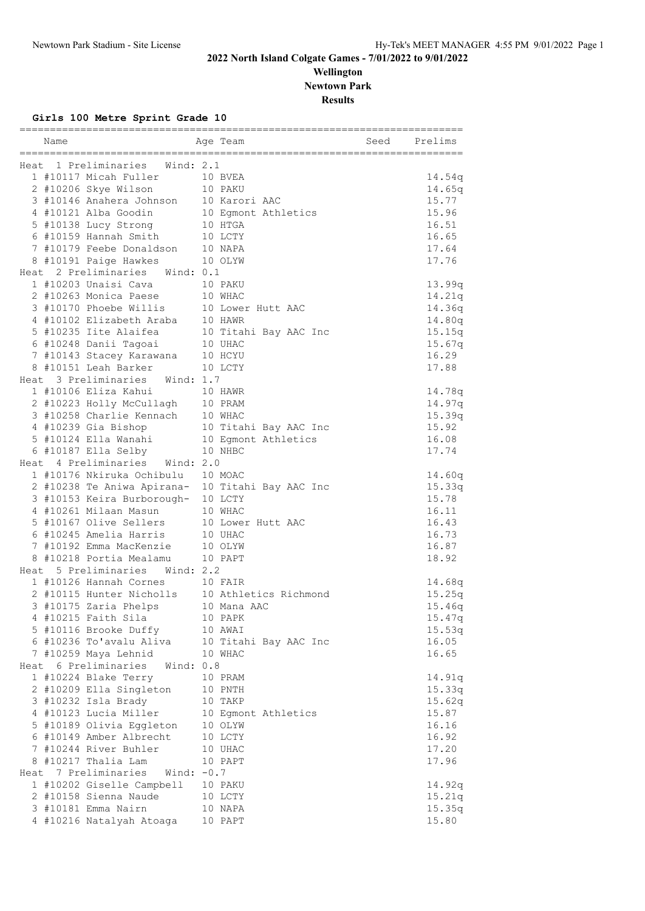## **Wellington Newtown Park**

**Results**

## **Girls 100 Metre Sprint Grade 10**

| Name |                                                                   | Age Team                                         | Seed | Prelims          |
|------|-------------------------------------------------------------------|--------------------------------------------------|------|------------------|
|      | Heat 1 Preliminaries Wind: 2.1                                    |                                                  |      |                  |
|      | 1 #10117 Micah Fuller                                             | 10 BVEA                                          |      |                  |
|      | 2 #10206 Skye Wilson                                              | 10 PAKU                                          |      | 14.54q<br>14.65q |
|      | 3 #10146 Anahera Johnson 10 Karori AAC                            |                                                  |      | 15.77            |
|      |                                                                   |                                                  |      |                  |
|      | 4 #10121 Alba Goodin                                              | 10 Egmont Athletics                              |      | 15.96            |
|      | 5 #10138 Lucy Strong 10 HTGA                                      |                                                  |      | 16.51            |
|      | 6 #10159 Hannah Smith                                             | 10 LCTY                                          |      | 16.65            |
|      | 7 #10179 Feebe Donaldson 10 NAPA<br>8 #10191 Paige Hawkes 10 OLYW |                                                  |      | 17.64            |
|      |                                                                   |                                                  |      | 17.76            |
|      | Heat 2 Preliminaries Wind: 0.1                                    |                                                  |      |                  |
|      | 1 #10203 Unaisi Cava 10 PAKU                                      |                                                  |      | 13.99q           |
|      | 2 #10263 Monica Paese 10 WHAC                                     |                                                  |      | 14.21q           |
|      | 3 #10170 Phoebe Willis 10 Lower Hutt AAC                          |                                                  |      | 14.36q           |
|      |                                                                   |                                                  |      | 14.80q           |
|      |                                                                   | 10 Titahi Bay AAC Inc                            |      | 15.15q           |
|      | 6 #10248 Danii Tagoai 10 UHAC                                     |                                                  |      | 15.67q           |
|      | 7 #10143 Stacey Karawana 10 HCYU                                  |                                                  |      | 16.29            |
|      | 8 #10151 Leah Barker                                              | 10 LCTY                                          |      | 17.88            |
|      | Heat 3 Preliminaries Wind: 1.7                                    |                                                  |      |                  |
|      | 1 #10106 Eliza Kahui                                              | 10 HAWR                                          |      | 14.78q           |
|      | 2 #10223 Holly McCullagh 10 PRAM                                  |                                                  |      | 14.97q           |
|      | 3 #10258 Charlie Kennach 10 WHAC                                  |                                                  |      | 15.39q           |
|      |                                                                   | 4 #10239 Gia Bishop 10 Titahi Bay AAC Inc        |      | 15.92            |
|      | 5 #10124 Ella Wanahi 10 Egmont Athletics                          |                                                  |      | 16.08            |
|      | 6 #10187 Ella Selby 10 NHBC                                       |                                                  |      | 17.74            |
|      | Heat 4 Preliminaries Wind: 2.0                                    |                                                  |      |                  |
|      | 1 #10176 Nkiruka Ochibulu 10 MOAC                                 |                                                  |      | 14.60q           |
|      |                                                                   | 2 #10238 Te Aniwa Apirana- 10 Titahi Bay AAC Inc |      | 15.33q           |
|      | 3 #10153 Keira Burborough- 10 LCTY                                |                                                  |      | 15.78            |
|      | 4 #10261 Milaan Masun                                             | 10 WHAC                                          |      | 16.11            |
|      | 5 #10167 Olive Sellers                                            | 10 Lower Hutt AAC                                |      | 16.43            |
|      | 6 #10245 Amelia Harris                                            | 10 UHAC                                          |      | 16.73            |
|      | 7 #10192 Emma MacKenzie                                           | 10 OLYW                                          |      | 16.87            |
|      | 8 #10218 Portia Mealamu 10 PAPT                                   |                                                  |      | 18.92            |
|      | Heat 5 Preliminaries Wind: 2.2                                    |                                                  |      |                  |
|      | 1 #10126 Hannah Cornes 10 FAIR                                    |                                                  |      | 14.68q           |
|      |                                                                   | 2 #10115 Hunter Nicholls 10 Athletics Richmond   |      | 15.25q           |
|      | 3 #10175 Zaria Phelps                                             | 10 Mana AAC                                      |      | 15.46q           |
|      | 4 #10215 Faith Sila                                               | 10 PAPK                                          |      |                  |
|      | 5 #10116 Brooke Duffy                                             | 10 AWAI                                          |      | 15.47q<br>15.53q |
|      | 6 #10236 To'avalu Aliva                                           |                                                  |      | 16.05            |
|      | 7 #10259 Maya Lehnid                                              | 10 Titahi Bay AAC Inc<br>10 WHAC                 |      | 16.65            |
|      | Heat 6 Preliminaries<br>Wind: 0.8                                 |                                                  |      |                  |
|      | 1 #10224 Blake Terry                                              | 10 PRAM                                          |      | 14.91q           |
|      |                                                                   | 10 PNTH                                          |      |                  |
|      | 2 #10209 Ella Singleton<br>3 #10232 Isla Brady                    | 10 TAKP                                          |      | 15.33q<br>15.62q |
|      |                                                                   |                                                  |      |                  |
|      | 4 #10123 Lucia Miller                                             | 10 Egmont Athletics                              |      | 15.87            |
|      | 5 #10189 Olivia Eggleton                                          | 10 OLYW                                          |      | 16.16            |
|      | 6 #10149 Amber Albrecht                                           | 10 LCTY                                          |      | 16.92            |
|      | 7 #10244 River Buhler                                             | 10 UHAC                                          |      | 17.20            |
|      | 8 #10217 Thalia Lam                                               | 10 PAPT                                          |      | 17.96            |
|      | Heat 7 Preliminaries<br>Wind: $-0.7$                              |                                                  |      |                  |
|      | 1 #10202 Giselle Campbell                                         | 10 PAKU                                          |      | 14.92q           |
|      | 2 #10158 Sienna Naude                                             | 10 LCTY                                          |      | 15.21q           |
|      | 3 #10181 Emma Nairn                                               | 10 NAPA                                          |      | 15.35q           |
|      | 4 #10216 Natalyah Atoaga                                          | 10 PAPT                                          |      | 15.80            |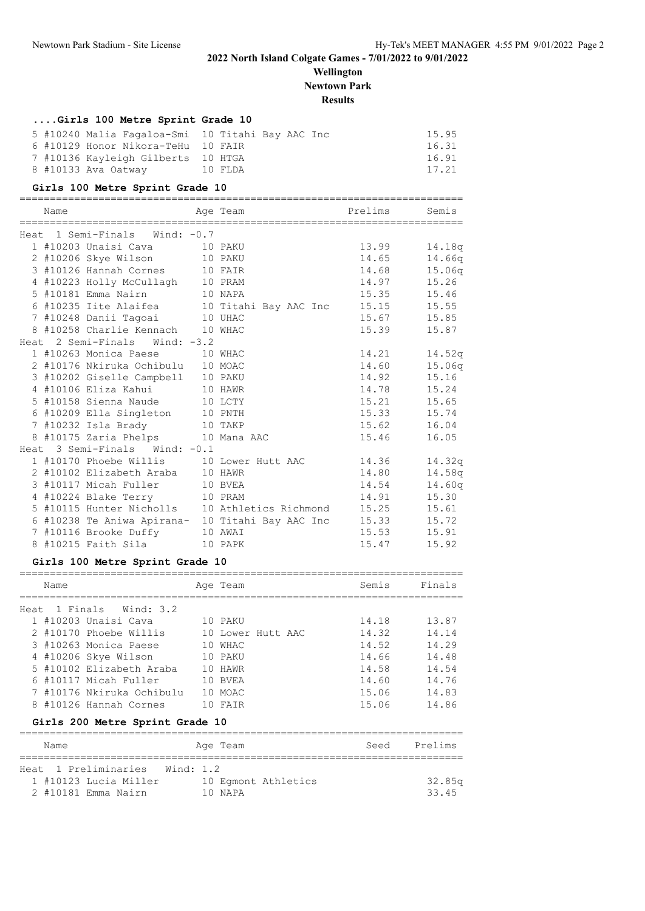**Wellington Newtown Park**

**Results**

## **....Girls 100 Metre Sprint Grade 10**

|  |                                    | 5 #10240 Malia Fagaloa-Smi 10 Titahi Bay AAC Inc | 15.95 |
|--|------------------------------------|--------------------------------------------------|-------|
|  | 6 #10129 Honor Nikora-TeHu 10 FAIR |                                                  | 16.31 |
|  | 7 #10136 Kayleigh Gilberts 10 HTGA |                                                  | 16.91 |
|  | 8 #10133 Ava Oatway                | 10 FLDA                                          | 17.21 |

### **Girls 100 Metre Sprint Grade 10**

| Heat 1 Semi-Finals Wind: -0.7                                | 13.99 14.18q<br>14.65 14.66q |        |
|--------------------------------------------------------------|------------------------------|--------|
|                                                              |                              |        |
| 1 #10203 Unaisi Cava 10 PAKU                                 |                              |        |
| 2 #10206 Skye Wilson 10 PAKU                                 |                              |        |
| 3 #10126 Hannah Cornes 10 FAIR                               | 14.68 15.06q                 |        |
| 4 #10223 Holly McCullagh 10 PRAM                             | 14.97 15.26                  |        |
| 5 #10181 Emma Nairn 10 NAPA                                  | 15.35                        | 15.46  |
|                                                              |                              |        |
| 7 #10248 Danii Tagoai 10 UHAC                                | 15.67 15.85                  |        |
| 8 #10258 Charlie Kennach 10 WHAC                             | 15.39                        | 15.87  |
| Heat 2 Semi-Finals Wind: -3.2                                |                              |        |
| 1 #10263 Monica Paese 10 WHAC                                | 14.21 14.52q                 |        |
| 2 #10176 Nkiruka Ochibulu 10 MOAC                            | 14.60 15.06q                 |        |
| 3 #10202 Giselle Campbell 10 PAKU                            | 14.92 15.16                  |        |
| 4 #10106 Eliza Kahui 10 HAWR                                 | 14.78                        | 15.24  |
| 5 #10158 Sienna Naude 10 LCTY                                | 15.21 15.65                  |        |
| 6 #10209 Ella Singleton 10 PNTH                              | 15.33 15.74                  |        |
| 7 #10232 Isla Brady 10 TAKP                                  | 15.62 16.04                  |        |
| 8 #10175 Zaria Phelps 10 Mana AAC                            | 15.46                        | 16.05  |
| Heat 3 Semi-Finals Wind: -0.1                                |                              |        |
| 1 #10170 Phoebe Willis 10 Lower Hutt AAC 14.36               |                              | 14.32q |
| 2 #10102 Elizabeth Araba 10 HAWR                             | 14.80                        | 14.58q |
| 3 #10117 Micah Fuller 10 BVEA                                | 14.54                        | 14.60q |
| 4 #10224 Blake Terry 10 PRAM                                 | 14.91 15.30                  |        |
| 5 #10115 Hunter Nicholls 10 Athletics Richmond               | 15.25                        | 15.61  |
| 6 #10238 Te Aniwa Apirana- 10 Titahi Bay AAC Inc 15.33 15.72 |                              |        |
| 7 #10116 Brooke Duffy 10 AWAI                                | 15.53 15.91                  |        |
| 8 #10215 Faith Sila 10 PAPK                                  | 15.47                        | 15.92  |

## **Girls 100 Metre Sprint Grade 10**

|      | Name     |                                                    | Age Team           |  | Semis          | Finals         |
|------|----------|----------------------------------------------------|--------------------|--|----------------|----------------|
| Heat | 1 Finals | Wind: 3.2<br>1 #10203 Unaisi Cava                  | 10 PAKU            |  | 14.18          | 13.87          |
|      |          | 2 #10170 Phoebe Willis                             | 10 Lower Hutt AAC  |  | 14.32          | 14.14          |
|      |          | 3 #10263 Monica Paese<br>4 #10206 Skye Wilson      | 10 WHAC<br>10 PAKU |  | 14.52<br>14.66 | 14.29<br>14.48 |
|      |          | 5 #10102 Elizabeth Araba                           | 10 HAWR            |  | 14.58          | 14.54          |
|      |          | 6 #10117 Micah Fuller<br>7 #10176 Nkiruka Ochibulu | 10 BVEA<br>10 MOAC |  | 14.60<br>15.06 | 14.76<br>14.83 |
|      |          | 8 #10126 Hannah Cornes                             | 10 FAIR            |  | 15.06          | 14.86          |
|      |          | Girls 200 Metre Sprint Grade 10                    |                    |  |                |                |
|      | Name     |                                                    | Age Team           |  | Seed           | Prelims        |
|      |          |                                                    |                    |  |                |                |

|  | Heat 1 Preliminaries Wind: 1.2 |  |         |                     |        |
|--|--------------------------------|--|---------|---------------------|--------|
|  | 1 #10123 Lucia Miller          |  |         | 10 Eqmont Athletics | 32.85a |
|  | 2 #10181 Emma Nairn            |  | 10 NAPA |                     | 33.45  |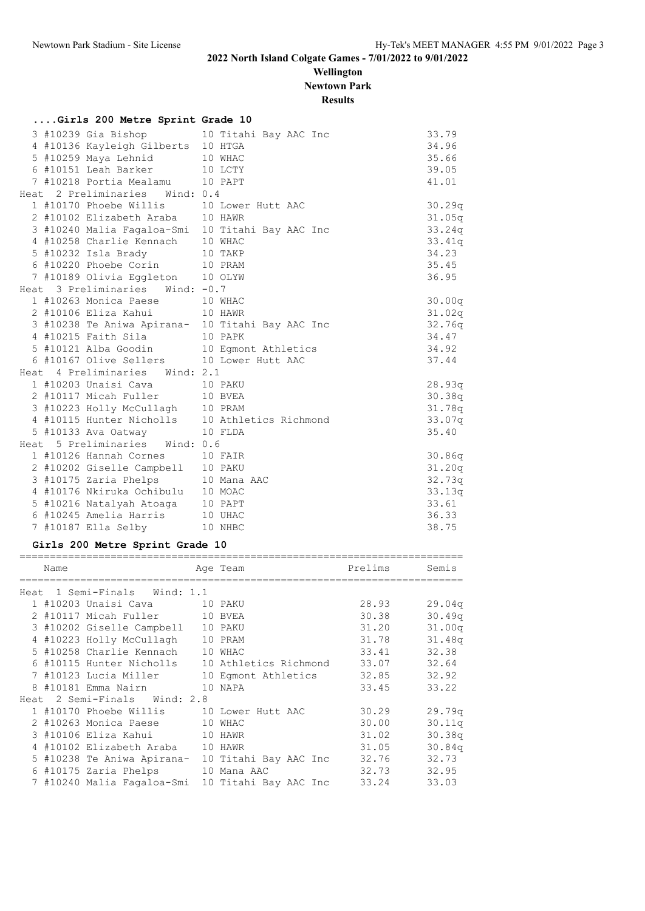**Wellington Newtown Park**

**Results**

|  | Girls 200 Metre Sprint Grade 10                                                                             |                                                                                            |                |
|--|-------------------------------------------------------------------------------------------------------------|--------------------------------------------------------------------------------------------|----------------|
|  |                                                                                                             | 3 #10239 Gia Bishop 10 Titahi Bay AAC Inc                                                  | 33.79          |
|  | 4 #10136 Kayleigh Gilberts 10 HTGA                                                                          |                                                                                            | 34.96          |
|  | 5 #10259 Maya Lehnid 10 WHAC<br>6 #10151 Leah Barker 10 LCTY                                                |                                                                                            | 35.66          |
|  |                                                                                                             |                                                                                            | 39.05          |
|  | 7 #10218 Portia Mealamu 10 PAPT                                                                             |                                                                                            | 41.01          |
|  | Heat 2 Preliminaries Wind: 0.4                                                                              |                                                                                            |                |
|  | 1 #10170 Phoebe Willis 10 Lower Hutt AAC                                                                    |                                                                                            | 30.29q         |
|  | 2 #10102 Elizabeth Araba 10 HAWR                                                                            |                                                                                            | 31.05q         |
|  |                                                                                                             | 3 #10240 Malia Fagaloa-Smi 10 Titahi Bay AAC Inc                                           | 33.24q         |
|  | 4 #10258 Charlie Kennach 10 WHAC                                                                            |                                                                                            | 33.41q         |
|  | 5 #10232 Isla Brady 10 TAKP                                                                                 |                                                                                            | 34.23          |
|  | 6 #10220 Phoebe Corin 10 PRAM                                                                               |                                                                                            | 35.45          |
|  | 7 #10189 Olivia Eggleton 10 OLYW                                                                            |                                                                                            | 36.95          |
|  | Heat 3 Preliminaries Wind: -0.7                                                                             |                                                                                            |                |
|  | 1 #10263 Monica Paese 10 WHAC                                                                               |                                                                                            | 30.00q         |
|  | 2 #10106 Eliza Kahui 10 HAWR                                                                                |                                                                                            | 31.02q         |
|  |                                                                                                             | 3 #10238 Te Aniwa Apirana- 10 Titahi Bay AAC Inc                                           | 32.76q         |
|  |                                                                                                             | 4 #10215 Faith Sila<br>5 #10121 Alba Goodin<br>5 #10121 Alba Goodin<br>10 Egmont Athletics | 34.47          |
|  |                                                                                                             |                                                                                            | 34.92          |
|  | 6 #10167 Olive Sellers 10 Lower Hutt AAC                                                                    |                                                                                            | 37.44          |
|  | Heat 4 Preliminaries Wind: 2.1                                                                              |                                                                                            |                |
|  | 1 #10203 Unaisi Cava 10 PAKU                                                                                |                                                                                            | 28.93q         |
|  | 2 #10117 Micah Fuller 10 BVEA                                                                               |                                                                                            | 30.38q         |
|  | 3 #10223 Holly McCullagh 10 PRAM                                                                            |                                                                                            | 31.78q         |
|  |                                                                                                             | 4 #10115 Hunter Nicholls 10 Athletics Richmond                                             | 33.07q         |
|  | 5 #10133 Ava Oatway 10 FLDA                                                                                 |                                                                                            | 35.40          |
|  | Heat 5 Preliminaries Wind: 0.6                                                                              |                                                                                            |                |
|  | 1 #10126 Hannah Cornes 10 FAIR                                                                              |                                                                                            | 30.86q         |
|  |                                                                                                             |                                                                                            | 31.20q         |
|  | 2 #10202 Giselle Campbell 10 PAKU<br>3 #10175 Zaria Phelps 10 Mana AAC<br>4 #10176 Nkiruka Ochibulu 10 MOAC |                                                                                            | 32.73q         |
|  |                                                                                                             |                                                                                            | 33.13q         |
|  | 5 #10216 Natalyah Atoaga 10 PAPT                                                                            |                                                                                            | 33.61          |
|  | 6 #10245 Amelia Harris 10 UHAC                                                                              |                                                                                            | 36.33<br>38.75 |
|  | 7 #10187 Ella Selby 10 NHBC                                                                                 |                                                                                            |                |

## **Girls 200 Metre Sprint Grade 10**

| Name |                                   | Age Team                                                      | Prelims | Semis  |
|------|-----------------------------------|---------------------------------------------------------------|---------|--------|
|      | Heat 1 Semi-Finals Wind: 1.1      |                                                               |         |        |
|      | 1 #10203 Unaisi Cava 10 PAKU      |                                                               | 28.93   | 29.04q |
|      | 2 #10117 Micah Fuller 10 BVEA     |                                                               | 30.38   | 30.49q |
|      | 3 #10202 Giselle Campbell 10 PAKU |                                                               | 31.20   | 31.00q |
|      | 4 #10223 Holly McCullagh 10 PRAM  |                                                               | 31.78   | 31.48q |
|      | 5 #10258 Charlie Kennach 10 WHAC  |                                                               | 33.41   | 32.38  |
|      |                                   | 6 #10115 Hunter Nicholls 10 Athletics Richmond 33.07          |         | 32.64  |
|      |                                   |                                                               |         | 32.92  |
|      | 8 #10181 Emma Nairn 10 NAPA       |                                                               | 33.45   | 33.22  |
|      | Heat 2 Semi-Finals Wind: 2.8      |                                                               |         |        |
|      |                                   | 1 #10170 Phoebe Willis 10 Lower Hutt AAC 30.29                |         | 29.79q |
|      | 2 #10263 Monica Paese 10 WHAC     |                                                               | 30.00   | 30.11q |
|      | 3 #10106 Eliza Kahui 10 HAWR      |                                                               | 31.02   | 30.38q |
|      | 4 #10102 Elizabeth Araba 10 HAWR  |                                                               | 31.05   | 30.84q |
|      |                                   | 5 #10238 Te Aniwa Apirana-  10 Titahi Bay AAC Inc       32.76 |         | 32.73  |
|      | 6 #10175 Zaria Phelps 10 Mana AAC |                                                               | 32.73   | 32.95  |
|      |                                   | 7 #10240 Malia Fagaloa-Smi 10 Titahi Bay AAC Inc              | 33.24   | 33.03  |
|      |                                   |                                                               |         |        |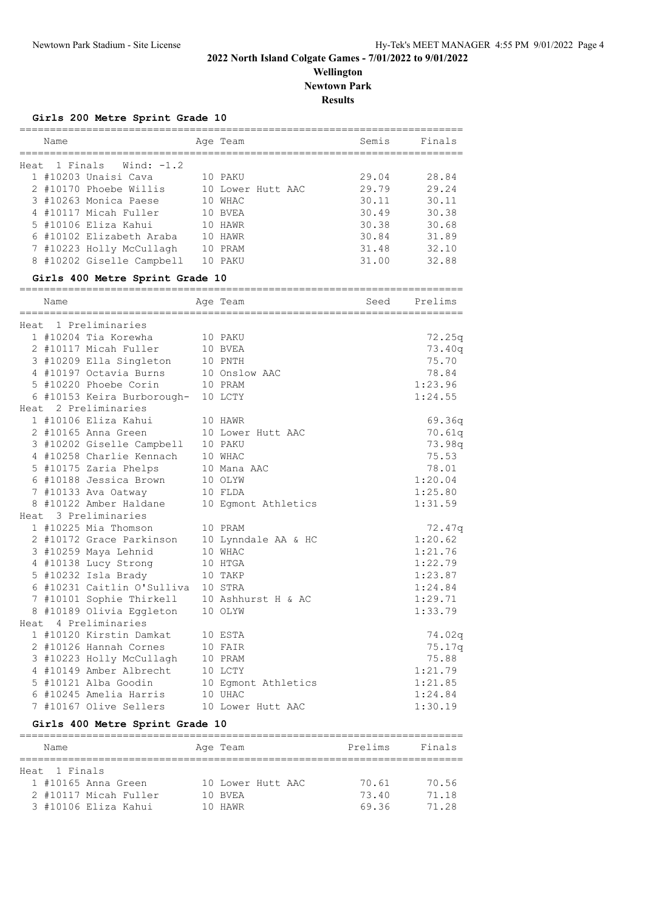## **Wellington Newtown Park**

**Results**

#### **Girls 200 Metre Sprint Grade 10**

|      | Name |                           |     | Age Team          | Semis | Finals |
|------|------|---------------------------|-----|-------------------|-------|--------|
| Heat |      | 1 Finals Wind: -1.2       |     |                   |       |        |
|      |      | 1 #10203 Unaisi Cava      |     | 10 PAKU           | 29.04 | 28.84  |
|      |      | 2 #10170 Phoebe Willis    |     | 10 Lower Hutt AAC | 29.79 | 29.24  |
|      |      | 3 #10263 Monica Paese     | 10  | WHAC              | 30.11 | 30.11  |
|      |      | 4 #10117 Micah Fuller     | 10  | BVEA              | 30.49 | 30.38  |
|      |      | 5 #10106 Eliza Kahui      | 10  | HAWR              | 30.38 | 30.68  |
|      |      | 6 #10102 Elizabeth Araba  | 10  | HAWR              | 30.84 | 31.89  |
|      |      | 7 #10223 Holly McCullagh  | 1 N | PRAM              | 31.48 | 32.10  |
|      |      | 8 #10202 Giselle Campbell |     | PAKU              | 31.00 | 32.88  |

### **Girls 400 Metre Sprint Grade 10**

| Name |                                              | Age Team | Seed Prelims |
|------|----------------------------------------------|----------|--------------|
|      | Heat 1 Preliminaries                         |          |              |
|      | 1 #10204 Tia Korewha                         | 10 PAKU  | 72.25q       |
|      | 2 #10117 Micah Fuller 10 BVEA                |          | 73.40q       |
|      | 3 #10209 Ella Singleton 10 PNTH              |          | 75.70        |
|      | 4 #10197 Octavia Burns 10 Onslow AAC         |          | 78.84        |
|      | 5 #10220 Phoebe Corin 10 PRAM                |          | 1:23.96      |
|      | 6 #10153 Keira Burborough- 10 LCTY           |          | 1:24.55      |
|      | Heat 2 Preliminaries                         |          |              |
|      | 1 #10106 Eliza Kahui 10 HAWR                 |          | 69.36q       |
|      | 2 #10165 Anna Green 10 Lower Hutt AAC        |          | 70.61q       |
|      | 3 #10202 Giselle Campbell 10 PAKU            |          | 73.98q       |
|      | 4 #10258 Charlie Kennach 10 WHAC             |          | 75.53        |
|      | 5 #10175 Zaria Phelps 10 Mana AAC            |          | 78.01        |
|      | 6 #10188 Jessica Brown 10 OLYW               |          | 1:20.04      |
|      | 7 #10133 Ava Oatway 10 FLDA                  |          | 1:25.80      |
|      | 8 #10122 Amber Haldane 10 Egmont Athletics   |          | 1:31.59      |
|      | Heat 3 Preliminaries                         |          |              |
|      | 1 #10225 Mia Thomson<br>10 PRAM              |          | 72.47q       |
|      | 2 #10172 Grace Parkinson 10 Lynndale AA & HC |          | 1:20.62      |
|      | 3 #10259 Maya Lehnid                         | 10 WHAC  | 1:21.76      |
|      | 4 #10138 Lucy Strong 10 HTGA                 |          | 1:22.79      |
|      | 5 #10232 Isla Brady                          | 10 TAKP  | 1:23.87      |
|      | 6 #10231 Caitlin O'Sulliva 10 STRA           |          | 1:24.84      |
|      | 7 #10101 Sophie Thirkell 10 Ashhurst H & AC  |          | 1:29.71      |
|      | 8 #10189 Olivia Eggleton 10 OLYW             |          | 1:33.79      |
|      | Heat 4 Preliminaries                         |          |              |
|      | 1 #10120 Kirstin Damkat 10 ESTA              |          | 74.02q       |
|      | 2 #10126 Hannah Cornes 10 FAIR               |          | 75.17q       |
|      | 3 #10223 Holly McCullagh 10 PRAM             |          | 75.88        |
|      | 4 #10149 Amber Albrecht 10 LCTY              |          | 1:21.79      |
|      | 5 #10121 Alba Goodin 10 Egmont Athletics     |          | 1:21.85      |
|      | $6$ #10245 Amelia Harris 10 UHAC             |          | 1:24.84      |
|      | 7 #10167 Olive Sellers 10 Lower Hutt AAC     |          | 1:30.19      |

### **Girls 400 Metre Sprint Grade 10**

| Name                  | Age Team          | Prelims | Finals |
|-----------------------|-------------------|---------|--------|
|                       |                   |         |        |
| Heat 1 Finals         |                   |         |        |
| 1 #10165 Anna Green   | 10 Lower Hutt AAC | 70.61   | 70.56  |
| 2 #10117 Micah Fuller | 10 BVEA           | 73.40   | 71.18  |
| 3 #10106 Eliza Kahui  | 10 HAWR           | 69.36   | 71 28  |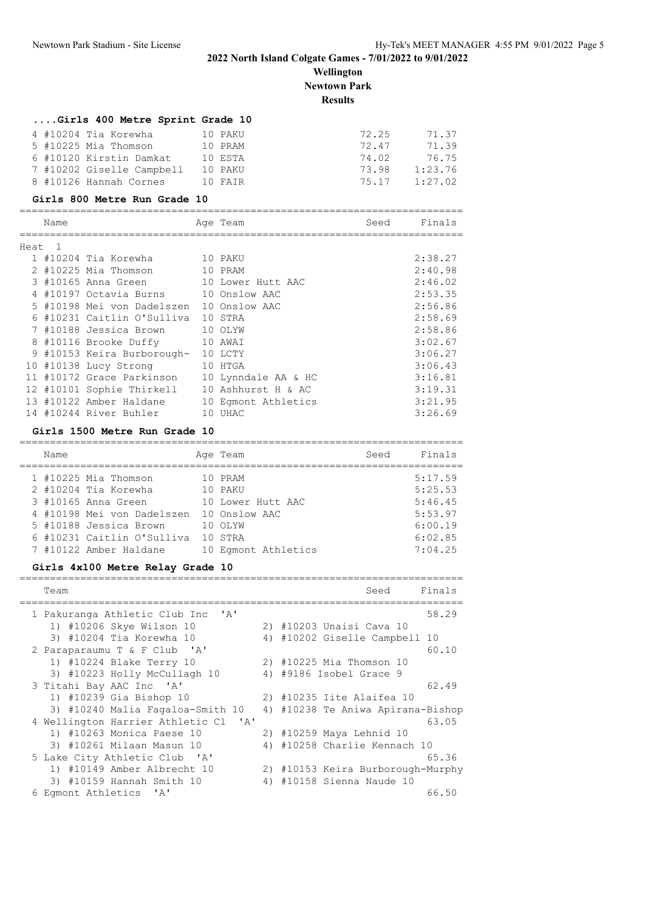**Wellington Newtown Park**

# **Results**

| Girls 400 Metre Sprint Grade 10 |         |       |         |
|---------------------------------|---------|-------|---------|
| 4 #10204 Tia Korewha            | 10 PAKU | 72.25 | 71.37   |
| 5 #10225 Mia Thomson            | 10 PRAM | 72.47 | 71.39   |
| 6 #10120 Kirstin Damkat         | 10 ESTA | 74.02 | 76.75   |
| 7 #10202 Giselle Campbell       | 10 PAKU | 73.98 | 1:23.76 |
| 8 #10126 Hannah Cornes          | 10 FATR | 75.17 | 1:27.02 |

#### **Girls 800 Metre Run Grade 10**

| Name   |                            | Age Team            | Seed | Finals  |
|--------|----------------------------|---------------------|------|---------|
| Heat 1 |                            |                     |      |         |
|        | 1 #10204 Tia Korewha       | 10 PAKU             |      | 2:38.27 |
|        | 2 #10225 Mia Thomson       | 10 PRAM             |      | 2:40.98 |
|        | 3 #10165 Anna Green        | 10 Lower Hutt AAC   |      | 2:46.02 |
|        | 4 #10197 Octavia Burns     | 10 Onslow AAC       |      | 2:53.35 |
|        | 5 #10198 Mei von Dadelszen | 10 Onslow AAC       |      | 2:56.86 |
|        | 6 #10231 Caitlin O'Sulliva | 10 STRA             |      | 2:58.69 |
|        | 7 #10188 Jessica Brown     | 10 OLYW             |      | 2:58.86 |
|        | 8 #10116 Brooke Duffy      | 10 AWAI             |      | 3:02.67 |
|        | 9 #10153 Keira Burborough- | 10 LCTY             |      | 3:06.27 |
|        | 10 #10138 Lucy Strong      | 10 HTGA             |      | 3:06.43 |
|        | 11 #10172 Grace Parkinson  | 10 Lynndale AA & HC |      | 3:16.81 |
|        | 12 #10101 Sophie Thirkell  | 10 Ashhurst H & AC  |      | 3:19.31 |
|        | 13 #10122 Amber Haldane    | 10 Eqmont Athletics |      | 3:21.95 |
|        | 14 #10244 River Buhler     | 10 UHAC             |      | 3:26.69 |

#### **Girls 1500 Metre Run Grade 10**

| Name |                            | Age Team            | Seed | Finals  |
|------|----------------------------|---------------------|------|---------|
|      | 1 #10225 Mia Thomson       | 10 PRAM             |      | 5:17.59 |
|      | 2 #10204 Tia Korewha       | 10 PAKU             |      | 5:25.53 |
|      | 3 #10165 Anna Green        | 10 Lower Hutt AAC   |      | 5:46.45 |
|      | 4 #10198 Mei von Dadelszen | 10 Onslow AAC       |      | 5:53.97 |
|      | 5 #10188 Jessica Brown     | 10 OLYW             |      | 6:00.19 |
|      | 6 #10231 Caitlin O'Sulliva | 10 STRA             |      | 6:02.85 |
|      | 7 #10122 Amber Haldane     | 10 Eqmont Athletics |      | 7:04.25 |

#### **Girls 4x100 Metre Relay Grade 10**

| Team                                                          |    | Finals<br>Seed                    |
|---------------------------------------------------------------|----|-----------------------------------|
| ' A'<br>1 Pakuranga Athletic Club Inc                         |    | 58.29                             |
| 1) #10206 Skye Wilson 10                                      |    | 2) #10203 Unaisi Cava 10          |
| 3) #10204 Tia Korewha 10                                      |    | 4) #10202 Giselle Campbell 10     |
| 2 Paraparaumu T & F Club 'A'                                  |    | 60.10                             |
| 1) #10224 Blake Terry 10                                      |    | 2) #10225 Mia Thomson 10          |
| 3) #10223 Holly McCullagh 10                                  |    | 4) #9186 Isobel Grace 9           |
| 3 Titahi Bay AAC Inc 'A'                                      |    | 62.49                             |
| 1) #10239 Gia Bishop 10                                       |    | 2) #10235 Iite Alaifea 10         |
| 3) #10240 Malia Fagaloa-Smith 10                              |    | 4) #10238 Te Aniwa Apirana-Bishop |
| 4 Wellington Harrier Athletic Cl<br>$^{\prime}$ A $^{\prime}$ |    | 63.05                             |
| 1) #10263 Monica Paese 10                                     |    | 2) #10259 Maya Lehnid 10          |
| 3) #10261 Milaan Masun 10                                     |    | 4) #10258 Charlie Kennach 10      |
| 5 Lake City Athletic Club 'A'                                 |    | 65.36                             |
| 1) #10149 Amber Albrecht 10                                   |    | 2) #10153 Keira Burborough-Murphy |
| 3) #10159 Hannah Smith 10                                     | 4) | #10158 Sienna Naude 10            |
| 6 Eqmont Athletics<br>' A '                                   |    | 66.50                             |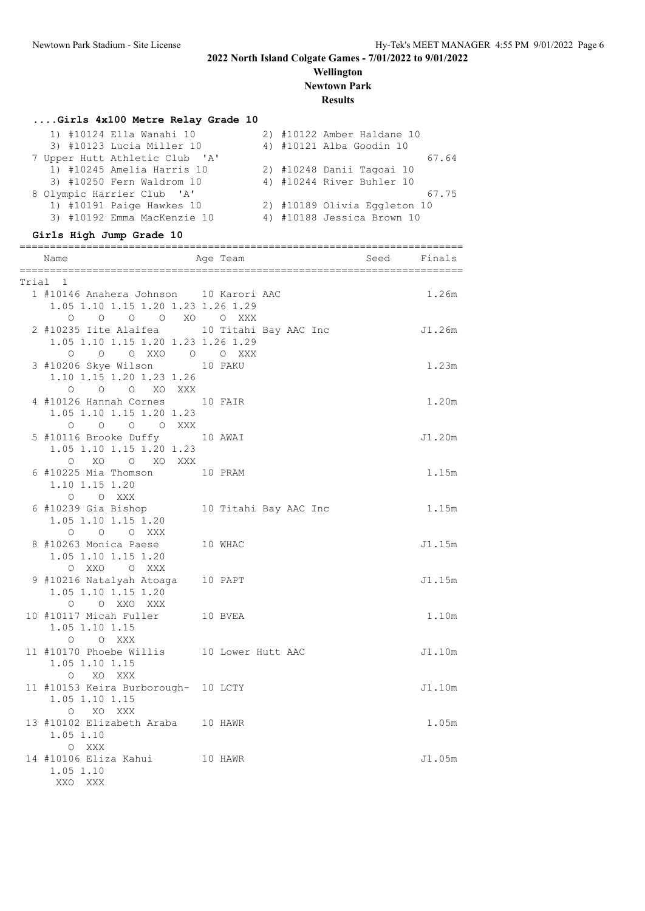## **Wellington Newtown Park**

## **Results**

## **....Girls 4x100 Metre Relay Grade 10**

| 1) #10124 Ella Wanahi 10       | 2) #10122 Amber Haldane 10   |       |
|--------------------------------|------------------------------|-------|
| 3) #10123 Lucia Miller 10      | 4) #10121 Alba Goodin 10     |       |
| 7 Upper Hutt Athletic Club 'A' |                              | 67.64 |
| 1) #10245 Amelia Harris 10     | 2) #10248 Danii Tagoai 10    |       |
| 3) #10250 Fern Waldrom 10      | 4) #10244 River Buhler 10    |       |
| 8 Olympic Harrier Club 'A'     |                              | 67.75 |
| 1) #10191 Paige Hawkes 10      | 2) #10189 Olivia Eggleton 10 |       |
| 3) #10192 Emma MacKenzie 10    | 4) #10188 Jessica Brown 10   |       |
|                                |                              |       |

# **Girls High Jump Grade 10**

|       | =============================<br>Age Team<br>Name                                                     |  | Seed Finals | =============== |
|-------|-------------------------------------------------------------------------------------------------------|--|-------------|-----------------|
| Trial | $\mathbf{1}$                                                                                          |  |             |                 |
|       | 1 #10146 Anahera Johnson 10 Karori AAC<br>1.05 1.10 1.15 1.20 1.23 1.26 1.29                          |  |             | 1.26m           |
|       | 0 0 0 0 XO 0 XXX<br>2 #10235 Iite Alaifea 10 Titahi Bay AAC Inc<br>1.05 1.10 1.15 1.20 1.23 1.26 1.29 |  |             | J1.26m          |
|       | 0 0 0 XXO 0 0 XXX<br>3 #10206 Skye Wilson 10 PAKU<br>1.10 1.15 1.20 1.23 1.26<br>O O O XO XXX         |  |             | 1.23m           |
|       | 4 #10126 Hannah Cornes 10 FAIR<br>1.05 1.10 1.15 1.20 1.23<br>0 0 0 0 XXX                             |  |             | 1.20m           |
|       | 5 #10116 Brooke Duffy 10 AWAI<br>1.05 1.10 1.15 1.20 1.23                                             |  |             | J1.20m          |
|       | O XO O XO XXX<br>6 #10225 Mia Thomson 10 PRAM<br>1.10 1.15 1.20                                       |  |             | 1.15m           |
|       | O O XXX<br>6 #10239 Gia Bishop 10 Titahi Bay AAC Inc<br>1.05 1.10 1.15 1.20                           |  |             | 1.15m           |
|       | 0 0 0 XXX<br>8 #10263 Monica Paese 10 WHAC<br>1.05 1.10 1.15 1.20                                     |  |             | J1.15m          |
|       | O XXO O XXX<br>9 #10216 Natalyah Atoaga 10 PAPT<br>1.05 1.10 1.15 1.20                                |  |             | J1.15m          |
|       | O O XXO XXX<br>10 #10117 Micah Fuller 10 BVEA<br>1.05 1.10 1.15<br>O O XXX                            |  |             | 1.10m           |
|       | 11 #10170 Phoebe Willis 10 Lower Hutt AAC<br>1.05 1.10 1.15<br>O XO XXX                               |  |             | J1.10m          |
|       | 11 #10153 Keira Burborough- 10 LCTY<br>1.05 1.10 1.15<br>O XO XXX                                     |  |             | J1.10m          |
|       | 13 #10102 Elizabeth Araba 10 HAWR<br>1.05 1.10<br>O XXX                                               |  |             | 1.05m           |
|       | 14 #10106 Eliza Kahui 10 HAWR<br>1.05 1.10<br>XXO XXX                                                 |  |             | J1.05m          |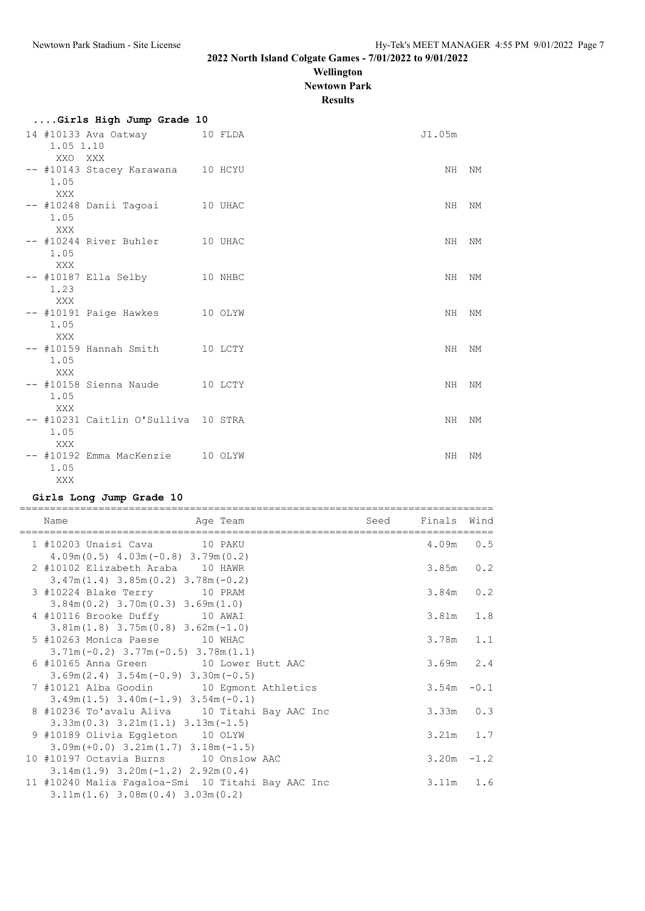**Wellington Newtown Park**

**Results**

| к١ | 43 H K |  |
|----|--------|--|
|    |        |  |

|                    | Girls High Jump Grade 10                 |  |        |    |
|--------------------|------------------------------------------|--|--------|----|
| 1.05 1.10          | 14 #10133 Ava Oatway 10 FLDA             |  | J1.05m |    |
| XXO<br>1.05        | XXX<br>-- #10143 Stacey Karawana 10 HCYU |  | NH     | NΜ |
| XXX<br>1.05        | -- #10248 Danii Tagoai 10 UHAC           |  | NH     | NΜ |
| XXX<br>1.05        | -- #10244 River Buhler 10 UHAC           |  | NH.    | NM |
| XXX<br>1.23        | -- #10187 Ella Selby 10 NHBC             |  | NH.    | NΜ |
| XXX<br>1.05<br>XXX | -- #10191 Paige Hawkes 10 OLYW           |  | NH     | NΜ |
| 1.05<br><b>XXX</b> | -- #10159 Hannah Smith 10 LCTY           |  | NH     | NΜ |
| 1.05<br>XXX        | -- #10158 Sienna Naude 10 LCTY           |  | NH     | NΜ |
| 1.05<br>XXX        | -- #10231 Caitlin O'Sulliva 10 STRA      |  | ΝH     | NΜ |
| 1.05<br>XXX        | -- #10192 Emma MacKenzie 10 OLYW         |  | NH     | NΜ |

## **Girls Long Jump Grade 10**

| Name                                                                                        | Age Team | Seed Finals Wind |  |
|---------------------------------------------------------------------------------------------|----------|------------------|--|
| 1 #10203 Unaisi Cava 10 PAKU<br>$4.09m(0.5)$ $4.03m(-0.8)$ $3.79m(0.2)$                     |          | $4.09m$ 0.5      |  |
| 2 #10102 Elizabeth Araba 10 HAWR<br>$3.47m(1.4)$ $3.85m(0.2)$ $3.78m(-0.2)$                 |          | $3.85m$ 0.2      |  |
| 3 #10224 Blake Terry 10 PRAM<br>$3.84m(0.2)$ $3.70m(0.3)$ $3.69m(1.0)$                      |          | $3.84m$ 0.2      |  |
| 4 #10116 Brooke Duffy 10 AWAI<br>$3.81m(1.8)$ $3.75m(0.8)$ $3.62m(-1.0)$                    |          | $3.81m$ 1.8      |  |
| 5 #10263 Monica Paese 10 WHAC<br>$3.71m(-0.2)$ $3.77m(-0.5)$ $3.78m(1.1)$                   |          | 3.78m 1.1        |  |
| 6 #10165 Anna Green 10 Lower Hutt AAC<br>$3.69m(2.4)$ $3.54m(-0.9)$ $3.30m(-0.5)$           |          | $3.69m$ 2.4      |  |
| 7 #10121 Alba Goodin 10 Eqmont Athletics<br>$3.49m(1.5)$ $3.40m(-1.9)$ $3.54m(-0.1)$        |          | $3.54m - 0.1$    |  |
| 8 #10236 To'avalu Aliva 10 Titahi Bay AAC Inc<br>$3.33m(0.3)$ $3.21m(1.1)$ $3.13m(-1.5)$    |          | $3.33m$ $0.3$    |  |
| 9 #10189 Olivia Eqqleton 10 OLYW<br>$3.09m (+0.0)$ $3.21m (1.7)$ $3.18m (-1.5)$             |          | $3.21m$ 1.7      |  |
| 10 #10197 Octavia Burns 10 Onslow AAC<br>$3.14m(1.9)$ $3.20m(-1.2)$ $2.92m(0.4)$            |          | $3.20m - 1.2$    |  |
| 11 #10240 Malia Fagaloa-Smi 10 Titahi Bay AAC Inc<br>$3.11m(1.6)$ $3.08m(0.4)$ $3.03m(0.2)$ |          | $3.11m$ 1.6      |  |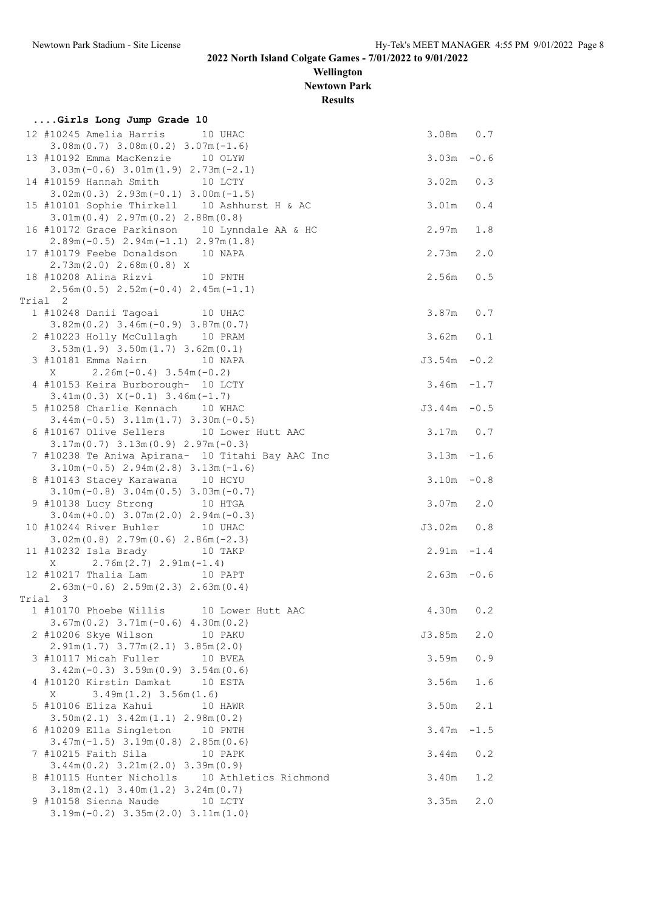**Wellington Newtown Park**

**Results**

| Girls Long Jump Grade 10                                                                                              |                |        |
|-----------------------------------------------------------------------------------------------------------------------|----------------|--------|
| 12 #10245 Amelia Harris 10 UHAC<br>$3.08m(0.7)$ $3.08m(0.2)$ $3.07m(-1.6)$                                            | $3.08m$ 0.7    |        |
| 13 #10192 Emma MacKenzie 10 OLYW<br>$3.03m(-0.6)$ $3.01m(1.9)$ $2.73m(-2.1)$                                          | $3.03m - 0.6$  |        |
| 14 #10159 Hannah Smith 10 LCTY                                                                                        | $3.02m$ $0.3$  |        |
| $3.02m(0.3)$ $2.93m(-0.1)$ $3.00m(-1.5)$<br>15 #10101 Sophie Thirkell 10 Ashhurst H & AC                              | 3.01m          | 0.4    |
| 3.01m(0.4) 2.97m(0.2) 2.88m(0.8)<br>16 #10172 Grace Parkinson 10 Lynndale AA & HC                                     | 2.97m          | 1.8    |
| $2.89m(-0.5)$ $2.94m(-1.1)$ $2.97m(1.8)$<br>17 #10179 Feebe Donaldson 10 NAPA                                         | 2.73m          | 2.0    |
| $2.73m(2.0)$ $2.68m(0.8)$ X<br>18 #10208 Alina Rizvi 10 PNTH<br>$2.56m(0.5)$ $2.52m(-0.4)$ $2.45m(-1.1)$              | 2.56m          | 0.5    |
| Trial 2                                                                                                               |                |        |
| 1 #10248 Danii Tagoai 10 UHAC<br>$3.82m(0.2)$ $3.46m(-0.9)$ $3.87m(0.7)$                                              | 3.87m 0.7      |        |
| 2 #10223 Holly McCullagh 10 PRAM<br>$3.53m(1.9)$ $3.50m(1.7)$ $3.62m(0.1)$                                            | $3.62m$ $0.1$  |        |
| 3 #10181 Emma Nairn 10 NAPA<br>$2.26m(-0.4)$ 3.54m (-0.2)<br>X                                                        | $J3.54m - 0.2$ |        |
| 4 #10153 Keira Burborough- 10 LCTY<br>$3.41m(0.3)$ $X(-0.1)$ $3.46m(-1.7)$                                            | $3.46m - 1.7$  |        |
| 5 #10258 Charlie Kennach 10 WHAC<br>$3.44m(-0.5)$ $3.11m(1.7)$ $3.30m(-0.5)$                                          | $J3.44m - 0.5$ |        |
| 6 #10167 Olive Sellers 10 Lower Hutt AAC<br>$3.17m(0.7)$ $3.13m(0.9)$ $2.97m(-0.3)$                                   | $3.17m$ 0.7    |        |
| 7 #10238 Te Aniwa Apirana- 10 Titahi Bay AAC Inc<br>$3.10m(-0.5)$ $2.94m(2.8)$ $3.13m(-1.6)$                          | $3.13m - 1.6$  |        |
| 8 #10143 Stacey Karawana 10 HCYU<br>$3.10m(-0.8)$ $3.04m(0.5)$ $3.03m(-0.7)$                                          | $3.10m - 0.8$  |        |
| 9 #10138 Lucy Strong 10 HTGA<br>$3.04m (+0.0)$ $3.07m (2.0)$ $2.94m (-0.3)$                                           | $3.07m$ 2.0    |        |
| 10 #10244 River Buhler 10 UHAC<br>$3.02m(0.8)$ $2.79m(0.6)$ $2.86m(-2.3)$                                             | J3.02m 0.8     |        |
| 11 #10232 Isla Brady 10 TAKP<br>$2.76m(2.7)$ $2.91m(-1.4)$                                                            | $2.91m - 1.4$  |        |
| Χ<br>12 #10217 Thalia Lam 10 PAPT                                                                                     | $2.63m - 0.6$  |        |
| $2.63m(-0.6)$ $2.59m(2.3)$ $2.63m(0.4)$                                                                               |                |        |
| Trial 3<br>1 #10170 Phoebe Willis 10 Lower Hutt AAC                                                                   | 4.30m          | 0.2    |
| $3.67m(0.2)$ $3.71m(-0.6)$ $4.30m(0.2)$<br>2 #10206 Skye Wilson<br>10 PAKU                                            | J3.85m         | 2.0    |
| $2.91m(1.7)$ $3.77m(2.1)$ $3.85m(2.0)$<br>3 #10117 Micah Fuller<br>10 BVEA                                            | 3.59m          | 0.9    |
| $3.42m(-0.3)$ $3.59m(0.9)$ $3.54m(0.6)$<br>4 #10120 Kirstin Damkat<br>10 ESTA<br>Χ                                    | 3.56m          | 1.6    |
| $3.49m(1.2)$ $3.56m(1.6)$<br>5 #10106 Eliza Kahui<br>10 HAWR<br>$3.50m(2.1)$ $3.42m(1.1)$ $2.98m(0.2)$                | 3.50m          | 2.1    |
| 6 #10209 Ella Singleton 10 PNTH<br>$3.47m(-1.5)$ $3.19m(0.8)$ $2.85m(0.6)$                                            | 3.47m          | $-1.5$ |
| 7 #10215 Faith Sila<br>10 PAPK                                                                                        | 3.44m          | 0.2    |
| $3.44m(0.2)$ $3.21m(2.0)$ $3.39m(0.9)$<br>8 #10115 Hunter Nicholls 10 Athletics Richmond                              | 3.40m          | 1.2    |
| $3.18m(2.1)$ $3.40m(1.2)$ $3.24m(0.7)$<br>9 #10158 Sienna Naude<br>10 LCTY<br>$3.19m(-0.2)$ $3.35m(2.0)$ $3.11m(1.0)$ | 3.35m          | 2.0    |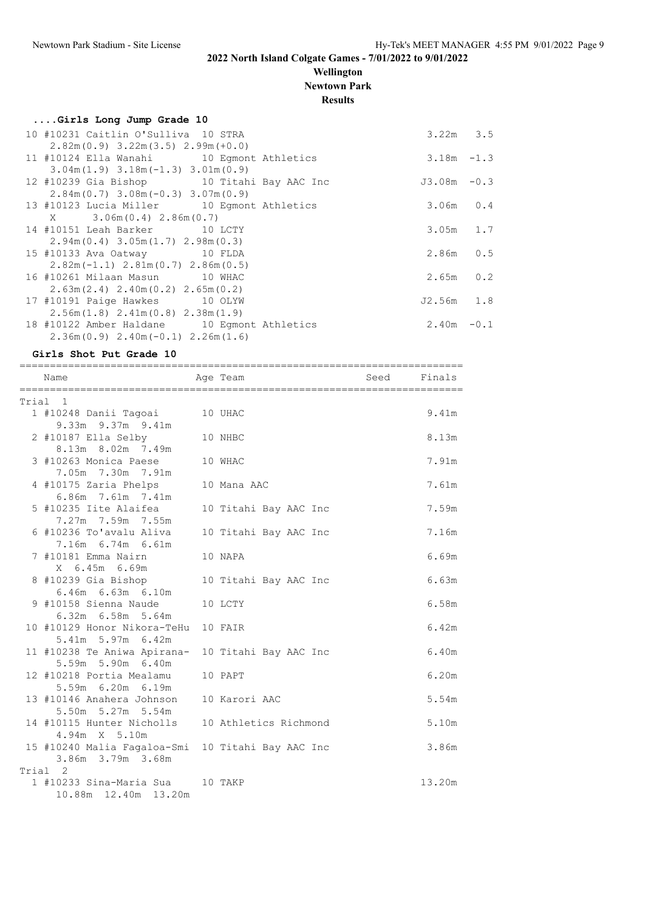## **Wellington Newtown Park**

**Results**

| Girls Long Jump Grade 10                    |                |  |
|---------------------------------------------|----------------|--|
| 10 #10231 Caitlin O'Sulliva 10 STRA         | $3.22m$ $3.5$  |  |
| $2.82m(0.9)$ 3.22m(3.5) 2.99m(+0.0)         |                |  |
| 11 #10124 Ella Wanahi 10 Egmont Athletics   | $3.18m - 1.3$  |  |
| $3.04m(1.9)$ $3.18m(-1.3)$ $3.01m(0.9)$     |                |  |
| 12 #10239 Gia Bishop 10 Titahi Bay AAC Inc  | $J3.08m - 0.3$ |  |
| $2.84m(0.7)$ 3.08m (-0.3) 3.07m (0.9)       |                |  |
| 13 #10123 Lucia Miller 10 Eqmont Athletics  | $3.06m$ 0.4    |  |
| $X = 3.06m(0.4) 2.86m(0.7)$                 |                |  |
| 14 #10151 Leah Barker 10 LCTY               | $3.05m$ 1.7    |  |
| $2.94m(0.4)$ 3.05m $(1.7)$ 2.98m $(0.3)$    |                |  |
| 15 #10133 Ava Oatway 10 FLDA                | $2.86m$ 0.5    |  |
| $2.82m(-1.1)$ $2.81m(0.7)$ $2.86m(0.5)$     |                |  |
| 16 #10261 Milaan Masun 10 WHAC              | $2.65m$ 0.2    |  |
| $2.63m(2.4)$ $2.40m(0.2)$ $2.65m(0.2)$      |                |  |
| 17 #10191 Paige Hawkes 10 OLYW              | $J2.56m$ 1.8   |  |
| $2.56m(1.8)$ $2.41m(0.8)$ $2.38m(1.9)$      |                |  |
| 18 #10122 Amber Haldane 10 Egmont Athletics | $2.40m - 0.1$  |  |
| $2.36m(0.9)$ $2.40m(-0.1)$ $2.26m(1.6)$     |                |  |

**Girls Shot Put Grade 10**

========================================================================= Name **Age Team** Age Team Seed Finals

| Trial 1                                                              |                       |        |
|----------------------------------------------------------------------|-----------------------|--------|
| 1 #10248 Danii Tagoai 10 UHAC                                        |                       | 9.41m  |
| 9.33m 9.37m 9.41m                                                    |                       |        |
| 10 NHBC<br>$2$ #10187 Ella Selby                                     |                       | 8.13m  |
| 8.13m 8.02m 7.49m                                                    |                       |        |
| 3 #10263 Monica Paese 10 WHAC                                        |                       | 7.91m  |
| 7.05m 7.30m 7.91m                                                    |                       |        |
| 4 #10175 Zaria Phelps                                                | 10 Mana AAC           | 7.61m  |
| 6.86m 7.61m 7.41m                                                    |                       |        |
| 5 #10235 Iite Alaifea<br>7.27m 7.59m 7.55m                           | 10 Titahi Bay AAC Inc | 7.59m  |
| 6 #10236 To'avalu Aliva                                              | 10 Titahi Bay AAC Inc | 7.16m  |
| 7.16m 6.74m 6.61m                                                    |                       |        |
| 7 #10181 Emma Nairn                                                  | 10 NAPA               | 6.69m  |
| X 6.45m 6.69m                                                        |                       |        |
| 8 #10239 Gia Bishop                                                  | 10 Titahi Bay AAC Inc | 6.63m  |
| 6.46m 6.63m 6.10m                                                    |                       |        |
| 9 #10158 Sienna Naude                                                | 10 LCTY               | 6.58m  |
| 6.32m 6.58m 5.64m                                                    |                       |        |
| 10 #10129 Honor Nikora-TeHu 10 FAIR                                  |                       | 6.42m  |
| 5.41m 5.97m 6.42m                                                    |                       |        |
| 11 #10238 Te Aniwa Apirana- 10 Titahi Bay AAC Inc                    |                       | 6.40m  |
| 5.59m 5.90m 6.40m                                                    |                       |        |
| 12 #10218 Portia Mealamu 10 PAPT                                     |                       | 6.20m  |
| 5.59m 6.20m 6.19m                                                    |                       |        |
| 13 #10146 Anahera Johnson 10 Karori AAC                              |                       | 5.54m  |
| 5.50m 5.27m 5.54m<br>14 #10115 Hunter Nicholls 10 Athletics Richmond |                       | 5.10m  |
| 4.94m X 5.10m                                                        |                       |        |
| 15 #10240 Malia Fagaloa-Smi 10 Titahi Bay AAC Inc                    |                       | 3.86m  |
| 3.86m 3.79m 3.68m                                                    |                       |        |
| Trial 2                                                              |                       |        |
| 1 #10233 Sina-Maria Sua 10 TAKP                                      |                       | 13.20m |
| 10.88m  12.40m  13.20m                                               |                       |        |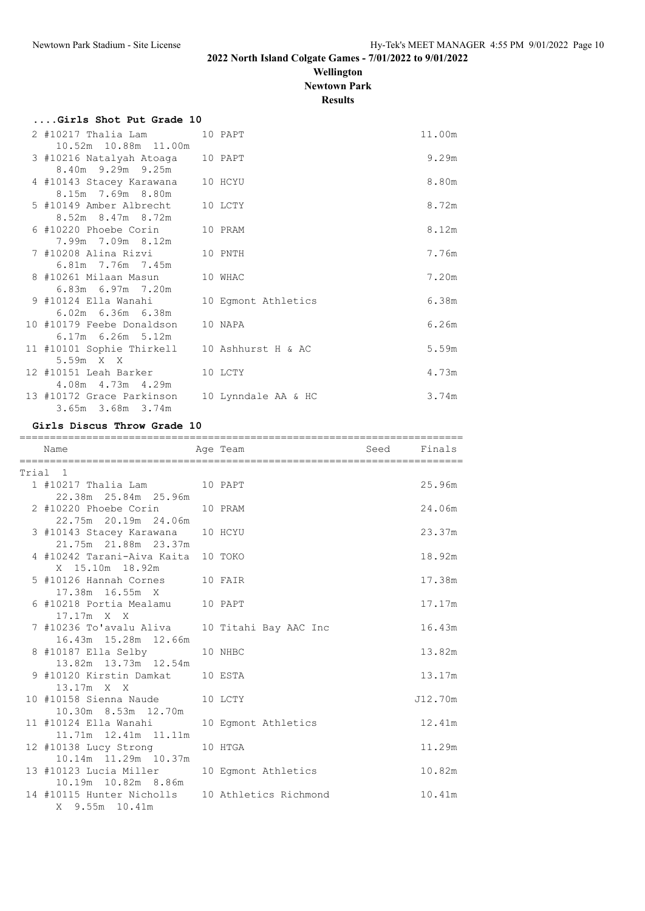## **Wellington Newtown Park**

**Results**

| Girls Shot Put Grade 10                      |                     |        |
|----------------------------------------------|---------------------|--------|
| 2 #10217 Thalia Lam                          | 10 PAPT             | 11.00m |
| 10.52m 10.88m 11.00m                         |                     |        |
| 3 #10216 Natalyah Atoaga 10 PAPT             |                     | 9.29m  |
| 8.40m 9.29m 9.25m                            |                     |        |
| 4 #10143 Stacey Karawana                     | 10 HCYU             | 8.80m  |
| 8.15m 7.69m 8.80m                            |                     |        |
| 5 #10149 Amber Albrecht                      | 10 LCTY             | 8.72m  |
| 8.52m 8.47m 8.72m                            |                     |        |
| 6 #10220 Phoebe Corin                        | 10 PRAM             | 8.12m  |
| 7.99m 7.09m 8.12m                            |                     |        |
| 7 #10208 Alina Rizvi                         | 10 PNTH             | 7.76m  |
| 6.81m 7.76m 7.45m                            |                     |        |
| 8 #10261 Milaan Masun                        | 10 WHAC             | 7.20m  |
| 6.83m 6.97m 7.20m                            |                     |        |
| 9 #10124 Ella Wanahi                         | 10 Eqmont Athletics | 6.38m  |
| 6.02m 6.36m 6.38m                            |                     |        |
| 10 #10179 Feebe Donaldson                    | 10 NAPA             | 6.26m  |
| 6.17m 6.26m 5.12m                            |                     |        |
| 11 #10101 Sophie Thirkell 10 Ashhurst H & AC |                     | 5.59m  |
| 5.59m X X                                    |                     |        |
| 12 #10151 Leah Barker                        | 10 LCTY             | 4.73m  |
| 4.08m  4.73m  4.29m                          |                     |        |
| 13 #10172 Grace Parkinson                    | 10 Lynndale AA & HC | 3.74m  |
| 3.65m 3.68m 3.74m                            |                     |        |
|                                              |                     |        |

## **Girls Discus Throw Grade 10**

| Name                                                  | Age Team and Seed Finals |         |
|-------------------------------------------------------|--------------------------|---------|
| Trial 1                                               |                          |         |
| 1 #10217 Thalia Lam 10 PAPT                           |                          | 25.96m  |
| 22.38m  25.84m  25.96m                                |                          |         |
| 2 #10220 Phoebe Corin 10 PRAM                         |                          | 24.06m  |
| 22.75m 20.19m 24.06m                                  |                          |         |
| 3 #10143 Stacey Karawana 10 HCYU                      |                          | 23.37m  |
| 21.75m 21.88m 23.37m                                  |                          |         |
| 4 #10242 Tarani-Aiva Kaita 10 TOKO<br>X 15.10m 18.92m |                          | 18.92m  |
| 5 #10126 Hannah Cornes 10 FAIR                        |                          | 17.38m  |
| 17.38m  16.55m  X                                     |                          |         |
| 6 #10218 Portia Mealamu 10 PAPT                       |                          | 17.17m  |
| $17.17m \times X$                                     |                          |         |
| 7 #10236 To'avalu Aliva 10 Titahi Bay AAC Inc         |                          | 16.43m  |
| 16.43m 15.28m 12.66m                                  |                          |         |
| 8 #10187 Ella Selby 10 NHBC                           |                          | 13.82m  |
| 13.82m 13.73m 12.54m                                  |                          |         |
| 9 #10120 Kirstin Damkat 10 ESTA                       |                          | 13.17m  |
| 13.17m X X                                            |                          |         |
| 10 #10158 Sienna Naude 10 LCTY                        |                          | J12.70m |
| 10.30m 8.53m 12.70m                                   |                          |         |
| 11 #10124 Ella Wanahi<br>11.71m  12.41m  11.11m       | 10 Eqmont Athletics      | 12.41m  |
| 12 #10138 Lucy Strong 10 HTGA                         |                          | 11.29m  |
| 10.14m 11.29m 10.37m                                  |                          |         |
| 13 #10123 Lucia Miller                                | 10 Egmont Athletics      | 10.82m  |
| 10.19m  10.82m  8.86m                                 |                          |         |
| 14 #10115 Hunter Nicholls 10 Athletics Richmond       |                          | 10.41m  |
| X 9.55m 10.41m                                        |                          |         |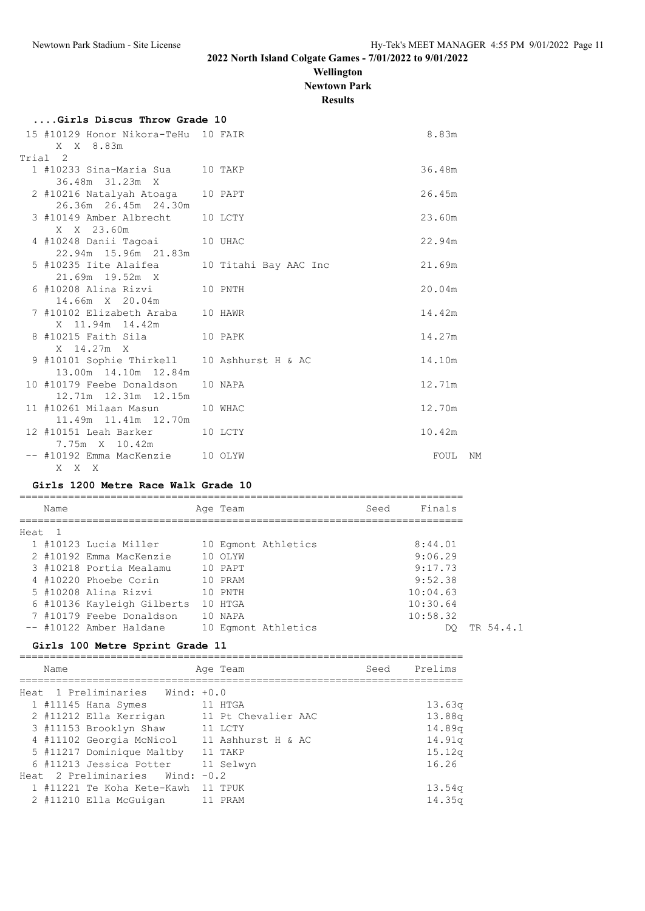### **Wellington Newtown Park**

**Results**

| ۰, | 81 H H B |  |
|----|----------|--|
|    |          |  |

| Girls Discus Throw Grade 10                                         |                       |        |    |
|---------------------------------------------------------------------|-----------------------|--------|----|
| 15 #10129 Honor Nikora-TeHu 10 FAIR<br>X X 8.83m                    |                       | 8.83m  |    |
| Trial 2                                                             |                       |        |    |
| 1 #10233 Sina-Maria Sua 10 TAKP<br>36.48m 31.23m X                  |                       | 36.48m |    |
| 2 #10216 Natalyah Atoaga 10 PAPT<br>26.36m 26.45m 24.30m            |                       | 26.45m |    |
| 3 #10149 Amber Albrecht 10 LCTY<br>X X 23.60m                       |                       | 23.60m |    |
| 4 #10248 Danii Taqoai<br>22.94m 15.96m 21.83m                       | 10 UHAC               | 22.94m |    |
| 5 #10235 Iite Alaifea<br>21.69m 19.52m X                            | 10 Titahi Bay AAC Inc | 21.69m |    |
| 6 #10208 Alina Rizvi<br>14.66m X 20.04m                             | 10 PNTH               | 20.04m |    |
| 7 #10102 Elizabeth Araba 10 HAWR<br>X 11.94m 14.42m                 |                       | 14.42m |    |
| 8 #10215 Faith Sila<br>X 14.27m X                                   | 10 PAPK               | 14.27m |    |
| 9 #10101 Sophie Thirkell 10 Ashhurst H & AC<br>13.00m 14.10m 12.84m |                       | 14.10m |    |
| 10 #10179 Feebe Donaldson<br>12.71m  12.31m  12.15m                 | 10 NAPA               | 12.71m |    |
| 11 #10261 Milaan Masun<br>11.49m 11.41m 12.70m                      | 10 WHAC               | 12.70m |    |
| 12 #10151 Leah Barker<br>7.75m X 10.42m                             | 10 LCTY               | 10.42m |    |
| -- #10192 Emma MacKenzie                                            | 10 OLYW               | FOUL   | NM |

#### **Girls 1200 Metre Race Walk Grade 10**

X X X

========================================================================= Name **Age Team** Seed Finals ========================================================================= Heat 1 1 #10123 Lucia Miller 10 Egmont Athletics 8:44.01 2 #10192 Emma MacKenzie 10 OLYW 9:06.29 3 #10218 Portia Mealamu 10 PAPT 9:17.73 4 #10220 Phoebe Corin 10 PRAM 9:52.38 5 #10208 Alina Rizvi 10 PNTH 10:04.63 6 #10136 Kayleigh Gilberts 10 HTGA 10:30.64 7 #10179 Feebe Donaldson 10 NAPA 10:58.32 -- #10122 Amber Haldane 10 Egmont Athletics 6 10 DQ TR 54.4.1

#### **Girls 100 Metre Sprint Grade 11**

| Name                                |  | Age Team            | Seed | Prelims            |
|-------------------------------------|--|---------------------|------|--------------------|
|                                     |  |                     |      |                    |
| Heat 1 Preliminaries Wind: +0.0     |  |                     |      |                    |
| 1 #11145 Hana Symes                 |  | 11 HTGA             |      | 13.63q             |
| 2 #11212 Ella Kerrigan              |  | 11 Pt Chevalier AAC |      | 13.88q             |
| 3 #11153 Brooklyn Shaw              |  | 11 LCTY             |      | 14.89 <sub>q</sub> |
| 4 #11102 Georgia McNicol            |  | 11 Ashhurst H & AC  |      | 14.91q             |
| 5 #11217 Dominique Maltby           |  | 11 TAKP             |      | 15.12 <sub>q</sub> |
| 6 #11213 Jessica Potter             |  | 11 Selwyn           |      | 16.26              |
| Heat $2$ Preliminaries Wind: $-0.2$ |  |                     |      |                    |
| 1 #11221 Te Koha Kete-Kawh          |  | 11 TPUK             |      | 13.54 <sub>q</sub> |
| 2 #11210 Ella McGuigan              |  | PRAM                |      | 14.35 <sub>q</sub> |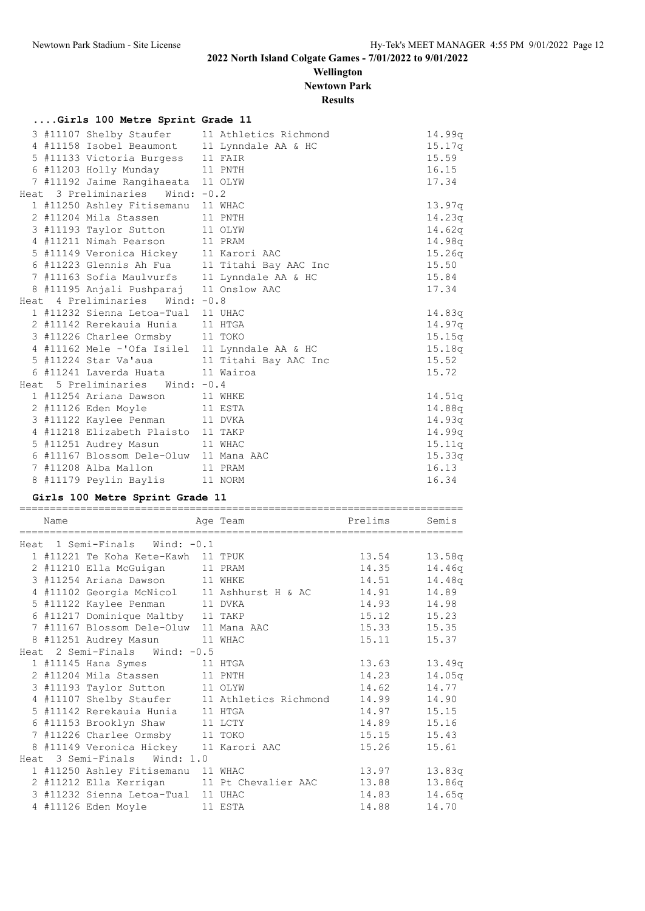**Wellington Newtown Park**

**Results**

## **....Girls 100 Metre Sprint Grade 11**

|  | 3 #11107 Shelby Staufer 11 Athletics Richmond  |  | 14.99q |
|--|------------------------------------------------|--|--------|
|  | 4 #11158 Isobel Beaumont 11 Lynndale AA & HC   |  | 15.17q |
|  | 5 #11133 Victoria Burgess 11 FAIR              |  | 15.59  |
|  | 6 #11203 Holly Munday 11 PNTH                  |  | 16.15  |
|  | 7 #11192 Jaime Rangihaeata 11 OLYW             |  | 17.34  |
|  | Heat 3 Preliminaries Wind: -0.2                |  |        |
|  | 1 #11250 Ashley Fitisemanu 11 WHAC             |  | 13.97q |
|  | 2 #11204 Mila Stassen 11 PNTH                  |  | 14.23q |
|  | 3 #11193 Taylor Sutton 11 OLYW                 |  | 14.62q |
|  | 4 #11211 Nimah Pearson 11 PRAM                 |  | 14.98q |
|  | 5 #11149 Veronica Hickey 11 Karori AAC         |  | 15.26q |
|  | 6 #11223 Glennis Ah Fua 11 Titahi Bay AAC Inc  |  | 15.50  |
|  | 7 #11163 Sofia Maulvurfs 11 Lynndale AA & HC   |  | 15.84  |
|  | 8 #11195 Anjali Pushparaj 11 Onslow AAC        |  | 17.34  |
|  | Heat 4 Preliminaries<br>Wind: $-0.8$           |  |        |
|  | 1 #11232 Sienna Letoa-Tual 11 UHAC             |  | 14.83q |
|  | 2 #11142 Rerekauia Hunia 11 HTGA               |  | 14.97q |
|  | 3 #11226 Charlee Ormsby 11 TOKO                |  | 15.15q |
|  | 4 #11162 Mele -'Ofa Isilel 11 Lynndale AA & HC |  | 15.18q |
|  | 5 #11224 Star Va'aua 11 Titahi Bay AAC Inc     |  | 15.52  |
|  | 6 #11241 Laverda Huata 11 Wairoa               |  | 15.72  |
|  | Heat 5 Preliminaries Wind: -0.4                |  |        |
|  | 1 #11254 Ariana Dawson 11 WHKE                 |  | 14.51q |
|  | 2 #11126 Eden Moyle 11 ESTA                    |  | 14.88q |
|  | 3 #11122 Kaylee Penman 11 DVKA                 |  | 14.93q |
|  | 4 #11218 Elizabeth Plaisto 11 TAKP             |  | 14.99q |
|  | 5 #11251 Audrey Masun 11 WHAC                  |  | 15.11q |
|  | 6 #11167 Blossom Dele-Oluw 11 Mana AAC         |  | 15.33q |
|  | 7 #11208 Alba Mallon 11 PRAM                   |  | 16.13  |
|  | 8 #11179 Peylin Baylis 11 NORM                 |  | 16.34  |

### **Girls 100 Metre Sprint Grade 11**

| Name |                                        | Age Team                                      | Prelims | Semis  |
|------|----------------------------------------|-----------------------------------------------|---------|--------|
|      | Heat 1 Semi-Finals Wind: -0.1          |                                               |         |        |
|      | 1 #11221 Te Koha Kete-Kawh 11 TPUK     |                                               | 13.54   | 13.58q |
|      | 2 #11210 Ella McGuigan                 | 11 PRAM                                       | 14.35   | 14.46q |
|      | 3 #11254 Ariana Dawson 11 WHKE         |                                               | 14.51   | 14.48q |
|      |                                        | 4 #11102 Georgia McNicol 11 Ashhurst H & AC   | 14.91   | 14.89  |
|      | 5 #11122 Kaylee Penman 11 DVKA         |                                               | 14.93   | 14.98  |
|      | 6 #11217 Dominique Maltby 11 TAKP      |                                               | 15.12   | 15.23  |
|      | 7 #11167 Blossom Dele-Oluw 11 Mana AAC |                                               | 15.33   | 15.35  |
|      | 8 #11251 Audrey Masun 11 WHAC          |                                               | 15.11   | 15.37  |
|      | Heat 2 Semi-Finals Wind: -0.5          |                                               |         |        |
|      | 1 #11145 Hana Symes 11 HTGA            |                                               | 13.63   | 13.49q |
|      | 2 #11204 Mila Stassen 11 PNTH          |                                               | 14.23   | 14.05q |
|      | 3 #11193 Taylor Sutton 11 OLYW         |                                               | 14.62   | 14.77  |
|      |                                        | 4 #11107 Shelby Staufer 11 Athletics Richmond | 14.99   | 14.90  |
|      | 5 #11142 Rerekauia Hunia 11 HTGA       |                                               | 14.97   | 15.15  |
|      | 6 #11153 Brooklyn Shaw 11 LCTY         |                                               | 14.89   | 15.16  |
|      | 7 #11226 Charlee Ormsby 11 TOKO        |                                               | 15.15   | 15.43  |
|      | 8 #11149 Veronica Hickey 11 Karori AAC |                                               | 15.26   | 15.61  |
|      | Heat 3 Semi-Finals Wind: 1.0           |                                               |         |        |
|      | 1 #11250 Ashley Fitisemanu 11 WHAC     |                                               | 13.97   | 13.83q |
|      |                                        | 2 #11212 Ella Kerrigan 11 Pt Chevalier AAC    | 13.88   | 13.86q |
|      | 3 #11232 Sienna Letoa-Tual 11 UHAC     |                                               | 14.83   | 14.65q |
|      | 4 #11126 Eden Moyle 11 ESTA            |                                               | 14.88   | 14.70  |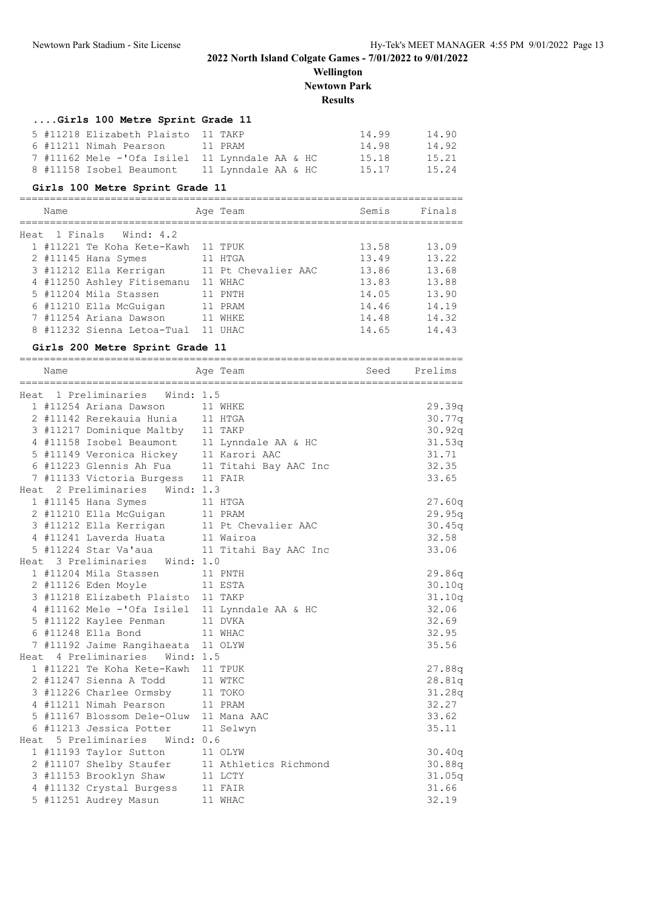**Wellington Newtown Park Results**

## **....Girls 100 Metre Sprint Grade 11**

|  | 5 #11218 Elizabeth Plaisto 11 TAKP             |                     | 14.99 | 14.90 |
|--|------------------------------------------------|---------------------|-------|-------|
|  | 6 #11211 Nimah Pearson                         | 11 PRAM             | 14.98 | 14.92 |
|  | 7 #11162 Mele -'Ofa Isilel 11 Lynndale AA & HC |                     | 15.18 | 15.21 |
|  | 8 #11158 Isobel Beaumont                       | 11 Lynndale AA & HC | 15.17 | 15.24 |

### **Girls 100 Metre Sprint Grade 11**

|                            | Finals |  |
|----------------------------|--------|--|
| Heat                       |        |  |
| 1 #11221 Te Koha Kete-Kawh | 13.09  |  |
| 2 #11145 Hana Symes        | 13.22  |  |
| 3 #11212 Ella Kerrigan     | 13.68  |  |
| 4 #11250 Ashley Fitisemanu | 13.88  |  |
| 5 #11204 Mila Stassen      | 13.90  |  |
| 6 #11210 Ella McGuigan     | 14.19  |  |
| 7 #11254 Ariana Dawson     | 14.32  |  |
| 8 #11232 Sienna Letoa-Tual | 14.43  |  |
|                            |        |  |

## **Girls 200 Metre Sprint Grade 11**

| ============<br>Name |                                        | Age Team                                       | Seed Prelims |
|----------------------|----------------------------------------|------------------------------------------------|--------------|
|                      | Heat 1 Preliminaries Wind: 1.5         |                                                |              |
|                      | 1 #11254 Ariana Dawson                 | 11 WHKE                                        | 29.39q       |
|                      | 2 #11142 Rerekauia Hunia 11 HTGA       |                                                | 30.77q       |
|                      | 3 #11217 Dominique Maltby 11 TAKP      |                                                | 30.92q       |
|                      |                                        | 4 #11158 Isobel Beaumont 11 Lynndale AA & HC   | 31.53q       |
|                      | 5 #11149 Veronica Hickey 11 Karori AAC |                                                | 31.71        |
|                      |                                        | 6 #11223 Glennis Ah Fua 11 Titahi Bay AAC Inc  | 32.35        |
|                      | 7 #11133 Victoria Burgess 11 FAIR      |                                                | 33.65        |
|                      | Heat 2 Preliminaries Wind: 1.3         |                                                |              |
|                      | 1 #11145 Hana Symes                    | 11 HTGA                                        | 27.60q       |
|                      | 2 #11210 Ella McGuigan 11 PRAM         |                                                | 29.95q       |
|                      |                                        | 3 #11212 Ella Kerrigan 11 Pt Chevalier AAC     | 30.45q       |
|                      | 4 #11241 Laverda Huata 11 Wairoa       |                                                | 32.58        |
|                      |                                        | 5 #11224 Star Va'aua 11 Titahi Bay AAC Inc     | 33.06        |
|                      | Heat 3 Preliminaries Wind: 1.0         |                                                |              |
|                      | 1 #11204 Mila Stassen                  | 11 PNTH                                        | 29.86q       |
|                      | 2 #11126 Eden Moyle 11 ESTA            |                                                | 30.10q       |
|                      | 3 #11218 Elizabeth Plaisto 11 TAKP     |                                                | 31.10q       |
|                      |                                        | 4 #11162 Mele -'Ofa Isilel 11 Lynndale AA & HC | 32.06        |
|                      | 5 #11122 Kaylee Penman                 | 11 DVKA                                        | 32.69        |
|                      | 6 #11248 Ella Bond                     | 11 WHAC                                        | 32.95        |
|                      | 7 #11192 Jaime Rangihaeata 11 OLYW     |                                                | 35.56        |
|                      | Heat 4 Preliminaries Wind: 1.5         |                                                |              |
|                      | 1 #11221 Te Koha Kete-Kawh 11 TPUK     |                                                | 27.88q       |
|                      | 2 #11247 Sienna A Todd                 | 11 WTKC                                        | 28.81q       |
|                      | 3 #11226 Charlee Ormsby 11 TOKO        |                                                | 31.28q       |
|                      | 4 #11211 Nimah Pearson                 | 11 PRAM                                        | 32.27        |
|                      | 5 #11167 Blossom Dele-Oluw 11 Mana AAC |                                                | 33.62        |
|                      | 6 #11213 Jessica Potter 11 Selwyn      |                                                | 35.11        |
|                      | Heat 5 Preliminaries Wind: 0.6         |                                                |              |
|                      | 1 #11193 Taylor Sutton                 | 11 OLYW                                        | 30.40q       |
|                      |                                        | 2 #11107 Shelby Staufer 11 Athletics Richmond  | 30.88q       |
|                      | 3 #11153 Brooklyn Shaw                 | 11 LCTY                                        | 31.05q       |
|                      | 4 #11132 Crystal Burgess 11 FAIR       |                                                | 31.66        |
|                      | 5 #11251 Audrey Masun                  | 11 WHAC                                        | 32.19        |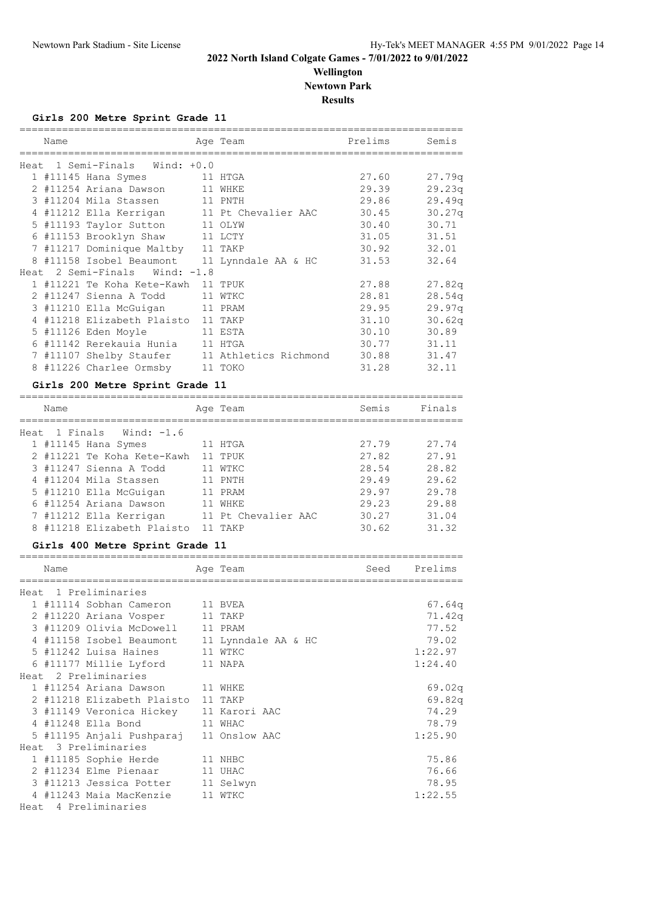## **Wellington Newtown Park**

**Results**

=========================================================================

**Girls 200 Metre Sprint Grade 11**

| Name |                                              | Age Team                                      | Prelims | Semis  |
|------|----------------------------------------------|-----------------------------------------------|---------|--------|
|      | Heat 1 Semi-Finals Wind: +0.0                |                                               |         |        |
|      | 1 #11145 Hana Symes                          | 11 HTGA                                       | 27.60   | 27.79q |
|      | 2 #11254 Ariana Dawson 11 WHKE               |                                               | 29.39   | 29.23q |
|      | 3 #11204 Mila Stassen 11 PNTH                |                                               | 29.86   | 29.49q |
|      |                                              | 4 #11212 Ella Kerrigan 11 Pt Chevalier AAC    | 30.45   | 30.27q |
|      | 5 #11193 Taylor Sutton 11 OLYW               |                                               | 30.40   | 30.71  |
|      | 6 #11153 Brooklyn Shaw 11 LCTY               |                                               | 31.05   | 31.51  |
|      | 7 #11217 Dominique Maltby 11 TAKP            |                                               | 30.92   | 32.01  |
|      | 8 #11158 Isobel Beaumont 11 Lynndale AA & HC |                                               | 31.53   | 32.64  |
|      | Heat 2 Semi-Finals Wind: -1.8                |                                               |         |        |
|      | 1 #11221 Te Koha Kete-Kawh 11 TPUK           |                                               | 27.88   | 27.82q |
|      | 2 #11247 Sienna A Todd                       | 11 WTKC                                       | 28.81   | 28.54q |
|      | 3 #11210 Ella McGuigan                       | 11 PRAM                                       | 29.95   | 29.97q |
|      | 4 #11218 Elizabeth Plaisto 11 TAKP           |                                               | 31.10   | 30.62q |
|      | 5 #11126 Eden Moyle<br>11 ESTA               |                                               | 30.10   | 30.89  |
|      | 6 #11142 Rerekauia Hunia 11 HTGA             |                                               | 30.77   | 31.11  |
|      |                                              | 7 #11107 Shelby Staufer 11 Athletics Richmond | 30.88   | 31.47  |
|      | 8 #11226 Charlee Ormsby 11 TOKO              |                                               | 31.28   | 32.11  |

## **Girls 200 Metre Sprint Grade 11**

| Name |                            | Age Team            | Semis | Finals |
|------|----------------------------|---------------------|-------|--------|
|      | Heat 1 Finals Wind: -1.6   |                     |       |        |
|      | $1$ #11145 Hana Symes      | HTGA                | 27.79 | 27.74  |
|      | 2 #11221 Te Koha Kete-Kawh | TPUK                | 27.82 | 27.91  |
|      | 3 #11247 Sienna A Todd     | WTKC                | 28.54 | 28.82  |
|      | 4 #11204 Mila Stassen      | 11 PNTH             | 29.49 | 29.62  |
|      | 5 #11210 Ella McGuigan     | PRAM                | 29.97 | 29.78  |
|      | 6 #11254 Ariana Dawson     | WHKE                | 29.23 | 29.88  |
|      | 7 #11212 Ella Kerrigan     | 11 Pt Chevalier AAC | 30.27 | 31.04  |
|      | 8 #11218 Elizabeth Plaisto | TAKP                | 30.62 | 31.32  |

#### **Girls 400 Metre Sprint Grade 11**

| Name |                                              | Age Team | Seed | Prelims |
|------|----------------------------------------------|----------|------|---------|
|      |                                              |          |      |         |
|      | Heat 1 Preliminaries                         |          |      |         |
|      | 1 #11114 Sobhan Cameron 11 BVEA              |          |      | 67.64q  |
|      | 2 #11220 Ariana Vosper 11 TAKP               |          |      | 71.42q  |
|      | 3 #11209 Olivia McDowell 11 PRAM             |          |      | 77.52   |
|      | 4 #11158 Isobel Beaumont 11 Lynndale AA & HC |          |      | 79.02   |
|      | 5 #11242 Luisa Haines 11 WTKC                |          |      | 1:22.97 |
|      | 6 #11177 Millie Lyford 11 NAPA               |          |      | 1:24.40 |
|      | Heat 2 Preliminaries                         |          |      |         |
|      | 1 #11254 Ariana Dawson 11 WHKE               |          |      | 69.02q  |
|      | 2 #11218 Elizabeth Plaisto 11 TAKP           |          |      | 69.82q  |
|      | 3 #11149 Veronica Hickey 11 Karori AAC       |          |      | 74.29   |
|      | 4 #11248 Ella Bond<br>11 WHAC                |          |      | 78.79   |
|      | 5 #11195 Anjali Pushparaj 11 Onslow AAC      |          |      | 1:25.90 |
|      | Heat 3 Preliminaries                         |          |      |         |
|      | 1 #11185 Sophie Herde 11 NHBC                |          |      | 75.86   |
|      | 2 #11234 Elme Pienaar 11 UHAC                |          |      | 76.66   |
|      | 3 #11213 Jessica Potter 11 Selwyn            |          |      | 78.95   |
|      | 4 #11243 Maia MacKenzie 11 WTKC              |          |      | 1:22.55 |
|      | Heat 4 Preliminaries                         |          |      |         |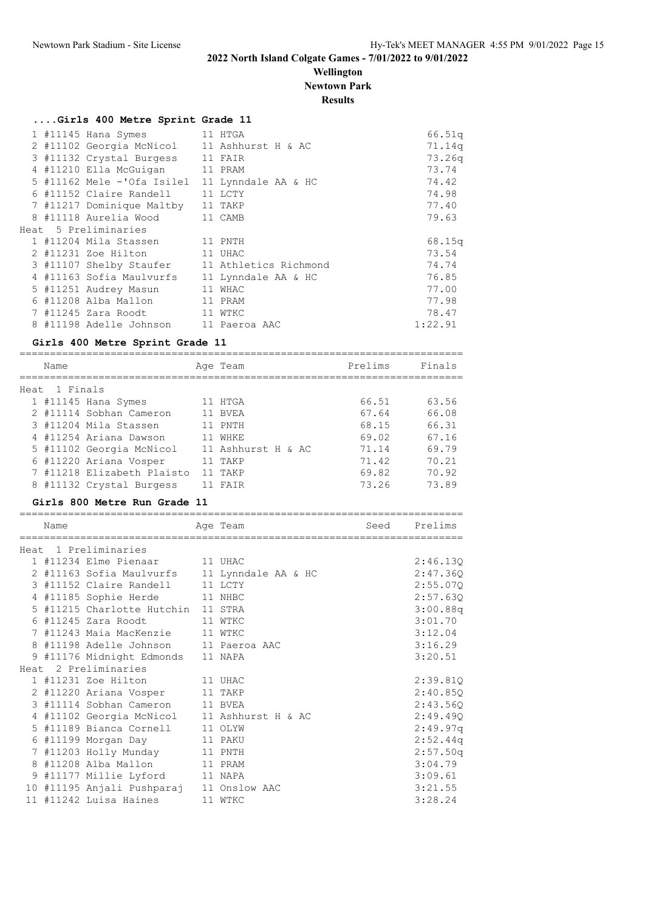## **Wellington Newtown Park**

**Results**

## **....Girls 400 Metre Sprint Grade 11**

|  | 1 #11145 Hana Symes<br>11 HTGA              |                       | 66.51q  |
|--|---------------------------------------------|-----------------------|---------|
|  | 2 #11102 Georgia McNicol 11 Ashhurst H & AC |                       | 71.14q  |
|  | 3 #11132 Crystal Burgess                    | 11 FAIR               | 73.26q  |
|  | 4 #11210 Ella McGuigan                      | 11 PRAM               | 73.74   |
|  | 5 #11162 Mele -'Ofa Isilel                  | 11 Lynndale AA & HC   | 74.42   |
|  | 6 #11152 Claire Randell                     | 11 LCTY               | 74.98   |
|  | 7 #11217 Dominique Maltby                   | 11 TAKP               | 77.40   |
|  | 8 #11118 Aurelia Wood                       | 11 CAMB               | 79.63   |
|  | Heat 5 Preliminaries                        |                       |         |
|  | 1 #11204 Mila Stassen                       | 11 PNTH               | 68.15q  |
|  | 2 #11231 Zoe Hilton                         | 11 UHAC               | 73.54   |
|  | 3 #11107 Shelby Staufer                     | 11 Athletics Richmond | 74.74   |
|  | 4 #11163 Sofia Maulvurfs                    | 11 Lynndale AA & HC   | 76.85   |
|  | 5 #11251 Audrey Masun                       | 11 WHAC               | 77.00   |
|  | 6 #11208 Alba Mallon                        | 11 PRAM               | 77.98   |
|  | 7 #11245 Zara Roodt                         | 11 WTKC               | 78.47   |
|  | 8 #11198 Adelle Johnson 11 Paeroa AAC       |                       | 1:22.91 |
|  |                                             |                       |         |

## **Girls 400 Metre Sprint Grade 11**

|      | Name     |                            | Age Team           | Prelims | Finals |
|------|----------|----------------------------|--------------------|---------|--------|
| Heat | 1 Finals |                            |                    |         |        |
|      |          | $1$ #11145 Hana Symes      | 11 HTGA            | 66.51   | 63.56  |
|      |          | 2 #11114 Sobhan Cameron    | 11 BVEA            | 67.64   | 66.08  |
|      |          | 3 #11204 Mila Stassen      | 11 PNTH            | 68.15   | 66.31  |
|      |          | 4 #11254 Ariana Dawson     | WHKE               | 69.02   | 67.16  |
|      |          | 5 #11102 Georgia McNicol   | 11 Ashhurst H & AC | 71.14   | 69.79  |
|      |          | 6 #11220 Ariana Vosper     | 11 TAKP            | 71.42   | 70.21  |
|      |          | 7 #11218 Elizabeth Plaisto | 11 TAKP            | 69.82   | 70.92  |
|      |          | 8 #11132 Crystal Burgess   | FATR               | 73.26   | 73.89  |

## **Girls 800 Metre Run Grade 11**

| Name |                                              | Age Team | Seed Prelims |
|------|----------------------------------------------|----------|--------------|
|      | Heat 1 Preliminaries                         |          |              |
|      | 1 #11234 Elme Pienaar 11 UHAC                |          | 2:46.13Q     |
|      | 2 #11163 Sofia Maulvurfs 11 Lynndale AA & HC |          | 2:47.360     |
|      | 3 #11152 Claire Randell 11 LCTY              |          | 2:55.07Q     |
|      | 4 #11185 Sophie Herde 11 NHBC                |          | 2:57.63Q     |
|      | 5 #11215 Charlotte Hutchin 11 STRA           |          | 3:00.88q     |
|      | 6 #11245 Zara Roodt 11 WTKC                  |          | 3:01.70      |
|      | 7 #11243 Maia MacKenzie 11 WTKC              |          | 3:12.04      |
|      | 8 #11198 Adelle Johnson 11 Paeroa AAC        |          | 3:16.29      |
|      | 9 #11176 Midnight Edmonds 11 NAPA            |          | 3:20.51      |
|      | Heat 2 Preliminaries                         |          |              |
|      | 1 #11231 Zoe Hilton 11 UHAC                  |          | 2:39.810     |
|      | 2 #11220 Ariana Vosper 11 TAKP               |          | 2:40.850     |
|      | 3 #11114 Sobhan Cameron 11 BVEA              |          | 2:43.56Q     |
|      | 4 #11102 Georgia McNicol 11 Ashhurst H & AC  |          | 2:49.49Q     |
|      | 5 #11189 Bianca Cornell 11 OLYW              |          | 2:49.97q     |
|      | 6 #11199 Morgan Day 11 PAKU                  |          | 2:52.44q     |
|      | 7 #11203 Holly Munday 11 PNTH                |          | 2:57.50q     |
|      | 8 #11208 Alba Mallon 11 PRAM                 |          | 3:04.79      |
|      | 9 #11177 Millie Lyford 11 NAPA               |          | 3:09.61      |
|      | 10 #11195 Anjali Pushparaj 11 Onslow AAC     |          | 3:21.55      |
|      | 11 #11242 Luisa Haines 11 WTKC               |          | 3:28.24      |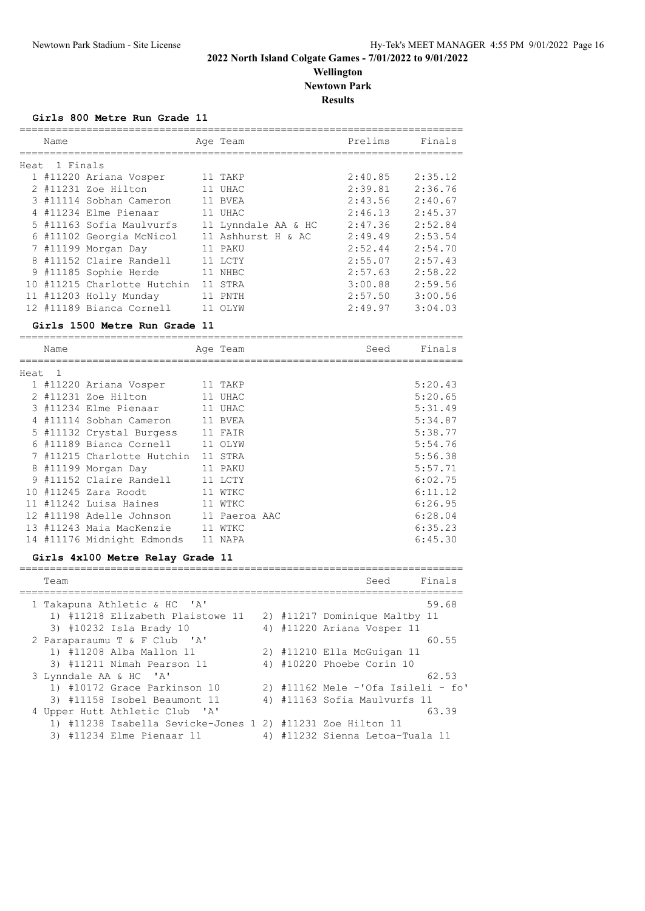**Wellington Newtown Park Results**

=========================================================================

**Girls 800 Metre Run Grade 11**

|     | Name          |                          | Age Team            | Prelims | Finals  |
|-----|---------------|--------------------------|---------------------|---------|---------|
|     |               |                          |                     |         |         |
|     | Heat 1 Finals |                          |                     |         |         |
|     |               | 1 #11220 Ariana Vosper   | 11 TAKP             | 2:40.85 | 2:35.12 |
|     |               | 2 #11231 Zoe Hilton      | 11 UHAC             | 2:39.81 | 2:36.76 |
|     |               | 3 #11114 Sobhan Cameron  | 11 BVEA             | 2:43.56 | 2:40.67 |
|     |               | 4 #11234 Elme Pienaar    | 11 UHAC             | 2:46.13 | 2:45.37 |
|     |               | 5 #11163 Sofia Maulvurfs | 11 Lynndale AA & HC | 2:47.36 | 2:52.84 |
|     |               | 6 #11102 Georgia McNicol | 11 Ashhurst H & AC  | 2:49.49 | 2:53.54 |
|     |               | 7 #11199 Morgan Day      | 11 PAKU             | 2:52.44 | 2:54.70 |
|     |               | 8 #11152 Claire Randell  | 11 LCTY             | 2:55.07 | 2:57.43 |
|     |               | 9 #11185 Sophie Herde    | 11 NHBC             | 2:57.63 | 2:58.22 |
| 1 O |               | #11215 Charlotte Hutchin | 11 STRA             | 3:00.88 | 2:59.56 |
|     |               | 11 #11203 Holly Munday   | PNTH                | 2:57.50 | 3:00.56 |
|     |               | 12 #11189 Bianca Cornell | 11 OLYW             | 2:49.97 | 3:04.03 |

#### **Girls 1500 Metre Run Grade 11**

========================================================================= Name and Age Team Seed Finals ========================================================================= Heat 1 1 #11220 Ariana Vosper 11 TAKP 5:20.43 2 #11231 Zoe Hilton 11 UHAC 5:20.65 3 #11234 Elme Pienaar 11 UHAC 5:31.49 4 #11114 Sobhan Cameron 11 BVEA 5:34.87 5 #11132 Crystal Burgess 11 FAIR 5:38.77 6 #11189 Bianca Cornell 11 OLYW 5:54.76 7 #11215 Charlotte Hutchin 11 STRA 5:56.38 8 #11199 Morgan Day 11 PAKU 5:57.71 9 #11152 Claire Randell 11 LCTY 6:02.75 10 #11245 Zara Roodt 11 WTKC 6:11.12 11 #11242 Luisa Haines 11 WTKC 6:26.95 12 #11198 Adelle Johnson 11 Paeroa AAC 6:28.04 13 #11243 Maia MacKenzie 11 WTKC 6:35.23 14 #11176 Midnight Edmonds 11 NAPA 6:45.30

#### **Girls 4x100 Metre Relay Grade 11**

| Team                                                       |  | Finals<br>Seed                     |
|------------------------------------------------------------|--|------------------------------------|
| 1 Takapuna Athletic & HC 'A'                               |  | 59.68                              |
| 1) #11218 Elizabeth Plaistowe 11                           |  | 2) #11217 Dominique Maltby 11      |
| 3) #10232 Isla Brady 10                                    |  | 4) #11220 Ariana Vosper 11         |
| 2 Paraparaumu T & F Club 'A'                               |  | 60.55                              |
| 1) #11208 Alba Mallon 11                                   |  | 2) #11210 Ella McGuigan 11         |
| 3) #11211 Nimah Pearson 11                                 |  | 4) #10220 Phoebe Corin 10          |
| 3 Lynndale AA & HC 'A'                                     |  | 62.53                              |
| 1) #10172 Grace Parkinson 10                               |  | 2) #11162 Mele -'Ofa Isileli - fo' |
| 3) #11158 Isobel Beaumont 11                               |  | 4) #11163 Sofia Maulvurfs 11       |
| 4 Upper Hutt Athletic Club 'A'                             |  | 63.39                              |
| 1) #11238 Isabella Sevicke-Jones 1 2) #11231 Zoe Hilton 11 |  |                                    |
| 3) #11234 Elme Pienaar 11                                  |  | 4) #11232 Sienna Letoa-Tuala 11    |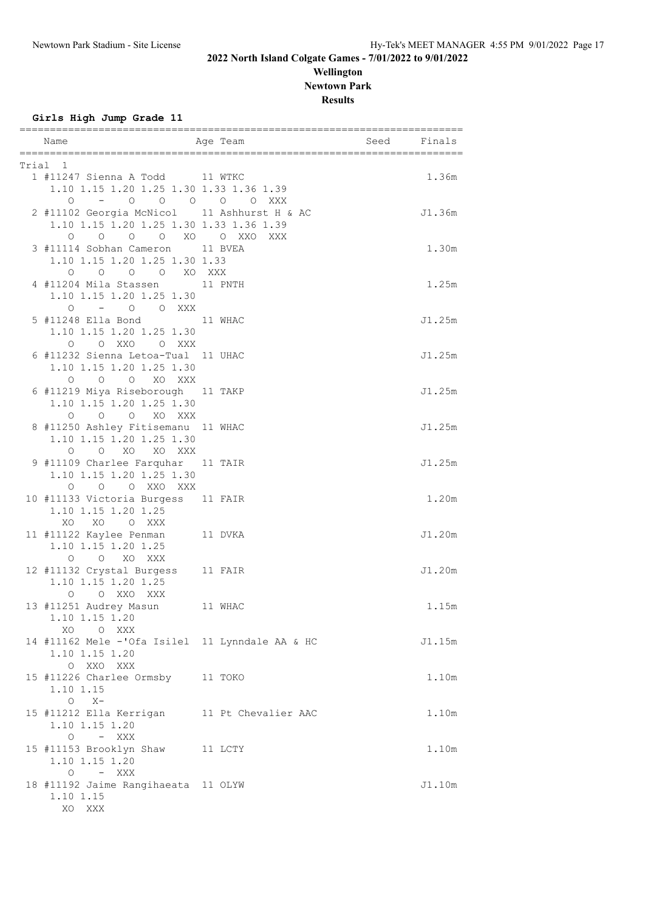## **Wellington Newtown Park Results**

**Girls High Jump Grade 11**

| Name                                                                                                       | Aqe Team            | Seed | Finals |
|------------------------------------------------------------------------------------------------------------|---------------------|------|--------|
| Trial 1                                                                                                    |                     |      |        |
| 1 #11247 Sienna A Todd 11 WTKC<br>1.10 1.15 1.20 1.25 1.30 1.33 1.36 1.39<br>$-$ 0 0 0 0 0 XXX<br>$\circ$  |                     |      | 1.36m  |
| 2 #11102 Georgia McNicol 11 Ashhurst H & AC<br>1.10 1.15 1.20 1.25 1.30 1.33 1.36 1.39<br>0 0 0 0 XO 0 XXO | XXX                 |      | J1.36m |
| 3 #11114 Sobhan Cameron 11 BVEA<br>1.10 1.15 1.20 1.25 1.30 1.33<br>O O XO XXX<br>$\circ$<br>$\circ$       |                     |      | 1.30m  |
| 4 #11204 Mila Stassen 11 PNTH<br>1.10 1.15 1.20 1.25 1.30<br>$-$ 0 0 XXX<br>$\circ$                        |                     |      | 1.25m  |
| 5 #11248 Ella Bond 11 WHAC<br>1.10 1.15 1.20 1.25 1.30<br>O O XXO<br>O XXX                                 |                     |      | J1.25m |
| 6 #11232 Sienna Letoa-Tual 11 UHAC<br>1.10 1.15 1.20 1.25 1.30<br>O O O XO XXX                             |                     |      | J1.25m |
| 6 #11219 Miya Riseborough 11 TAKP<br>1.10 1.15 1.20 1.25 1.30<br>O XO XXX<br>$\circ$<br>$\circ$            |                     |      | J1.25m |
| 8 #11250 Ashley Fitisemanu 11 WHAC<br>1.10 1.15 1.20 1.25 1.30<br>O O XO XO XXX                            |                     |      | J1.25m |
| 9 #11109 Charlee Farquhar 11 TAIR<br>1.10 1.15 1.20 1.25 1.30<br>O O O XXO XXX                             |                     |      | J1.25m |
| 10 #11133 Victoria Burgess 11 FAIR<br>1.10 1.15 1.20 1.25<br>XO XO O XXX                                   |                     |      | 1.20m  |
| 11 #11122 Kaylee Penman<br>1.10 1.15 1.20 1.25<br>$\circ$<br>O XO XXX                                      | 11 DVKA             |      | J1.20m |
| 12 #11132 Crystal Burgess<br>1.10 1.15 1.20 1.25<br>O XXO XXX<br>$\circ$                                   | 11 FAIR             |      | J1.20m |
| 13 #11251 Audrey Masun<br>1.10 1.15 1.20<br>XO<br>O XXX                                                    | 11 WHAC             |      | 1.15m  |
| 14 #11162 Mele -'Ofa Isilel 11 Lynndale AA & HC<br>1.10 1.15 1.20<br>O XXO XXX                             |                     |      | J1.15m |
| 15 #11226 Charlee Ormsby 11 TOKO<br>1.10 1.15<br>$O X -$                                                   |                     |      | 1.10m  |
| 15 #11212 Ella Kerrigan<br>1.10 1.15 1.20<br>$O - XXX$                                                     | 11 Pt Chevalier AAC |      | 1.10m  |
| 15 #11153 Brooklyn Shaw<br>1.10 1.15 1.20<br>– XXX<br>$\circ$                                              | 11 LCTY             |      | 1.10m  |
| 18 #11192 Jaime Rangihaeata 11 OLYW<br>1.10 1.15<br>XO XXX                                                 |                     |      | J1.10m |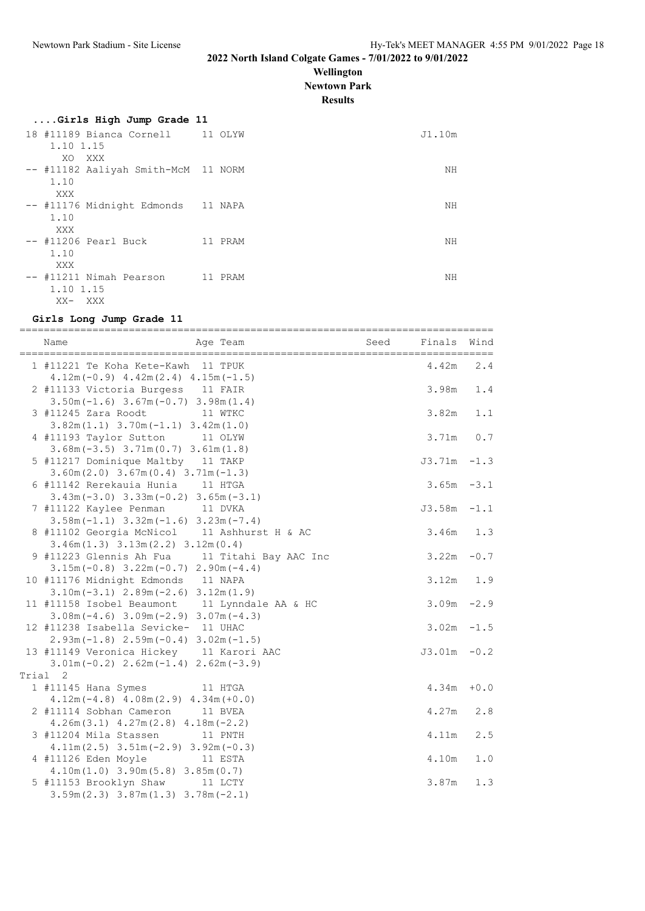**Wellington**

**Newtown Park**

**Results**

## **....Girls High Jump Grade 11** 18 #11189 Bianca Cornell 11 OLYW J1.10m

| TO TITION DIGHCG COTHCIT<br>1.10 1.15                     | TT OTTM | $\cup$ $\bot$ . $\bot$ $\cup$ $\bot$ $\bot$ |
|-----------------------------------------------------------|---------|---------------------------------------------|
| XO.<br>XXX<br>-- #11182 Aaliyah Smith-McM 11 NORM<br>1.10 |         | ΝH                                          |
| XXX<br>-- #11176 Midnight Edmonds 11 NAPA<br>1.10         |         | ΝH                                          |
| XXX<br>-- #11206 Pearl Buck<br>1.10                       | 11 PRAM | NΗ                                          |
| XXX<br>-- #11211 Nimah Pearson<br>1.10 1.15<br>XX- XXX    | 11 PRAM | NΗ                                          |

### **Girls Long Jump Grade 11**

| =====================================<br>Age Team<br>Name | Seed | =======================<br>Finals | Wind   |
|-----------------------------------------------------------|------|-----------------------------------|--------|
| 1 #11221 Te Koha Kete-Kawh  11 TPUK                       |      | 4.42m                             | 2.4    |
| $4.12m(-0.9)$ $4.42m(2.4)$ $4.15m(-1.5)$                  |      |                                   |        |
| 2 #11133 Victoria Burgess 11 FAIR                         |      | 3.98m                             | 1.4    |
| $3.50m(-1.6)$ $3.67m(-0.7)$ $3.98m(1.4)$                  |      |                                   |        |
| 3 #11245 Zara Roodt<br>11 WTKC                            |      | 3.82m                             | 1.1    |
| $3.82m(1.1)$ $3.70m(-1.1)$ $3.42m(1.0)$                   |      |                                   |        |
| 4 #11193 Taylor Sutton<br>11 OLYW                         |      | 3.71m                             | 0.7    |
| $3.68m(-3.5)$ $3.71m(0.7)$ $3.61m(1.8)$                   |      |                                   |        |
| 5 #11217 Dominique Maltby 11 TAKP                         |      | $J3.71m -1.3$                     |        |
| $3.60m(2.0)$ $3.67m(0.4)$ $3.71m(-1.3)$                   |      |                                   |        |
| 6 #11142 Rerekauia Hunia 11 HTGA                          |      | $3.65m - 3.1$                     |        |
| $3.43m(-3.0)$ $3.33m(-0.2)$ $3.65m(-3.1)$                 |      |                                   |        |
| 7 #11122 Kaylee Penman 11 DVKA                            |      | $J3.58m -1.1$                     |        |
| $3.58m(-1.1)$ $3.32m(-1.6)$ $3.23m(-7.4)$                 |      |                                   |        |
| 8 #11102 Georgia McNicol 11 Ashhurst H & AC               |      | 3.46m                             | 1.3    |
| $3.46m(1.3)$ $3.13m(2.2)$ $3.12m(0.4)$                    |      |                                   |        |
| 9 #11223 Glennis Ah Fua 11 Titahi Bay AAC Inc             |      | 3.22m                             | $-0.7$ |
| $3.15m(-0.8)$ $3.22m(-0.7)$ $2.90m(-4.4)$                 |      |                                   |        |
| 10 #11176 Midnight Edmonds 11 NAPA                        |      | 3.12m                             | 1.9    |
| $3.10m(-3.1)$ $2.89m(-2.6)$ $3.12m(1.9)$                  |      |                                   |        |
| 11 #11158 Isobel Beaumont 11 Lynndale AA & HC             |      | $3.09m - 2.9$                     |        |
| $3.08m(-4.6)$ $3.09m(-2.9)$ $3.07m(-4.3)$                 |      |                                   |        |
| 12 #11238 Isabella Sevicke- 11 UHAC                       |      | $3.02m - 1.5$                     |        |
| $2.93m(-1.8)$ $2.59m(-0.4)$ $3.02m(-1.5)$                 |      |                                   |        |
| 13 #11149 Veronica Hickey 11 Karori AAC                   |      | $J3.01m - 0.2$                    |        |
| $3.01m(-0.2)$ $2.62m(-1.4)$ $2.62m(-3.9)$                 |      |                                   |        |
| Trial 2                                                   |      |                                   |        |
| 1 #11145 Hana Symes<br>11 HTGA                            |      | 4.34m                             | $+0.0$ |
| $4.12m(-4.8)$ $4.08m(2.9)$ $4.34m(+0.0)$                  |      |                                   |        |
| 2 #11114 Sobhan Cameron 11 BVEA                           |      | 4.27m                             | 2.8    |
| $4.26m(3.1)$ $4.27m(2.8)$ $4.18m(-2.2)$                   |      |                                   |        |
| 11 PNTH<br>3 #11204 Mila Stassen                          |      | 4.11m                             | 2.5    |
| $4.11m(2.5)$ $3.51m(-2.9)$ $3.92m(-0.3)$                  |      |                                   |        |
| 4 #11126 Eden Moyle 11 ESTA                               |      | 4.10m                             | $1.0$  |
| $4.10m(1.0)$ 3.90m(5.8) 3.85m(0.7)                        |      |                                   |        |
| 5 #11153 Brooklyn Shaw 11 LCTY                            |      | 3.87m                             | 1.3    |
| $3.59m(2.3)$ $3.87m(1.3)$ $3.78m(-2.1)$                   |      |                                   |        |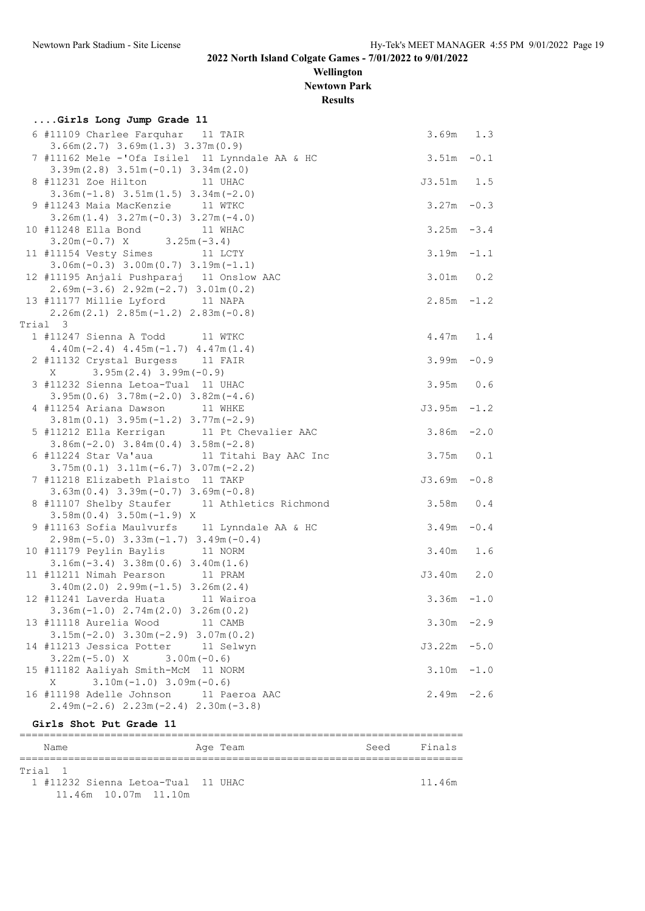**Wellington Newtown Park**

**Results**

| Girls Long Jump Grade 11                                                                  |                |     |
|-------------------------------------------------------------------------------------------|----------------|-----|
| 6 #11109 Charlee Farquhar 11 TAIR<br>$3.66m(2.7)$ $3.69m(1.3)$ $3.37m(0.9)$               | $3.69m$ 1.3    |     |
| 7 #11162 Mele -'Ofa Isilel 11 Lynndale AA & HC<br>$3.39m(2.8)$ $3.51m(-0.1)$ $3.34m(2.0)$ | $3.51m - 0.1$  |     |
| 8 #11231 Zoe Hilton 11 UHAC                                                               | J3.51m         | 1.5 |
| $3.36m(-1.8)$ $3.51m(1.5)$ $3.34m(-2.0)$<br>9 #11243 Maia MacKenzie 11 WTKC               | $3.27m - 0.3$  |     |
| $3.26m(1.4)$ $3.27m(-0.3)$ $3.27m(-4.0)$<br>10 #11248 Ella Bond<br>11 WHAC                | $3.25m - 3.4$  |     |
| $3.20m(-0.7)$ X $3.25m(-3.4)$<br>11 #11154 Vesty Simes 11 LCTY                            | $3.19m - 1.1$  |     |
| $3.06m(-0.3)$ $3.00m(0.7)$ $3.19m(-1.1)$<br>12 #11195 Anjali Pushparaj 11 Onslow AAC      | $3.01m$ 0.2    |     |
| $2.69m(-3.6)$ $2.92m(-2.7)$ $3.01m(0.2)$<br>13 #11177 Millie Lyford 11 NAPA               | $2.85m - 1.2$  |     |
| $2.26m(2.1)$ $2.85m(-1.2)$ $2.83m(-0.8)$                                                  |                |     |
| Trial 3                                                                                   |                |     |
| 1 #11247 Sienna A Todd 11 WTKC                                                            | $4.47m$ 1.4    |     |
| $4.40m(-2.4)$ $4.45m(-1.7)$ $4.47m(1.4)$<br>2 #11132 Crystal Burgess 11 FAIR              | $3.99m - 0.9$  |     |
| $3.95m(2.4)$ 3.99m (-0.9)<br>X                                                            |                |     |
| 3 #11232 Sienna Letoa-Tual 11 UHAC                                                        | $3.95m$ 0.6    |     |
| $3.95m(0.6)$ $3.78m(-2.0)$ $3.82m(-4.6)$<br>4 #11254 Ariana Dawson 11 WHKE                | $J3.95m -1.2$  |     |
| $3.81m(0.1)$ $3.95m(-1.2)$ $3.77m(-2.9)$<br>5 #11212 Ella Kerrigan 11 Pt Chevalier AAC    | $3.86m - 2.0$  |     |
| $3.86m(-2.0)$ $3.84m(0.4)$ $3.58m(-2.8)$<br>6 #11224 Star Va'aua 11 Titahi Bay AAC Inc    | 3.75m          | 0.1 |
| $3.75m(0.1)$ $3.11m(-6.7)$ $3.07m(-2.2)$<br>7 #11218 Elizabeth Plaisto 11 TAKP            | $J3.69m - 0.8$ |     |
| $3.63m(0.4)$ $3.39m(-0.7)$ $3.69m(-0.8)$                                                  |                |     |
| 8 #11107 Shelby Staufer 11 Athletics Richmond<br>$3.58m(0.4)$ $3.50m(-1.9)$ X             | 3.58m          | 0.4 |
| 9 #11163 Sofia Maulvurfs 11 Lynndale AA & HC<br>$2.98m(-5.0)$ $3.33m(-1.7)$ $3.49m(-0.4)$ | $3.49m - 0.4$  |     |
| 10 #11179 Peylin Baylis 11 NORM<br>$3.16m(-3.4)$ $3.38m(0.6)$ $3.40m(1.6)$                | $3.40m$ 1.6    |     |
| 11 #11211 Nimah Pearson 11 PRAM<br>$3.40m(2.0)$ $2.99m(-1.5)$ $3.26m(2.4)$                | $J3.40m$ 2.0   |     |
| 12 #11241 Laverda Huata 11 Wairoa                                                         | $3.36m - 1.0$  |     |
| $3.36m(-1.0)$ $2.74m(2.0)$ $3.26m(0.2)$<br>13 #11118 Aurelia Wood 11 CAMB                 | $3.30m -2.9$   |     |
| $3.15m(-2.0)$ $3.30m(-2.9)$ $3.07m(0.2)$<br>14 #11213 Jessica Potter 11 Selwyn            | $J3.22m - 5.0$ |     |
| $3.22m(-5.0) X$<br>$3.00m(-0.6)$<br>15 #11182 Aaliyah Smith-McM 11 NORM                   | $3.10m - 1.0$  |     |
| $3.10m(-1.0)$ 3.09m $(-0.6)$<br>Χ<br>16 #11198 Adelle Johnson<br>11 Paeroa AAC            | $2.49m - 2.6$  |     |
| $2.49m(-2.6)$ $2.23m(-2.4)$ $2.30m(-3.8)$                                                 |                |     |

**Girls Shot Put Grade 11**

========================================================================= Name Reserve Age Team Seed Finals ========================================================================= Trial 1 1 #11232 Sienna Letoa-Tual 11 UHAC 11.46m 11.46m 10.07m 11.10m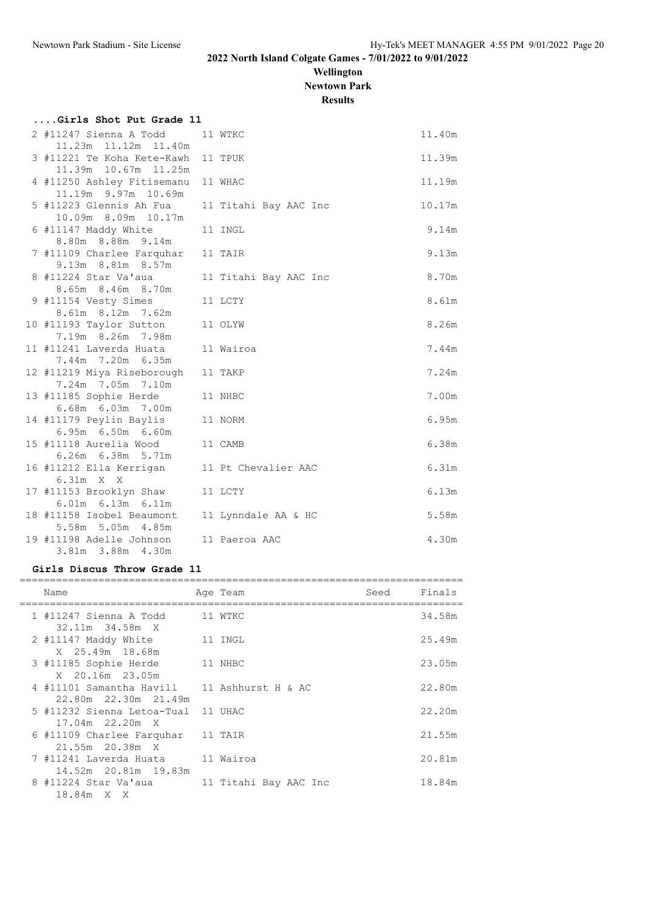**Wellington**

**Newtown Park**

# **Results**

| Girls Shot Put Grade 11                                            |                       |        |
|--------------------------------------------------------------------|-----------------------|--------|
| 2 #11247 Sienna A Todd<br>11.23m  11.12m  11.40m                   | 11 WTKC               | 11.40m |
| 3 #11221 Te Koha Kete-Kawh<br>11.39m 10.67m 11.25m                 | 11 TPUK               | 11.39m |
| 4 #11250 Ashley Fitisemanu<br>11.19m 9.97m 10.69m                  | 11 WHAC               | 11.19m |
| 5 #11223 Glennis Ah Fua<br>10.09m 8.09m 10.17m                     | 11 Titahi Bay AAC Inc | 10.17m |
| 6 #11147 Maddy White<br>8.80m 8.88m 9.14m                          | 11 INGL               | 9.14m  |
| 7 #11109 Charlee Farquhar<br>9.13m 8.81m 8.57m                     | 11 TAIR               | 9.13m  |
| 8 #11224 Star Va'aua<br>8.65m 8.46m 8.70m                          | 11 Titahi Bay AAC Inc | 8.70m  |
| 9 #11154 Vesty Simes<br>8.61m 8.12m 7.62m                          | 11 LCTY               | 8.61m  |
| 10 #11193 Taylor Sutton<br>7.19m 8.26m 7.98m                       | 11 OLYW               | 8.26m  |
| 11 #11241 Laverda Huata<br>7.44m 7.20m 6.35m                       | 11 Wairoa             | 7.44m  |
| 12 #11219 Miya Riseborough<br>7.24m 7.05m 7.10m                    | 11 TAKP               | 7.24m  |
| 13 #11185 Sophie Herde                                             | 11 NHBC               | 7.00m  |
| 6.68m 6.03m 7.00m<br>14 #11179 Peylin Baylis<br>6.95m 6.50m 6.60m  | 11 NORM               | 6.95m  |
| 15 #11118 Aurelia Wood                                             | 11 CAMB               | 6.38m  |
| 6.26m 6.38m 5.71m<br>16 #11212 Ella Kerrigan                       | 11 Pt Chevalier AAC   | 6.31m  |
| 6.31m X X<br>17 #11153 Brooklyn Shaw<br>6.01m 6.13m 6.11m          | 11 LCTY               | 6.13m  |
| 18 #11158 Isobel Beaumont                                          | 11 Lynndale AA & HC   | 5.58m  |
| 5.58m 5.05m 4.85m<br>19 #11198 Adelle Johnson<br>3.81m 3.88m 4.30m | 11 Paeroa AAC         | 4.30m  |

## **Girls Discus Throw Grade 11**

| Name                                                                | Age Team              | Seed | Finals |
|---------------------------------------------------------------------|-----------------------|------|--------|
| 1 #11247 Sienna A Todd<br>32.11m 34.58m X                           | 11 WTKC               |      | 34.58m |
| 2 #11147 Maddy White<br>X 25.49m 18.68m                             | 11 INGL               |      | 25.49m |
| 3 #11185 Sophie Herde<br>X 20.16m 23.05m                            | 11 NHBC               |      | 23.05m |
| 4 #11101 Samantha Havill 11 Ashhurst H & AC<br>22.80m 22.30m 21.49m |                       |      | 22.80m |
| 5 #11232 Sienna Letoa-Tual<br>17.04m 22.20m X                       | 11 UHAC               |      | 22.20m |
| 6 #11109 Charlee Farquhar<br>$21.55m$ $20.38m$ X                    | 11 TAIR               |      | 21.55m |
| 7 #11241 Laverda Huata<br>14.52m 20.81m 19.83m                      | 11 Wairoa             |      | 20.81m |
| 8 #11224 Star Va'aua<br>18.84m X X                                  | 11 Titahi Bay AAC Inc |      | 18.84m |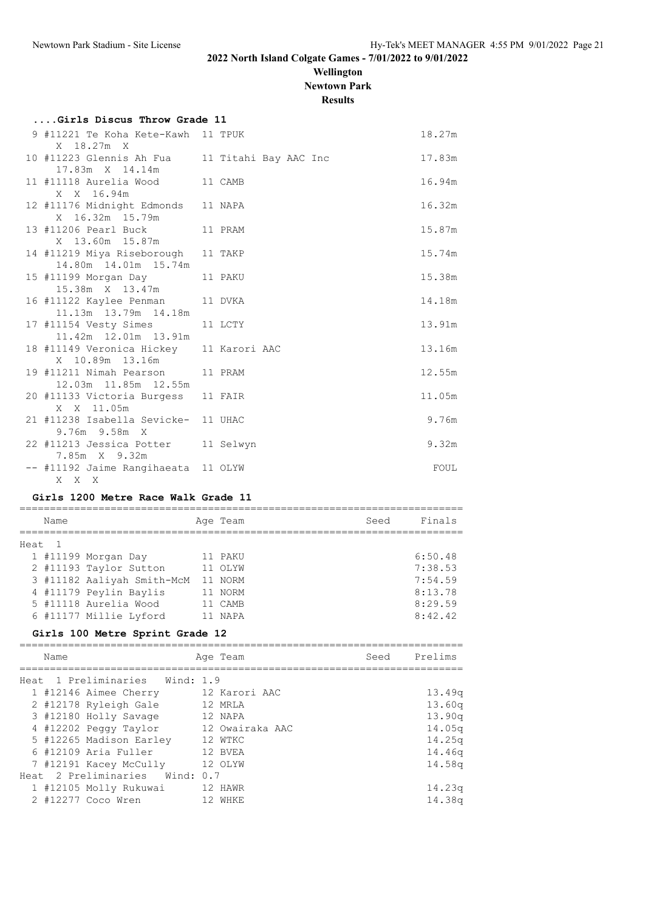**Wellington Newtown Park**

**Results**

| Girls Discus Throw Grade 11                                       |         |  |  |        |
|-------------------------------------------------------------------|---------|--|--|--------|
| 9 #11221 Te Koha Kete-Kawh 11 TPUK<br>X 18.27m X                  |         |  |  | 18.27m |
| 10 #11223 Glennis Ah Fua 11 Titahi Bay AAC Inc<br>17.83m X 14.14m |         |  |  | 17.83m |
| 11 #11118 Aurelia Wood<br>X X 16.94m                              | 11 CAMB |  |  | 16.94m |
| 12 #11176 Midnight Edmonds 11 NAPA<br>X 16.32m 15.79m             |         |  |  | 16.32m |
| 13 #11206 Pearl Buck 11 PRAM<br>X 13.60m 15.87m                   |         |  |  | 15.87m |
| 14 #11219 Miya Riseborough 11 TAKP<br>14.80m  14.01m  15.74m      |         |  |  | 15.74m |
| 15 #11199 Morgan Day<br>15.38m X 13.47m                           | 11 PAKU |  |  | 15.38m |
| 16 #11122 Kaylee Penman<br>11.13m  13.79m  14.18m                 | 11 DVKA |  |  | 14.18m |
| 17 #11154 Vesty Simes<br>11.42m 12.01m 13.91m                     | 11 LCTY |  |  | 13.91m |
| 18 #11149 Veronica Hickey 11 Karori AAC<br>X 10.89m 13.16m        |         |  |  | 13.16m |
| 19 #11211 Nimah Pearson 11 PRAM<br>12.03m  11.85m  12.55m         |         |  |  | 12.55m |
| 20 #11133 Victoria Burgess 11 FAIR<br>X X 11.05m                  |         |  |  | 11.05m |
| 21 #11238 Isabella Sevicke- 11 UHAC<br>9.76m 9.58m X              |         |  |  | 9.76m  |
| 22 #11213 Jessica Potter 11 Selwyn<br>7.85m X 9.32m               |         |  |  | 9.32m  |
| -- #11192 Jaime Rangihaeata 11 OLYW<br>X X X                      |         |  |  | FOUL   |

#### **Girls 1200 Metre Race Walk Grade 11**

| Name   |                            | Age Team | Seed | Finals  |
|--------|----------------------------|----------|------|---------|
| Heat 1 |                            |          |      |         |
|        | 1 #11199 Morgan Day        | 11 PAKU  |      | 6:50.48 |
|        | 2 #11193 Taylor Sutton     | 11 OLYW  |      | 7:38.53 |
|        | 3 #11182 Aaliyah Smith-McM | 11 NORM  |      | 7:54.59 |
|        | 4 #11179 Peylin Baylis     | 11 NORM  |      | 8:13.78 |
|        | 5 #11118 Aurelia Wood      | CAMB     |      | 8:29.59 |
|        | 6 #11177 Millie Lyford     | NAPA     |      | 8:42.42 |
|        |                            |          |      |         |

## **Girls 100 Metre Sprint Grade 12**

| Name                                  | Age Team | Seed Prelims |        |
|---------------------------------------|----------|--------------|--------|
| Heat 1 Preliminaries Wind: 1.9        |          |              |        |
| 1 #12146 Aimee Cherry 12 Karori AAC   |          |              | 13.49q |
| 2 #12178 Ryleigh Gale 12 MRLA         |          |              | 13.60q |
| 3 #12180 Holly Savage                 | 12 NAPA  |              | 13.90q |
| 4 #12202 Peggy Taylor 12 Owairaka AAC |          |              | 14.05q |
| 5 #12265 Madison Earley               | 12 WTKC  |              | 14.25g |
| 6 #12109 Aria Fuller                  | 12 BVEA  |              | 14.46q |
| 7 #12191 Kacey McCully                | 12 OLYW  |              | 14.58q |
| Heat 2 Preliminaries Wind: 0.7        |          |              |        |
| 1 #12105 Molly Rukuwai 12 HAWR        |          |              | 14.23q |
| 2 #12277 Coco Wren                    | 12 WHKE  |              | 14.38q |
|                                       |          |              |        |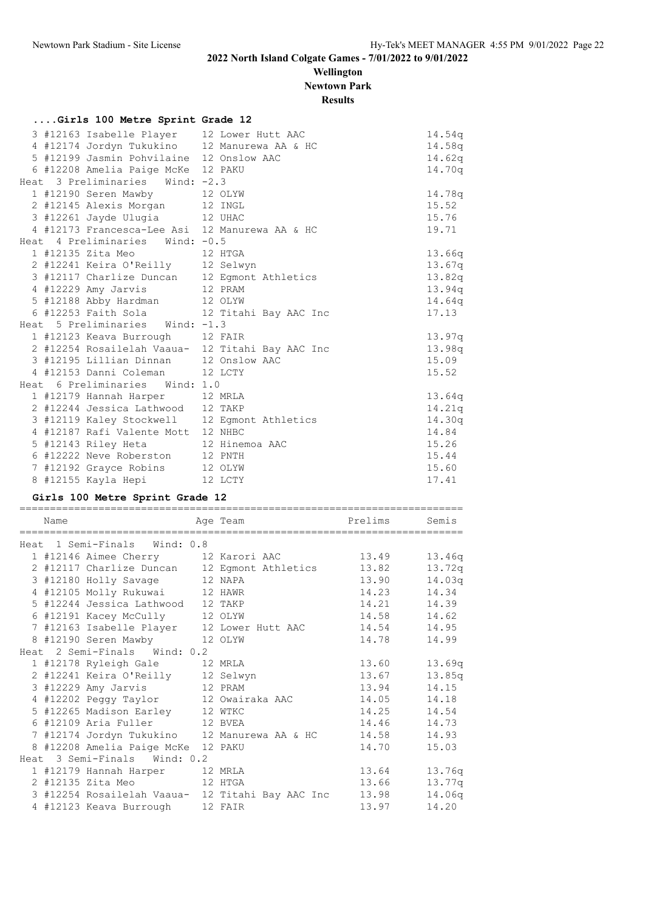## **Wellington Newtown Park**

# **Results**

|  |  |  |  | Girls 100 Metre Sprint Grade 12 |  |  |
|--|--|--|--|---------------------------------|--|--|
|--|--|--|--|---------------------------------|--|--|

|  | 3 #12163 Isabelle Player 12 Lower Hutt AAC |                                                  | 14.54q |
|--|--------------------------------------------|--------------------------------------------------|--------|
|  |                                            | 4 #12174 Jordyn Tukukino 12 Manurewa AA & HC     | 14.58q |
|  | 5 #12199 Jasmin Pohvilaine 12 Onslow AAC   |                                                  | 14.62q |
|  | 6 #12208 Amelia Paige McKe 12 PAKU         |                                                  | 14.70q |
|  | Heat 3 Preliminaries Wind: -2.3            |                                                  |        |
|  | 1 #12190 Seren Mawby 12 OLYW               |                                                  | 14.78a |
|  | 2 #12145 Alexis Morgan 12 INGL             |                                                  | 15.52  |
|  | 3 #12261 Jayde Ulugia 12 UHAC              |                                                  | 15.76  |
|  |                                            | 4 #12173 Francesca-Lee Asi 12 Manurewa AA & HC   | 19.71  |
|  | Heat 4 Preliminaries Wind: -0.5            |                                                  |        |
|  | 1 #12135 Zita Meo 12 HTGA                  |                                                  | 13.66q |
|  | 2 #12241 Keira O'Reilly 12 Selwyn          |                                                  | 13.67q |
|  |                                            | 3 #12117 Charlize Duncan 12 Egmont Athletics     | 13.82q |
|  | 4 #12229 Amy Jarvis 12 PRAM                |                                                  | 13.94q |
|  | 5 #12188 Abby Hardman 12 OLYW              |                                                  | 14.64q |
|  |                                            | 6 #12253 Faith Sola 12 Titahi Bay AAC Inc        | 17.13  |
|  | Heat 5 Preliminaries Wind: -1.3            |                                                  |        |
|  | 1 #12123 Keava Burrough 12 FAIR            |                                                  | 13.97q |
|  |                                            | 2 #12254 Rosailelah Vaaua- 12 Titahi Bay AAC Inc | 13.98q |
|  | 3 #12195 Lillian Dinnan 12 Onslow AAC      |                                                  | 15.09  |
|  | 4 #12153 Danni Coleman 12 LCTY             |                                                  | 15.52  |
|  | Heat 6 Preliminaries Wind: 1.0             |                                                  |        |
|  | 1 #12179 Hannah Harper 12 MRLA             |                                                  | 13.64q |
|  | 2 #12244 Jessica Lathwood 12 TAKP          |                                                  | 14.21q |
|  |                                            | 3 #12119 Kaley Stockwell 12 Egmont Athletics     | 14.30q |
|  | 4 #12187 Rafi Valente Mott 12 NHBC         |                                                  | 14.84  |
|  | 5 #12143 Riley Heta 12 Hinemoa AAC         |                                                  | 15.26  |
|  | 6 #12222 Neve Roberston 12 PNTH            |                                                  | 15.44  |
|  | 7 #12192 Grayce Robins 12 OLYW             |                                                  | 15.60  |
|  | 8 #12155 Kayla Hepi 12 LCTY                |                                                  | 17.41  |

### **Girls 100 Metre Sprint Grade 12**

| Name |                                     | <u>Prelims</u><br>Age Team                       |       | Semis  |
|------|-------------------------------------|--------------------------------------------------|-------|--------|
|      | Heat 1 Semi-Finals Wind: 0.8        |                                                  |       |        |
|      | 1 #12146 Aimee Cherry 12 Karori AAC |                                                  | 13.49 | 13.46q |
|      |                                     | 2 #12117 Charlize Duncan 12 Egmont Athletics     | 13.82 | 13.72q |
|      | 3 #12180 Holly Savage 12 NAPA       |                                                  | 13.90 | 14.03q |
|      | 4 #12105 Molly Rukuwai 12 HAWR      |                                                  | 14.23 | 14.34  |
|      | 5 #12244 Jessica Lathwood 12 TAKP   |                                                  | 14.21 | 14.39  |
|      | 6 #12191 Kacey McCully 12 OLYW      |                                                  | 14.58 | 14.62  |
|      |                                     | 7 #12163 Isabelle Player 12 Lower Hutt AAC       | 14.54 | 14.95  |
|      | 8 #12190 Seren Mawby 12 OLYW        |                                                  | 14.78 | 14.99  |
|      | Heat 2 Semi-Finals Wind: 0.2        |                                                  |       |        |
|      | 1 #12178 Ryleigh Gale 12 MRLA       |                                                  | 13.60 | 13.69q |
|      | 2 #12241 Keira O'Reilly 12 Selwyn   |                                                  | 13.67 | 13.85q |
|      | 3 #12229 Amy Jarvis 12 PRAM         |                                                  | 13.94 | 14.15  |
|      |                                     | 4 #12202 Peggy Taylor 12 Owairaka AAC            | 14.05 | 14.18  |
|      | 5 #12265 Madison Earley 12 WTKC     |                                                  | 14.25 | 14.54  |
|      | 6 #12109 Aria Fuller 12 BVEA        |                                                  | 14.46 | 14.73  |
|      |                                     | 7 #12174 Jordyn Tukukino 12 Manurewa AA & HC     | 14.58 | 14.93  |
|      | 8 #12208 Amelia Paige McKe 12 PAKU  |                                                  | 14.70 | 15.03  |
|      | Heat 3 Semi-Finals Wind: 0.2        |                                                  |       |        |
|      | 1 #12179 Hannah Harper 12 MRLA      |                                                  | 13.64 | 13.76g |
|      | 2 #12135 Zita Meo 12 HTGA           |                                                  | 13.66 | 13.77q |
|      |                                     | 3 #12254 Rosailelah Vaaua- 12 Titahi Bay AAC Inc | 13.98 | 14.06q |
|      | 4 #12123 Keava Burrough 12 FAIR     |                                                  | 13.97 | 14.20  |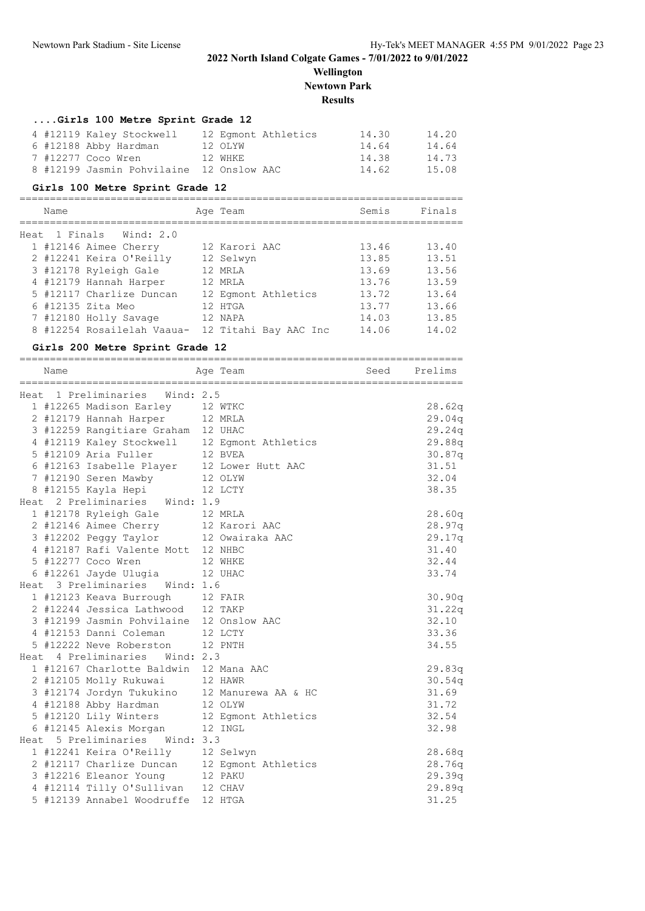**Wellington Newtown Park**

#### **Results**

#### **....Girls 100 Metre Sprint Grade 12**

|  | 4 #12119 Kaley Stockwell                 | 12 Eqmont Athletics | 14.30 | 14.20 |
|--|------------------------------------------|---------------------|-------|-------|
|  | 6 #12188 Abby Hardman                    | 12 OLYW             | 14.64 | 14.64 |
|  | 7 #12277 Coco Wren                       | 12 WHKE             | 14.38 | 14.73 |
|  | 8 #12199 Jasmin Pohvilaine 12 Onslow AAC |                     | 14.62 | 15.08 |

#### **Girls 100 Metre Sprint Grade 12**

#### ========================================================================= Name **Age Team** Age Team Semis Finals ========================================================================= Heat 1 Finals Wind: 2.0 1 #12146 Aimee Cherry 12 Karori AAC 13.46 13.40 2 #12241 Keira O'Reilly 12 Selwyn 13.85 13.51 3 #12178 Ryleigh Gale 12 MRLA 13.69 13.56 4 #12179 Hannah Harper 12 MRLA 13.76 13.59 5 #12117 Charlize Duncan 12 Egmont Athletics 13.72 13.64 6 #12135 Zita Meo 12 HTGA 13.77 13.66 7 #12180 Holly Savage 12 NAPA 14.03 13.85 8 #12254 Rosailelah Vaaua- 12 Titahi Bay AAC Inc 14.06 14.02

#### **Girls 200 Metre Sprint Grade 12**

| ==========<br>Name                                                      |         | Age Team                                     | Seed | Prelims |
|-------------------------------------------------------------------------|---------|----------------------------------------------|------|---------|
| =====================================<br>Heat 1 Preliminaries Wind: 2.5 |         |                                              |      |         |
| 1 #12265 Madison Earley 12 WTKC                                         |         |                                              |      | 28.62q  |
| 2 #12179 Hannah Harper 12 MRLA                                          |         |                                              |      | 29.04q  |
| 3 #12259 Rangitiare Graham 12 UHAC                                      |         |                                              |      | 29.24q  |
|                                                                         |         | 4 #12119 Kaley Stockwell 12 Eqmont Athletics |      | 29.88q  |
| 5 #12109 Aria Fuller                                                    | 12 BVEA |                                              |      | 30.87q  |
| 6 #12163 Isabelle Player 12 Lower Hutt AAC                              |         |                                              |      | 31.51   |
| 7 #12190 Seren Mawby 12 OLYW                                            |         |                                              |      | 32.04   |
| 8 #12155 Kayla Hepi 12 LCTY                                             |         |                                              |      | 38.35   |
| Heat 2 Preliminaries Wind: 1.9                                          |         |                                              |      |         |
| 1 #12178 Ryleigh Gale 12 MRLA                                           |         |                                              |      | 28.60q  |
| 2 #12146 Aimee Cherry 12 Karori AAC                                     |         |                                              |      | 28.97q  |
| 3 #12202 Peggy Taylor 12 Owairaka AAC                                   |         |                                              |      | 29.17q  |
| 4 #12187 Rafi Valente Mott 12 NHBC                                      |         |                                              |      | 31.40   |
| 5 #12277 Coco Wren                                                      | 12 WHKE |                                              |      | 32.44   |
| 6 #12261 Jayde Ulugia 12 UHAC                                           |         |                                              |      | 33.74   |
| Heat 3 Preliminaries Wind: 1.6                                          |         |                                              |      |         |
| 1 #12123 Keava Burrough 12 FAIR                                         |         |                                              |      | 30.90q  |
| 2 #12244 Jessica Lathwood 12 TAKP                                       |         |                                              |      | 31.22q  |
| 3 #12199 Jasmin Pohvilaine 12 Onslow AAC                                |         |                                              |      | 32.10   |
| 4 #12153 Danni Coleman                                                  | 12 LCTY |                                              |      | 33.36   |
| 5 #12222 Neve Roberston                                                 |         | 12 PNTH                                      |      | 34.55   |
| Heat 4 Preliminaries Wind: 2.3                                          |         |                                              |      |         |
| 1 #12167 Charlotte Baldwin 12 Mana AAC                                  |         |                                              |      | 29.83q  |
| 2 #12105 Molly Rukuwai 12 HAWR                                          |         |                                              |      | 30.54q  |
|                                                                         |         | 3 #12174 Jordyn Tukukino 12 Manurewa AA & HC |      | 31.69   |
| 4 #12188 Abby Hardman                                                   |         | 12 OLYW                                      |      | 31.72   |
| 5 #12120 Lily Winters                                                   |         | 12 Egmont Athletics                          |      | 32.54   |
| 6 #12145 Alexis Morgan 12 INGL                                          |         |                                              |      | 32.98   |
| Heat 5 Preliminaries Wind: 3.3                                          |         |                                              |      |         |
| 1 #12241 Keira O'Reilly 12 Selwyn                                       |         |                                              |      | 28.68q  |
|                                                                         |         | 2 #12117 Charlize Duncan 12 Egmont Athletics |      | 28.76q  |
| 3 #12216 Eleanor Young 12 PAKU                                          |         |                                              |      | 29.39q  |
| 4 #12114 Tilly O'Sullivan 12 CHAV                                       |         |                                              |      | 29.89q  |
| 5 #12139 Annabel Woodruffe 12 HTGA                                      |         |                                              |      | 31.25   |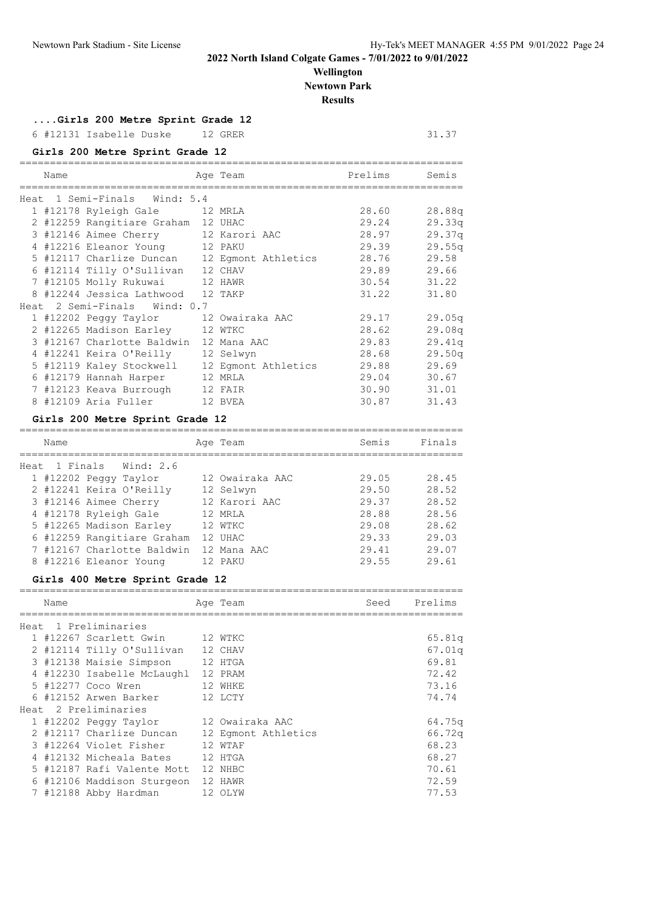## **Wellington Newtown Park**

**Results**

**....Girls 200 Metre Sprint Grade 12**

6 #12131 Isabelle Duske 12 GRER 31.37

### **Girls 200 Metre Sprint Grade 12**

| Name |                                              | Age Team            | Prelims | Semis  |
|------|----------------------------------------------|---------------------|---------|--------|
|      | Heat 1 Semi-Finals Wind: 5.4                 |                     |         |        |
|      | 1 #12178 Ryleigh Gale 12 MRLA                |                     | 28.60   | 28.88q |
|      | 2 #12259 Rangitiare Graham 12 UHAC           |                     | 29.24   | 29.33q |
|      | 3 #12146 Aimee Cherry 12 Karori AAC          |                     | 28.97   | 29.37q |
|      | 4 #12216 Eleanor Young 12 PAKU               |                     | 29.39   | 29.55q |
|      | 5 #12117 Charlize Duncan 12 Eqmont Athletics |                     | 28.76   | 29.58  |
|      | 6 #12114 Tilly O'Sullivan 12 CHAV            |                     | 29.89   | 29.66  |
|      | 7 #12105 Molly Rukuwai                       | 12 HAWR             | 30.54   | 31.22  |
|      | 8 #12244 Jessica Lathwood                    | 12 TAKP             | 31.22   | 31.80  |
|      | Heat 2 Semi-Finals Wind: 0.7                 |                     |         |        |
|      | 1 #12202 Peqqy Taylor                        | 12 Owairaka AAC     | 29.17   | 29.05q |
|      | 2 #12265 Madison Earley 12 WTKC              |                     | 28.62   | 29.08q |
|      | 3 #12167 Charlotte Baldwin                   | 12 Mana AAC         | 29.83   | 29.41q |
|      | 4 #12241 Keira O'Reilly                      | 12 Selwyn           | 28.68   | 29.50q |
|      | 5 #12119 Kaley Stockwell                     | 12 Eqmont Athletics | 29.88   | 29.69  |
|      | 6 #12179 Hannah Harper                       | 12 MRLA             | 29.04   | 30.67  |
|      | 7 #12123 Keava Burrough                      | 12 FAIR             | 30.90   | 31.01  |
|      | 8 #12109 Aria Fuller                         | 12 BVEA             | 30.87   | 31.43  |

#### **Girls 200 Metre Sprint Grade 12**

| Name |                            | Age Team        | Semis | Finals |
|------|----------------------------|-----------------|-------|--------|
|      | Heat 1 Finals Wind: 2.6    |                 |       |        |
|      | 1 #12202 Peqqy Taylor      | 12 Owairaka AAC | 29.05 | 28.45  |
|      | 2 #12241 Keira O'Reilly    | 12 Selwyn       | 29.50 | 28.52  |
|      | 3 #12146 Aimee Cherry      | 12 Karori AAC   | 29.37 | 28.52  |
|      | 4 #12178 Ryleigh Gale      | 12 MRLA         | 28.88 | 28.56  |
|      | 5 #12265 Madison Earley    | 12 WTKC         | 29.08 | 28.62  |
|      | 6 #12259 Rangitiare Graham | 12 UHAC         | 29.33 | 29.03  |
|      | 7 #12167 Charlotte Baldwin | 12 Mana AAC     | 29.41 | 29.07  |
|      | 8 #12216 Eleanor Young     | 12 PAKU         | 29.55 | 29.61  |

### **Girls 400 Metre Sprint Grade 12**

| Name |                            | Age Team            | Seed | Prelims |
|------|----------------------------|---------------------|------|---------|
|      | Heat 1 Preliminaries       |                     |      |         |
|      | 1 #12267 Scarlett Gwin     | 12 WTKC             |      | 65.81q  |
|      | 2 #12114 Tilly O'Sullivan  | 12 CHAV             |      | 67.01q  |
|      | 3 #12138 Maisie Simpson    | 12 HTGA             |      | 69.81   |
|      | 4 #12230 Isabelle McLaughl | 12 PRAM             |      | 72.42   |
|      | 5 #12277 Coco Wren         | 12 WHKE             |      | 73.16   |
|      | 6 #12152 Arwen Barker      | 12 LCTY             |      | 74.74   |
|      | Heat 2 Preliminaries       |                     |      |         |
|      | 1 #12202 Peggy Taylor      | 12 Owairaka AAC     |      | 64.75q  |
|      | 2 #12117 Charlize Duncan   | 12 Eqmont Athletics |      | 66.72q  |
|      | 3 #12264 Violet Fisher     | 12 WTAF             |      | 68.23   |
|      | 4 #12132 Micheala Bates    | 12 HTGA             |      | 68.27   |
|      | 5 #12187 Rafi Valente Mott | 12 NHBC             |      | 70.61   |
|      | 6 #12106 Maddison Sturgeon | 12 HAWR             |      | 72.59   |
|      | 7 #12188 Abby Hardman      | 12 OLYW             |      | 77.53   |
|      |                            |                     |      |         |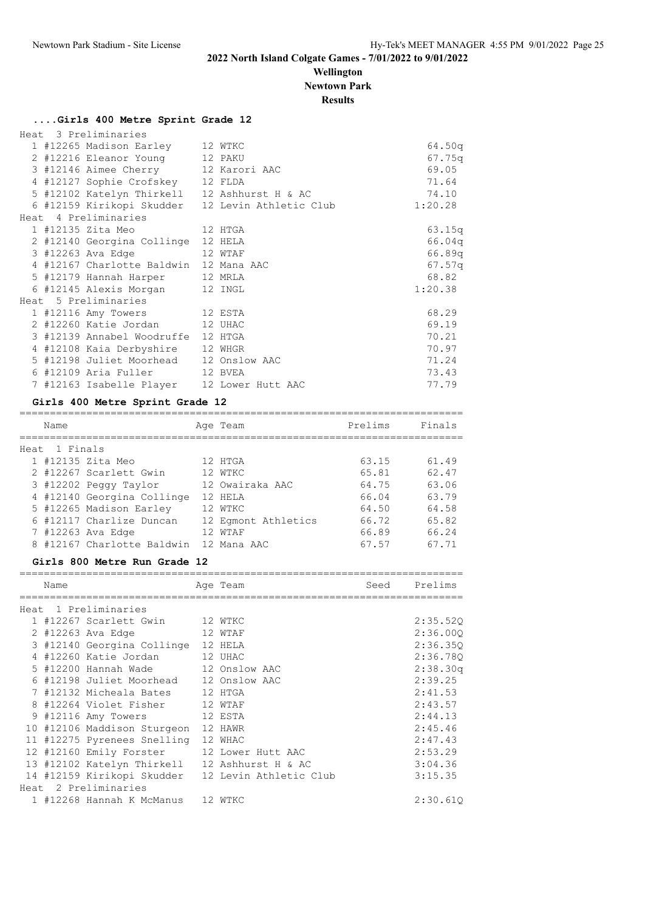## **Wellington Newtown Park**

**Results**

## **....Girls 400 Metre Sprint Grade 12**

|  | Heat 3 Preliminaries                         |                                                  |         |
|--|----------------------------------------------|--------------------------------------------------|---------|
|  | 1 #12265 Madison Earley 12 WTKC              |                                                  | 64.50q  |
|  | 2 #12216 Eleanor Young 12 PAKU               |                                                  | 67.75q  |
|  | 3 #12146 Aimee Cherry 12 Karori AAC          |                                                  | 69.05   |
|  | 4 #12127 Sophie Crofskey 12 FLDA             |                                                  | 71.64   |
|  | 5 #12102 Katelyn Thirkell 12 Ashhurst H & AC |                                                  | 74.10   |
|  |                                              | 6 #12159 Kirikopi Skudder 12 Levin Athletic Club | 1:20.28 |
|  | Heat 4 Preliminaries                         |                                                  |         |
|  |                                              |                                                  | 63.15q  |
|  | 2 #12140 Georgina Collinge 12 HELA           |                                                  | 66.04q  |
|  | 3 #12263 Ava Edge<br>12 WTAF                 |                                                  | 66.89q  |
|  | 4 #12167 Charlotte Baldwin 12 Mana AAC       |                                                  | 67.57q  |
|  | 5 #12179 Hannah Harper 12 MRLA               |                                                  | 68.82   |
|  | 6 #12145 Alexis Morgan 12 INGL               |                                                  | 1:20.38 |
|  | Heat 5 Preliminaries                         |                                                  |         |
|  | 1 #12116 Amy Towers 12 ESTA                  |                                                  | 68.29   |
|  | 2 #12260 Katie Jordan 12 UHAC                |                                                  | 69.19   |
|  | 3 #12139 Annabel Woodruffe 12 HTGA           |                                                  | 70.21   |
|  | 4 #12108 Kaia Derbyshire 12 WHGR             |                                                  | 70.97   |
|  | 5 #12198 Juliet Moorhead 12 Onslow AAC       |                                                  | 71.24   |
|  | 6 #12109 Aria Fuller 12 BVEA                 |                                                  | 73.43   |
|  | 7 #12163 Isabelle Player 12 Lower Hutt AAC   |                                                  | 77.79   |

## **Girls 400 Metre Sprint Grade 12**

| Name          |                            | Age Team            | Prelims | Finals |
|---------------|----------------------------|---------------------|---------|--------|
| Heat 1 Finals |                            |                     |         |        |
|               | 1 #12135 Zita Meo          | 12 HTGA             | 63.15   | 61.49  |
|               | 2 #12267 Scarlett Gwin     | 12 WTKC             | 65.81   | 62.47  |
|               | 3 #12202 Peggy Taylor      | 12 Owairaka AAC     | 64.75   | 63.06  |
|               | 4 #12140 Georgina Collinge | 12 HELA             | 66.04   | 63.79  |
|               | 5 #12265 Madison Earley    | 12 WTKC             | 64.50   | 64.58  |
|               | 6 #12117 Charlize Duncan   | 12 Eqmont Athletics | 66.72   | 65.82  |
|               | 7 #12263 Ava Edge          | 12 WTAF             | 66.89   | 66.24  |
|               | 8 #12167 Charlotte Baldwin | 12 Mana AAC         | 67.57   | 67.71  |
|               |                            |                     |         |        |

#### **Girls 800 Metre Run Grade 12**

| Name |                                   | Age Team               | Seed | Prelims  |
|------|-----------------------------------|------------------------|------|----------|
|      |                                   |                        |      |          |
|      | Heat 1 Preliminaries              |                        |      |          |
|      | 1 #12267 Scarlett Gwin            | 12 WTKC                |      | 2:35.520 |
|      | 2 #12263 Ava Edge                 | 12 WTAF                |      | 2:36.000 |
|      | 3 #12140 Georgina Collinge        | 12 HELA                |      | 2:36.350 |
|      | 4 #12260 Katie Jordan             | 12 UHAC                |      | 2:36.780 |
|      | 5 #12200 Hannah Wade              | 12 Onslow AAC          |      | 2:38.30q |
|      | 6 #12198 Juliet Moorhead          | 12 Onslow AAC          |      | 2:39.25  |
|      | 7 #12132 Micheala Bates           | 12 HTGA                |      | 2:41.53  |
|      | #12264 Violet Fisher              | 12 WTAF                |      | 2:43.57  |
|      | 9 #12116 Amy Towers               | 12 ESTA                |      | 2:44.13  |
|      | 10 #12106 Maddison Sturgeon       | 12 HAWR                |      | 2:45.46  |
|      | 11 #12275 Pyrenees Snelling       | 12 WHAC                |      | 2:47.43  |
|      | 12 #12160 Emily Forster           | 12 Lower Hutt AAC      |      | 2:53.29  |
|      | 13 #12102 Katelyn Thirkell        | 12 Ashhurst H & AC     |      | 3:04.36  |
|      | 14 #12159 Kirikopi Skudder        | 12 Levin Athletic Club |      | 3:15.35  |
|      | Heat 2 Preliminaries              |                        |      |          |
|      | 1 #12268 Hannah K McManus 12 WTKC |                        |      | 2:30.610 |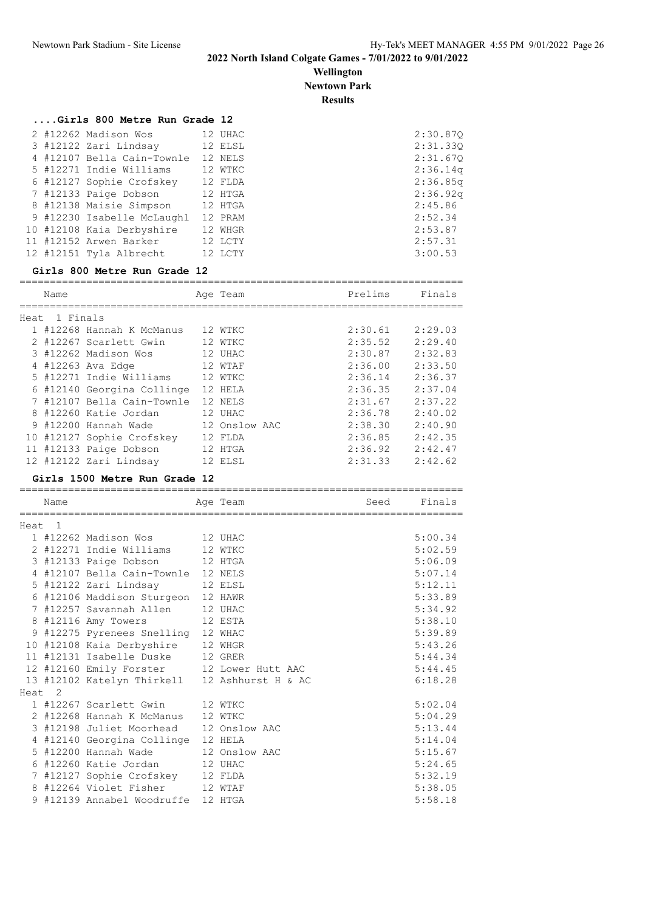**Wellington Newtown Park**

**Results**

=========================================================================

## **....Girls 800 Metre Run Grade 12**

|  | 2 #12262 Madison Wos       | 12 UHAC | 2:30.870 |
|--|----------------------------|---------|----------|
|  | 3 #12122 Zari Lindsay      | 12 ELSL | 2:31.330 |
|  | 4 #12107 Bella Cain-Townle | 12 NELS | 2:31.670 |
|  | 5 #12271 Indie Williams    | 12 WTKC | 2:36.14q |
|  | 6 #12127 Sophie Crofskey   | 12 FLDA | 2:36.85q |
|  | 7 #12133 Paige Dobson      | 12 HTGA | 2:36.92q |
|  | 8 #12138 Maisie Simpson    | 12 HTGA | 2:45.86  |
|  | 9 #12230 Isabelle McLaughl | 12 PRAM | 2:52.34  |
|  | 10 #12108 Kaia Derbyshire  | 12 WHGR | 2:53.87  |
|  | 11 #12152 Arwen Barker     | 12 LCTY | 2:57.31  |
|  | 12 #12151 Tyla Albrecht    | 12 LCTY | 3:00.53  |

#### **Girls 800 Metre Run Grade 12**

| Name          |                            | Age Team      | Prelims | Finals  |
|---------------|----------------------------|---------------|---------|---------|
|               |                            |               |         |         |
| Heat 1 Finals |                            |               |         |         |
|               | 1 #12268 Hannah K McManus  | 12 WTKC       | 2:30.61 | 2:29.03 |
|               | 2 #12267 Scarlett Gwin     | 12 WTKC       | 2:35.52 | 2:29.40 |
|               | 3 #12262 Madison Wos       | 12 UHAC       | 2:30.87 | 2:32.83 |
|               | 4 #12263 Ava Edge          | 12 WTAF       | 2:36.00 | 2:33.50 |
|               | 5 #12271 Indie Williams    | 12 WTKC       | 2:36.14 | 2:36.37 |
|               | 6 #12140 Georgina Collinge | 12 HELA       | 2:36.35 | 2:37.04 |
|               | 7 #12107 Bella Cain-Townle | 12 NELS       | 2:31.67 | 2:37.22 |
|               | 8 #12260 Katie Jordan      | 12 UHAC       | 2:36.78 | 2:40.02 |
|               | 9 #12200 Hannah Wade       | 12 Onslow AAC | 2:38.30 | 2:40.90 |
|               | 10 #12127 Sophie Crofskey  | 12 FLDA       | 2:36.85 | 2:42.35 |
|               | 11 #12133 Paige Dobson     | 12 HTGA       | 2:36.92 | 2:42.47 |
|               | 12 #12122 Zari Lindsay     | 12 ELSL       | 2:31.33 | 2:42.62 |

#### **Girls 1500 Metre Run Grade 12**

|        | Name              |                                               | Age Team | Seed | Finals  |
|--------|-------------------|-----------------------------------------------|----------|------|---------|
| Heat 1 |                   |                                               |          |      |         |
|        |                   | 1 #12262 Madison Wos         12 UHAC          |          |      | 5:00.34 |
|        |                   | 2 #12271 Indie Williams 12 WTKC               |          |      | 5:02.59 |
|        |                   | 3 #12133 Paige Dobson 12 HTGA                 |          |      | 5:06.09 |
|        |                   | 4 #12107 Bella Cain-Townle 12 NELS            |          |      | 5:07.14 |
|        |                   | 5 #12122 Zari Lindsay 12 ELSL                 |          |      | 5:12.11 |
|        |                   | 6 #12106 Maddison Sturgeon 12 HAWR            |          |      | 5:33.89 |
|        |                   | 7 #12257 Savannah Allen 12 UHAC               |          |      | 5:34.92 |
|        |                   | 8 #12116 Amy Towers 12 ESTA                   |          |      | 5:38.10 |
|        |                   | 9 #12275 Pyrenees Snelling 12 WHAC            |          |      | 5:39.89 |
|        |                   | 10 #12108 Kaia Derbyshire 12 WHGR             |          |      | 5:43.26 |
|        |                   | 11 #12131 Isabelle Duske 12 GRER              |          |      | 5:44.34 |
|        |                   | 12 #12160 Emily Forster 12 Lower Hutt AAC     |          |      | 5:44.45 |
|        |                   | 13 #12102 Katelyn Thirkell 12 Ashhurst H & AC |          |      | 6:18.28 |
|        | Heat <sub>2</sub> |                                               |          |      |         |
|        |                   | 1 #12267 Scarlett Gwin 12 WTKC                |          |      | 5:02.04 |
|        |                   | 2 #12268 Hannah K McManus 12 WTKC             |          |      | 5:04.29 |
|        |                   | 3 #12198 Juliet Moorhead 12 Onslow AAC        |          |      | 5:13.44 |
|        |                   | 4 #12140 Georgina Collinge 12 HELA            |          |      | 5:14.04 |
|        |                   | 5 #12200 Hannah Wade 12 Onslow AAC            |          |      | 5:15.67 |
|        |                   | 6 #12260 Katie Jordan 12 UHAC                 |          |      | 5:24.65 |
|        |                   | 7 #12127 Sophie Crofskey 12 FLDA              |          |      | 5:32.19 |
|        |                   | 8 #12264 Violet Fisher                        | 12 WTAF  |      | 5:38.05 |
|        |                   | 9 #12139 Annabel Woodruffe 12 HTGA            |          |      | 5:58.18 |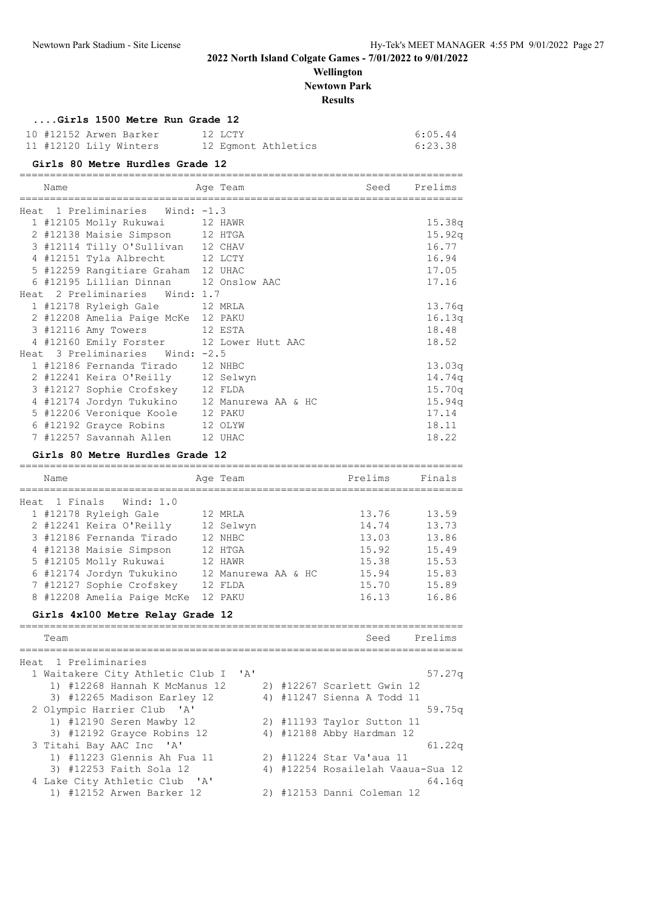## **Wellington Newtown Park**

**Results**

|      | Gills 1900 Metie Rull Glaue IZ               |          |              |
|------|----------------------------------------------|----------|--------------|
|      | 10 #12152 Arwen Barker 12 LCTY               |          | 6:05.44      |
|      | 11 #12120 Lily Winters 12 Egmont Athletics   |          | 6:23.38      |
|      | Girls 80 Metre Hurdles Grade 12              |          |              |
| Name |                                              | Age Team | Seed Prelims |
|      | Heat 1 Preliminaries Wind: -1.3              |          |              |
|      | 1 #12105 Molly Rukuwai 12 HAWR               |          | 15.38q       |
|      | 2 #12138 Maisie Simpson 12 HTGA              |          | 15.92q       |
|      | 3 #12114 Tilly O'Sullivan 12 CHAV            |          | 16.77        |
|      | 4 #12151 Tyla Albrecht 12 LCTY               |          | 16.94        |
|      | 5 #12259 Rangitiare Graham 12 UHAC           |          | 17.05        |
|      | 6 #12195 Lillian Dinnan 12 Onslow AAC        |          | 17.16        |
|      | Heat 2 Preliminaries Wind: 1.7               |          |              |
|      | 1 #12178 Ryleigh Gale 12 MRLA                |          | 13.76q       |
|      | 2 #12208 Amelia Paige McKe 12 PAKU           |          | 16.13q       |
|      | 3 #12116 Amy Towers 12 ESTA                  |          | 18.48        |
|      | 4 #12160 Emily Forster 12 Lower Hutt AAC     |          | 18.52        |
|      | Heat 3 Preliminaries Wind: -2.5              |          |              |
|      | 1 #12186 Fernanda Tirado 12 NHBC             |          | 13.03q       |
|      | 2 #12241 Keira O'Reilly 12 Selwyn            |          | 14.74q       |
|      | 3 #12127 Sophie Crofskey 12 FLDA             |          | 15.70q       |
|      | 4 #12174 Jordyn Tukukino 12 Manurewa AA & HC |          | 15.94q       |
|      | 5 #12206 Veronique Koole 12 PAKU             |          | 17.14        |
|      | 6 #12192 Grayce Robins 12 OLYW               |          | 18.11        |
|      | 7 #12257 Savannah Allen 12 UHAC              |          | 18.22        |

### **Girls 80 Metre Hurdles Grade 12**

| Name |                            | Age Team            | Prelims | Finals |
|------|----------------------------|---------------------|---------|--------|
|      |                            |                     |         |        |
|      | Heat 1 Finals Wind: 1.0    |                     |         |        |
|      | 1 #12178 Ryleigh Gale      | 12 MRLA             | 13.76   | 13.59  |
|      | 2 #12241 Keira O'Reilly    | 12 Selwyn           | 14.74   | 13.73  |
|      | 3 #12186 Fernanda Tirado   | 12 NHBC             | 13.03   | 13.86  |
|      | 4 #12138 Maisie Simpson    | 12 HTGA             | 15.92   | 15.49  |
|      | 5 #12105 Molly Rukuwai     | 12 HAWR             | 15.38   | 15.53  |
|      | 6 #12174 Jordyn Tukukino   | 12 Manurewa AA & HC | 15.94   | 15.83  |
|      | 7 #12127 Sophie Crofskey   | 12 FLDA             | 15.70   | 15.89  |
|      | 8 #12208 Amelia Paige McKe | 12 PAKU             | 16.13   | 16.86  |
|      |                            |                     |         |        |

## **Girls 4x100 Metre Relay Grade 12**

| Prelims                           |
|-----------------------------------|
|                                   |
|                                   |
| 57.27q                            |
|                                   |
|                                   |
| 59.75q                            |
|                                   |
|                                   |
| 61.22q                            |
|                                   |
| 4) #12254 Rosailelah Vaaua-Sua 12 |
| 64.16 <sub>a</sub>                |
|                                   |
|                                   |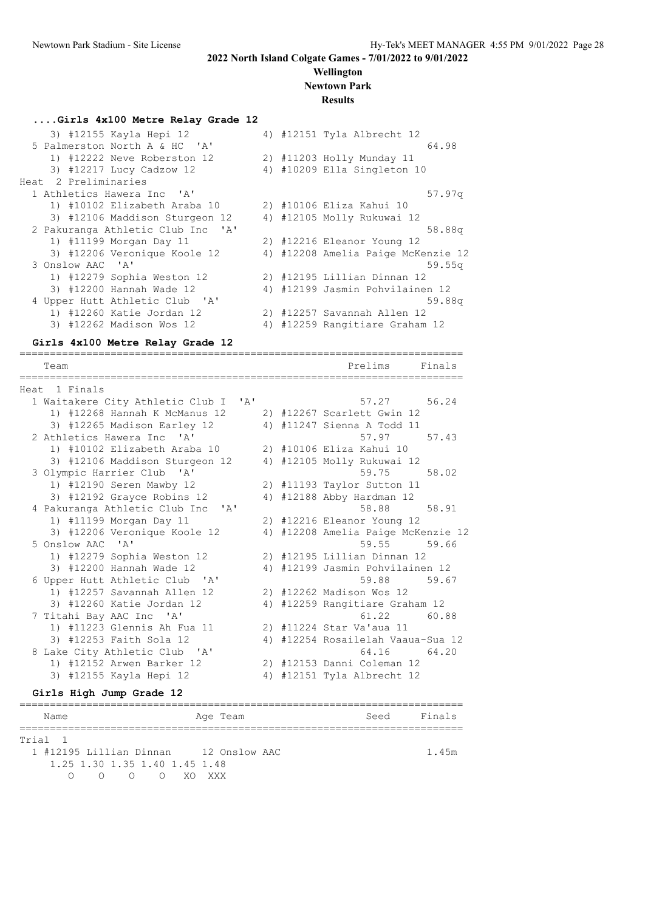## **Wellington Newtown Park**

#### **Results**

| Girls 4x100 Metre Relay Grade 12  |  |                                    |
|-----------------------------------|--|------------------------------------|
| 3) #12155 Kayla Hepi 12           |  | 4) #12151 Tyla Albrecht 12         |
| 5 Palmerston North A & HC 'A'     |  | 64.98                              |
| 1) #12222 Neve Roberston 12       |  | 2) #11203 Holly Munday 11          |
| 3) #12217 Lucy Cadzow 12          |  | 4) #10209 Ella Singleton 10        |
| Heat 2 Preliminaries              |  |                                    |
| 1 Athletics Hawera Inc 'A'        |  | 57.97q                             |
| 1) #10102 Elizabeth Araba 10      |  | 2) #10106 Eliza Kahui 10           |
| 3) #12106 Maddison Sturgeon 12    |  | 4) #12105 Molly Rukuwai 12         |
| 2 Pakuranga Athletic Club Inc 'A' |  | 58.88q                             |
| 1) #11199 Morgan Day 11           |  | 2) #12216 Eleanor Young 12         |
| 3) #12206 Veronique Koole 12      |  | 4) #12208 Amelia Paige McKenzie 12 |
| 3 Onslow AAC 'A'                  |  | 59.55q                             |
| 1) #12279 Sophia Weston 12        |  | 2) #12195 Lillian Dinnan 12        |
| 3) #12200 Hannah Wade 12          |  | 4) #12199 Jasmin Pohvilainen 12    |
| 4 Upper Hutt Athletic Club 'A'    |  | 59.88a                             |
| 1) #12260 Katie Jordan 12         |  | 2) #12257 Savannah Allen 12        |
| 3) #12262 Madison Wos 12          |  | 4) #12259 Rangitiare Graham 12     |
|                                   |  |                                    |

## **Girls 4x100 Metre Relay Grade 12**

| Team                                                       |                           |  | Prelims<br>==================      | Finals |
|------------------------------------------------------------|---------------------------|--|------------------------------------|--------|
| Heat 1 Finals                                              |                           |  |                                    |        |
| 1 Waitakere City Athletic Club I                           | $^{\prime}$ A $^{\prime}$ |  | 57.27                              | 56.24  |
| 1) #12268 Hannah K McManus 12                              |                           |  | 2) #12267 Scarlett Gwin 12         |        |
| 3) #12265 Madison Earley 12                                |                           |  | 4) #11247 Sienna A Todd 11         |        |
| 2 Athletics Hawera Inc 'A'                                 |                           |  | 57.97                              | 57.43  |
| 1) #10102 Elizabeth Araba 10                               |                           |  | 2) #10106 Eliza Kahui 10           |        |
| 3) #12106 Maddison Sturgeon 12                             |                           |  | 4) #12105 Molly Rukuwai 12         |        |
| 3 Olympic Harrier Club 'A'                                 |                           |  | 59.75                              | 58.02  |
| 1) #12190 Seren Mawby 12                                   |                           |  | 2) #11193 Taylor Sutton 11         |        |
| 3) #12192 Grayce Robins 12                                 |                           |  | 4) #12188 Abby Hardman 12          |        |
| 4 Pakuranga Athletic Club Inc<br>$^{\prime}$ A $^{\prime}$ |                           |  | 58.88                              | 58.91  |
| 1) #11199 Morgan Day 11                                    |                           |  | 2) #12216 Eleanor Young 12         |        |
| 3) #12206 Veronique Koole 12                               |                           |  | 4) #12208 Amelia Paige McKenzie 12 |        |
| 5 Onslow AAC 'A'                                           |                           |  | 59.55                              | 59.66  |
| 1) #12279 Sophia Weston 12                                 |                           |  | 2) #12195 Lillian Dinnan 12        |        |
| 3) #12200 Hannah Wade 12                                   |                           |  | 4) #12199 Jasmin Pohvilainen 12    |        |
| 6 Upper Hutt Athletic Club 'A'                             |                           |  | 59.88                              | 59.67  |
| 1) #12257 Savannah Allen 12                                |                           |  | 2) #12262 Madison Wos 12           |        |
| 3) #12260 Katie Jordan 12                                  |                           |  | 4) #12259 Rangitiare Graham 12     |        |
| 7 Titahi Bay AAC Inc 'A'                                   |                           |  | 61.22                              | 60.88  |
| 1) #11223 Glennis Ah Fua 11                                |                           |  | 2) #11224 Star Va'aua 11           |        |
| 3) #12253 Faith Sola 12                                    |                           |  | 4) #12254 Rosailelah Vaaua-Sua 12  |        |
| 8 Lake City Athletic Club 'A'                              |                           |  | 64.16                              | 64.20  |
| 1) #12152 Arwen Barker 12                                  |                           |  | 2) #12153 Danni Coleman 12         |        |
| 3) #12155 Kayla Hepi 12                                    |                           |  | 4) #12151 Tyla Albrecht 12         |        |

## **Girls High Jump Grade 12**

| Name                                  |  |                               |  | Age Team |  |  | Seed | Finals |  |
|---------------------------------------|--|-------------------------------|--|----------|--|--|------|--------|--|
| Trial 1                               |  |                               |  |          |  |  |      |        |  |
| 1 #12195 Lillian Dinnan 12 Onslow AAC |  |                               |  |          |  |  |      | 1.45m  |  |
|                                       |  | 1.25 1.30 1.35 1.40 1.45 1.48 |  |          |  |  |      |        |  |
| ∩                                     |  | 000 NXOXXX                    |  |          |  |  |      |        |  |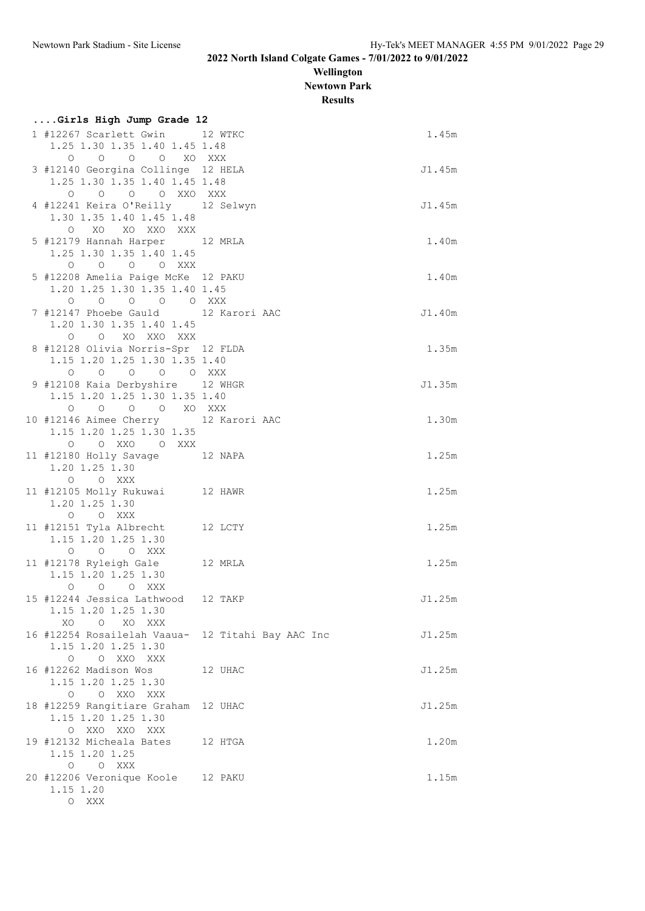**Wellington Newtown Park**

**Results**

| resuns |  |  |
|--------|--|--|
|        |  |  |

| Girls High Jump Grade 12                                                                                                                                                                                                                           |         |        |
|----------------------------------------------------------------------------------------------------------------------------------------------------------------------------------------------------------------------------------------------------|---------|--------|
| 1 #12267 Scarlett Gwin 12 WTKC<br>1.25 1.30 1.35 1.40 1.45 1.48                                                                                                                                                                                    |         | 1.45m  |
| 0 0 0 0 XO XXX<br>3 #12140 Georgina Collinge 12 HELA<br>1.25 1.30 1.35 1.40 1.45 1.48                                                                                                                                                              |         | J1.45m |
| 0 0 0 0 XXO XXX<br>4 #12241 Keira O'Reilly 12 Selwyn<br>1.30 1.35 1.40 1.45 1.48                                                                                                                                                                   |         | J1.45m |
| O XO XO XXO XXX<br>5 #12179 Hannah Harper 12 MRLA<br>1.25 1.30 1.35 1.40 1.45                                                                                                                                                                      |         | 1.40m  |
| $O$ $O$ $O$ $O$ $XXX$<br>5 #12208 Amelia Paige McKe 12 PAKU<br>1.20 1.25 1.30 1.35 1.40 1.45<br>0 0 0 0 0 XXX                                                                                                                                      |         | 1.40m  |
| 7 #12147 Phoebe Gauld 12 Karori AAC<br>1.20 1.30 1.35 1.40 1.45<br>O O XO XXO XXX                                                                                                                                                                  |         | J1.40m |
| 8 #12128 Olivia Norris-Spr 12 FLDA<br>1.15 1.20 1.25 1.30 1.35 1.40<br>0 0 0 0 0 XXX                                                                                                                                                               |         | 1.35m  |
| 9 #12108 Kaia Derbyshire 12 WHGR<br>1.15 1.20 1.25 1.30 1.35 1.40                                                                                                                                                                                  |         | J1.35m |
| $\begin{matrix} \mathsf{O} \qquad \mathsf{O} \qquad \mathsf{O} \qquad \mathsf{O} \qquad \mathsf{X} \mathsf{O} \qquad \mathsf{X} \mathsf{X} \mathsf{X} \mathsf{X} \end{matrix}$<br>10 #12146 Aimee Cherry 12 Karori AAC<br>1.15 1.20 1.25 1.30 1.35 |         | 1.30m  |
| O OXXO OXXX<br>11 #12180 Holly Savage 12 NAPA<br>1.20 1.25 1.30                                                                                                                                                                                    |         | 1.25m  |
| O O XXX<br>11 #12105 Molly Rukuwai 12 HAWR<br>1.20 1.25 1.30<br>O O XXX                                                                                                                                                                            |         | 1.25m  |
| 11 #12151 Tyla Albrecht<br>1.15 1.20 1.25 1.30<br>O O O XXX                                                                                                                                                                                        | 12 LCTY | 1.25m  |
| 11 #12178 Ryleigh Gale 12 MRLA<br>1.15 1.20 1.25 1.30<br>O O O XXX                                                                                                                                                                                 |         | 1.25m  |
| 15 #12244 Jessica Lathwood 12 TAKP<br>1.15 1.20 1.25 1.30<br>O XO XXX<br>XO.                                                                                                                                                                       |         | J1.25m |
| 16 #12254 Rosailelah Vaaua- 12 Titahi Bay AAC Inc<br>1.15 1.20 1.25 1.30<br>O O XXO XXX                                                                                                                                                            |         | J1.25m |
| 16 #12262 Madison Wos<br>1.15 1.20 1.25 1.30<br>O O XXO XXX                                                                                                                                                                                        | 12 UHAC | J1.25m |
| 18 #12259 Rangitiare Graham 12 UHAC<br>1.15 1.20 1.25 1.30<br>O XXO XXO XXX                                                                                                                                                                        |         | J1.25m |
| 19 #12132 Micheala Bates 12 HTGA<br>1.15 1.20 1.25<br>O XXX<br>0                                                                                                                                                                                   |         | 1.20m  |
| 20 #12206 Veronique Koole 12 PAKU<br>1.15 1.20<br>O XXX                                                                                                                                                                                            |         | 1.15m  |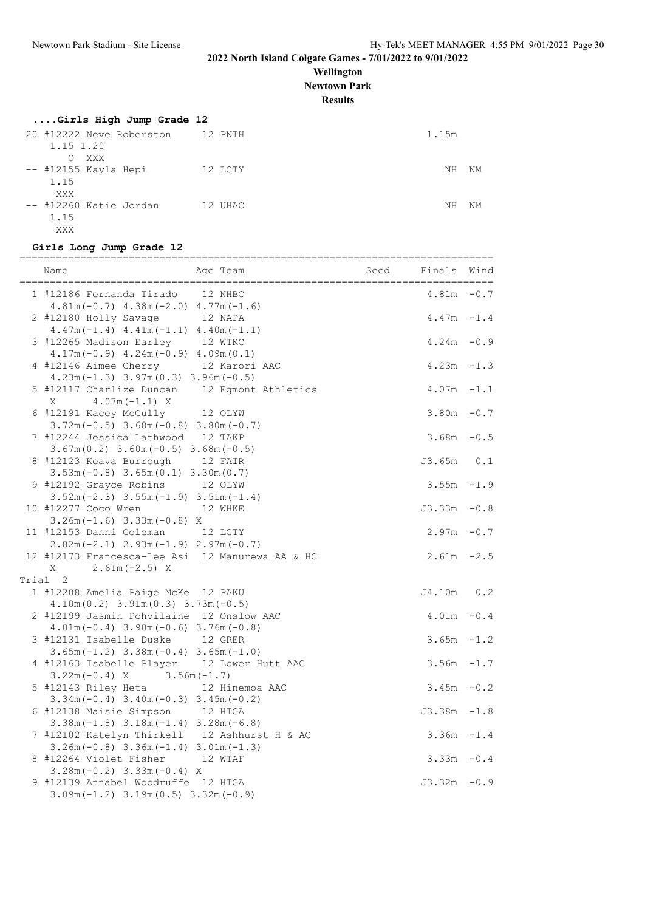**Wellington**

**Newtown Park**

**Results**

## **....Girls High Jump Grade 12**

| 20 #12222 Neve Roberston<br>1.15 1.20 | 12 PNTH | 1.15m    |
|---------------------------------------|---------|----------|
| XXX<br>O.                             |         |          |
| -- #12155 Kayla Hepi<br>1.15          | 12 LCTY | NΗ<br>NΜ |
| XXX                                   |         |          |
| -- #12260 Katie Jordan                | 12 UHAC | NΗ<br>NΜ |
| 1.15<br>XXX                           |         |          |

## **Girls Long Jump Grade 12**

| Name                                                                                      | Age Team |                | Seed | Finals        | Wind   |
|-------------------------------------------------------------------------------------------|----------|----------------|------|---------------|--------|
| 1 #12186 Fernanda Tirado 12 NHBC<br>$4.81m(-0.7)$ $4.38m(-2.0)$ $4.77m(-1.6)$             |          |                |      | 4.81m         | $-0.7$ |
| 2 #12180 Holly Savage 12 NAPA<br>$4.47m(-1.4)$ $4.41m(-1.1)$ $4.40m(-1.1)$                |          |                |      | $4.47m - 1.4$ |        |
| 3 #12265 Madison Earley 12 WTKC<br>$4.17m(-0.9)$ $4.24m(-0.9)$ $4.09m(0.1)$               |          |                |      | $4.24m - 0.9$ |        |
| 4 #12146 Aimee Cherry 12 Karori AAC<br>$4.23m(-1.3)$ $3.97m(0.3)$ $3.96m(-0.5)$           |          |                |      | $4.23m - 1.3$ |        |
| 5 #12117 Charlize Duncan 12 Egmont Athletics<br>$4.07m(-1.1)$ X<br>Χ                      |          |                |      | $4.07m - 1.1$ |        |
| 6 #12191 Kacey McCully 12 OLYW<br>$3.72m(-0.5)$ $3.68m(-0.8)$ $3.80m(-0.7)$               |          |                |      | $3.80m - 0.7$ |        |
| 7 #12244 Jessica Lathwood 12 TAKP<br>$3.67m(0.2)$ $3.60m(-0.5)$ $3.68m(-0.5)$             |          |                |      | $3.68m - 0.5$ |        |
| 8 #12123 Keava Burrough 12 FAIR<br>$3.53m(-0.8)$ $3.65m(0.1)$ $3.30m(0.7)$                |          |                |      | $J3.65m$ 0.1  |        |
| 9 #12192 Grayce Robins<br>$3.52m(-2.3)$ $3.55m(-1.9)$ $3.51m(-1.4)$                       | 12 OLYW  |                |      | $3.55m - 1.9$ |        |
| 10 #12277 Coco Wren 12 WHKE<br>$3.26m(-1.6)$ $3.33m(-0.8)$ X                              |          |                |      | $J3.33m -0.8$ |        |
| 11 #12153 Danni Coleman 12 LCTY<br>$2.82m(-2.1)$ $2.93m(-1.9)$ $2.97m(-0.7)$              |          |                |      | $2.97m - 0.7$ |        |
| 12 #12173 Francesca-Lee Asi 12 Manurewa AA & HC<br>$X = 2.61m(-2.5) X$                    |          |                |      | $2.61m - 2.5$ |        |
| Trial 2                                                                                   |          |                |      |               |        |
| 1 #12208 Amelia Paige McKe 12 PAKU                                                        |          |                |      | J4.10m        | 0.2    |
| $4.10m(0.2)$ 3.91m $(0.3)$ 3.73m $(-0.5)$                                                 |          |                |      |               |        |
| 2 #12199 Jasmin Pohvilaine 12 Onslow AAC                                                  |          |                |      | $4.01m - 0.4$ |        |
| $4.01m(-0.4)$ 3.90m $(-0.6)$ 3.76m $(-0.8)$<br>3 #12131 Isabelle Duske 12 GRER            |          |                |      | $3.65m - 1.2$ |        |
| $3.65m(-1.2)$ $3.38m(-0.4)$ $3.65m(-1.0)$                                                 |          |                |      |               |        |
| 4 #12163 Isabelle Player 12 Lower Hutt AAC<br>$3.22m(-0.4)$ X $3.56m(-1.7)$               |          |                |      | $3.56m - 1.7$ |        |
| 5 #12143 Riley Heta<br>$3.34m(-0.4)$ $3.40m(-0.3)$ $3.45m(-0.2)$                          |          | 12 Hinemoa AAC |      | $3.45m - 0.2$ |        |
| 6 #12138 Maisie Simpson 12 HTGA<br>$3.38m(-1.8)$ $3.18m(-1.4)$ $3.28m(-6.8)$              |          |                |      | $J3.38m -1.8$ |        |
| 7 #12102 Katelyn Thirkell 12 Ashhurst H & AC<br>$3.26m(-0.8)$ $3.36m(-1.4)$ $3.01m(-1.3)$ |          |                |      | $3.36m - 1.4$ |        |
| 8 #12264 Violet Fisher 12 WTAF<br>$3.28m(-0.2)$ 3.33m $(-0.4)$ X                          |          |                |      | $3.33m - 0.4$ |        |
| 9 #12139 Annabel Woodruffe 12 HTGA<br>$3.09m(-1.2)$ $3.19m(0.5)$ $3.32m(-0.9)$            |          |                |      | $J3.32m -0.9$ |        |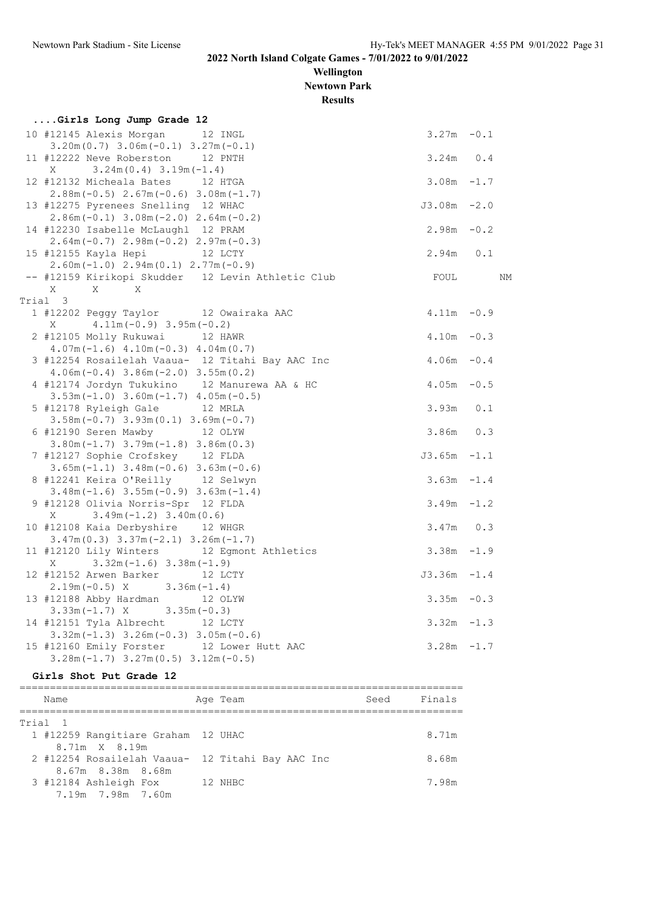**Wellington Newtown Park**

**Results**

| Girls Long Jump Grade 12                          |                |    |
|---------------------------------------------------|----------------|----|
| 10 #12145 Alexis Morgan 12 INGL                   | $3.27m - 0.1$  |    |
| $3.20m(0.7)$ $3.06m(-0.1)$ $3.27m(-0.1)$          |                |    |
| 11 #12222 Neve Roberston 12 PNTH                  | $3.24m$ 0.4    |    |
| $3.24m(0.4)$ $3.19m(-1.4)$<br>$X \sim$            |                |    |
| 12 #12132 Micheala Bates 12 HTGA                  | $3.08m - 1.7$  |    |
| $2.88m(-0.5)$ $2.67m(-0.6)$ $3.08m(-1.7)$         |                |    |
| 13 #12275 Pyrenees Snelling 12 WHAC               | $J3.08m - 2.0$ |    |
| $2.86m(-0.1)$ 3.08m $(-2.0)$ 2.64m $(-0.2)$       |                |    |
| 14 #12230 Isabelle McLaughl 12 PRAM               | $2.98m - 0.2$  |    |
| $2.64m(-0.7)$ $2.98m(-0.2)$ $2.97m(-0.3)$         |                |    |
| 15 #12155 Kayla Hepi 12 LCTY                      | $2.94m$ 0.1    |    |
| $2.60m(-1.0)$ $2.94m(0.1)$ $2.77m(-0.9)$          |                |    |
| -- #12159 Kirikopi Skudder 12 Levin Athletic Club | FOUL           | ΝM |
| $\mathbf{X}$<br>$\mathbf{X}$<br>X                 |                |    |
| Trial 3                                           |                |    |
| 1 #12202 Peggy Taylor 12 Owairaka AAC             | $4.11m - 0.9$  |    |
| $4.11m(-0.9)$ 3.95m $(-0.2)$<br>X                 |                |    |
| 2 #12105 Molly Rukuwai 12 HAWR                    | $4.10m - 0.3$  |    |
| $4.07m(-1.6)$ $4.10m(-0.3)$ $4.04m(0.7)$          |                |    |
| 3 #12254 Rosailelah Vaaua- 12 Titahi Bay AAC Inc  | $4.06m - 0.4$  |    |
| $4.06m(-0.4)$ 3.86m $(-2.0)$ 3.55m $(0.2)$        |                |    |
| 4 #12174 Jordyn Tukukino 12 Manurewa AA & HC      | $4.05m - 0.5$  |    |
| $3.53m(-1.0)$ $3.60m(-1.7)$ $4.05m(-0.5)$         |                |    |
| 5 #12178 Ryleigh Gale 12 MRLA                     | $3.93m$ $0.1$  |    |
| $3.58m(-0.7)$ $3.93m(0.1)$ $3.69m(-0.7)$          |                |    |
| 6 #12190 Seren Mawby 12 OLYW                      | $3.86m$ 0.3    |    |
| $3.80m(-1.7)$ $3.79m(-1.8)$ $3.86m(0.3)$          |                |    |
| 7 #12127 Sophie Crofskey 12 FLDA                  | $J3.65m -1.1$  |    |
| $3.65m(-1.1)$ $3.48m(-0.6)$ $3.63m(-0.6)$         |                |    |
| 8 #12241 Keira O'Reilly 12 Selwyn                 | $3.63m -1.4$   |    |
| $3.48m(-1.6)$ $3.55m(-0.9)$ $3.63m(-1.4)$         |                |    |
| 9 #12128 Olivia Norris-Spr 12 FLDA                | $3.49m - 1.2$  |    |
| $X = 3.49m(-1.2) 3.40m(0.6)$                      |                |    |
| 10 #12108 Kaia Derbyshire 12 WHGR                 | $3.47m$ 0.3    |    |
| $3.47m(0.3)$ $3.37m(-2.1)$ $3.26m(-1.7)$          |                |    |
| 11 #12120 Lily Winters 12 Egmont Athletics        | $3.38m - 1.9$  |    |
| $3.32m(-1.6)$ $3.38m(-1.9)$<br>X                  |                |    |
| 12 #12152 Arwen Barker 12 LCTY                    | $J3.36m -1.4$  |    |
| $2.19m(-0.5)$ X $3.36m(-1.4)$                     |                |    |
| 13 #12188 Abby Hardman 12 OLYW                    | $3.35m - 0.3$  |    |
| $3.33m(-1.7)$ X $3.35m(-0.3)$                     |                |    |
| 14 #12151 Tyla Albrecht 12 LCTY                   | $3.32m - 1.3$  |    |
| $3.32m(-1.3)$ $3.26m(-0.3)$ $3.05m(-0.6)$         |                |    |
| 15 #12160 Emily Forster 12 Lower Hutt AAC         | $3.28m - 1.7$  |    |
| $3.28m(-1.7)$ $3.27m(0.5)$ $3.12m(-0.5)$          |                |    |

#### **Girls Shot Put Grade 12**

========================================================================= Name Reserve Age Team Seed Finals ========================================================================= Trial 1 1 #12259 Rangitiare Graham 12 UHAC 8.71m 8.71m X 8.19m 2 #12254 Rosailelah Vaaua- 12 Titahi Bay AAC Inc 8.68m 8.67m 8.38m 8.68m 3 #12184 Ashleigh Fox 12 NHBC 7.98m 7.19m 7.98m 7.60m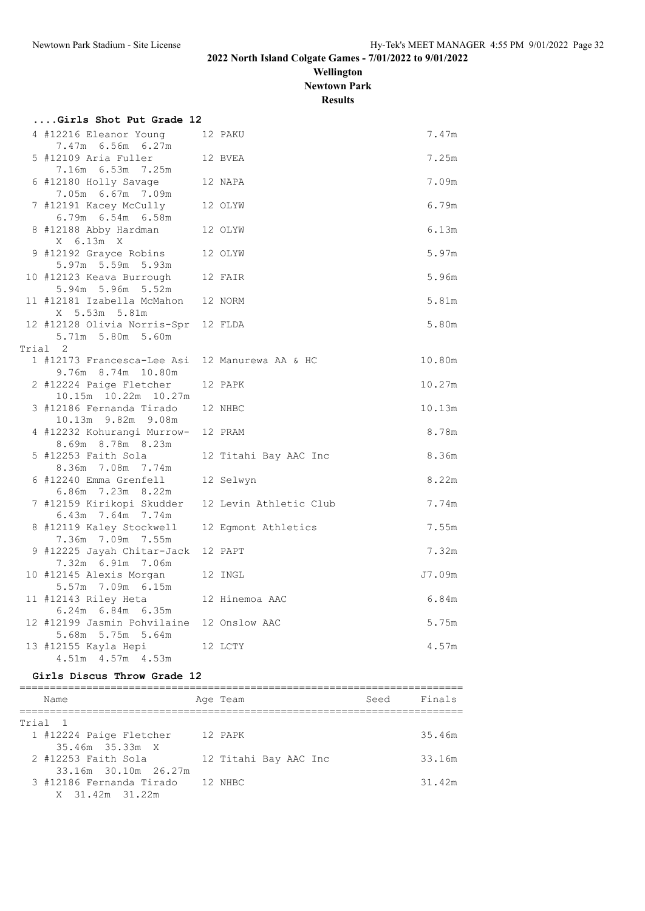**Wellington Newtown Park**

**Results**

| Girls Shot Put Grade 12                                        |                        |        |
|----------------------------------------------------------------|------------------------|--------|
| 4 #12216 Eleanor Young<br>7.47m 6.56m 6.27m                    | 12 PAKU                | 7.47m  |
| 5 #12109 Aria Fuller<br>7.16m 6.53m 7.25m                      | 12 BVEA                | 7.25m  |
| 6 #12180 Holly Savage                                          | 12 NAPA                | 7.09m  |
| 7.05m 6.67m 7.09m<br>7 #12191 Kacey McCully 12 OLYW            |                        | 6.79m  |
| $6.79m$ $6.54m$ $6.58m$<br>8 #12188 Abby Hardman 12 OLYW       |                        | 6.13m  |
| X 6.13m X<br>9 #12192 Grayce Robins 12 OLYW                    |                        | 5.97m  |
| 5.97m 5.59m 5.93m<br>10 #12123 Keava Burrough 12 FAIR          |                        | 5.96m  |
| 5.94m 5.96m 5.52m<br>11 #12181 Izabella McMahon 12 NORM        |                        | 5.81m  |
| X 5.53m 5.81m<br>12 #12128 Olivia Norris-Spr 12 FLDA           |                        | 5.80m  |
| 5.71m 5.80m 5.60m                                              |                        |        |
| Trial 2                                                        |                        |        |
| 1 #12173 Francesca-Lee Asi<br>9.76m 8.74m 10.80m               | 12 Manurewa AA & HC    | 10.80m |
| 2 #12224 Paige Fletcher<br>10.15m  10.22m  10.27m              | 12 PAPK                | 10.27m |
| 3 #12186 Fernanda Tirado<br>10.13m 9.82m 9.08m                 | 12 NHBC                | 10.13m |
| 4 #12232 Kohurangi Murrow-<br>8.69m 8.78m 8.23m                | 12 PRAM                | 8.78m  |
| 5 #12253 Faith Sola<br>8.36m 7.08m 7.74m                       | 12 Titahi Bay AAC Inc  | 8.36m  |
| 6 #12240 Emma Grenfell<br>6.86m 7.23m 8.22m                    | 12 Selwyn              | 8.22m  |
| 7 #12159 Kirikopi Skudder<br>6.43m 7.64m 7.74m                 | 12 Levin Athletic Club | 7.74m  |
| 8 #12119 Kaley Stockwell<br>7.36m 7.09m 7.55m                  | 12 Eqmont Athletics    | 7.55m  |
| 9 #12225 Jayah Chitar-Jack 12 PAPT<br>7.32m 6.91m 7.06m        |                        | 7.32m  |
| 10 #12145 Alexis Morgan<br>5.57m 7.09m 6.15m                   | 12 INGL                | J7.09m |
| 11 #12143 Riley Heta 12 Hinemoa AAC<br>6.24m 6.84m 6.35m       |                        | 6.84m  |
| 12 #12199 Jasmin Pohvilaine 12 Onslow AAC<br>5.68m 5.75m 5.64m |                        | 5.75m  |
| 13 #12155 Kayla Hepi<br>4.51m  4.57m  4.53m                    | 12 LCTY                | 4.57m  |
|                                                                |                        |        |

### **Girls Discus Throw Grade 12**

| Name                     | Age Team              | Seed | Finals |
|--------------------------|-----------------------|------|--------|
| Trial 1                  |                       |      |        |
| 1 #12224 Paige Fletcher  | 12 PAPK               |      | 35.46m |
| 35.46m 35.33m X          |                       |      |        |
| 2 #12253 Faith Sola      | 12 Titahi Bay AAC Inc |      | 33.16m |
| 33.16m 30.10m 26.27m     |                       |      |        |
| 3 #12186 Fernanda Tirado | 12 NHBC               |      | 31.42m |
| X 31.42m 31.22m          |                       |      |        |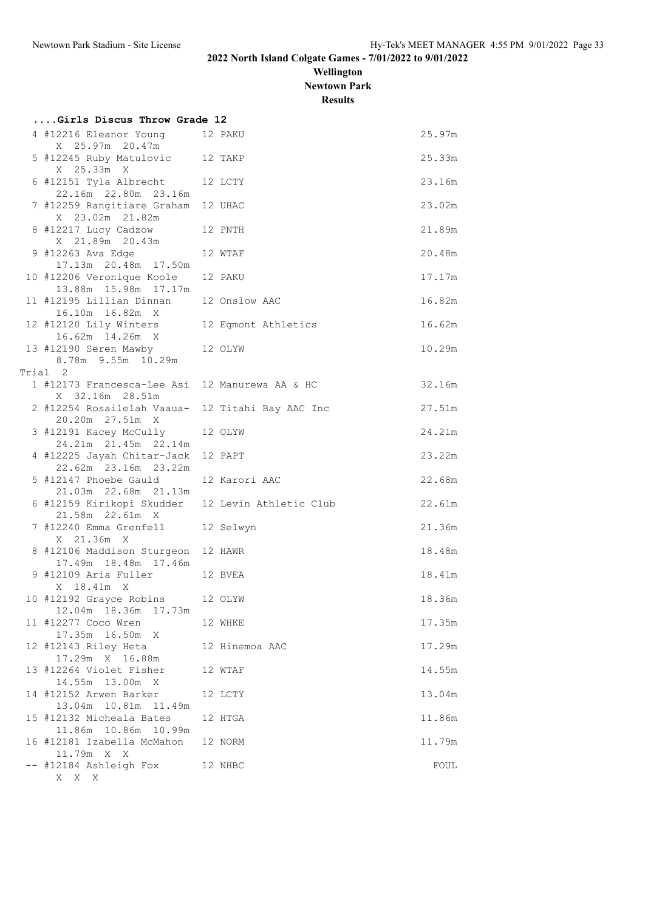**Wellington Newtown Park**

**Results**

| Girls Discus Throw Grade 12                                         |                |        |
|---------------------------------------------------------------------|----------------|--------|
| 4 #12216 Eleanor Young<br>X 25.97m 20.47m                           | 12 PAKU        | 25.97m |
| 5 #12245 Ruby Matulovic 12 TAKP<br>X 25.33m X                       |                | 25.33m |
| 6 #12151 Tyla Albrecht 12 LCTY<br>22.16m  22.80m  23.16m            |                | 23.16m |
| 7 #12259 Rangitiare Graham 12 UHAC<br>X 23.02m 21.82m               |                | 23.02m |
| 8 #12217 Lucy Cadzow 12 PNTH<br>X 21.89m 20.43m                     |                | 21.89m |
| 9 #12263 Ava Edge<br>17.13m  20.48m  17.50m                         | 12 WTAF        | 20.48m |
| 10 #12206 Veronique Koole<br>13.88m  15.98m  17.17m                 | 12 PAKU        | 17.17m |
| 11 #12195 Lillian Dinnan 12 Onslow AAC<br>16.10m  16.82m  X         |                | 16.82m |
| 12 #12120 Lily Winters 12 Egmont Athletics<br>16.62m  14.26m  X     |                | 16.62m |
| 13 #12190 Seren Mawby 12 OLYW<br>8.78m 9.55m 10.29m                 |                | 10.29m |
| Trial 2                                                             |                |        |
| 1 #12173 Francesca-Lee Asi 12 Manurewa AA & HC<br>X 32.16m 28.51m   |                | 32.16m |
| 2 #12254 Rosailelah Vaaua- 12 Titahi Bay AAC Inc<br>20.20m 27.51m X |                | 27.51m |
| 3 #12191 Kacey McCully<br>24.21m 21.45m 22.14m                      | 12 OLYW        | 24.21m |
| 4 #12225 Jayah Chitar-Jack<br>22.62m 23.16m 23.22m                  | 12 PAPT        | 23.22m |
| 5 #12147 Phoebe Gauld<br>21.03m  22.68m  21.13m                     | 12 Karori AAC  | 22.68m |
| 6 #12159 Kirikopi Skudder 12 Levin Athletic Club<br>21.58m 22.61m X |                | 22.61m |
| 7 #12240 Emma Grenfell 12 Selwyn<br>X 21.36m X                      |                | 21.36m |
| 8 #12106 Maddison Sturgeon 12 HAWR<br>17.49m  18.48m  17.46m        |                | 18.48m |
| 9 #12109 Aria Fuller 12 BVEA<br>X 18.41m X                          |                | 18.41m |
| 10 #12192 Grayce Robins 12 OLYW<br>12.04m  18.36m  17.73m           |                | 18.36m |
| 11 #12277 Coco Wren<br>17.35m 16.50m X                              | 12 WHKE        | 17.35m |
| 12 #12143 Riley Heta<br>17.29m X 16.88m                             | 12 Hinemoa AAC | 17.29m |
| 13 #12264 Violet Fisher<br>14.55m 13.00m X                          | 12 WTAF        | 14.55m |
| 14 #12152 Arwen Barker<br>13.04m  10.81m  11.49m                    | 12 LCTY        | 13.04m |
| 15 #12132 Micheala Bates<br>11.86m  10.86m  10.99m                  | 12 HTGA        | 11.86m |
| 16 #12181 Izabella McMahon<br>11.79m X X                            | 12 NORM        | 11.79m |
| -- #12184 Ashleigh Fox<br>$\mathbf{X}-\mathbf{X}-\mathbf{X}$        | 12 NHBC        | FOUL   |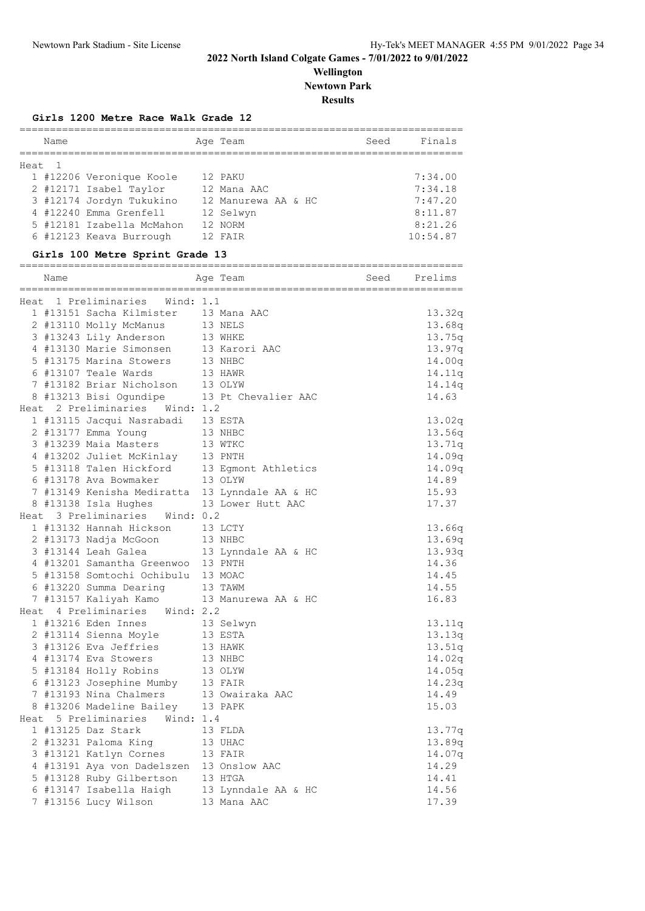## **Wellington Newtown Park Results**

**Girls 1200 Metre Race Walk Grade 12**

| Name   |                                                | Age Team<br>================================= |      | Seed Finals |
|--------|------------------------------------------------|-----------------------------------------------|------|-------------|
| Heat 1 |                                                |                                               |      |             |
|        | 1 #12206 Veronique Koole                       | 12 PAKU                                       |      | 7:34.00     |
|        | 2 #12171 Isabel Taylor                         | 12 Mana AAC                                   |      | 7:34.18     |
|        | 3 #12174 Jordyn Tukukino                       | 12 Manurewa AA & HC                           |      | 7:47.20     |
|        | 4 #12240 Emma Grenfell                         | 12 Selwyn                                     |      | 8:11.87     |
|        | 5 #12181 Izabella McMahon 12 NORM              |                                               |      | 8:21.26     |
|        | 6 #12123 Keava Burrough                        | 12 FAIR                                       |      | 10:54.87    |
|        | Girls 100 Metre Sprint Grade 13                |                                               |      |             |
| Name   |                                                | Age Team                                      | Seed | Prelims     |
|        |                                                |                                               |      |             |
|        | Heat 1 Preliminaries Wind: 1.1                 |                                               |      |             |
|        | 1 #13151 Sacha Kilmister                       | 13 Mana AAC                                   |      | 13.32q      |
|        | 2 #13110 Molly McManus                         | 13 NELS                                       |      | 13.68q      |
|        | 3 #13243 Lily Anderson                         | 13 WHKE                                       |      | 13.75q      |
|        | 4 #13130 Marie Simonsen                        | 13 Karori AAC                                 |      | 13.97q      |
|        | 5 #13175 Marina Stowers                        | 13 NHBC                                       |      | 14.00q      |
|        | 6 #13107 Teale Wards                           | 13 HAWR                                       |      | 14.11q      |
|        | 7 #13182 Briar Nicholson                       | 13 OLYW                                       |      | 14.14q      |
|        | 8 #13213 Bisi Ogundipe 13 Pt Chevalier AAC     |                                               |      | 14.63       |
|        | Heat 2 Preliminaries Wind: 1.2                 |                                               |      |             |
|        | 1 #13115 Jacqui Nasrabadi 13 ESTA              |                                               |      | 13.02q      |
|        | 2 #13177 Emma Young                            | 13 NHBC                                       |      | 13.56q      |
|        | 3 #13239 Maia Masters                          | 13 WTKC                                       |      | 13.71q      |
|        | 4 #13202 Juliet McKinlay 13 PNTH               |                                               |      | 14.09q      |
|        | 5 #13118 Talen Hickford 13 Egmont Athletics    |                                               |      | 14.09q      |
|        | 6 #13178 Ava Bowmaker                          | 13 OLYW                                       |      | 14.89       |
|        | 7 #13149 Kenisha Mediratta 13 Lynndale AA & HC |                                               |      | 15.93       |
|        | 8 #13138 Isla Hughes                           | 13 Lower Hutt AAC                             |      | 17.37       |
|        | Heat 3 Preliminaries Wind: 0.2                 |                                               |      |             |
|        | 1 #13132 Hannah Hickson                        | 13 LCTY                                       |      | 13.66q      |
|        | 2 #13173 Nadja McGoon                          | 13 NHBC                                       |      | 13.69q      |
|        | 3 #13144 Leah Galea                            | 13 Lynndale AA & HC                           |      | 13.93q      |
|        | 4 #13201 Samantha Greenwoo                     | 13 PNTH                                       |      | 14.36       |
|        | 5 #13158 Somtochi Ochibulu                     | 13 MOAC                                       |      | 14.45       |
|        | 6 #13220 Summa Dearing                         | 13 TAWM                                       |      | 14.55       |
|        | 7 #13157 Kaliyah Kamo                          | 13 Manurewa AA & HC                           |      | 16.83       |
|        | Heat 4 Preliminaries Wind: 2.2                 |                                               |      |             |
|        | 1 #13216 Eden Innes                            | 13 Selwyn                                     |      | 13.11q      |
|        | 2 #13114 Sienna Moyle                          | 13 ESTA                                       |      | 13.13q      |
|        | 3 #13126 Eva Jeffries                          | 13 HAWK                                       |      | 13.51q      |
|        | 4 #13174 Eva Stowers                           | 13 NHBC                                       |      | 14.02q      |
|        | 5 #13184 Holly Robins                          | 13 OLYW                                       |      | 14.05q      |
|        | 6 #13123 Josephine Mumby                       | 13 FAIR                                       |      | 14.23q      |
|        | 7 #13193 Nina Chalmers                         | 13 Owairaka AAC                               |      | 14.49       |
|        | 8 #13206 Madeline Bailey                       | 13 PAPK                                       |      | 15.03       |
|        | Heat 5 Preliminaries<br>Wind: 1.4              |                                               |      |             |
|        | 1 #13125 Daz Stark                             | 13 FLDA                                       |      | 13.77q      |
|        | 2 #13231 Paloma King                           | 13 UHAC                                       |      | 13.89q      |
|        | 3 #13121 Katlyn Cornes                         | 13 FAIR                                       |      | 14.07q      |
|        | 4 #13191 Aya von Dadelszen                     | 13 Onslow AAC                                 |      | 14.29       |
|        | 5 #13128 Ruby Gilbertson                       | 13 HTGA                                       |      | 14.41       |
|        | 6 #13147 Isabella Haigh                        | 13 Lynndale AA & HC                           |      | 14.56       |
|        | 7 #13156 Lucy Wilson                           | 13 Mana AAC                                   |      |             |
|        |                                                |                                               |      | 17.39       |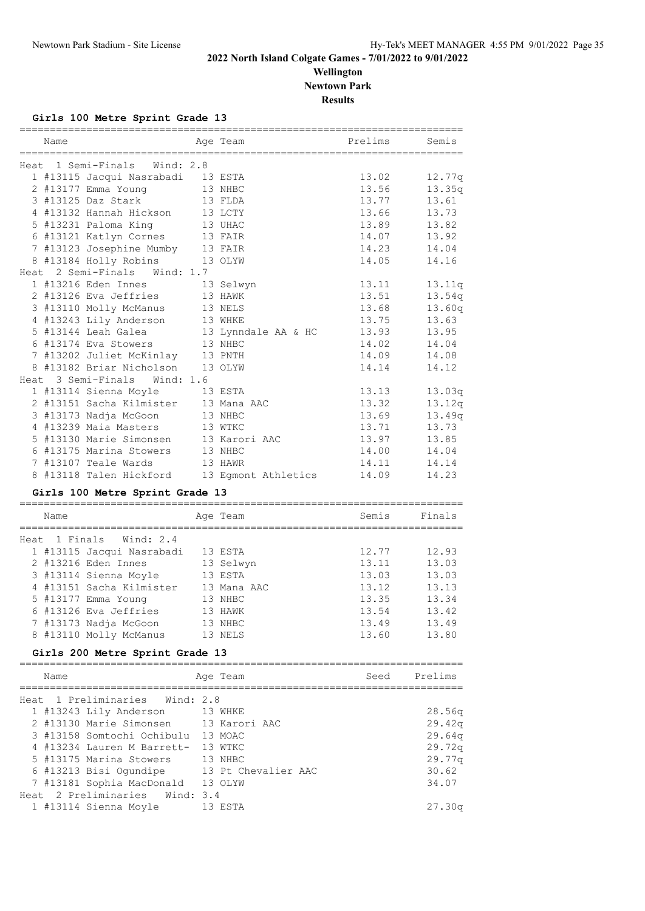**Wellington Newtown Park**

**Results**

### **Girls 100 Metre Sprint Grade 13**

| Name                                        |           | Age Team                       | Prelims | Semis       |
|---------------------------------------------|-----------|--------------------------------|---------|-------------|
| Heat 1 Semi-Finals                          | Wind: 2.8 |                                |         |             |
| 1 #13115 Jacqui Nasrabadi 13 ESTA           |           |                                | 13.02   | 12.77q      |
| 2 #13177 Emma Young                         |           | 13 NHBC                        | 13.56   | 13.35q      |
| 3 #13125 Daz Stark                          |           | 13 FLDA                        | 13.77   | 13.61       |
| 4 #13132 Hannah Hickson                     | 13 LCTY   |                                | 13.66   | 13.73       |
| 5 #13231 Paloma King                        |           | 13 UHAC                        | 13.89   | 13.82       |
| 6 #13121 Katlyn Cornes                      |           | 13 FAIR                        | 14.07   | 13.92       |
| 7 #13123 Josephine Mumby                    |           | $13$ FAIR                      | 14.23   | 14.04       |
| 8 #13184 Holly Robins                       | 13 OLYW   |                                | 14.05   | 14.16       |
| Heat 2 Semi-Finals                          | Wind: 1.7 |                                |         |             |
| 1 #13216 Eden Innes                         | 13 Selwyn |                                | 13.11   | 13.11q      |
| 2 #13126 Eva Jeffries                       |           | 13 HAWK                        | 13.51   | 13.54q      |
| 3 #13110 Molly McManus                      |           | 13 NELS                        | 13.68   | 13.60q      |
| 4 #13243 Lily Anderson                      |           | 13 WHKE                        | 13.75   | 13.63       |
| 5 #13144 Leah Galea                         |           | 13 Lynndale AA & HC            | 13.93   | 13.95       |
| 6 #13174 Eva Stowers                        |           | 13 NHBC                        | 14.02   | 14.04       |
| 7 #13202 Juliet McKinlay 13 PNTH            |           |                                | 14.09   | 14.08       |
| 8 #13182 Briar Nicholson 13 OLYW            |           |                                | 14.14   | 14.12       |
| Heat 3 Semi-Finals Wind: 1.6                |           |                                |         |             |
| 1 #13114 Sienna Moyle                       | 13 ESTA   |                                | 13.13   | 13.03q      |
| 2 #13151 Sacha Kilmister 13 Mana AAC        |           |                                | 13.32   | 13.12q      |
| 3 #13173 Nadja McGoon                       |           | 13 NHBC                        | 13.69   | 13.49q      |
| 4 #13239 Maia Masters                       | 13 WTKC   |                                | 13.71   | 13.73       |
| 5 #13130 Marie Simonsen                     |           | 13 Karori AAC                  | 13.97   | 13.85       |
| 6 #13175 Marina Stowers                     |           | 13 NHBC                        | 14.00   | 14.04       |
| 7 #13107 Teale Wards                        |           | 13 HAWR                        | 14.11   | 14.14       |
| 8 #13118 Talen Hickford 13 Egmont Athletics |           |                                | 14.09   | 14.23       |
| Girls 100 Metre Sprint Grade 13             |           |                                |         |             |
|                                             |           |                                | Semis   | Finals      |
| Name<br>=========================           |           | Age Team<br>:================= |         |             |
| Heat 1 Finals Wind: 2.4                     |           |                                |         |             |
| 1 #13115 Jacqui Nasrabadi 13 ESTA           |           |                                | 12.77   | 12.93       |
| 2 #13216 Eden Innes                         | 13 Selwyn |                                | 13.11   | 13.03       |
| 3 #13114 Sienna Moyle 13 ESTA               |           |                                | 13.03   | 13.03       |
| 4 #13151 Sacha Kilmister 13 Mana AAC        |           |                                | 13.12   | 13.13       |
| 5 #13177 Emma Young                         |           | 13 NHBC                        | 13.35   | 13.34       |
| 6 #13126 Eva Jeffries 13 HAWK               |           |                                | 13.54   | 13.42       |
| 7 #13173 Nadja McGoon                       |           | 13 NHBC                        | 13.49   | 13.49       |
| 8 #13110 Molly McManus 13 NELS              |           |                                |         | 13.60 13.80 |
| Girls 200 Metre Sprint Grade 13             |           |                                |         |             |
|                                             |           |                                |         |             |
| Name                                        |           | Age Team                       | Seed    | Prelims     |
| Heat 1 Preliminaries Wind: 2.8              |           |                                |         |             |
| 1 #13243 Lily Anderson 13 WHKE              |           |                                |         | 28.56q      |
| 2 #13130 Marie Simonsen 13 Karori AAC       |           |                                |         | 29.42q      |
| 3 #13158 Somtochi Ochibulu 13 MOAC          |           |                                |         | 29.64q      |
| 4 #13234 Lauren M Barrett- 13 WTKC          |           |                                |         | 29.72q      |
| 5 #13175 Marina Stowers 13 NHBC             |           |                                |         | 29.77q      |
| 6 #13213 Bisi Ogundipe 13 Pt Chevalier AAC  |           |                                |         | 30.62       |
| 7 #13181 Sophia MacDonald 13 OLYW           |           |                                |         | 34.07       |
| Heat 2 Preliminaries Wind: 3.4              |           |                                |         |             |

1 #13114 Sienna Moyle 13 ESTA 27.30q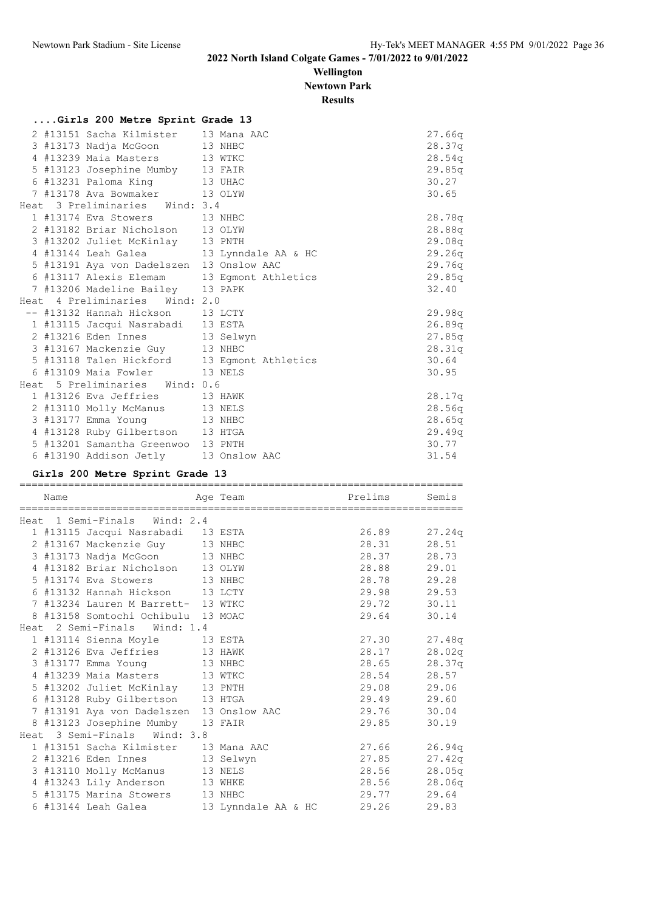#### **Wellington Newtown Park**

**Results**

|  | Girls 200 Metre Sprint Grade 13          |                                             |        |
|--|------------------------------------------|---------------------------------------------|--------|
|  | 2 #13151 Sacha Kilmister 13 Mana AAC     |                                             | 27.66q |
|  | 3 #13173 Nadja McGoon 13 NHBC            |                                             | 28.37q |
|  | 4 #13239 Maia Masters 13 WTKC            |                                             | 28.54q |
|  | 5 #13123 Josephine Mumby 13 FAIR         |                                             | 29.85q |
|  | 6 #13231 Paloma King 13 UHAC             |                                             | 30.27  |
|  | 7 #13178 Ava Bowmaker 13 OLYW            |                                             | 30.65  |
|  | Heat 3 Preliminaries Wind: 3.4           |                                             |        |
|  | 1 #13174 Eva Stowers 13 NHBC             |                                             | 28.78q |
|  | 2 #13182 Briar Nicholson 13 OLYW         |                                             | 28.88q |
|  | 3 #13202 Juliet McKinlay 13 PNTH         |                                             | 29.08q |
|  |                                          | 4 #13144 Leah Galea 13 Lynndale AA & HC     | 29.26q |
|  | 5 #13191 Aya von Dadelszen 13 Onslow AAC |                                             | 29.76q |
|  |                                          | 6 #13117 Alexis Elemam 13 Egmont Athletics  | 29.85q |
|  | 7 #13206 Madeline Bailey 13 PAPK         |                                             | 32.40  |
|  | Heat 4 Preliminaries Wind: 2.0           |                                             |        |
|  | -- #13132 Hannah Hickson 13 LCTY         |                                             | 29.98q |
|  | 1 #13115 Jacqui Nasrabadi 13 ESTA        |                                             | 26.89q |
|  | 2 #13216 Eden Innes 13 Selwyn            |                                             | 27.85q |
|  | 3 #13167 Mackenzie Guy 13 NHBC           |                                             | 28.31q |
|  |                                          | 5 #13118 Talen Hickford 13 Egmont Athletics | 30.64  |
|  | 6 #13109 Maia Fowler 13 NELS             |                                             | 30.95  |
|  | Heat 5 Preliminaries Wind: 0.6           |                                             |        |
|  | 1 #13126 Eva Jeffries 13 HAWK            |                                             | 28.17q |
|  | 2 #13110 Molly McManus 13 NELS           |                                             | 28.56q |
|  | 3 #13177 Emma Young 13 NHBC              |                                             | 28.65q |
|  | 4 #13128 Ruby Gilbertson 13 HTGA         |                                             | 29.49q |
|  | 5 #13201 Samantha Greenwoo 13 PNTH       |                                             | 30.77  |
|  | 6 #13190 Addison Jetly 13 Onslow AAC     |                                             | 31.54  |

#### **Girls 200 Metre Sprint Grade 13**

========================================================================= Name **Age Team** Prelims Semis ========================================================================= Heat 1 Semi-Finals Wind: 2.4<br>1 #13115 Jacqui Nasrabadi 13 ESTA 1 #13115 Jacqui Nasrabadi 13 ESTA 26.89 27.24q 2 #13167 Mackenzie Guy 13 NHBC 28.31 28.51 3 #13173 Nadja McGoon 13 NHBC 28.37 28.73 4 #13182 Briar Nicholson 13 OLYW 28.88 29.01 5 #13174 Eva Stowers 13 NHBC 28.78 29.28 6 #13132 Hannah Hickson 13 LCTY 29.98 29.53 7 #13234 Lauren M Barrett- 13 WTKC 29.72 30.11 8 #13158 Somtochi Ochibulu 13 MOAC 29.64 30.14 Heat 2 Semi-Finals Wind: 1.4 1 #13114 Sienna Moyle 13 ESTA 27.30 27.48q 2 #13126 Eva Jeffries 13 HAWK 28.17 28.02q 3 #13177 Emma Young 13 NHBC 28.65 28.37q 4 #13239 Maia Masters 13 WTKC 28.54 28.57 5 #13202 Juliet McKinlay 13 PNTH 29.08 29.06 6 #13128 Ruby Gilbertson 13 HTGA 29.49 29.60 7 #13191 Aya von Dadelszen 13 Onslow AAC 29.76 30.04 8 #13123 Josephine Mumby 13 FAIR 29.85 30.19 Heat 3 Semi-Finals Wind: 3.8 1 #13151 Sacha Kilmister 13 Mana AAC 27.66 26.94q 2 #13216 Eden Innes 13 Selwyn 27.85 27.42q 3 #13110 Molly McManus 13 NELS 28.56 28.05q 4 #13243 Lily Anderson 13 WHKE 28.56 28.06q 5 #13175 Marina Stowers 13 NHBC 29.77 29.64 6 #13144 Leah Galea 13 Lynndale AA & HC 29.26 29.83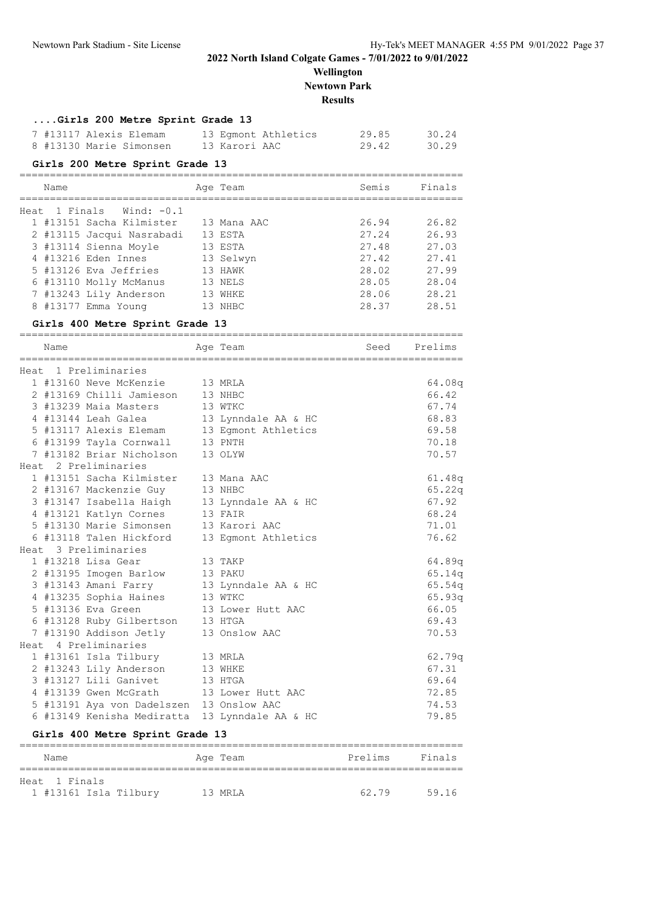**Wellington Newtown Park Results**

#### **....Girls 200 Metre Sprint Grade 13**

| 7 #13117 Alexis Elemam  | 13 Eqmont Athletics | 29.85 | 30.24 |
|-------------------------|---------------------|-------|-------|
| 8 #13130 Marie Simonsen | 13 Karori AAC       | 29.42 | 30.29 |

#### **Girls 200 Metre Sprint Grade 13**

#### =========================================================================

| Name                       | Age Team    | Semis | Finals |
|----------------------------|-------------|-------|--------|
|                            |             |       |        |
| Heat 1 Finals Wind: $-0.1$ |             |       |        |
| 1 #13151 Sacha Kilmister   | 13 Mana AAC | 26.94 | 26.82  |
| 2 #13115 Jacqui Nasrabadi  | 13 ESTA     | 27.24 | 26.93  |
| 3 #13114 Sienna Moyle      | 13 ESTA     | 27.48 | 27.03  |
| 4 #13216 Eden Innes        | 13 Selwyn   | 27.42 | 27.41  |
| 5 #13126 Eva Jeffries      | 13 HAWK     | 28.02 | 27.99  |
| 6 #13110 Molly McManus     | 13 NELS     | 28.05 | 28.04  |
| 7 #13243 Lily Anderson     | 13 WHKE     | 28.06 | 28.21  |
| 8 #13177 Emma Young        | 13 NHBC     | 28.37 | 28.51  |
|                            |             |       |        |

#### **Girls 400 Metre Sprint Grade 13**

| Name |                                                                             | Age Team               | Seed Prelims |        |
|------|-----------------------------------------------------------------------------|------------------------|--------------|--------|
|      |                                                                             |                        |              |        |
|      | Heat 1 Preliminaries                                                        |                        |              |        |
|      | 1 #13160 Neve McKenzie 13 MRLA                                              |                        |              | 64.08q |
|      | 2 #13169 Chilli Jamieson 13 NHBC                                            |                        |              | 66.42  |
|      | 3 #13239 Maia Masters 13 WTKC                                               |                        |              | 67.74  |
|      | 4 #13144 Leah Galea 13 Lynndale AA & HC                                     |                        |              | 68.83  |
|      | 5 #13117 Alexis Elemam 13 Egmont Athletics                                  |                        |              | 69.58  |
|      | 6 #13199 Tayla Cornwall 13 PNTH                                             |                        |              | 70.18  |
|      | 7 #13182 Briar Nicholson 13 OLYW                                            |                        |              | 70.57  |
|      | Heat 2 Preliminaries                                                        |                        |              |        |
|      | 1 #13151 Sacha Kilmister 13 Mana AAC                                        |                        |              | 61.48q |
|      | 2 #13167 Mackenzie Guy                                                      | 13 NHBC                |              | 65.22q |
|      | 3 #13147 Isabella Haigh 13 Lynndale AA & HC                                 |                        |              | 67.92  |
|      | 4 #13121 Katlyn Cornes 13 FAIR                                              |                        |              | 68.24  |
|      | 5 #13130 Marie Simonsen 13 Karori AAC                                       |                        |              | 71.01  |
|      | 6 #13118 Talen Hickford                                                     | 13 Eqmont Athletics    |              | 76.62  |
|      | Heat 3 Preliminaries                                                        |                        |              |        |
|      | 1 #13218 Lisa Gear 13 TAKP                                                  |                        |              | 64.89q |
|      | 2 #13195 Imogen Barlow 13 PAKU                                              |                        |              | 65.14q |
|      | 3 #13143 Amani Farry 13 Lynndale AA & HC                                    |                        |              | 65.54q |
|      |                                                                             |                        |              | 65.93q |
|      | 3 #13143 Amani Farry<br>4 #13235 Sophia Haines 13 WTKC<br>13 Lower Hutt AAC |                        |              | 66.05  |
|      | 6 #13128 Ruby Gilbertson 13 HTGA                                            |                        |              | 69.43  |
|      | 7 #13190 Addison Jetly 13 Onslow AAC                                        |                        |              | 70.53  |
|      | Heat 4 Preliminaries                                                        |                        |              |        |
|      | 1 #13161 Isla Tilbury 13 MRLA                                               |                        |              | 62.79q |
|      | 2 #13243 Lily Anderson 13 WHKE                                              |                        |              | 67.31  |
|      | 3 #13127 Lili Ganivet 13 HTGA                                               |                        |              | 69.64  |
|      | 4 #13139 Gwen McGrath 13 Lower Hutt AAC                                     |                        |              | 72.85  |
|      | 5 #13191 Aya von Dadelszen 13 Onslow AAC                                    |                        |              | 74.53  |
|      | 6 #13149 Kenisha Mediratta 13 Lynndale AA & HC                              |                        |              | 79.85  |
|      |                                                                             |                        |              |        |
|      | Girls 400 Metre Sprint Grade 13                                             |                        |              |        |
| N⊐mo |                                                                             | Maximum Dralime Finale |              |        |

| Name                  | Age Team | Prelims | Finals |
|-----------------------|----------|---------|--------|
|                       |          |         |        |
| Heat 1 Finals         |          |         |        |
| 1 #13161 Isla Tilbury | 13 MRLA  | 62.79   | 59.16  |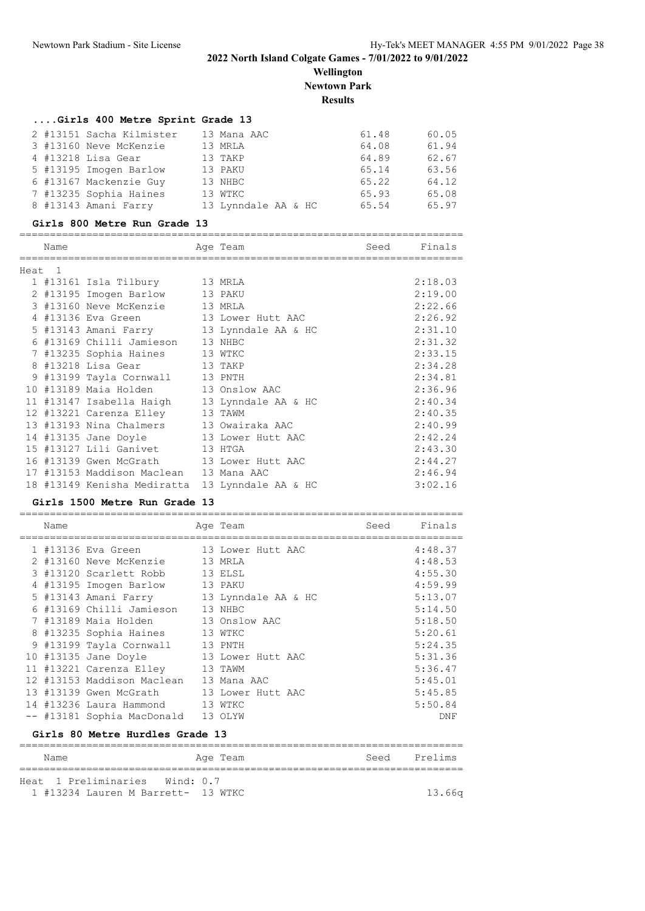**Wellington Newtown Park Results**

### **....Girls 400 Metre Sprint Grade 13**

|  | 2 #13151 Sacha Kilmister | 13 Mana AAC         | 61.48 | 60.05 |
|--|--------------------------|---------------------|-------|-------|
|  | 3 #13160 Neve McKenzie   | 13 MRLA             | 64.08 | 61.94 |
|  | 4 #13218 Lisa Gear       | 13 TAKP             | 64.89 | 62.67 |
|  | 5 #13195 Imogen Barlow   | 13 PAKU             | 65.14 | 63.56 |
|  | 6 #13167 Mackenzie Guy   | 13 NHBC             | 65.22 | 64.12 |
|  | 7 #13235 Sophia Haines   | 13 WTKC             | 65.93 | 65.08 |
|  | 8 #13143 Amani Farry     | 13 Lynndale AA & HC | 65.54 | 65.97 |
|  |                          |                     |       |       |

#### **Girls 800 Metre Run Grade 13**

|        | Name |                                              | Age Team            | Seed | Finals  |
|--------|------|----------------------------------------------|---------------------|------|---------|
|        |      |                                              |                     |      |         |
| Heat 1 |      |                                              |                     |      |         |
|        |      | 1 #13161 Isla Tilbury 13 MRLA                |                     |      | 2:18.03 |
|        |      | 2 #13195 Imogen Barlow 13 PAKU               |                     |      | 2:19.00 |
|        |      | 3 #13160 Neve McKenzie 13 MRLA               |                     |      | 2:22.66 |
|        |      | 4 #13136 Eva Green 13 Lower Hutt AAC         |                     |      | 2:26.92 |
|        |      | 5 #13143 Amani Farry 13 Lynndale AA & HC     |                     |      | 2:31.10 |
|        |      | 6 #13169 Chilli Jamieson 13 NHBC             |                     |      | 2:31.32 |
|        |      | 7 #13235 Sophia Haines 13 WTKC               |                     |      | 2:33.15 |
|        |      | 8 #13218 Lisa Gear<br>13 TAKP                |                     |      | 2:34.28 |
|        |      | 9 #13199 Tayla Cornwall                      | 13 PNTH             |      | 2:34.81 |
|        |      | 10 #13189 Maia Holden 13 Onslow AAC          |                     |      | 2:36.96 |
|        |      | 11 #13147 Isabella Haigh 13 Lynndale AA & HC |                     |      | 2:40.34 |
|        |      | 12 #13221 Carenza Elley 13 TAWM              |                     |      | 2:40.35 |
|        |      | 13 #13193 Nina Chalmers 13 Owairaka AAC      |                     |      | 2:40.99 |
|        |      | 14 #13135 Jane Doyle 13 Lower Hutt AAC       |                     |      | 2:42.24 |
|        |      | 15 #13127 Lili Ganivet 13 HTGA               |                     |      | 2:43.30 |
|        |      | 16 #13139 Gwen McGrath 13 Lower Hutt AAC     |                     |      | 2:44.27 |
|        |      | 17 #13153 Maddison Maclean                   | 13 Mana AAC         |      | 2:46.94 |
|        |      | 18 #13149 Kenisha Mediratta                  | 13 Lynndale AA & HC |      | 3:02.16 |

#### **Girls 1500 Metre Run Grade 13**

| Name |                                                                                                                                                                                                                                               | Age Team                                                                                                                      | Seed | Finals                                                                                      |
|------|-----------------------------------------------------------------------------------------------------------------------------------------------------------------------------------------------------------------------------------------------|-------------------------------------------------------------------------------------------------------------------------------|------|---------------------------------------------------------------------------------------------|
|      | 1 #13136 Eva Green<br>2 #13160 Neve McKenzie 13 MRLA<br>3 #13120 Scarlett Robb 13 ELSL<br>4 #13195 Imogen Barlow<br>5 #13143 Amani Farry<br>6 #13169 Chilli Jamieson 13 NHBC                                                                  | 13 Lower Hutt AAC<br>13 PAKU<br>13 Lynndale AA & HC                                                                           |      | 4:48.37<br>4:48.53<br>4:55.30<br>4:59.99<br>5:13.07<br>5:14.50                              |
|      | 7 #13189 Maia Holden<br>8 #13235 Sophia Haines<br>9 #13199 Tayla Cornwall<br>10 #13135 Jane Doyle<br>11 #13221 Carenza Elley<br>12 #13153 Maddison Maclean<br>13 #13139 Gwen McGrath<br>14 #13236 Laura Hammond<br>-- #13181 Sophia MacDonald | 13 Onslow AAC<br>13 WTKC<br>13 PNTH<br>13 Lower Hutt AAC<br>13 TAWM<br>13 Mana AAC<br>13 Lower Hutt AAC<br>13 WTKC<br>13 OLYW |      | 5:18.50<br>5:20.61<br>5:24.35<br>5:31.36<br>5:36.47<br>5:45.01<br>5:45.85<br>5:50.84<br>DNF |

#### **Girls 80 Metre Hurdles Grade 13**

| Name                               | Age Team | Seed Prelims |
|------------------------------------|----------|--------------|
| Heat 1 Preliminaries Wind: 0.7     |          |              |
| 1 #13234 Lauren M Barrett- 13 WTKC |          | 13.66a       |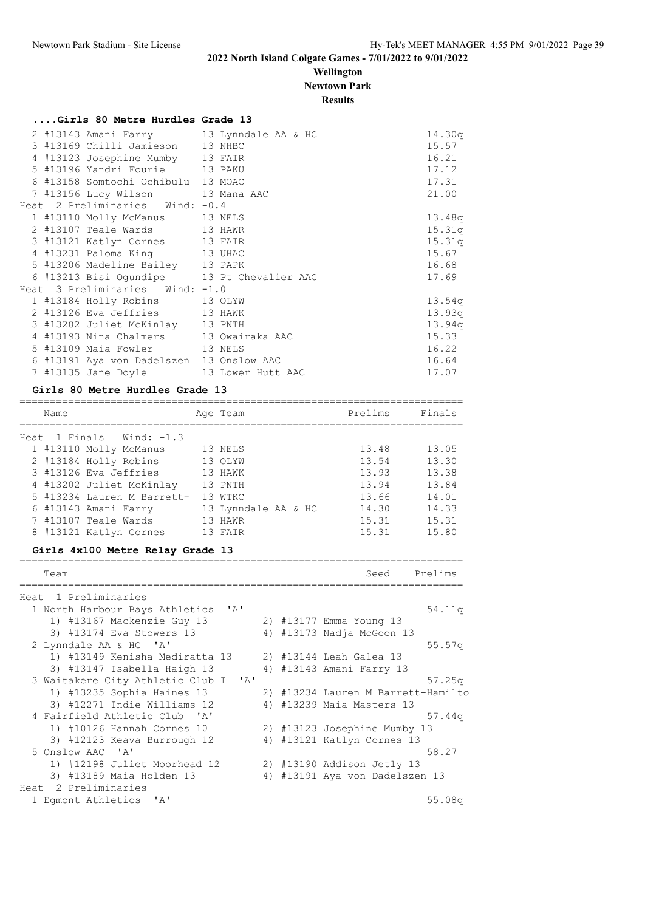#### **Wellington Newtown Park**

**Results**

|  | Girls 80 Metre Hurdles Grade 13          |                                            |        |
|--|------------------------------------------|--------------------------------------------|--------|
|  |                                          | 2 #13143 Amani Farry 13 Lynndale AA & HC   | 14.30q |
|  | 3 #13169 Chilli Jamieson 13 NHBC         |                                            | 15.57  |
|  | 4 #13123 Josephine Mumby 13 FAIR         |                                            | 16.21  |
|  | 5 #13196 Yandri Fourie 13 PAKU           |                                            | 17.12  |
|  | 6 #13158 Somtochi Ochibulu 13 MOAC       |                                            | 17.31  |
|  | 7 #13156 Lucy Wilson 13 Mana AAC         |                                            | 21.00  |
|  | Heat 2 Preliminaries Wind: -0.4          |                                            |        |
|  | 1 #13110 Molly McManus 13 NELS           |                                            | 13.48q |
|  | 2 #13107 Teale Wards 13 HAWR             |                                            | 15.31q |
|  | 3 #13121 Katlyn Cornes 13 FAIR           |                                            | 15.31q |
|  | 4 #13231 Paloma King 13 UHAC             |                                            | 15.67  |
|  | 5 #13206 Madeline Bailey 13 PAPK         |                                            | 16.68  |
|  |                                          | 6 #13213 Bisi Ogundipe 13 Pt Chevalier AAC | 17.69  |
|  | Heat 3 Preliminaries Wind: -1.0          |                                            |        |
|  | 1 #13184 Holly Robins 13 OLYW            |                                            | 13.54q |
|  | 2 #13126 Eva Jeffries 13 HAWK            |                                            | 13.93q |
|  | 3 #13202 Juliet McKinlay 13 PNTH         |                                            | 13.94q |
|  | 4 #13193 Nina Chalmers 13 Owairaka AAC   |                                            | 15.33  |
|  | 5 #13109 Maia Fowler 13 NELS             |                                            | 16.22  |
|  | 6 #13191 Aya von Dadelszen 13 Onslow AAC |                                            | 16.64  |
|  | 7 #13135 Jane Doyle 13 Lower Hutt AAC    |                                            | 17.07  |

#### **Girls 80 Metre Hurdles Grade 13**

| Name |                            | Age Team            | Prelims | Finals |
|------|----------------------------|---------------------|---------|--------|
|      | Heat 1 Finals Wind: $-1.3$ |                     |         |        |
|      | 1 #13110 Molly McManus     | 13 NELS             | 13.48   | 13.05  |
|      | 2 #13184 Holly Robins      | 13 OLYW             | 13.54   | 13.30  |
|      | 3 #13126 Eva Jeffries      | 13 HAWK             | 13.93   | 13.38  |
|      | 4 #13202 Juliet McKinlay   | 13 PNTH             | 13.94   | 13.84  |
|      | 5 #13234 Lauren M Barrett- | 13 WTKC             | 13.66   | 14.01  |
|      | 6 #13143 Amani Farry       | 13 Lynndale AA & HC | 14.30   | 14.33  |
|      | 7 #13107 Teale Wards       | 13 HAWR             | 15.31   | 15.31  |
|      | 8 #13121 Katlyn Cornes     | 13 FAIR             | 15.31   | 15.80  |

#### **Girls 4x100 Metre Relay Grade 13**

| Team                                           |  | Seed                               | Prelims |
|------------------------------------------------|--|------------------------------------|---------|
|                                                |  |                                    |         |
| Heat 1 Preliminaries                           |  |                                    |         |
| $\mathsf{A}$<br>1 North Harbour Bays Athletics |  |                                    | 54.11q  |
| 1) #13167 Mackenzie Guy 13                     |  | 2) #13177 Emma Young 13            |         |
| 3) #13174 Eva Stowers 13                       |  | 4) #13173 Nadja McGoon 13          |         |
| 2 Lynndale AA & HC 'A'                         |  |                                    | 55.57q  |
| 1) #13149 Kenisha Mediratta 13                 |  | 2) #13144 Leah Galea 13            |         |
| 3) #13147 Isabella Haigh 13                    |  | 4) #13143 Amani Farry 13           |         |
| 3 Waitakere City Athletic Club I 'A'           |  |                                    | 57.25q  |
| 1) #13235 Sophia Haines 13                     |  | 2) #13234 Lauren M Barrett-Hamilto |         |
| 3) #12271 Indie Williams 12                    |  | 4) #13239 Maia Masters 13          |         |
| 4 Fairfield Athletic Club 'A'                  |  |                                    | 57.44q  |
| 1) #10126 Hannah Cornes 10                     |  | 2) #13123 Josephine Mumby 13       |         |
| 3) #12123 Keava Burrough 12                    |  | 4) #13121 Katlyn Cornes 13         |         |
| 5 Onslow AAC 'A'                               |  |                                    | 58.27   |
| 1) #12198 Juliet Moorhead 12                   |  | 2) #13190 Addison Jetly 13         |         |
| 3) #13189 Maia Holden 13                       |  | 4) #13191 Aya von Dadelszen 13     |         |
| Heat 2 Preliminaries                           |  |                                    |         |
| 1 Eqmont Athletics 'A'                         |  |                                    | 55.08q  |
|                                                |  |                                    |         |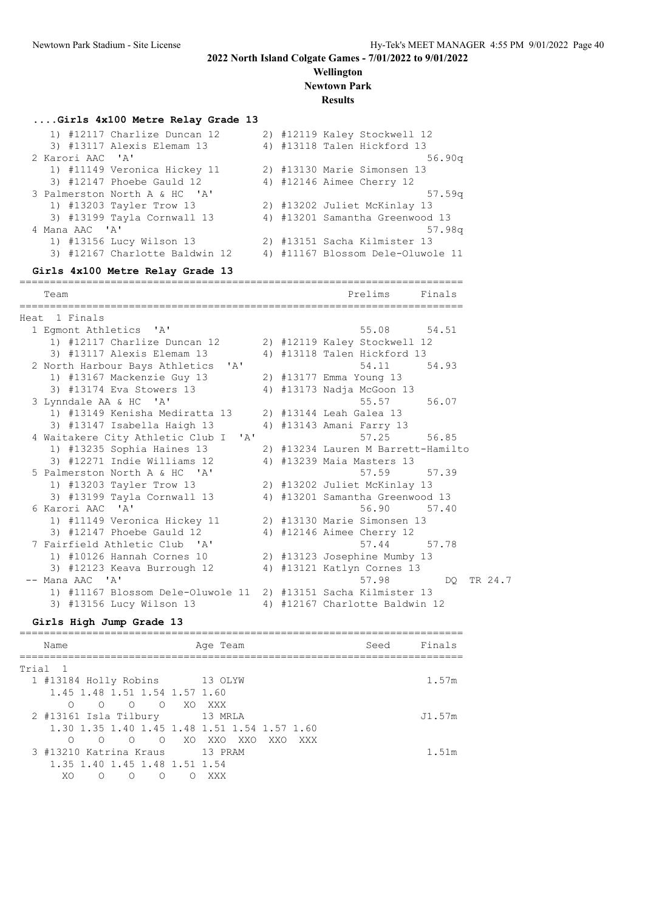#### **Wellington Newtown Park**

#### **Results**

#### **....Girls 4x100 Metre Relay Grade 13**

|                  | 1) #12117 Charlize Duncan 12   |  | 2) #12119 Kaley Stockwell 12      |
|------------------|--------------------------------|--|-----------------------------------|
|                  | 3) #13117 Alexis Elemam 13     |  | 4) #13118 Talen Hickford 13       |
| 2 Karori AAC 'A' |                                |  | 56.90q                            |
|                  | 1) #11149 Veronica Hickey 11   |  | 2) #13130 Marie Simonsen 13       |
|                  | 3) #12147 Phoebe Gauld 12      |  | 4) #12146 Aimee Cherry 12         |
|                  | 3 Palmerston North A & HC 'A'  |  | 57.59q                            |
|                  | 1) #13203 Tayler Trow 13       |  | 2) #13202 Juliet McKinlay 13      |
|                  | 3) #13199 Tayla Cornwall 13    |  | 4) #13201 Samantha Greenwood 13   |
| 4 Mana AAC 'A'   |                                |  | 57.98q                            |
|                  | 1) #13156 Lucy Wilson 13       |  | 2) #13151 Sacha Kilmister 13      |
|                  | 3) #12167 Charlotte Baldwin 12 |  | 4) #11167 Blossom Dele-Oluwole 11 |

#### **Girls 4x100 Metre Relay Grade 13**

========================================================================= Team Prelims Finals ========================================================================= Heat 1 Finals 1 Egmont Athletics 'A' 55.08 54.51 1) #12117 Charlize Duncan 12 2) #12119 Kaley Stockwell 12 3) #13117 Alexis Elemam 13 4) #13118 Talen Hickford 13 2 North Harbour Bays Athletics 'A' 54.11 54.93 1) #13167 Mackenzie Guy 13 2) #13177 Emma Young 13 3) #13174 Eva Stowers 13 4) #13173 Nadja McGoon 13 3 Lynndale AA & HC 'A' 55.57 56.07 1) #13149 Kenisha Mediratta 13 2) #13144 Leah Galea 13 3) #13147 Isabella Haigh 13 4) #13143 Amani Farry 13 4 Waitakere City Athletic Club I 'A' 57.25 56.85 1) #13235 Sophia Haines 13 2) #13234 Lauren M Barrett-Hamilto 3) #12271 Indie Williams 12 4) #13239 Maia Masters 13 5 Palmerston North A & HC 'A' 57.59 57.39 1) #13203 Tayler Trow 13 2) #13202 Juliet McKinlay 13 3) #13199 Tayla Cornwall 13 4) #13201 Samantha Greenwood 13 6 Karori AAC 'A' 56.90 57.40 1) #11149 Veronica Hickey 11 2) #13130 Marie Simonsen 13 3) #12147 Phoebe Gauld 12 4) #12146 Aimee Cherry 12 7 Fairfield Athletic Club 'A' 57.44 57.78 1) #10126 Hannah Cornes 10 2) #13123 Josephine Mumby 13 3) #12123 Keava Burrough 12 4) #13121 Katlyn Cornes 13 -- Mana AAC 'A' 57.98 DQ TR 24.7 1) #11167 Blossom Dele-Oluwole 11 2) #13151 Sacha Kilmister 13 3) #13156 Lucy Wilson 13 4) #12167 Charlotte Baldwin 12

#### **Girls High Jump Grade 13**

| Name                                         | Age Team                | Seed | Finals |
|----------------------------------------------|-------------------------|------|--------|
| Trial 1                                      |                         |      |        |
| 1 #13184 Holly Robins 13 OLYW                |                         |      | 1.57m  |
| 1.45 1.48 1.51 1.54 1.57 1.60                |                         |      |        |
| O XO<br>$\bigcirc$<br>$\cap$<br>∩            | XXX                     |      |        |
| 2 #13161 Isla Tilbury 13 MRLA                |                         |      | J1.57m |
| 1,30 1,35 1,40 1,45 1,48 1,51 1,54 1,57 1,60 |                         |      |        |
| $\cap$<br>$\bigcirc$<br>∩                    | O XO XXO XXO<br>XXO XXX |      |        |
| 3 #13210 Katrina Kraus                       | 13 PRAM                 |      | 1.51m  |
| 1.35 1.40 1.45 1.48 1.51 1.54                |                         |      |        |
| XO.<br>∩<br>∩<br>∩                           | XXX                     |      |        |
|                                              |                         |      |        |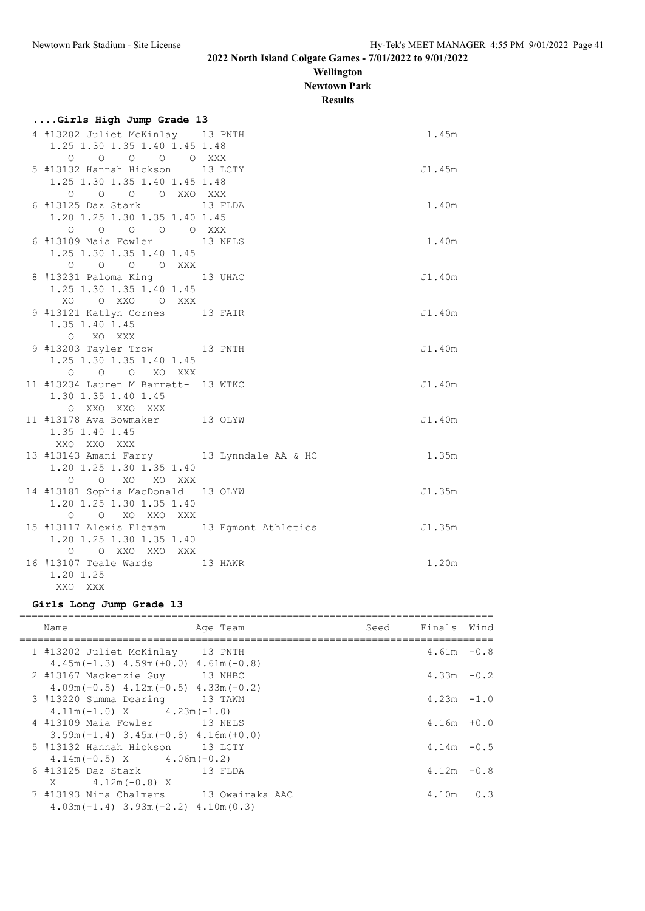**Wellington Newtown Park**

**Results**

| Girls High Jump Grade 13                                                                                                        |         |        |
|---------------------------------------------------------------------------------------------------------------------------------|---------|--------|
| 4 #13202 Juliet McKinlay 13 PNTH                                                                                                |         | 1.45m  |
| 1.25 1.30 1.35 1.40 1.45 1.48                                                                                                   |         |        |
| 0 0 0 0 0 XXX                                                                                                                   |         |        |
| 5 #13132 Hannah Hickson 13 LCTY                                                                                                 |         | J1.45m |
| 1.25 1.30 1.35 1.40 1.45 1.48                                                                                                   |         |        |
| 0 0 0 0 XXO XXX                                                                                                                 |         |        |
| 6 #13125 Daz Stark 13 FLDA                                                                                                      |         | 1.40m  |
| 1.20 1.25 1.30 1.35 1.40 1.45                                                                                                   |         |        |
| $\begin{matrix} \mathsf{O} & \mathsf{O} & \mathsf{O} & \mathsf{O} & \mathsf{O} & \mathsf{X} \mathsf{X} \mathsf{X} \end{matrix}$ |         |        |
| 6 #13109 Maia Fowler 13 NELS                                                                                                    |         | 1.40m  |
| 1.25 1.30 1.35 1.40 1.45                                                                                                        |         |        |
| 0 0 0 0 XXX                                                                                                                     |         |        |
| 8 #13231 Paloma King                                                                                                            | 13 UHAC | J1.40m |
| 1.25 1.30 1.35 1.40 1.45                                                                                                        |         |        |
| XO O XXO O XXX                                                                                                                  |         |        |
| 9 #13121 Katlyn Cornes 13 FAIR                                                                                                  |         | J1.40m |
| 1.35 1.40 1.45                                                                                                                  |         |        |
| O XO XXX                                                                                                                        |         |        |
| 9 #13203 Tayler Trow 13 PNTH                                                                                                    |         | J1.40m |
| 1.25 1.30 1.35 1.40 1.45                                                                                                        |         |        |
| O O O XO XXX                                                                                                                    |         |        |
| 11 #13234 Lauren M Barrett- 13 WTKC                                                                                             |         | J1.40m |
| 1.30 1.35 1.40 1.45                                                                                                             |         |        |
| O XXO XXO XXX<br>11 #13178 Ava Bowmaker 13 OLYW                                                                                 |         |        |
|                                                                                                                                 |         | J1.40m |
| 1.35 1.40 1.45<br>XXO XXO XXX                                                                                                   |         |        |
| 13 #13143 Amani Farry 13 Lynndale AA & HC                                                                                       |         | 1.35m  |
| 1.20 1.25 1.30 1.35 1.40                                                                                                        |         |        |
| O O XO XO XXX                                                                                                                   |         |        |
| 14 #13181 Sophia MacDonald 13 OLYW                                                                                              |         | J1.35m |
| 1.20 1.25 1.30 1.35 1.40                                                                                                        |         |        |
| O O XO XXO XXX                                                                                                                  |         |        |
| 15 #13117 Alexis Elemam 13 Egmont Athletics                                                                                     |         | J1.35m |
| 1.20 1.25 1.30 1.35 1.40                                                                                                        |         |        |
| O O XXO XXO XXX                                                                                                                 |         |        |
| 16 #13107 Teale Wards                                                                                                           | 13 HAWR | 1.20m  |
| 1.20 1.25                                                                                                                       |         |        |
| XXO XXX                                                                                                                         |         |        |

## **Girls Long Jump Grade 13**

| Name                                                                                                                  | Age Team | Seed Finals Wind |  |
|-----------------------------------------------------------------------------------------------------------------------|----------|------------------|--|
| 1 #13202 Juliet McKinlay 13 PNTH                                                                                      |          | $4.61m - 0.8$    |  |
| $4.45m(-1.3)$ $4.59m(+0.0)$ $4.61m(-0.8)$<br>2 #13167 Mackenzie Guy 13 NHBC                                           |          | $4.33m - 0.2$    |  |
| $4.09m(-0.5)$ $4.12m(-0.5)$ $4.33m(-0.2)$<br>3 #13220 Summa Dearing 13 TAWM                                           |          | $4.23m - 1.0$    |  |
| $4.11m(-1.0)$ X $4.23m(-1.0)$<br>4 #13109 Maia Fowler 13 NELS                                                         |          | $4.16m + 0.0$    |  |
| $3.59$ m (-1.4) $3.45$ m (-0.8) $4.16$ m (+0.0)                                                                       |          |                  |  |
| 5 #13132 Hannah Hickson 13 LCTY<br>$4.14m(-0.5)$ X $4.06m(-0.2)$                                                      |          | $4.14m - 0.5$    |  |
| 6 #13125 Daz Stark 13 FLDA                                                                                            |          | $4.12m - 0.8$    |  |
| $X = 4.12m(-0.8) X$<br>7 #13193 Nina Chalmers 13 Owairaka AAC<br>$4.03$ m $(-1.4)$ $3.93$ m $(-2.2)$ $4.10$ m $(0.3)$ |          | $4.10m$ 0.3      |  |
|                                                                                                                       |          |                  |  |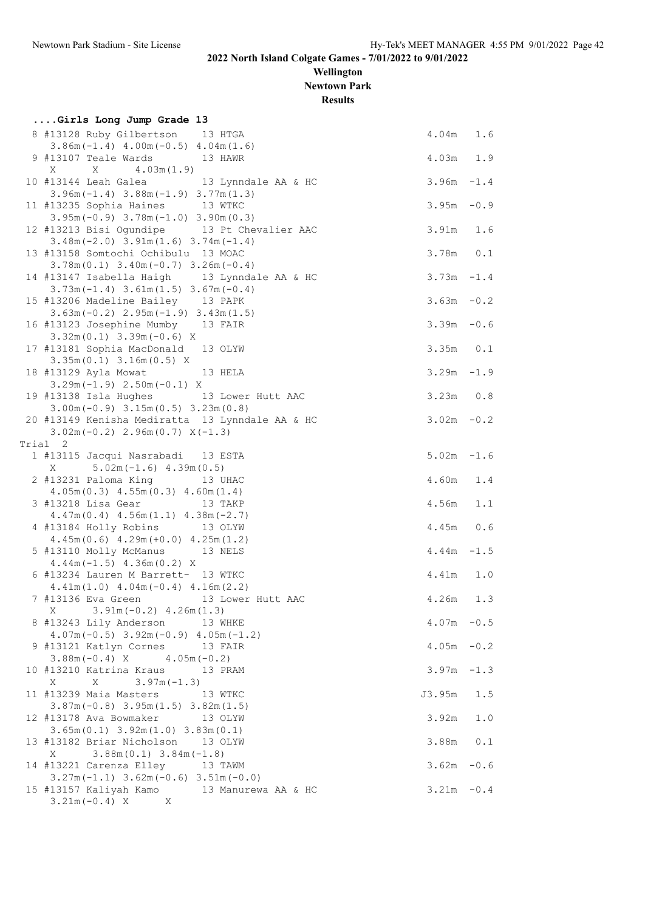**Wellington Newtown Park**

**Results**

| Girls Long Jump Grade 13                                                                                       |                                |            |
|----------------------------------------------------------------------------------------------------------------|--------------------------------|------------|
| 8 #13128 Ruby Gilbertson 13 HTGA<br>$3.86m(-1.4)$ 4.00m $(-0.5)$ 4.04m $(1.6)$                                 | $4.04m$ 1.6                    |            |
| 9 #13107 Teale Wards<br>13 HAWR<br>X<br>4.03m(1.9)<br>Χ                                                        | 4.03m 1.9                      |            |
| 13 Lynndale AA & HC<br>10 #13144 Leah Galea<br>$3.96m(-1.4)$ $3.88m(-1.9)$ $3.77m(1.3)$                        | $3.96m - 1.4$                  |            |
| 11 #13235 Sophia Haines 13 WTKC<br>$3.95m(-0.9)$ $3.78m(-1.0)$ $3.90m(0.3)$                                    | $3.95m - 0.9$                  |            |
| 12 #13213 Bisi Ogundipe 13 Pt Chevalier AAC<br>$3.48m(-2.0)$ $3.91m(1.6)$ $3.74m(-1.4)$                        | $3.91m$ 1.6                    |            |
| 13 #13158 Somtochi Ochibulu 13 MOAC<br>$3.78m(0.1)$ $3.40m(-0.7)$ $3.26m(-0.4)$                                | $3.78m$ 0.1                    |            |
| 14 #13147 Isabella Haigh 13 Lynndale AA & HC<br>$3.73m(-1.4)$ $3.61m(1.5)$ $3.67m(-0.4)$                       | $3.73m - 1.4$                  |            |
| 15 #13206 Madeline Bailey 13 PAPK<br>$3.63m(-0.2)$ $2.95m(-1.9)$ $3.43m(1.5)$                                  | $3.63m - 0.2$                  |            |
| 16 #13123 Josephine Mumby 13 FAIR<br>$3.32m(0.1)$ $3.39m(-0.6)$ X                                              | $3.39m - 0.6$                  |            |
| 17 #13181 Sophia MacDonald 13 OLYW<br>$3.35m(0.1)$ $3.16m(0.5)$ X                                              | $3.35m$ $0.1$                  |            |
| 18 #13129 Ayla Mowat 13 HELA<br>$3.29m(-1.9)$ $2.50m(-0.1)$ X<br>19 #13138 Isla Hughes 13 Lower Hutt AAC       | $3.29m - 1.9$<br>$3.23m$ $0.8$ |            |
| $3.00m(-0.9)$ $3.15m(0.5)$ $3.23m(0.8)$<br>20 #13149 Kenisha Mediratta 13 Lynndale AA & HC                     | $3.02m - 0.2$                  |            |
| $3.02m(-0.2)$ 2.96m $(0.7)$ X $(-1.3)$<br>Trial 2                                                              |                                |            |
| 1 #13115 Jacqui Nasrabadi 13 ESTA<br>$5.02m(-1.6)$ 4.39m (0.5)<br>X                                            | $5.02m - 1.6$                  |            |
| 2 #13231 Paloma King<br>13 UHAC<br>$4.05m(0.3)$ $4.55m(0.3)$ $4.60m(1.4)$                                      | 4.60m 1.4                      |            |
| 3 #13218 Lisa Gear 13 TAKP<br>$4.47m(0.4)$ $4.56m(1.1)$ $4.38m(-2.7)$                                          | 4.56m                          | 1.1        |
| 4 #13184 Holly Robins 13 OLYW<br>$4.45m(0.6)$ $4.29m(+0.0)$ $4.25m(1.2)$                                       | $4.45m$ 0.6                    |            |
| 5 #13110 Molly McManus 13 NELS<br>$4.44m(-1.5)$ $4.36m(0.2)$ X                                                 | $4.44m - 1.5$                  |            |
| 6 #13234 Lauren M Barrett- 13 WTKC<br>$4.41m(1.0)$ $4.04m(-0.4)$ $4.16m(2.2)$                                  | 4.41m                          | 1.0        |
| 7 #13136 Eva Green<br>13 Lower Hutt AAC<br>$3.91m(-0.2)$ 4.26m(1.3)<br>X                                       | 4.26m                          | 1.3        |
| 8 #13243 Lily Anderson 13 WHKE<br>$4.07m(-0.5)$ 3.92m $(-0.9)$ 4.05m $(-1.2)$                                  | $4.07m - 0.5$                  |            |
| 9 #13121 Katlyn Cornes 13 FAIR<br>$3.88m(-0.4)$ X $4.05m(-0.2)$                                                | $4.05m - 0.2$                  |            |
| 10 #13210 Katrina Kraus<br>13 PRAM<br>$3.97m(-1.3)$<br>Χ<br>X                                                  | $3.97m - 1.3$                  |            |
| 11 #13239 Maia Masters<br>13 WTKC<br>$3.87m(-0.8)$ $3.95m(1.5)$ $3.82m(1.5)$<br>12 #13178 Ava Bowmaker 13 OLYW | J3.95m<br>3.92m                | 1.5<br>1.0 |
| $3.65m(0.1)$ $3.92m(1.0)$ $3.83m(0.1)$<br>13 #13182 Briar Nicholson 13 OLYW                                    | 3.88m                          | 0.1        |
| $3.88m(0.1)$ $3.84m(-1.8)$<br>Χ<br>14 #13221 Carenza Elley 13 TAWM                                             | $3.62m - 0.6$                  |            |
| $3.27m(-1.1)$ $3.62m(-0.6)$ $3.51m(-0.0)$<br>15 #13157 Kaliyah Kamo 13 Manurewa AA & HC                        | $3.21m - 0.4$                  |            |
| $3.21m(-0.4) X$ X                                                                                              |                                |            |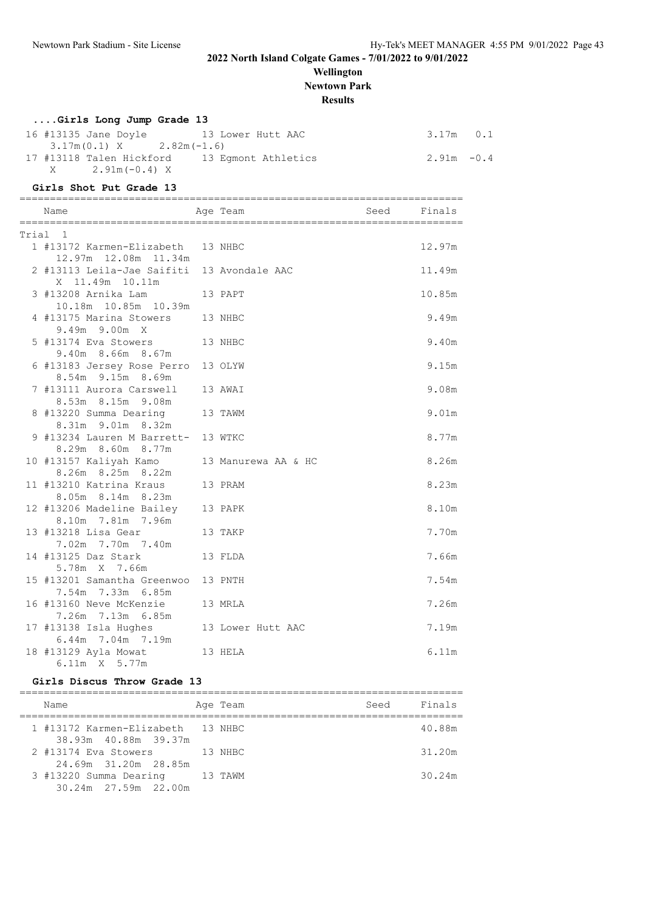## **Wellington**

**Newtown Park**

## **Results**

# **....Girls Long Jump Grade 13**<br>16 #13135 Jane Dovle

| Giris Long Jump Grade 13                     |               |  |
|----------------------------------------------|---------------|--|
| 16 #13135 Jane Doyle 13 Lower Hutt AAC       | $3.17m$ 0.1   |  |
| $3.17m(0.1)$ X $2.82m(-1.6)$                 |               |  |
| 17 #13118 Talen Hickford 13 Eqmont Athletics | $2.91m - 0.4$ |  |
| $X = 2.91m(-0.4) X$                          |               |  |

#### **Girls Shot Put Grade 13**

| Name<br>Aqe Team                                              |                     | Seed Finals |        |
|---------------------------------------------------------------|---------------------|-------------|--------|
| Trial 1                                                       |                     |             |        |
| 1 #13172 Karmen-Elizabeth 13 NHBC<br>12.97m 12.08m 11.34m     |                     |             | 12.97m |
| 2 #13113 Leila-Jae Saifiti 13 Avondale AAC<br>X 11.49m 10.11m |                     |             | 11.49m |
| 3 #13208 Arnika Lam<br>10.18m  10.85m  10.39m                 | 13 PAPT             |             | 10.85m |
| 4 #13175 Marina Stowers<br>9.49m 9.00m X                      | 13 NHBC             |             | 9.49m  |
| 5 #13174 Eva Stowers<br>9.40m 8.66m 8.67m                     | 13 NHBC             |             | 9.40m  |
| 6 #13183 Jersey Rose Perro<br>8.54m 9.15m 8.69m               | 13 OLYW             |             | 9.15m  |
| 7 #13111 Aurora Carswell<br>8.53m 8.15m 9.08m                 | 13 AWAI             |             | 9.08m  |
| 8 #13220 Summa Dearing<br>8.31m 9.01m 8.32m                   | 13 TAWM             |             | 9.01m  |
| 9 #13234 Lauren M Barrett-<br>8.29m 8.60m 8.77m               | 13 WTKC             |             | 8.77m  |
| 10 #13157 Kaliyah Kamo<br>8.26m 8.25m 8.22m                   | 13 Manurewa AA & HC |             | 8.26m  |
| 11 #13210 Katrina Kraus<br>8.05m 8.14m 8.23m                  | 13 PRAM             |             | 8.23m  |
| 12 #13206 Madeline Bailey<br>8.10m 7.81m 7.96m                | 13 PAPK             |             | 8.10m  |
| 13 #13218 Lisa Gear<br>7.02m 7.70m 7.40m                      | 13 TAKP             |             | 7.70m  |
| 14 #13125 Daz Stark<br>5.78m X 7.66m                          | 13 FLDA             |             | 7.66m  |
| 15 #13201 Samantha Greenwoo<br>7.54m 7.33m 6.85m              | 13 PNTH             |             | 7.54m  |
| 16 #13160 Neve McKenzie<br>7.26m 7.13m 6.85m                  | 13 MRLA             |             | 7.26m  |
| 17 #13138 Isla Hughes<br>6.44m 7.04m 7.19m                    | 13 Lower Hutt AAC   |             | 7.19m  |
| 18 #13129 Ayla Mowat<br>6.11m X 5.77m                         | 13 HELA             |             | 6.11m  |

#### **Girls Discus Throw Grade 13**

| Name                                                      | Age Team | Seed | Finals |
|-----------------------------------------------------------|----------|------|--------|
| 1 #13172 Karmen-Elizabeth 13 NHBC<br>38.93m 40.88m 39.37m |          |      | 40.88m |
| 2 #13174 Eva Stowers<br>24.69m 31.20m 28.85m              | 13 NHBC  |      | 31.20m |
| 3 #13220 Summa Dearing<br>30.24m 27.59m 22.00m            | 13 TAWM  |      | 30.24m |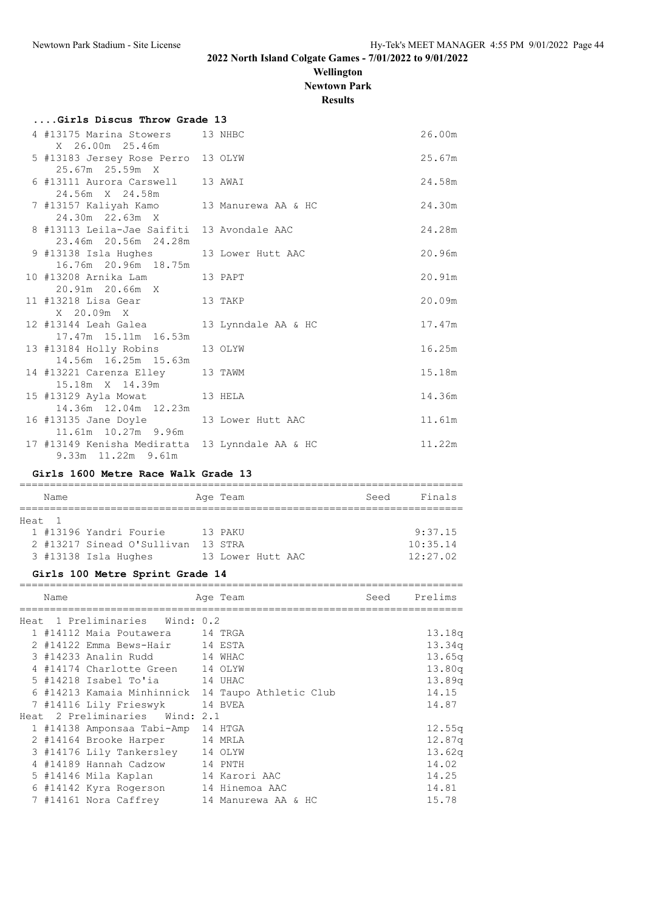**Wellington**

**Newtown Park**

**Results**

| Girls Discus Throw Grade 13                                        |                     |        |
|--------------------------------------------------------------------|---------------------|--------|
| 4 #13175 Marina Stowers 13 NHBC<br>X 26.00m 25.46m                 |                     | 26.00m |
| 5 #13183 Jersey Rose Perro 13 OLYW<br>25.67m 25.59m X              |                     | 25.67m |
| 6 #13111 Aurora Carswell 13 AWAI<br>24.56m X 24.58m                |                     | 24.58m |
| 7 #13157 Kaliyah Kamo 13 Manurewa AA & HC<br>24.30m 22.63m X       |                     | 24.30m |
| 8 #13113 Leila-Jae Saifiti 13 Avondale AAC<br>23.46m 20.56m 24.28m |                     | 24.28m |
| 9 #13138 Isla Hughes<br>16.76m 20.96m 18.75m                       | 13 Lower Hutt AAC   | 20.96m |
| 10 #13208 Arnika Lam           13 PAPT<br>20.91m  20.66m  X        |                     | 20.91m |
| 13 TAKP<br>11 #13218 Lisa Gear<br>X 20.09m X                       |                     | 20.09m |
| 12 #13144 Leah Galea 13 Lynndale AA & HC<br>17.47m 15.11m 16.53m   |                     | 17.47m |
| 13 #13184 Holly Robins 13 OLYW<br>14.56m 16.25m 15.63m             |                     | 16.25m |
| 14 #13221 Carenza Elley 13 TAWM<br>15.18m X 14.39m                 |                     | 15.18m |
| 15 #13129 Ayla Mowat 13 HELA<br>14.36m  12.04m  12.23m             |                     | 14.36m |
| 16 #13135 Jane Doyle 13 Lower Hutt AAC<br>11.61m 10.27m 9.96m      |                     | 11.61m |
| 17 #13149 Kenisha Mediratta<br>9.33m 11.22m 9.61m                  | 13 Lynndale AA & HC | 11.22m |

#### **Girls 1600 Metre Race Walk Grade 13**

| Name   |                            | Age Team          |  | Seed | Finals   |
|--------|----------------------------|-------------------|--|------|----------|
| Heat 1 |                            |                   |  |      |          |
|        | 1 #13196 Yandri Fourie     | 13 PAKU           |  |      | 9:37.15  |
|        | 2 #13217 Sinead O'Sullivan | 13 STRA           |  |      | 10:35.14 |
|        | 3 #13138 Isla Hughes       | 13 Lower Hutt AAC |  |      | 12:27.02 |

#### **Girls 100 Metre Sprint Grade 14**

| Name |                                  | Age Team                                          | Seed | Prelims |
|------|----------------------------------|---------------------------------------------------|------|---------|
|      | Heat 1 Preliminaries Wind: 0.2   |                                                   |      |         |
|      | 1 #14112 Maia Poutawera 14 TRGA  |                                                   |      | 13.18q  |
|      | 2 #14122 Emma Bews-Hair 14 ESTA  |                                                   |      | 13.34q  |
|      | 3 #14233 Analin Rudd             | 14 WHAC                                           |      | 13.65q  |
|      | 4 #14174 Charlotte Green 14 OLYW |                                                   |      | 13.80q  |
|      | 5 #14218 Isabel To'ia 14 UHAC    |                                                   |      | 13.89q  |
|      |                                  | 6 #14213 Kamaia Minhinnick 14 Taupo Athletic Club |      | 14.15   |
|      | 7 #14116 Lily Frieswyk           | 14 BVEA                                           |      | 14.87   |
|      | Heat 2 Preliminaries Wind: 2.1   |                                                   |      |         |
|      | 1 #14138 Amponsaa Tabi-Amp       | 14 HTGA                                           |      | 12.55q  |
|      | 2 #14164 Brooke Harper           | 14 MRLA                                           |      | 12.87q  |
|      | 3 #14176 Lily Tankersley         | 14 OLYW                                           |      | 13.62q  |
|      | 4 #14189 Hannah Cadzow           | 14 PNTH                                           |      | 14.02   |
|      | 5 #14146 Mila Kaplan             | 14 Karori AAC                                     |      | 14.25   |
|      | 6 #14142 Kyra Rogerson           | 14 Hinemoa AAC                                    |      | 14.81   |
|      | 7 #14161 Nora Caffrey            | 14 Manurewa AA & HC                               |      | 15.78   |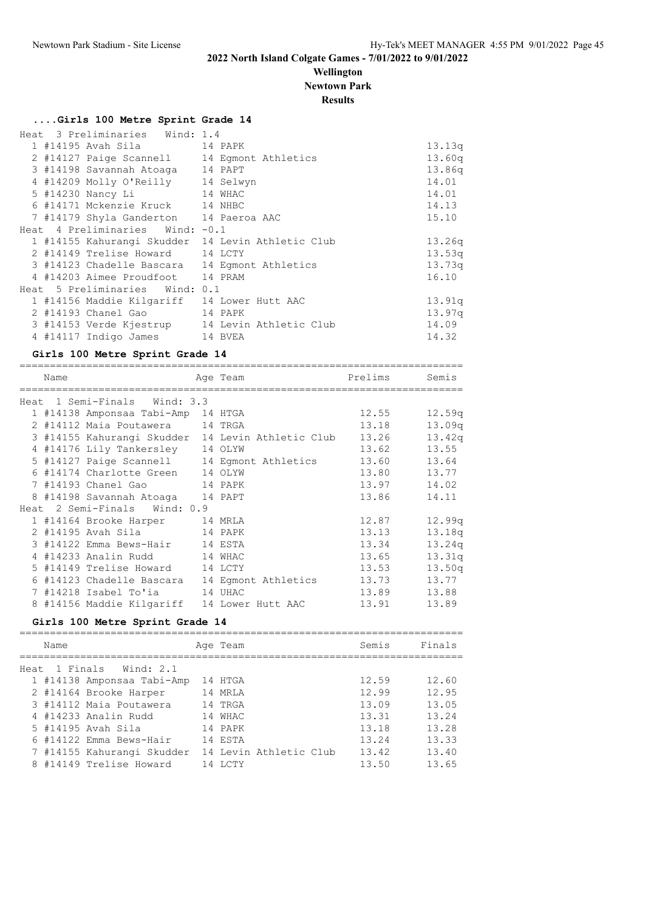## **Wellington**

**Newtown Park**

**Results**

#### **....Girls 100 Metre Sprint Grade 14**

|  | Heat 3 Preliminaries Wind: 1.4              |                                                   |        |
|--|---------------------------------------------|---------------------------------------------------|--------|
|  | 1 #14195 Avah Sila               14 PAPK    |                                                   | 13.13q |
|  |                                             | 2 #14127 Paige Scannell 14 Eqmont Athletics       | 13.60q |
|  | 3 #14198 Savannah Atoaga 14 PAPT            |                                                   | 13.86q |
|  | 4 #14209 Molly O'Reilly 14 Selwyn           |                                                   | 14.01  |
|  | 5 #14230 Nancy Li<br>14 WHAC                |                                                   | 14.01  |
|  | 6 #14171 Mckenzie Kruck 14 NHBC             |                                                   | 14.13  |
|  | 7 #14179 Shyla Ganderton 14 Paeroa AAC      |                                                   | 15.10  |
|  | Heat $4$ Preliminaries Wind: $-0.1$         |                                                   |        |
|  |                                             | 1 #14155 Kahurangi Skudder 14 Levin Athletic Club | 13.26q |
|  | 2 #14149 Trelise Howard 14 LCTY             |                                                   | 13.53q |
|  |                                             | 3 #14123 Chadelle Bascara 14 Eqmont Athletics     | 13.73q |
|  | 4 #14203 Aimee Proudfoot 14 PRAM            |                                                   | 16.10  |
|  | Heat 5 Preliminaries Wind: 0.1              |                                                   |        |
|  | 1 #14156 Maddie Kilgariff 14 Lower Hutt AAC |                                                   | 13.91q |
|  | 2 #14193 Chanel Gao 14 PAPK                 |                                                   | 13.97q |
|  |                                             | 3 #14153 Verde Kjestrup 14 Levin Athletic Club    | 14.09  |
|  | 4 #14117 Indigo James 14 BVEA               |                                                   | 14.32  |

#### **Girls 100 Metre Sprint Grade 14**

| Name |                                    | Age Team                                                       | Prelims Semis |                    |
|------|------------------------------------|----------------------------------------------------------------|---------------|--------------------|
|      | Heat 1 Semi-Finals Wind: 3.3       |                                                                |               |                    |
|      | 1 #14138 Amponsaa Tabi-Amp 14 HTGA |                                                                | 12.55         | 12.59q             |
|      | 2 #14112 Maia Poutawera 14 TRGA    |                                                                | 13.18         | 13.09 <sub>q</sub> |
|      |                                    | 3 #14155 Kahurangi Skudder 14 Levin Athletic Club 13.26 13.42q |               |                    |
|      | 4 #14176 Lily Tankersley 14 OLYW   |                                                                | 13.62         | 13.55              |
|      |                                    | 5 #14127 Paige Scannell 14 Egmont Athletics 13.60              |               | 13.64              |
|      | 6 #14174 Charlotte Green 14 OLYW   |                                                                | 13.80 13.77   |                    |
|      | 7 #14193 Chanel Gao 14 PAPK        |                                                                | 13.97 14.02   |                    |
|      | 8 #14198 Savannah Atoaga 14 PAPT   |                                                                | 13.86         | 14.11              |
|      | Heat 2 Semi-Finals Wind: 0.9       |                                                                |               |                    |
|      | 1 #14164 Brooke Harper 14 MRLA     |                                                                | 12.87         | 12.99q             |
|      | 2 #14195 Avah Sila 14 PAPK         |                                                                | 13.13         | 13.18q             |
|      | 3 #14122 Emma Bews-Hair 14 ESTA    |                                                                | 13.34         | 13.24q             |
|      | 4 #14233 Analin Rudd 14 WHAC       |                                                                | 13.65         | 13.31q             |
|      | 5 #14149 Trelise Howard 14 LCTY    |                                                                | 13.53         | 13.50q             |
|      |                                    | 6 #14123 Chadelle Bascara 14 Eqmont Athletics 13.73            |               | 13.77              |
|      | 7 #14218 Isabel To'ia 14 UHAC      |                                                                | 13.89         | 13.88              |
|      |                                    | 8 #14156 Maddie Kilgariff 14 Lower Hutt AAC                    | 13.91         | 13.89              |

#### **Girls 100 Metre Sprint Grade 14**

| Name |                            | Age Team               | Semis | Finals |
|------|----------------------------|------------------------|-------|--------|
|      | Heat 1 Finals Wind: 2.1    |                        |       |        |
|      | 1 #14138 Amponsaa Tabi-Amp | 14 HTGA                | 12.59 | 12.60  |
|      | 2 #14164 Brooke Harper     | 14 MRLA                | 12.99 | 12.95  |
|      | 3 #14112 Maia Poutawera    | 14 TRGA                | 13.09 | 13.05  |
|      | 4 #14233 Analin Rudd       | 14 WHAC                | 13.31 | 13.24  |
|      | 5 #14195 Avah Sila         | 14 PAPK                | 13.18 | 13.28  |
|      | 6 #14122 Emma Bews-Hair    | 14 ESTA                | 13.24 | 13.33  |
|      | 7 #14155 Kahurangi Skudder | 14 Levin Athletic Club | 13.42 | 13.40  |
|      | 8 #14149 Trelise Howard    | 14 T.C.T.Y             | 13.50 | 13.65  |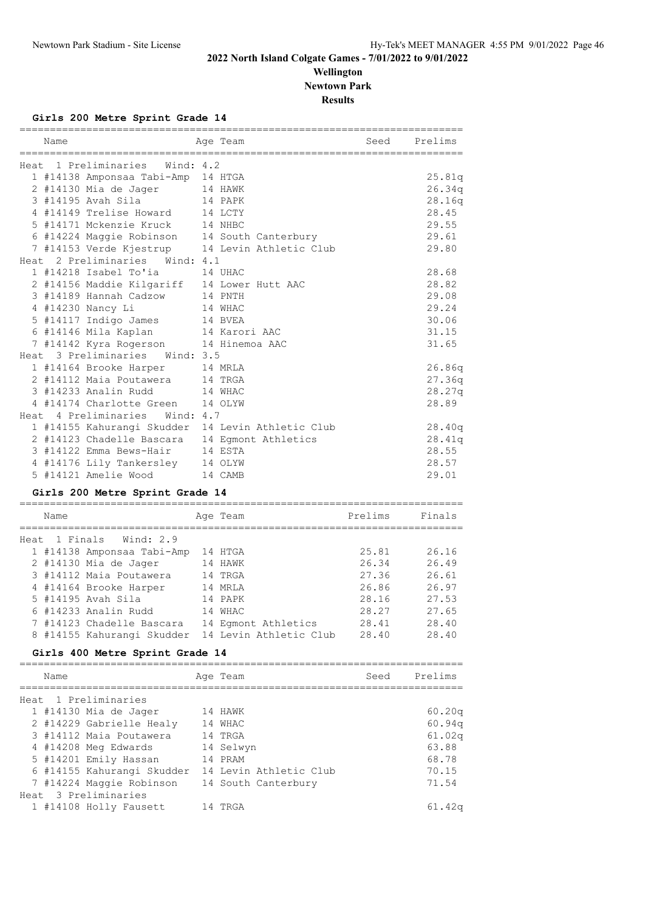## **Wellington Newtown Park**

**Results**

#### **Girls 200 Metre Sprint Grade 14**

| Name |                                               | Age Team                                                | Seed    | Prelims |
|------|-----------------------------------------------|---------------------------------------------------------|---------|---------|
|      | Heat 1 Preliminaries Wind: 4.2                |                                                         |         |         |
|      | 1 #14138 Amponsaa Tabi-Amp 14 HTGA            |                                                         |         | 25.81q  |
|      | 2 #14130 Mia de Jager 14 HAWK                 |                                                         |         | 26.34q  |
|      | 14 PAPK<br>3 #14195 Avah Sila                 |                                                         |         | 28.16q  |
|      | 4 #14149 Trelise Howard 14 LCTY               |                                                         |         | 28.45   |
|      | 5 #14171 Mckenzie Kruck 14 NHBC               |                                                         |         | 29.55   |
|      | 6 #14224 Maggie Robinson 14 South Canterbury  |                                                         |         | 29.61   |
|      |                                               | 7 #14153 Verde Kjestrup 14 Levin Athletic Club          |         | 29.80   |
|      | Heat 2 Preliminaries Wind: 4.1                |                                                         |         |         |
|      | 1 #14218 Isabel To'ia                         | 14 UHAC                                                 |         | 28.68   |
|      | 2 #14156 Maddie Kilgariff 14 Lower Hutt AAC   |                                                         |         | 28.82   |
|      | 3 #14189 Hannah Cadzow                        | 14 PNTH                                                 |         | 29.08   |
|      | 4 #14230 Nancy Li                             | 14 WHAC                                                 |         | 29.24   |
|      | 5 #14117 Indigo James                         | 14 BVEA                                                 |         | 30.06   |
|      | 6 #14146 Mila Kaplan                          | 14 Karori AAC                                           |         | 31.15   |
|      | 7 #14142 Kyra Rogerson 14 Hinemoa AAC         |                                                         |         | 31.65   |
|      | Heat 3 Preliminaries<br>Wind: 3.5             |                                                         |         |         |
|      | 1 #14164 Brooke Harper                        | 14 MRLA                                                 |         | 26.86q  |
|      | 2 #14112 Maia Poutawera                       | 14 TRGA                                                 |         | 27.36q  |
|      | 3 #14233 Analin Rudd                          | 14 WHAC                                                 |         | 28.27q  |
|      | 4 #14174 Charlotte Green                      | 14 OLYW                                                 |         | 28.89   |
|      | Heat 4 Preliminaries Wind: 4.7                |                                                         |         |         |
|      |                                               | 1 #14155 Kahurangi Skudder 14 Levin Athletic Club       |         | 28.40q  |
|      | 2 #14123 Chadelle Bascara 14 Egmont Athletics |                                                         |         | 28.41q  |
|      | 3 #14122 Emma Bews-Hair                       | 14 ESTA                                                 |         | 28.55   |
|      | 4 #14176 Lily Tankersley 14 OLYW              |                                                         |         | 28.57   |
|      | 5 #14121 Amelie Wood                          | 14 CAMB                                                 |         | 29.01   |
|      | Girls 200 Metre Sprint Grade 14               |                                                         |         |         |
| Name |                                               | Age Team                                                | Prelims | Finals  |
|      | Heat 1 Finals Wind: 2.9                       |                                                         |         |         |
|      | 1 #14138 Amponsaa Tabi-Amp 14 HTGA            |                                                         | 25.81   | 26.16   |
|      | 2 #14130 Mia de Jager                         | 14 HAWK                                                 | 26.34   | 26.49   |
|      | 3 #14112 Maia Poutawera                       | 14 TRGA                                                 | 27.36   | 26.61   |
|      | 4 #14164 Brooke Harper 14 MRLA                |                                                         | 26.86   | 26.97   |
|      | 5 #14195 Avah Sila                            | 14 PAPK                                                 | 28.16   | 27.53   |
|      | 6 #14233 Analin Rudd 14 WHAC                  |                                                         | 28.27   | 27.65   |
|      |                                               | 7 #14123 Chadelle Bascara 14 Egmont Athletics           | 28.41   | 28.40   |
|      |                                               | 8 #14155 Kahurangi Skudder 14 Levin Athletic Club 28.40 |         | 28.40   |
|      | Girls 400 Metre Sprint Grade 14               |                                                         |         |         |
| Name |                                               | Age Team                                                | Seed    | Prelims |
|      |                                               |                                                         |         |         |
|      | Heat 1 Preliminaries                          |                                                         |         |         |
|      | 1 #14130 Mia de Jager                         | 14 HAWK                                                 |         | 60.20q  |
|      | 2 #14229 Gabrielle Healy 14 WHAC              |                                                         |         | 60.94q  |
|      | 3 #14112 Maia Poutawera                       | 14 TRGA                                                 |         | 61.02q  |
|      | 4 #14208 Meg Edwards                          | 14 Selwyn                                               |         | 63.88   |
|      | 5 #14201 Emily Hassan 14 PRAM                 |                                                         |         | 68.78   |
|      |                                               | 6 #14155 Kahurangi Skudder 14 Levin Athletic Club       |         | 70.15   |

7 #14224 Maggie Robinson 14 South Canterbury 71.54

1 #14108 Holly Fausett 14 TRGA 61.42q

Heat 3 Preliminaries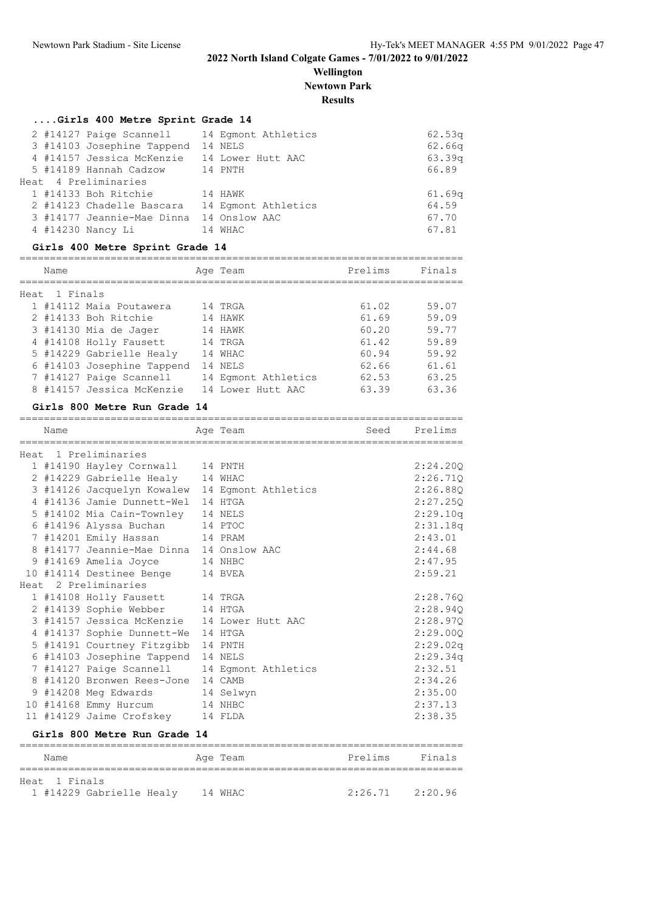**Wellington**

**Newtown Park**

### **Results**

=========================================================================

| Girls 400 Metre Sprint Grade 14 |  |  |  |  |  |
|---------------------------------|--|--|--|--|--|
|---------------------------------|--|--|--|--|--|

|  |                                                                   | 62.53q                                                                                                                                                                                                                                                                                |
|--|-------------------------------------------------------------------|---------------------------------------------------------------------------------------------------------------------------------------------------------------------------------------------------------------------------------------------------------------------------------------|
|  |                                                                   | 62.66q                                                                                                                                                                                                                                                                                |
|  |                                                                   | 63.39q                                                                                                                                                                                                                                                                                |
|  |                                                                   | 66.89                                                                                                                                                                                                                                                                                 |
|  |                                                                   |                                                                                                                                                                                                                                                                                       |
|  |                                                                   | 61.69 <sub>q</sub>                                                                                                                                                                                                                                                                    |
|  |                                                                   | 64.59                                                                                                                                                                                                                                                                                 |
|  |                                                                   | 67.70                                                                                                                                                                                                                                                                                 |
|  |                                                                   | 67.81                                                                                                                                                                                                                                                                                 |
|  | Heat 4 Preliminaries<br>1 #14133 Boh Ritchie<br>4 #14230 Nancy Li | 2 #14127 Paige Scannell 14 Eqmont Athletics<br>3 #14103 Josephine Tappend 14 NELS<br>4 #14157 Jessica McKenzie 14 Lower Hutt AAC<br>5 #14189 Hannah Cadzow 14 PNTH<br>14 HAWK<br>2 #14123 Chadelle Bascara 14 Eqmont Athletics<br>3 #14177 Jeannie-Mae Dinna 14 Onslow AAC<br>14 WHAC |

#### **Girls 400 Metre Sprint Grade 14**

=========================================================================

|      | Name     |                            | Age Team            | Prelims | Finals |
|------|----------|----------------------------|---------------------|---------|--------|
|      |          |                            |                     |         |        |
| Heat | 1 Finals |                            |                     |         |        |
|      |          | 1 #14112 Maia Poutawera    | 14 TRGA             | 61.02   | 59.07  |
|      |          | 2 #14133 Boh Ritchie       | 14 HAWK             | 61.69   | 59.09  |
|      |          | 3 #14130 Mia de Jager      | 14 HAWK             | 60.20   | 59.77  |
|      |          | 4 #14108 Holly Fausett     | 14 TRGA             | 61.42   | 59.89  |
|      |          | 5 #14229 Gabrielle Healy   | 14 WHAC             | 60.94   | 59.92  |
|      |          | 6 #14103 Josephine Tappend | 14 NELS             | 62.66   | 61.61  |
|      |          | 7 #14127 Paige Scannell    | 14 Eqmont Athletics | 62.53   | 63.25  |
|      |          | 8 #14157 Jessica McKenzie  | 14 Lower Hutt AAC   | 63.39   | 63.36  |

#### **Girls 800 Metre Run Grade 14**

Heat 1 Finals

| Name |                                          | Age Team            | Seed    | Prelims  |
|------|------------------------------------------|---------------------|---------|----------|
|      | Heat 1 Preliminaries                     |                     |         |          |
|      | 1 #14190 Hayley Cornwall 14 PNTH         |                     |         | 2:24.200 |
|      | 2 #14229 Gabrielle Healy                 | 14 WHAC             |         | 2:26.710 |
|      | 3 #14126 Jacquelyn Kowalew               | 14 Egmont Athletics |         | 2:26.880 |
|      | 4 #14136 Jamie Dunnett-Wel               | 14 HTGA             |         | 2:27.250 |
|      | 5 #14102 Mia Cain-Townley                | 14 NELS             |         | 2:29.10q |
|      | 6 #14196 Alyssa Buchan                   | 14 PTOC             |         | 2:31.18q |
|      | 7 #14201 Emily Hassan                    | 14 PRAM             |         | 2:43.01  |
|      | 8 #14177 Jeannie-Mae Dinna 14 Onslow AAC |                     |         | 2:44.68  |
|      | 9 #14169 Amelia Joyce                    | 14 NHBC             |         | 2:47.95  |
|      | 10 #14114 Destinee Benge                 | 14 BVEA             |         | 2:59.21  |
|      | Heat 2 Preliminaries                     |                     |         |          |
|      | 1 #14108 Holly Fausett 14 TRGA           |                     |         | 2:28.760 |
|      | 2 #14139 Sophie Webber 14 HTGA           |                     |         | 2:28.940 |
|      | 3 #14157 Jessica McKenzie                | 14 Lower Hutt AAC   |         | 2:28.970 |
|      | 4 #14137 Sophie Dunnett-We               | 14 HTGA             |         | 2:29.000 |
|      | 5 #14191 Courtney Fitzgibb               | 14 PNTH             |         | 2:29.02q |
|      | 6 #14103 Josephine Tappend               | 14 NELS             |         | 2:29.34q |
|      | 7 #14127 Paige Scannell                  | 14 Eqmont Athletics |         | 2:32.51  |
|      | 8 #14120 Bronwen Rees-Jone               | 14 CAMB             |         | 2:34.26  |
|      | 9 #14208 Meg Edwards                     | 14 Selwyn           |         | 2:35.00  |
|      | 10 #14168 Emmy Hurcum                    | 14 NHBC             |         | 2:37.13  |
|      | 11 #14129 Jaime Crofskey                 | 14 FLDA             |         | 2:38.35  |
|      | Girls 800 Metre Run Grade 14             |                     |         |          |
| Name |                                          | Age Team            | Prelims | Finals   |

1 #14229 Gabrielle Healy 14 WHAC 2:26.71 2:20.96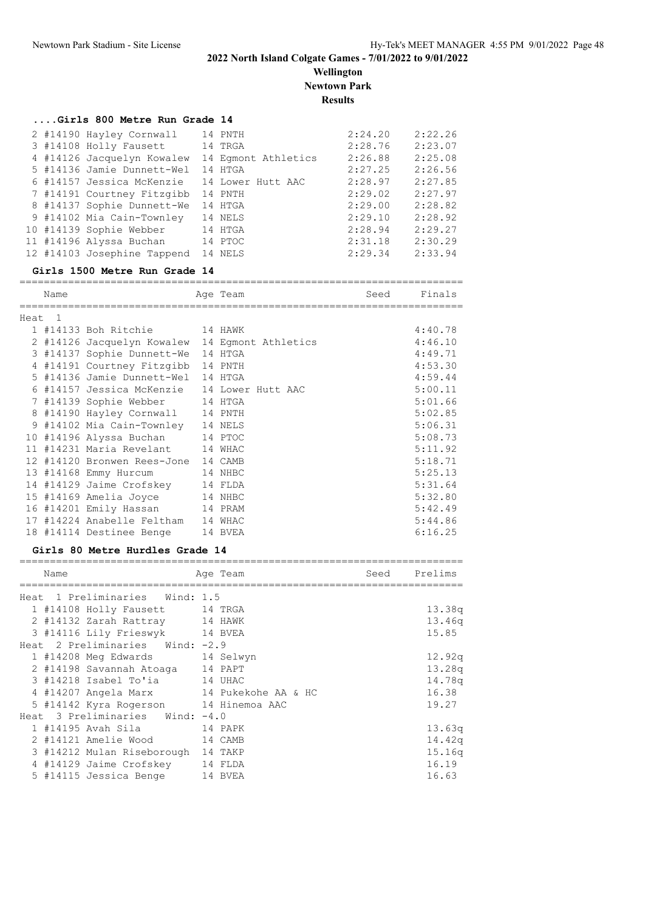**Wellington Newtown Park**

## **Results**

#### **....Girls 800 Metre Run Grade 14**

|  | 2 #14190 Hayley Cornwall    | 14 PNTH             | 2:24.20 | 2:22.26 |
|--|-----------------------------|---------------------|---------|---------|
|  | 3 #14108 Holly Fausett      | 14 TRGA             | 2:28.76 | 2:23.07 |
|  | 4 #14126 Jacquelyn Kowalew  | 14 Eqmont Athletics | 2:26.88 | 2:25.08 |
|  | 5 #14136 Jamie Dunnett-Wel  | 14 HTGA             | 2:27.25 | 2:26.56 |
|  | 6 #14157 Jessica McKenzie   | 14 Lower Hutt AAC   | 2:28.97 | 2:27.85 |
|  | 7 #14191 Courtney Fitzgibb  | 14 PNTH             | 2:29.02 | 2:27.97 |
|  | 8 #14137 Sophie Dunnett-We  | 14 HTGA             | 2:29.00 | 2:28.82 |
|  | 9 #14102 Mia Cain-Townley   | 14 NELS             | 2:29.10 | 2:28.92 |
|  | 10 #14139 Sophie Webber     | 14 HTGA             | 2:28.94 | 2:29.27 |
|  | 11 #14196 Alyssa Buchan     | 14 PTOC             | 2:31.18 | 2:30.29 |
|  | 12 #14103 Josephine Tappend | 14 NELS             | 2:29.34 | 2:33.94 |

#### **Girls 1500 Metre Run Grade 14**

|         | Name |                                                | Age Team | Seed | Finals  |
|---------|------|------------------------------------------------|----------|------|---------|
|         |      |                                                |          |      |         |
| Heat. 1 |      |                                                |          |      |         |
|         |      | 1 #14133 Boh Ritchie 14 HAWK                   |          |      | 4:40.78 |
|         |      | 2 #14126 Jacquelyn Kowalew 14 Eqmont Athletics |          |      | 4:46.10 |
|         |      | 3 #14137 Sophie Dunnett-We 14 HTGA             |          |      | 4:49.71 |
|         |      | 4 #14191 Courtney Fitzgibb 14 PNTH             |          |      | 4:53.30 |
|         |      | 5 #14136 Jamie Dunnett-Wel                     | 14 HTGA  |      | 4:59.44 |
|         |      | 6 #14157 Jessica McKenzie 14 Lower Hutt AAC    |          |      | 5:00.11 |
|         |      | 7 #14139 Sophie Webber 14 HTGA                 |          |      | 5:01.66 |
|         |      | 8 #14190 Hayley Cornwall 14 PNTH               |          |      | 5:02.85 |
|         |      | 9 #14102 Mia Cain-Townley 14 NELS              |          |      | 5:06.31 |
|         |      | 10 #14196 Alyssa Buchan 14 PTOC                |          |      | 5:08.73 |
|         |      | 11 #14231 Maria Revelant 14 WHAC               |          |      | 5:11.92 |
|         |      | 12 #14120 Bronwen Rees-Jone 14 CAMB            |          |      | 5:18.71 |
|         |      | 13 #14168 Emmy Hurcum 14 NHBC                  |          |      | 5:25.13 |
|         |      | 14 #14129 Jaime Crofskey 14 FLDA               |          |      | 5:31.64 |
|         |      | 15 #14169 Amelia Joyce 14 NHBC                 |          |      | 5:32.80 |
|         |      | 16 #14201 Emily Hassan 14 PRAM                 |          |      | 5:42.49 |
|         |      | 17 #14224 Anabelle Feltham                     | 14 WHAC  |      | 5:44.86 |
|         |      | 18 #14114 Destinee Benge 14 BVEA               |          |      | 6:16.25 |

#### **Girls 80 Metre Hurdles Grade 14**

| Name |                                          | Age Team | Seed | Prelims |
|------|------------------------------------------|----------|------|---------|
|      | Heat 1 Preliminaries Wind: 1.5           |          |      |         |
|      | 1 #14108 Holly Fausett 14 TRGA           |          |      | 13.38q  |
|      | 2 #14132 Zarah Rattray 14 HAWK           |          |      | 13.46q  |
|      | 3 #14116 Lily Frieswyk 14 BVEA           |          |      | 15.85   |
|      | Heat 2 Preliminaries Wind: -2.9          |          |      |         |
|      | 1 #14208 Meg Edwards 14 Selwyn           |          |      | 12.92q  |
|      | 2 #14198 Savannah Atoaga 14 PAPT         |          |      | 13.28q  |
|      | 3 #14218 Isabel To'ia 14 UHAC            |          |      | 14.78g  |
|      | 4 #14207 Angela Marx 14 Pukekohe AA & HC |          |      | 16.38   |
|      | 5 #14142 Kyra Rogerson 14 Hinemoa AAC    |          |      | 19.27   |
|      | Heat 3 Preliminaries Wind: -4.0          |          |      |         |
|      | 1 #14195 Avah Sila 14 PAPK               |          |      | 13.63q  |
|      | 2 #14121 Amelie Wood 14 CAMB             |          |      | 14.42q  |
|      | 3 #14212 Mulan Riseborough 14 TAKP       |          |      | 15.16q  |
|      | 4 #14129 Jaime Crofskey 14 FLDA          |          |      | 16.19   |
|      | 5 #14115 Jessica Benge 14 BVEA           |          |      | 16.63   |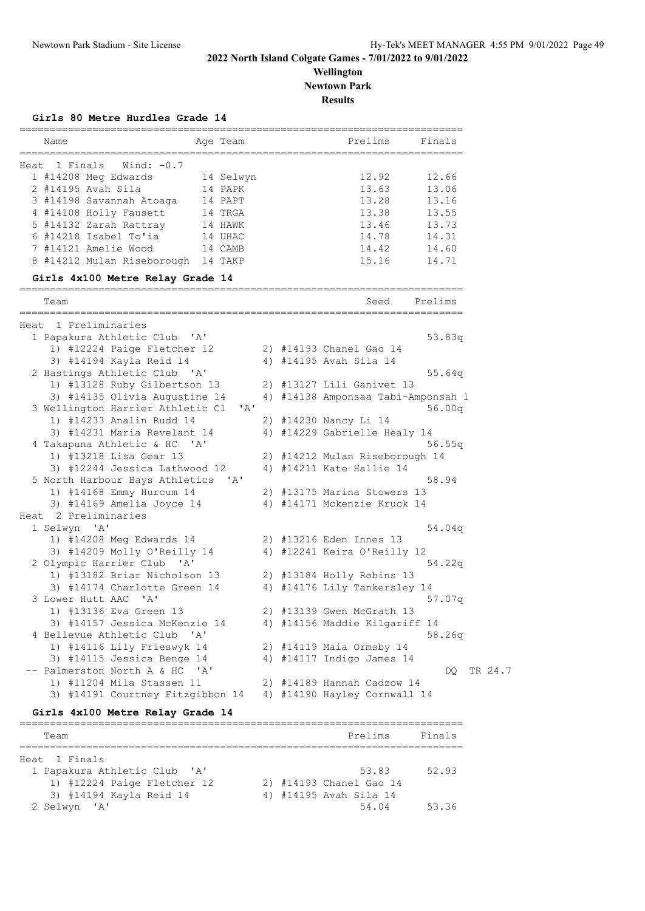**Wellington Newtown Park**

**Results**

| Name                                                   | Age Team                                                     |                                                                                                                                                                                                                                                                                                                                                                                                                                                                                                                                                                                                                                                                                                                                                                                                                                                                                 |                           | Prelims                                           | Finals                                                                                                                            |                                                                                                                                                                                                                                                                                                                                                                                                                      |
|--------------------------------------------------------|--------------------------------------------------------------|---------------------------------------------------------------------------------------------------------------------------------------------------------------------------------------------------------------------------------------------------------------------------------------------------------------------------------------------------------------------------------------------------------------------------------------------------------------------------------------------------------------------------------------------------------------------------------------------------------------------------------------------------------------------------------------------------------------------------------------------------------------------------------------------------------------------------------------------------------------------------------|---------------------------|---------------------------------------------------|-----------------------------------------------------------------------------------------------------------------------------------|----------------------------------------------------------------------------------------------------------------------------------------------------------------------------------------------------------------------------------------------------------------------------------------------------------------------------------------------------------------------------------------------------------------------|
| Heat 1 Finals                                          |                                                              |                                                                                                                                                                                                                                                                                                                                                                                                                                                                                                                                                                                                                                                                                                                                                                                                                                                                                 |                           |                                                   |                                                                                                                                   |                                                                                                                                                                                                                                                                                                                                                                                                                      |
| 1 #14208 Meg Edwards                                   |                                                              |                                                                                                                                                                                                                                                                                                                                                                                                                                                                                                                                                                                                                                                                                                                                                                                                                                                                                 |                           | 12.92                                             | 12.66                                                                                                                             |                                                                                                                                                                                                                                                                                                                                                                                                                      |
| 2 #14195 Avah Sila                                     | 14 PAPK                                                      |                                                                                                                                                                                                                                                                                                                                                                                                                                                                                                                                                                                                                                                                                                                                                                                                                                                                                 |                           | 13.63                                             | 13.06                                                                                                                             |                                                                                                                                                                                                                                                                                                                                                                                                                      |
|                                                        | 14 PAPT                                                      |                                                                                                                                                                                                                                                                                                                                                                                                                                                                                                                                                                                                                                                                                                                                                                                                                                                                                 |                           | 13.28                                             | 13.16                                                                                                                             |                                                                                                                                                                                                                                                                                                                                                                                                                      |
| 4 #14108 Holly Fausett                                 | 14 TRGA                                                      |                                                                                                                                                                                                                                                                                                                                                                                                                                                                                                                                                                                                                                                                                                                                                                                                                                                                                 |                           | 13.38                                             | 13.55                                                                                                                             |                                                                                                                                                                                                                                                                                                                                                                                                                      |
| 5 #14132 Zarah Rattray                                 | 14 HAWK                                                      |                                                                                                                                                                                                                                                                                                                                                                                                                                                                                                                                                                                                                                                                                                                                                                                                                                                                                 |                           | 13.46                                             | 13.73                                                                                                                             |                                                                                                                                                                                                                                                                                                                                                                                                                      |
| 6 #14218 Isabel To'ia                                  | 14 UHAC                                                      |                                                                                                                                                                                                                                                                                                                                                                                                                                                                                                                                                                                                                                                                                                                                                                                                                                                                                 |                           | 14.78                                             | 14.31                                                                                                                             |                                                                                                                                                                                                                                                                                                                                                                                                                      |
| 7 #14121 Amelie Wood                                   | 14 CAMB                                                      |                                                                                                                                                                                                                                                                                                                                                                                                                                                                                                                                                                                                                                                                                                                                                                                                                                                                                 |                           | 14.42                                             | 14.60                                                                                                                             |                                                                                                                                                                                                                                                                                                                                                                                                                      |
|                                                        | 14 TAKP                                                      |                                                                                                                                                                                                                                                                                                                                                                                                                                                                                                                                                                                                                                                                                                                                                                                                                                                                                 |                           | 15.16                                             | 14.71                                                                                                                             |                                                                                                                                                                                                                                                                                                                                                                                                                      |
|                                                        |                                                              |                                                                                                                                                                                                                                                                                                                                                                                                                                                                                                                                                                                                                                                                                                                                                                                                                                                                                 |                           |                                                   |                                                                                                                                   |                                                                                                                                                                                                                                                                                                                                                                                                                      |
| Team                                                   |                                                              |                                                                                                                                                                                                                                                                                                                                                                                                                                                                                                                                                                                                                                                                                                                                                                                                                                                                                 |                           | Seed                                              | Prelims                                                                                                                           |                                                                                                                                                                                                                                                                                                                                                                                                                      |
|                                                        |                                                              |                                                                                                                                                                                                                                                                                                                                                                                                                                                                                                                                                                                                                                                                                                                                                                                                                                                                                 |                           |                                                   |                                                                                                                                   |                                                                                                                                                                                                                                                                                                                                                                                                                      |
|                                                        |                                                              |                                                                                                                                                                                                                                                                                                                                                                                                                                                                                                                                                                                                                                                                                                                                                                                                                                                                                 |                           |                                                   |                                                                                                                                   |                                                                                                                                                                                                                                                                                                                                                                                                                      |
|                                                        |                                                              |                                                                                                                                                                                                                                                                                                                                                                                                                                                                                                                                                                                                                                                                                                                                                                                                                                                                                 |                           |                                                   |                                                                                                                                   |                                                                                                                                                                                                                                                                                                                                                                                                                      |
|                                                        |                                                              |                                                                                                                                                                                                                                                                                                                                                                                                                                                                                                                                                                                                                                                                                                                                                                                                                                                                                 |                           |                                                   |                                                                                                                                   |                                                                                                                                                                                                                                                                                                                                                                                                                      |
|                                                        |                                                              |                                                                                                                                                                                                                                                                                                                                                                                                                                                                                                                                                                                                                                                                                                                                                                                                                                                                                 |                           |                                                   |                                                                                                                                   |                                                                                                                                                                                                                                                                                                                                                                                                                      |
|                                                        |                                                              |                                                                                                                                                                                                                                                                                                                                                                                                                                                                                                                                                                                                                                                                                                                                                                                                                                                                                 |                           |                                                   |                                                                                                                                   |                                                                                                                                                                                                                                                                                                                                                                                                                      |
|                                                        |                                                              |                                                                                                                                                                                                                                                                                                                                                                                                                                                                                                                                                                                                                                                                                                                                                                                                                                                                                 |                           |                                                   |                                                                                                                                   |                                                                                                                                                                                                                                                                                                                                                                                                                      |
|                                                        |                                                              |                                                                                                                                                                                                                                                                                                                                                                                                                                                                                                                                                                                                                                                                                                                                                                                                                                                                                 |                           |                                                   |                                                                                                                                   |                                                                                                                                                                                                                                                                                                                                                                                                                      |
|                                                        |                                                              |                                                                                                                                                                                                                                                                                                                                                                                                                                                                                                                                                                                                                                                                                                                                                                                                                                                                                 |                           |                                                   |                                                                                                                                   |                                                                                                                                                                                                                                                                                                                                                                                                                      |
|                                                        |                                                              |                                                                                                                                                                                                                                                                                                                                                                                                                                                                                                                                                                                                                                                                                                                                                                                                                                                                                 |                           |                                                   |                                                                                                                                   |                                                                                                                                                                                                                                                                                                                                                                                                                      |
|                                                        |                                                              |                                                                                                                                                                                                                                                                                                                                                                                                                                                                                                                                                                                                                                                                                                                                                                                                                                                                                 |                           |                                                   |                                                                                                                                   |                                                                                                                                                                                                                                                                                                                                                                                                                      |
|                                                        |                                                              |                                                                                                                                                                                                                                                                                                                                                                                                                                                                                                                                                                                                                                                                                                                                                                                                                                                                                 |                           |                                                   |                                                                                                                                   |                                                                                                                                                                                                                                                                                                                                                                                                                      |
|                                                        |                                                              |                                                                                                                                                                                                                                                                                                                                                                                                                                                                                                                                                                                                                                                                                                                                                                                                                                                                                 |                           |                                                   |                                                                                                                                   |                                                                                                                                                                                                                                                                                                                                                                                                                      |
|                                                        |                                                              |                                                                                                                                                                                                                                                                                                                                                                                                                                                                                                                                                                                                                                                                                                                                                                                                                                                                                 |                           |                                                   |                                                                                                                                   |                                                                                                                                                                                                                                                                                                                                                                                                                      |
|                                                        |                                                              |                                                                                                                                                                                                                                                                                                                                                                                                                                                                                                                                                                                                                                                                                                                                                                                                                                                                                 |                           |                                                   |                                                                                                                                   |                                                                                                                                                                                                                                                                                                                                                                                                                      |
|                                                        |                                                              |                                                                                                                                                                                                                                                                                                                                                                                                                                                                                                                                                                                                                                                                                                                                                                                                                                                                                 |                           |                                                   |                                                                                                                                   |                                                                                                                                                                                                                                                                                                                                                                                                                      |
|                                                        |                                                              |                                                                                                                                                                                                                                                                                                                                                                                                                                                                                                                                                                                                                                                                                                                                                                                                                                                                                 |                           |                                                   |                                                                                                                                   |                                                                                                                                                                                                                                                                                                                                                                                                                      |
|                                                        |                                                              |                                                                                                                                                                                                                                                                                                                                                                                                                                                                                                                                                                                                                                                                                                                                                                                                                                                                                 |                           |                                                   |                                                                                                                                   |                                                                                                                                                                                                                                                                                                                                                                                                                      |
|                                                        |                                                              |                                                                                                                                                                                                                                                                                                                                                                                                                                                                                                                                                                                                                                                                                                                                                                                                                                                                                 |                           |                                                   |                                                                                                                                   |                                                                                                                                                                                                                                                                                                                                                                                                                      |
|                                                        |                                                              |                                                                                                                                                                                                                                                                                                                                                                                                                                                                                                                                                                                                                                                                                                                                                                                                                                                                                 |                           |                                                   |                                                                                                                                   |                                                                                                                                                                                                                                                                                                                                                                                                                      |
|                                                        |                                                              |                                                                                                                                                                                                                                                                                                                                                                                                                                                                                                                                                                                                                                                                                                                                                                                                                                                                                 |                           |                                                   |                                                                                                                                   |                                                                                                                                                                                                                                                                                                                                                                                                                      |
|                                                        |                                                              |                                                                                                                                                                                                                                                                                                                                                                                                                                                                                                                                                                                                                                                                                                                                                                                                                                                                                 |                           |                                                   | 54.22q                                                                                                                            |                                                                                                                                                                                                                                                                                                                                                                                                                      |
|                                                        |                                                              |                                                                                                                                                                                                                                                                                                                                                                                                                                                                                                                                                                                                                                                                                                                                                                                                                                                                                 |                           |                                                   |                                                                                                                                   |                                                                                                                                                                                                                                                                                                                                                                                                                      |
|                                                        |                                                              |                                                                                                                                                                                                                                                                                                                                                                                                                                                                                                                                                                                                                                                                                                                                                                                                                                                                                 |                           |                                                   |                                                                                                                                   |                                                                                                                                                                                                                                                                                                                                                                                                                      |
|                                                        |                                                              |                                                                                                                                                                                                                                                                                                                                                                                                                                                                                                                                                                                                                                                                                                                                                                                                                                                                                 |                           |                                                   | 57.07q                                                                                                                            |                                                                                                                                                                                                                                                                                                                                                                                                                      |
|                                                        |                                                              |                                                                                                                                                                                                                                                                                                                                                                                                                                                                                                                                                                                                                                                                                                                                                                                                                                                                                 |                           |                                                   |                                                                                                                                   |                                                                                                                                                                                                                                                                                                                                                                                                                      |
|                                                        |                                                              |                                                                                                                                                                                                                                                                                                                                                                                                                                                                                                                                                                                                                                                                                                                                                                                                                                                                                 |                           |                                                   |                                                                                                                                   |                                                                                                                                                                                                                                                                                                                                                                                                                      |
|                                                        |                                                              |                                                                                                                                                                                                                                                                                                                                                                                                                                                                                                                                                                                                                                                                                                                                                                                                                                                                                 |                           |                                                   | 58.26q                                                                                                                            |                                                                                                                                                                                                                                                                                                                                                                                                                      |
| 1) #14116 Lily Frieswyk 14                             |                                                              |                                                                                                                                                                                                                                                                                                                                                                                                                                                                                                                                                                                                                                                                                                                                                                                                                                                                                 |                           | 2) #14119 Maia Ormsby 14                          |                                                                                                                                   |                                                                                                                                                                                                                                                                                                                                                                                                                      |
|                                                        |                                                              |                                                                                                                                                                                                                                                                                                                                                                                                                                                                                                                                                                                                                                                                                                                                                                                                                                                                                 |                           | 4) #14117 Indigo James 14                         |                                                                                                                                   |                                                                                                                                                                                                                                                                                                                                                                                                                      |
| 3) #14115 Jessica Benge 14                             |                                                              |                                                                                                                                                                                                                                                                                                                                                                                                                                                                                                                                                                                                                                                                                                                                                                                                                                                                                 |                           |                                                   | DQ.                                                                                                                               | TR 24.7                                                                                                                                                                                                                                                                                                                                                                                                              |
| -- Palmerston North A & HC 'A'                         |                                                              |                                                                                                                                                                                                                                                                                                                                                                                                                                                                                                                                                                                                                                                                                                                                                                                                                                                                                 |                           | 2) #14189 Hannah Cadzow 14                        |                                                                                                                                   |                                                                                                                                                                                                                                                                                                                                                                                                                      |
| 1) #11204 Mila Stassen 11                              |                                                              |                                                                                                                                                                                                                                                                                                                                                                                                                                                                                                                                                                                                                                                                                                                                                                                                                                                                                 |                           |                                                   |                                                                                                                                   |                                                                                                                                                                                                                                                                                                                                                                                                                      |
| 3) #14191 Courtney Fitzgibbon 14                       |                                                              |                                                                                                                                                                                                                                                                                                                                                                                                                                                                                                                                                                                                                                                                                                                                                                                                                                                                                 |                           | 4) #14190 Hayley Cornwall 14                      |                                                                                                                                   |                                                                                                                                                                                                                                                                                                                                                                                                                      |
| Girls 4x100 Metre Relay Grade 14                       |                                                              |                                                                                                                                                                                                                                                                                                                                                                                                                                                                                                                                                                                                                                                                                                                                                                                                                                                                                 |                           |                                                   |                                                                                                                                   |                                                                                                                                                                                                                                                                                                                                                                                                                      |
| Team                                                   |                                                              |                                                                                                                                                                                                                                                                                                                                                                                                                                                                                                                                                                                                                                                                                                                                                                                                                                                                                 |                           | Prelims                                           | Finals                                                                                                                            |                                                                                                                                                                                                                                                                                                                                                                                                                      |
|                                                        |                                                              |                                                                                                                                                                                                                                                                                                                                                                                                                                                                                                                                                                                                                                                                                                                                                                                                                                                                                 |                           |                                                   |                                                                                                                                   |                                                                                                                                                                                                                                                                                                                                                                                                                      |
| 1 Finals                                               |                                                              |                                                                                                                                                                                                                                                                                                                                                                                                                                                                                                                                                                                                                                                                                                                                                                                                                                                                                 |                           |                                                   |                                                                                                                                   |                                                                                                                                                                                                                                                                                                                                                                                                                      |
| 1 Papakura Athletic Club 'A'                           |                                                              |                                                                                                                                                                                                                                                                                                                                                                                                                                                                                                                                                                                                                                                                                                                                                                                                                                                                                 |                           | 53.83                                             | 52.93                                                                                                                             |                                                                                                                                                                                                                                                                                                                                                                                                                      |
| 1) #12224 Paige Fletcher 12<br>3) #14194 Kayla Reid 14 |                                                              |                                                                                                                                                                                                                                                                                                                                                                                                                                                                                                                                                                                                                                                                                                                                                                                                                                                                                 |                           | 2) #14193 Chanel Gao 14<br>4) #14195 Avah Sila 14 |                                                                                                                                   |                                                                                                                                                                                                                                                                                                                                                                                                                      |
|                                                        | Heat 1 Preliminaries<br>Heat 2 Preliminaries<br>1 Selwyn 'A' | Wind: $-0.7$<br>3 #14198 Savannah Atoaga<br>8 #14212 Mulan Riseborough<br>Girls 4x100 Metre Relay Grade 14<br>1 Papakura Athletic Club 'A'<br>1) #12224 Paige Fletcher 12<br>3) #14194 Kayla Reid 14<br>2 Hastings Athletic Club 'A'<br>1) #13128 Ruby Gilbertson 13<br>3) #14135 Olivia Augustine 14<br>3 Wellington Harrier Athletic Cl<br>1) #14233 Analin Rudd 14<br>3) #14231 Maria Revelant 14<br>4 Takapuna Athletic & HC 'A'<br>1) #13218 Lisa Gear 13<br>3) #12244 Jessica Lathwood 12<br>5 North Harbour Bays Athletics<br>' A '<br>1) #14168 Emmy Hurcum 14<br>3) #14169 Amelia Joyce 14<br>1) #14208 Meg Edwards 14<br>3) #14209 Molly O'Reilly 14<br>2 Olympic Harrier Club 'A'<br>1) #13182 Briar Nicholson 13<br>3) #14174 Charlotte Green 14<br>3 Lower Hutt AAC 'A'<br>1) #13136 Eva Green 13<br>3) #14157 Jessica McKenzie 14<br>4 Bellevue Athletic Club 'A' | 14 Selwyn<br>$\mathsf{A}$ |                                                   | 2) #14193 Chanel Gao 14<br>4) #14195 Avah Sila 14<br>2) #14230 Nancy Li 14<br>4) #14211 Kate Hallie 14<br>2) #13216 Eden Innes 13 | 53.83q<br>55.64q<br>2) #13127 Lili Ganivet 13<br>4) #14138 Amponsaa Tabi-Amponsah 1<br>56.00q<br>4) #14229 Gabrielle Healy 14<br>56.55q<br>2) #14212 Mulan Riseborough 14<br>58.94<br>2) #13175 Marina Stowers 13<br>4) #14171 Mckenzie Kruck 14<br>54.04q<br>4) #12241 Keira O'Reilly 12<br>2) #13184 Holly Robins 13<br>4) #14176 Lily Tankersley 14<br>2) #13139 Gwen McGrath 13<br>4) #14156 Maddie Kilgariff 14 |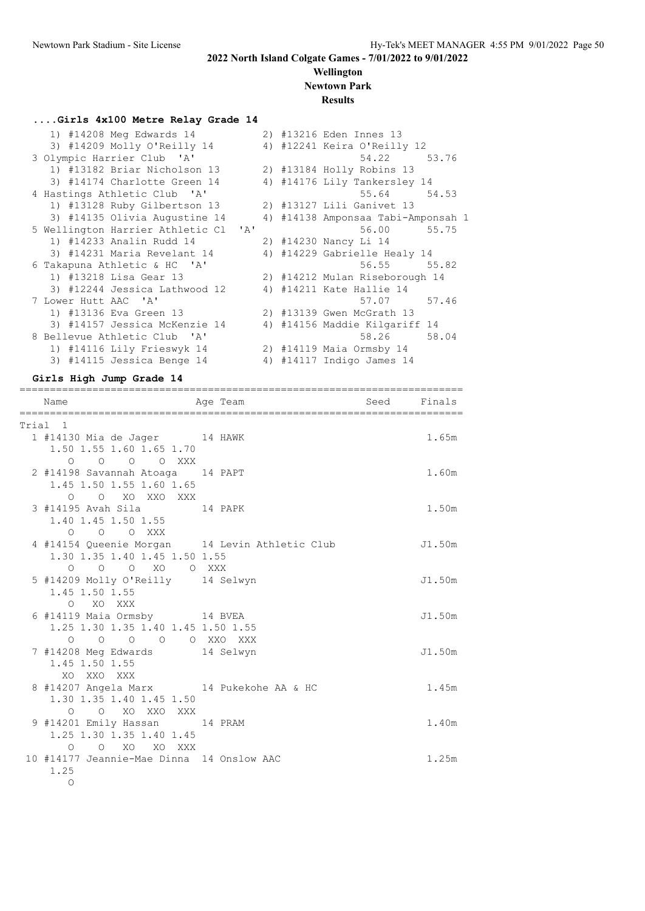**Wellington Newtown Park**

## **Results**

#### **....Girls 4x100 Metre Relay Grade 14**

| 1) #14208 Meg Edwards 14             |  | 2) #13216 Eden Innes 13            |
|--------------------------------------|--|------------------------------------|
| 3) #14209 Molly O'Reilly 14          |  | 4) #12241 Keira O'Reilly 12        |
| 3 Olympic Harrier Club 'A'           |  | 54.22 53.76                        |
| 1) #13182 Briar Nicholson 13         |  | 2) #13184 Holly Robins 13          |
| 3) #14174 Charlotte Green 14         |  | 4) #14176 Lily Tankersley 14       |
| 4 Hastings Athletic Club 'A'         |  | 55.64 54.53                        |
| 1) #13128 Ruby Gilbertson 13         |  | 2) #13127 Lili Ganivet 13          |
| 3) #14135 Olivia Augustine 14        |  | 4) #14138 Amponsaa Tabi-Amponsah 1 |
| 5 Wellington Harrier Athletic Cl 'A' |  | 56.00 55.75                        |
| 1) #14233 Analin Rudd 14             |  | 2) #14230 Nancy Li 14              |
| 3) #14231 Maria Revelant 14          |  | 4) #14229 Gabrielle Healy 14       |
| 6 Takapuna Athletic & HC 'A'         |  | 56.55 55.82                        |
| 1) #13218 Lisa Gear 13               |  | 2) #14212 Mulan Riseborough 14     |
| 3) #12244 Jessica Lathwood 12        |  | 4) #14211 Kate Hallie 14           |
| 7 Lower Hutt AAC 'A'                 |  | 57.07 57.46                        |
| 1) #13136 Eva Green 13               |  | 2) #13139 Gwen McGrath 13          |
| 3) #14157 Jessica McKenzie 14        |  | 4) #14156 Maddie Kilgariff 14      |
| 8 Bellevue Athletic Club 'A'         |  | 58.26 58.04                        |
| 1) #14116 Lily Frieswyk 14           |  | 2) #14119 Maia Ormsby 14           |
| 3) #14115 Jessica Benge 14           |  | 4) #14117 Indigo James 14          |
|                                      |  |                                    |

#### **Girls High Jump Grade 14**

| =======<br>Name<br>====================================                            | Age Team                                       | Seed Finals |        |
|------------------------------------------------------------------------------------|------------------------------------------------|-------------|--------|
| Trial 1                                                                            |                                                |             |        |
| 1 #14130 Mia de Jager 14 HAWK<br>1.50 1.55 1.60 1.65 1.70                          |                                                |             | 1.65m  |
| 0 0 0 0 XXX<br>2 #14198 Savannah Atoaga 14 PAPT<br>1.45 1.50 1.55 1.60 1.65        |                                                |             | 1.60m  |
| O O XO XXO XXX<br>3 #14195 Avah Sila 14 PAPK<br>1.40 1.45 1.50 1.55                |                                                |             | 1.50m  |
| O O O XXX<br>1.30 1.35 1.40 1.45 1.50 1.55                                         | 4 #14154 Queenie Morgan 14 Levin Athletic Club |             | J1.50m |
| 0 0 0 XO 0 XXX<br>5 #14209 Molly O'Reilly 14 Selwyn<br>1.45 1.50 1.55              |                                                |             | J1.50m |
| O XO XXX<br>6 #14119 Maia Ormsby 14 BVEA<br>1.25 1.30 1.35 1.40 1.45 1.50 1.55     |                                                |             | J1.50m |
| 0 0 0 0 0 XXO XXX<br>7 #14208 Meg Edwards 14 Selwyn<br>1.45 1.50 1.55              |                                                |             | J1.50m |
| XO XXO XXX<br>8 #14207 Angela Marx 14 Pukekohe AA & HC<br>1.30 1.35 1.40 1.45 1.50 |                                                |             | 1.45m  |
| O O XO XXO XXX<br>9 #14201 Emily Hassan 14 PRAM<br>1.25 1.30 1.35 1.40 1.45        |                                                |             | 1.40m  |
| O O XO XO XXX<br>10 #14177 Jeannie-Mae Dinna 14 Onslow AAC<br>1.25                 |                                                |             | 1.25m  |
| $\circ$                                                                            |                                                |             |        |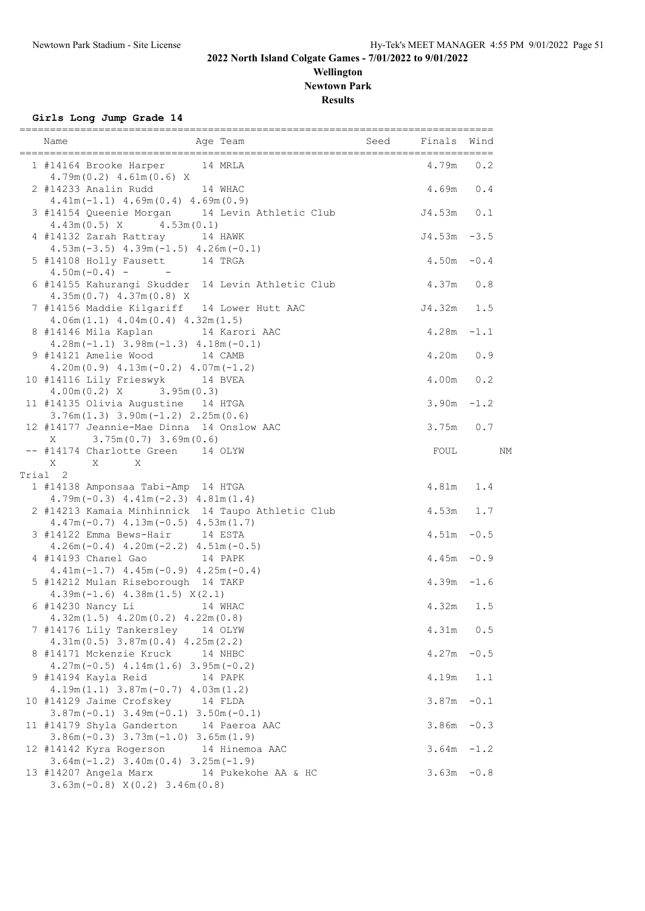#### **Wellington Newtown Park Results**

**Girls Long Jump Grade 14**

| 1 #14164 Brooke Harper 14 MRLA                                                                                           | $4.79m$ 0.2   |        |
|--------------------------------------------------------------------------------------------------------------------------|---------------|--------|
| $4.79m(0.2)$ $4.61m(0.6)$ X<br>2 #14233 Analin Rudd 14 WHAC                                                              | 4.69m 0.4     |        |
| $4.41m(-1.1)$ $4.69m(0.4)$ $4.69m(0.9)$<br>3 #14154 Queenie Morgan 14 Levin Athletic Club                                | J4.53m 0.1    |        |
| $4.43m(0.5)$ X $4.53m(0.1)$<br>4 #14132 Zarah Rattray 14 HAWK                                                            | $J4.53m -3.5$ |        |
| $4.53m(-3.5)$ $4.39m(-1.5)$ $4.26m(-0.1)$<br>5 #14108 Holly Fausett 14 TRGA<br>$4.50m(-0.4)$ - -                         | $4.50m - 0.4$ |        |
| 6 #14155 Kahurangi Skudder 14 Levin Athletic Club<br>$4.35m(0.7)$ $4.37m(0.8)$ X                                         | $4.37m$ 0.8   |        |
| 7 #14156 Maddie Kilgariff 14 Lower Hutt AAC<br>$4.06m(1.1)$ $4.04m(0.4)$ $4.32m(1.5)$                                    | J4.32m 1.5    |        |
| 8 #14146 Mila Kaplan 14 Karori AAC<br>$4.28m(-1.1)$ $3.98m(-1.3)$ $4.18m(-0.1)$                                          | $4.28m - 1.1$ |        |
| 9 #14121 Amelie Wood 14 CAMB<br>$4.20m(0.9)$ $4.13m(-0.2)$ $4.07m(-1.2)$                                                 | 4.20m 0.9     |        |
| 10 #14116 Lily Frieswyk 14 BVEA<br>$4.00m(0.2)$ X $3.95m(0.3)$                                                           | 4.00m 0.2     |        |
| 11 #14135 Olivia Augustine 14 HTGA<br>$3.76m(1.3)$ $3.90m(-1.2)$ $2.25m(0.6)$                                            | $3.90m - 1.2$ |        |
| 12 #14177 Jeannie-Mae Dinna 14 Onslow AAC<br>$X = 3.75m(0.7) 3.69m(0.6)$                                                 | $3.75m$ 0.7   |        |
| -- #14174 Charlotte Green 14 OLYW<br>$X$ $X$ $X$                                                                         | FOUL          | ΝM     |
| Trial 2                                                                                                                  |               |        |
| 1 #14138 Amponsaa Tabi-Amp 14 HTGA<br>$4.79m(-0.3)$ $4.41m(-2.3)$ $4.81m(1.4)$                                           | 4.81m 1.4     |        |
| 2 #14213 Kamaia Minhinnick 14 Taupo Athletic Club<br>$4.47m(-0.7)$ $4.13m(-0.5)$ $4.53m(1.7)$                            | 4.53m 1.7     |        |
| 3 #14122 Emma Bews-Hair 14 ESTA<br>$4.26m(-0.4)$ $4.20m(-2.2)$ $4.51m(-0.5)$                                             | $4.51m - 0.5$ |        |
| 4 #14193 Chanel Gao 14 PAPK                                                                                              | $4.45m - 0.9$ |        |
| $4.41m(-1.7)$ $4.45m(-0.9)$ $4.25m(-0.4)$<br>5 #14212 Mulan Riseborough 14 TAKP                                          | $4.39m - 1.6$ |        |
| $4.39m(-1.6)$ $4.38m(1.5)$ $X(2.1)$<br>6 #14230 Nancy Li 14 WHAC                                                         | 4.32m         | 1.5    |
| $4.32m(1.5)$ $4.20m(0.2)$ $4.22m(0.8)$<br>7 #14176 Lily Tankersley<br>14 OLYW                                            | 4.31m         | 0.5    |
| $4.31m(0.5)$ $3.87m(0.4)$ $4.25m(2.2)$<br>8 #14171 Mckenzie Kruck<br>14 NHBC                                             | $4.27m - 0.5$ |        |
| $4.27m(-0.5)$ $4.14m(1.6)$ $3.95m(-0.2)$<br>9 #14194 Kayla Reid<br>14 PAPK                                               | $4.19m$       | 1.1    |
| $4.19m(1.1)$ $3.87m(-0.7)$ $4.03m(1.2)$<br>10 #14129 Jaime Crofskey 14 FLDA                                              | 3.87m         | $-0.1$ |
| $3.87m(-0.1)$ $3.49m(-0.1)$ $3.50m(-0.1)$<br>11 #14179 Shyla Ganderton 14 Paeroa AAC                                     | 3.86m         | $-0.3$ |
| $3.86m(-0.3)$ $3.73m(-1.0)$ $3.65m(1.9)$<br>12 #14142 Kyra Rogerson 14 Hinemoa AAC                                       | 3.64m         | $-1.2$ |
| $3.64m(-1.2)$ $3.40m(0.4)$ $3.25m(-1.9)$<br>13 #14207 Angela Marx 14 Pukekohe AA & HC<br>$3.63m(-0.8) X(0.2) 3.46m(0.8)$ | $3.63m - 0.8$ |        |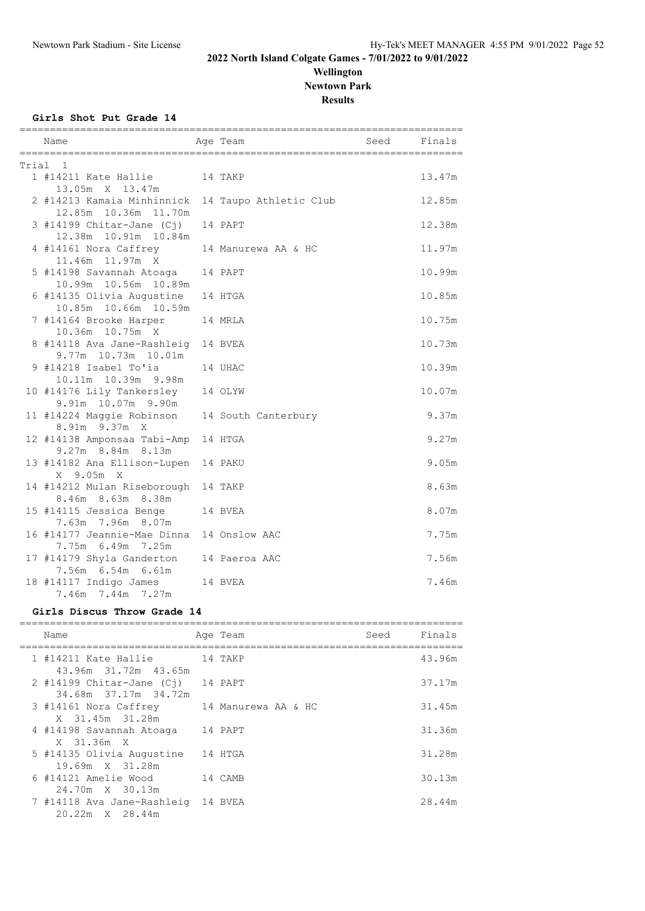#### **Wellington Newtown Park Results**

**Girls Shot Put Grade 14**

|       | Name                                                  | Age Team               | Seed Finals |        |
|-------|-------------------------------------------------------|------------------------|-------------|--------|
| Trial | $\overline{1}$                                        |                        |             |        |
|       | 1 #14211 Kate Hallie<br>13.05m X 13.47m               | 14 TAKP                |             | 13.47m |
|       | 2 #14213 Kamaia Minhinnick<br>12.85m 10.36m 11.70m    | 14 Taupo Athletic Club |             | 12.85m |
|       | $3$ #14199 Chitar-Jane (Cj)<br>12.38m  10.91m  10.84m | 14 PAPT                |             | 12.38m |
|       | 4 #14161 Nora Caffrey<br>11.46m 11.97m X              | 14 Manurewa AA & HC    |             | 11.97m |
|       | 5 #14198 Savannah Atoaga<br>10.99m  10.56m  10.89m    | 14 PAPT                |             | 10.99m |
|       | 6 #14135 Olivia Augustine<br>10.85m  10.66m  10.59m   | 14 HTGA                |             | 10.85m |
|       | 7 #14164 Brooke Harper<br>10.36m 10.75m X             | 14 MRLA                |             | 10.75m |
|       | 8 #14118 Ava Jane-Rashleig<br>9.77m 10.73m 10.01m     | 14 BVEA                |             | 10.73m |
|       | 9 #14218 Isabel To'ia<br>10.11m 10.39m 9.98m          | 14 UHAC                |             | 10.39m |
|       | 10 #14176 Lily Tankersley<br>9.91m 10.07m 9.90m       | 14 OLYW                |             | 10.07m |
|       | 11 #14224 Maggie Robinson<br>8.91m 9.37m X            | 14 South Canterbury    |             | 9.37m  |
|       | 12 #14138 Amponsaa Tabi-Amp<br>9.27m 8.84m 8.13m      | 14 HTGA                |             | 9.27m  |
|       | 13 #14182 Ana Ellison-Lupen<br>X 9.05m X              | 14 PAKU                |             | 9.05m  |
|       | 14 #14212 Mulan Riseborough<br>8.46m 8.63m 8.38m      | 14 TAKP                |             | 8.63m  |
|       | 15 #14115 Jessica Benge<br>7.63m 7.96m 8.07m          | 14 BVEA                |             | 8.07m  |
|       | 16 #14177 Jeannie-Mae Dinna<br>7.75m 6.49m 7.25m      | 14 Onslow AAC          |             | 7.75m  |
|       | 17 #14179 Shyla Ganderton<br>7.56m 6.54m 6.61m        | 14 Paeroa AAC          |             | 7.56m  |
|       | 18 #14117 Indigo James<br>7.46m 7.44m 7.27m           | 14 BVEA                |             | 7.46m  |

#### **Girls Discus Throw Grade 14**

| Name                                                         | Age Team | Seed | Finals |
|--------------------------------------------------------------|----------|------|--------|
| 1 #14211 Kate Hallie<br>43.96m 31.72m 43.65m                 | 14 TAKP  |      | 43.96m |
| $2$ #14199 Chitar-Jane (Ci)<br>34.68m 37.17m 34.72m          | 14 PAPT  |      | 37.17m |
| 3 #14161 Nora Caffrey 14 Manurewa AA & HC<br>X 31.45m 31.28m |          |      | 31.45m |
| 4 #14198 Savannah Atoaga<br>X 31.36m X                       | 14 PAPT  |      | 31.36m |
| 5 #14135 Olivia Augustine<br>19.69m X 31.28m                 | 14 HTGA  |      | 31.28m |
| 6 #14121 Amelie Wood<br>24.70m X 30.13m                      | 14 CAMB  |      | 30.13m |
| 7 #14118 Ava Jane-Rashleig 14 BVEA<br>20.22m X 28.44m        |          |      | 28.44m |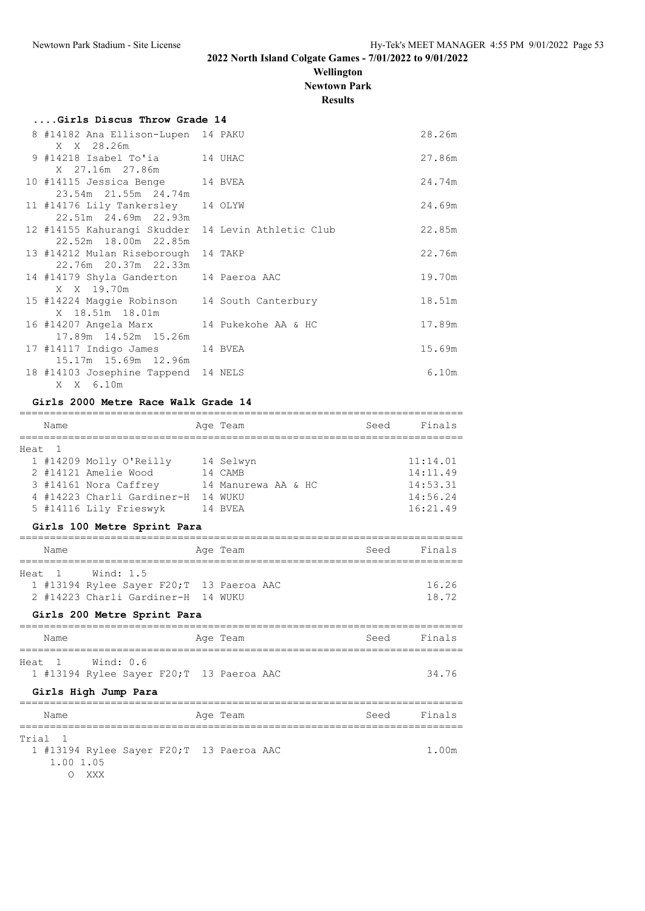**Wellington Newtown Park**

**Results**

| Girls Discus Throw Grade 14                                                |        |
|----------------------------------------------------------------------------|--------|
| 8 #14182 Ana Ellison-Lupen 14 PAKU                                         | 28.26m |
| X X 28.26m<br>9 #14218 Isabel To'ia 14 UHAC                                | 27.86m |
| X 27.16m 27.86m                                                            |        |
| 10 #14115 Jessica Benge 14 BVEA<br>23.54m 21.55m 24.74m                    | 24.74m |
| 11 #14176 Lily Tankersley 14 OLYW<br>22.51m 24.69m 22.93m                  | 24.69m |
| 12 #14155 Kahurangi Skudder 14 Levin Athletic Club<br>22.52m 18.00m 22.85m | 22.85m |
| 13 #14212 Mulan Riseborough 14 TAKP<br>22.76m 20.37m 22.33m                | 22.76m |
| 14 #14179 Shyla Ganderton 14 Paeroa AAC<br>X X 19.70m                      | 19.70m |
| 15 #14224 Maggie Robinson 14 South Canterbury<br>X 18.51m 18.01m           | 18.51m |
| 16 #14207 Angela Marx 14 Pukekohe AA & HC<br>17.89m  14.52m  15.26m        | 17.89m |
| 17 #14117 Indigo James 14 BVEA<br>15.17m 15.69m 12.96m                     | 15.69m |
| 18 #14103 Josephine Tappend 14 NELS<br>X X 6.10m                           | 6.10m  |

#### **Girls 2000 Metre Race Walk Grade 14**

|        | Name |                            | Age Team            | Seed | Finals   |
|--------|------|----------------------------|---------------------|------|----------|
|        |      |                            |                     |      |          |
| Heat 1 |      |                            |                     |      |          |
|        |      | 1 #14209 Molly O'Reilly    | 14 Selwyn           |      | 11:14.01 |
|        |      | 2 #14121 Amelie Wood       | 14 CAMB             |      | 14:11.49 |
|        |      | 3 #14161 Nora Caffrey      | 14 Manurewa AA & HC |      | 14:53.31 |
|        |      | 4 #14223 Charli Gardiner-H | 14 WUKU             |      | 14:56.24 |
|        |      | 5 #14116 Lily Frieswyk     | 14 BVEA             |      | 16:21.49 |

#### **Girls 100 Metre Sprint Para**

| Name   |                                           |  | Age Team |  | Seed | Finals |
|--------|-------------------------------------------|--|----------|--|------|--------|
|        |                                           |  |          |  |      |        |
| Heat 1 | Wind: 1.5                                 |  |          |  |      |        |
|        | 1 #13194 Rylee Sayer F20; T 13 Paeroa AAC |  |          |  |      | 16.26  |
|        | 2 #14223 Charli Gardiner-H 14 WUKU        |  |          |  |      | 18.72  |
|        |                                           |  |          |  |      |        |

#### **Girls 200 Metre Sprint Para**

| Name                                                          | Age Team | Finals<br>Seed |
|---------------------------------------------------------------|----------|----------------|
| Heat 1 Wind: 0.6<br>1 #13194 Rylee Sayer F20; T 13 Paeroa AAC |          | 34.76          |

#### **Girls High Jump Para**

| Name                                      | Age Team | Finals<br>Seed |
|-------------------------------------------|----------|----------------|
|                                           |          |                |
| Trial 1                                   |          |                |
| 1 #13194 Rylee Sayer F20; T 13 Paeroa AAC |          | 1.00m          |
| 1.00 1.05                                 |          |                |
| <b>XXX</b>                                |          |                |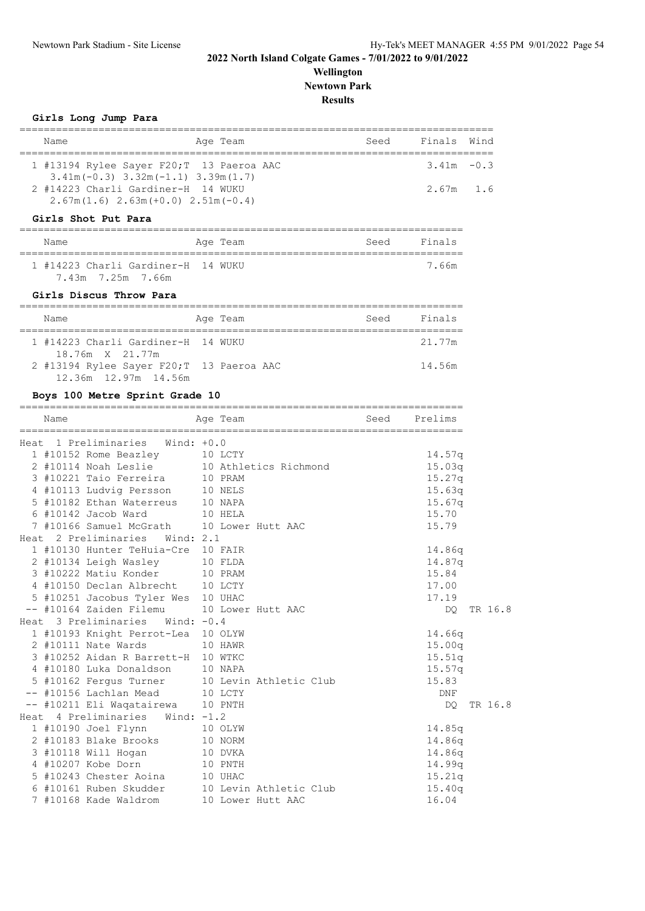DQ TR 16.8

DQ TR 16.8

## **2022 North Island Colgate Games - 7/01/2022 to 9/01/2022**

#### **Wellington Newtown Park**

**Results**

| Name                                                                                                                         | Age Team                          | Seed                        | Finals           | Wind |
|------------------------------------------------------------------------------------------------------------------------------|-----------------------------------|-----------------------------|------------------|------|
| ===================================<br>1 #13194 Rylee Sayer F20; T 13 Paeroa AAC<br>$3.41m(-0.3)$ $3.32m(-1.1)$ $3.39m(1.7)$ |                                   | ,,,,,,,,,,,,,,,,,,,,,,,,,,, | $3.41m - 0.3$    |      |
| 2 #14223 Charli Gardiner-H 14 WUKU<br>$2.67m(1.6)$ $2.63m(+0.0)$ $2.51m(-0.4)$                                               |                                   |                             | 2.67m            | 1.6  |
| Girls Shot Put Para                                                                                                          |                                   |                             |                  |      |
| Name                                                                                                                         | Age Team                          | Seed                        | Finals           |      |
| 1 #14223 Charli Gardiner-H 14 WUKU<br>7.43m 7.25m 7.66m                                                                      |                                   |                             | 7.66m            |      |
| Girls Discus Throw Para                                                                                                      |                                   |                             |                  |      |
| Name                                                                                                                         | Age Team<br>.                     | Seed                        | Finals           |      |
| 1 #14223 Charli Gardiner-H 14 WUKU<br>18.76m X 21.77m                                                                        |                                   |                             | 21.77m           |      |
| 2 #13194 Rylee Sayer F20; T 13 Paeroa AAC<br>12.36m 12.97m 14.56m                                                            |                                   |                             | 14.56m           |      |
| Boys 100 Metre Sprint Grade 10                                                                                               |                                   |                             |                  |      |
| Name<br>____________                                                                                                         | Age Team                          | Seed                        | Prelims          |      |
| Heat 1 Preliminaries<br>Wind: $+0.0$                                                                                         |                                   |                             |                  |      |
| 1 #10152 Rome Beazley                                                                                                        | 10 LCTY                           |                             | 14.57q           |      |
| 2 #10114 Noah Leslie                                                                                                         | 10 Athletics Richmond             |                             | 15.03q           |      |
| 3 #10221 Taio Ferreira                                                                                                       | 10 PRAM                           |                             | 15.27q           |      |
| 4 #10113 Ludvig Persson                                                                                                      | 10 NELS                           |                             | 15.63q           |      |
| 5 #10182 Ethan Waterreus                                                                                                     | 10 NAPA                           |                             | 15.67q           |      |
| $6$ #10142 Jacob Ward                                                                                                        | 10 HELA                           |                             | 15.70            |      |
| 7 #10166 Samuel McGrath                                                                                                      | 10 Lower Hutt AAC                 |                             | 15.79            |      |
| Heat 2 Preliminaries Wind: 2.1                                                                                               |                                   |                             |                  |      |
| 1 #10130 Hunter TeHuia-Cre 10 FAIR                                                                                           |                                   |                             | 14.86g           |      |
| 2 #10134 Leigh Wasley                                                                                                        | 10 FLDA                           |                             | 14.87q           |      |
| 3 #10222 Matiu Konder                                                                                                        | 10 PRAM                           |                             | 15.84            |      |
| 4 #10150 Declan Albrecht                                                                                                     | 10 LCTY                           |                             | 17.00            |      |
| 5 #10251 Jacobus Tyler Wes                                                                                                   | 10 UHAC                           |                             | 17.19            |      |
| -- #10164 Zaiden Filemu                                                                                                      | 10 Lower Hutt AAC                 |                             | DQ.              | TR 1 |
| Heat 3 Preliminaries<br>Wind: $-0.4$                                                                                         |                                   |                             |                  |      |
| 1 #10193 Knight Perrot-Lea 10 OLYW                                                                                           |                                   |                             | 14.66q           |      |
| 2 #10111 Nate Wards                                                                                                          | 10 HAWR                           |                             | 15.00q           |      |
| 3 #10252 Aidan R Barrett-H 10 WTKC                                                                                           |                                   |                             | 15.51q           |      |
| 4 #10180 Luka Donaldson                                                                                                      | 10 NAPA                           |                             | 15.57q           |      |
| 5 #10162 Fergus Turner                                                                                                       | 10 Levin Athletic Club            |                             | 15.83            |      |
| -- #10156 Lachlan Mead                                                                                                       | 10 LCTY                           |                             | DNF              |      |
| -- #10211 Eli Waqatairewa                                                                                                    | 10 PNTH                           |                             | DQ.              | TR 1 |
| Heat 4 Preliminaries<br>Wind: $-1.2$                                                                                         |                                   |                             |                  |      |
| 1 #10190 Joel Flynn                                                                                                          | 10 OLYW                           |                             | 14.85q           |      |
| 2 #10183 Blake Brooks                                                                                                        | 10 NORM                           |                             | 14.86q           |      |
|                                                                                                                              | 10 DVKA                           |                             | 14.86q           |      |
|                                                                                                                              |                                   |                             |                  |      |
| 3 #10118 Will Hogan<br>4 #10207 Kobe Dorn                                                                                    | 10 PNTH                           |                             |                  |      |
| 5 #10243 Chester Aoina                                                                                                       |                                   |                             | 14.99q           |      |
| 6 #10161 Ruben Skudder                                                                                                       | 10 UHAC<br>10 Levin Athletic Club |                             | 15.21q<br>15.40q |      |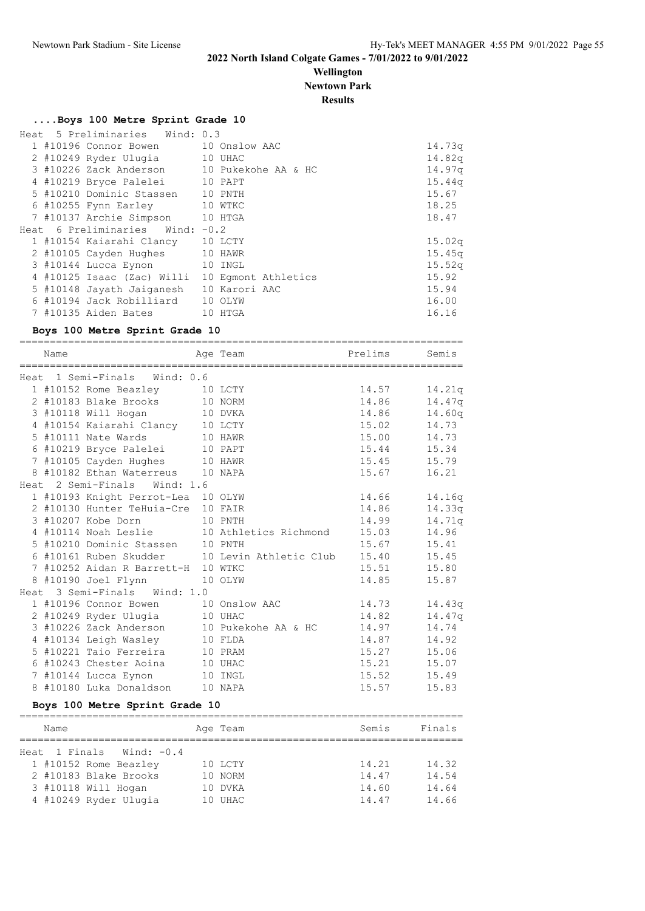## **Wellington**

**Newtown Park**

**Results**

#### **....Boys 100 Metre Sprint Grade 10**

|  | Heat 5 Preliminaries Wind: 0.3  |                                            |                    |
|--|---------------------------------|--------------------------------------------|--------------------|
|  | 1 #10196 Connor Bowen           | 10 Onslow AAC                              | 14.73q             |
|  | 2 #10249 Ryder Uluqia 10 UHAC   |                                            | 14.82q             |
|  |                                 | 3 #10226 Zack Anderson 10 Pukekohe AA & HC | 14.97q             |
|  | 4 #10219 Bryce Palelei          | 10 PAPT                                    | 15.44q             |
|  | 5 #10210 Dominic Stassen        | 10 PNTH                                    | 15.67              |
|  | 6 #10255 Fynn Earley            | 10 WTKC                                    | 18.25              |
|  | 7 #10137 Archie Simpson         | 10 HTGA                                    | 18.47              |
|  | Heat 6 Preliminaries Wind: -0.2 |                                            |                    |
|  | 1 #10154 Kaiarahi Clancy        | 10 LCTY                                    | 15.02q             |
|  | 2 #10105 Cayden Hughes          | 10 HAWR                                    | 15.45q             |
|  | 3 #10144 Lucca Eynon            | 10 INGL                                    | 15.52 <sub>q</sub> |
|  | 4 #10125 Isaac (Zac) Willi      | 10 Eqmont Athletics                        | 15.92              |
|  | 5 #10148 Jayath Jaiganesh       | 10 Karori AAC                              | 15.94              |
|  | 6 #10194 Jack Robilliard        | 10 OLYW                                    | 16.00              |
|  | 7 #10135 Aiden Bates            | 10<br>HTGA                                 | 16.16              |

#### **Boys 100 Metre Sprint Grade 10**

========================================================================= Name **Age Team Prelims** Semis ========================================================================= Heat 1 Semi-Finals Wind: 0.6 1 #10152 Rome Beazley 10 LCTY 14.57 14.21q<br>2 #10183 Blake Brooks 10 NORM 14.86 14.47q 2 #10183 Blake Brooks 10 NORM 14.86 14.47q 3 #10118 Will Hogan 10 DVKA 14.86 14.60q 4 #10154 Kaiarahi Clancy 10 LCTY 15.02 14.73 5 #10111 Nate Wards 10 HAWR 15.00 14.73 6 #10219 Bryce Palelei 10 PAPT 15.44 15.34 7 #10105 Cayden Hughes 10 HAWR 15.45 15.79 8 #10182 Ethan Waterreus 10 NAPA 15.67 16.21 Heat 2 Semi-Finals Wind: 1.6 1 #10193 Knight Perrot-Lea 10 OLYW 14.66 14.16q<br>2 #10130 Hunter TeHuia-Cre 10 FAIR 14.86 14.33q 2 #10130 Hunter TeHuia-Cre 10 FAIR 14.86 14.33q 3 #10207 Kobe Dorn 10 PNTH 14.99 14.71q 4 #10114 Noah Leslie 10 Athletics Richmond 15.03 14.96 5 #10210 Dominic Stassen 10 PNTH 15.67 15.41 6 #10161 Ruben Skudder 10 Levin Athletic Club 15.40 15.45 7 #10252 Aidan R Barrett-H 10 WTKC 15.51 15.80 8 #10190 Joel Flynn 10 OLYW 14.85 15.87 Heat 3 Semi-Finals Wind: 1.0 1 #10196 Connor Bowen 10 Onslow AAC 14.73 14.43q 2 #10249 Ryder Ulugia 10 UHAC 14.82 14.47q 3 #10226 Zack Anderson 10 Pukekohe AA & HC 14.97 14.74 4 #10134 Leigh Wasley 10 FLDA 14.87 14.92 5 #10221 Taio Ferreira 10 PRAM 15.27 15.06 6 #10243 Chester Aoina 10 UHAC 15.21 15.07 7 #10144 Lucca Eynon 10 INGL 15.52 15.49 8 #10180 Luka Donaldson 10 NAPA 15.57 15.83

#### **Boys 100 Metre Sprint Grade 10**

| Name                       |  | Age Team | Semis | Finals |  |  |
|----------------------------|--|----------|-------|--------|--|--|
|                            |  |          |       |        |  |  |
| Heat 1 Finals Wind: $-0.4$ |  |          |       |        |  |  |
| 1 #10152 Rome Beazley      |  | 10 LCTY  | 14.21 | 14.32  |  |  |
| 2 #10183 Blake Brooks      |  | 10 NORM  | 14.47 | 14.54  |  |  |
| 3 #10118 Will Hogan        |  | 10 DVKA  | 14.60 | 14.64  |  |  |
| 4 #10249 Ryder Ulugia      |  | 10 UHAC  | 14.47 | 14.66  |  |  |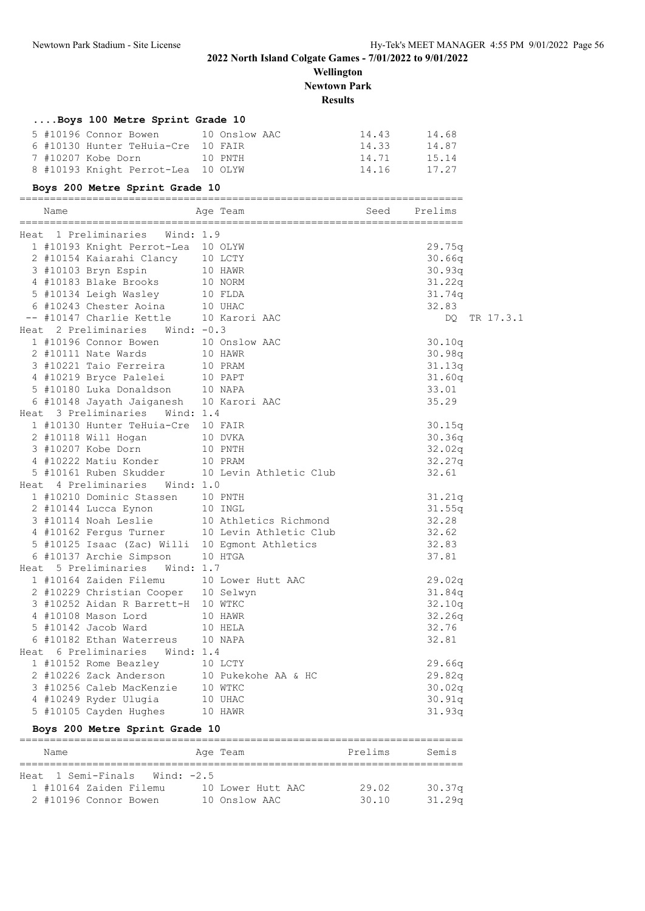**Wellington Newtown Park**

#### **Results**

| Boys 100 Metre Sprint Grade 10      |         |       |       |
|-------------------------------------|---------|-------|-------|
| 5 #10196 Connor Bowen 10 Onslow AAC |         | 14.43 | 14.68 |
| 6 #10130 Hunter TeHuia-Cre 10 FAIR  |         | 14.33 | 14.87 |
| 7 #10207 Kobe Dorn                  | 10 PNTH | 14.71 | 15.14 |
| 8 #10193 Knight Perrot-Lea 10 OLYW  |         | 14.16 | 17.27 |

#### **Boys 200 Metre Sprint Grade 10**

| Name                                           | Age Team              | Seed | Prelims |
|------------------------------------------------|-----------------------|------|---------|
| Heat 1 Preliminaries<br>Wind: $1.9$            |                       |      |         |
| 1 #10193 Knight Perrot-Lea 10 OLYW             |                       |      | 29.75q  |
| 2 #10154 Kaiarahi Clancy 10 LCTY               |                       |      | 30.66q  |
| 3 #10103 Bryn Espin                            | 10 HAWR               |      | 30.93q  |
| 4 #10183 Blake Brooks                          | 10 NORM               |      | 31.22q  |
| 5 #10134 Leigh Wasley 10 FLDA                  |                       |      | 31.74q  |
| 6 #10243 Chester Aoina                         | 10 UHAC               |      | 32.83   |
| -- #10147 Charlie Kettle                       | 10 Karori AAC         |      | DO      |
| Heat 2 Preliminaries<br>Wind: $-0.3$           |                       |      |         |
| 1 #10196 Connor Bowen                          | 10 Onslow AAC         |      | 30.10q  |
| 2 #10111 Nate Wards                            | 10 HAWR               |      | 30.98q  |
| 3 #10221 Taio Ferreira                         | 10 PRAM               |      | 31.13q  |
| 4 #10219 Bryce Palelei 10 PAPT                 |                       |      | 31.60q  |
| 5 #10180 Luka Donaldson 10 NAPA                |                       |      | 33.01   |
| 6 #10148 Jayath Jaiganesh 10 Karori AAC        |                       |      | 35.29   |
| Heat 3 Preliminaries Wind: 1.4                 |                       |      |         |
| 1 #10130 Hunter TeHuia-Cre 10 FAIR             |                       |      | 30.15q  |
| 2 #10118 Will Hogan                            | 10 DVKA               |      | 30.36q  |
| 10 PNTH<br>3 #10207 Kobe Dorn                  |                       |      | 32.02q  |
| 4 #10222 Matiu Konder                          | 10 PRAM               |      | 32.27q  |
| 5 #10161 Ruben Skudder 10 Levin Athletic Club  |                       |      | 32.61   |
| Heat 4 Preliminaries Wind: 1.0                 |                       |      |         |
| 1 #10210 Dominic Stassen                       | 10 PNTH               |      | 31.21q  |
| 2 #10144 Lucca Eynon                           | 10 INGL               |      | 31.55q  |
| 3 #10114 Noah Leslie                           | 10 Athletics Richmond |      | 32.28   |
| 4 #10162 Fergus Turner 10 Levin Athletic Club  |                       |      | 32.62   |
| 5 #10125 Isaac (Zac) Willi 10 Egmont Athletics |                       |      | 32.83   |
| 6 #10137 Archie Simpson                        | 10 HTGA               |      | 37.81   |
| Heat 5 Preliminaries Wind: 1.7                 |                       |      |         |
| 1 #10164 Zaiden Filemu                         | 10 Lower Hutt AAC     |      | 29.02q  |
| 2 #10229 Christian Cooper 10 Selwyn            |                       |      | 31.84q  |
| 3 #10252 Aidan R Barrett-H 10 WTKC             |                       |      | 32.10q  |
| 4 #10108 Mason Lord                            | 10 HAWR               |      | 32.26q  |
| 5 #10142 Jacob Ward                            | 10 HELA               |      | 32.76   |
| 6 #10182 Ethan Waterreus                       | 10 NAPA               |      | 32.81   |
| Heat 6 Preliminaries<br>Wind: 1.4              |                       |      |         |
| 1 #10152 Rome Beazley 10 LCTY                  |                       |      | 29.66q  |
| 2 #10226 Zack Anderson                         | 10 Pukekohe AA & HC   |      | 29.82q  |
| 3 #10256 Caleb MacKenzie 10 WTKC               |                       |      | 30.02q  |
| 4 #10249 Ryder Ulugia                          | 10 UHAC               |      | 30.91q  |
| 5 #10105 Cayden Hughes                         | 10 HAWR               |      | 31.93q  |

#### **Boys 200 Metre Sprint Grade 10**

| Name |  |                                  |  |  |  | Age Team          |  | Prelims | Semis              |
|------|--|----------------------------------|--|--|--|-------------------|--|---------|--------------------|
|      |  |                                  |  |  |  |                   |  |         |                    |
|      |  | Heat. 1 Semi-Finals Wind: $-2.5$ |  |  |  |                   |  |         |                    |
|      |  | 1 #10164 Zaiden Filemu           |  |  |  | 10 Lower Hutt AAC |  | 29.02   | 30.37q             |
|      |  | 2 #10196 Connor Bowen            |  |  |  | 10 Onslow AAC     |  | 30.10   | 31.29 <sub>q</sub> |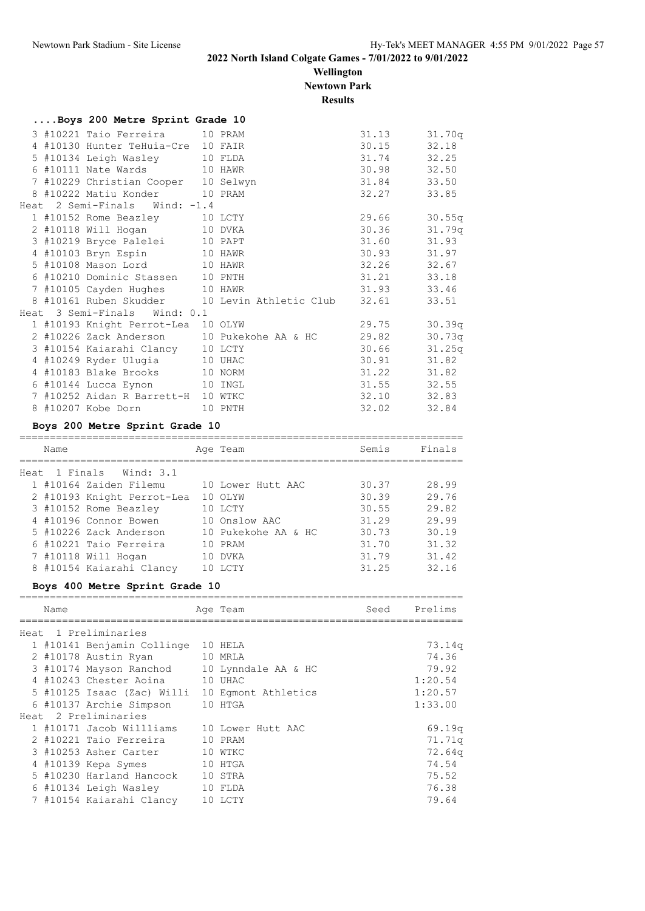**Wellington Newtown Park**

**Results**

|  | Boys 200 Metre Sprint Grade 10      |                                                           |                  |              |
|--|-------------------------------------|-----------------------------------------------------------|------------------|--------------|
|  | 3 #10221 Taio Ferreira 10 PRAM      |                                                           |                  | 31.13 31.70q |
|  | 4 #10130 Hunter TeHuia-Cre 10 FAIR  |                                                           | $30.15$ $32.18$  |              |
|  | 5 #10134 Leigh Wasley 10 FLDA       |                                                           | 31.74 32.25      |              |
|  | 6 #10111 Nate Wards 10 HAWR         |                                                           | 30.98 32.50      |              |
|  | 7 #10229 Christian Cooper 10 Selwyn |                                                           | 31.84 33.50      |              |
|  | 8 #10222 Matiu Konder 10 PRAM       |                                                           | 32.27            | 33.85        |
|  | Heat 2 Semi-Finals Wind: -1.4       |                                                           |                  |              |
|  | 1 #10152 Rome Beazley 10 LCTY       |                                                           | 29.66 30.55q     |              |
|  | 2 #10118 Will Hogan 10 DVKA         |                                                           | $30.36$ $31.79q$ |              |
|  | 3 #10219 Bryce Palelei 10 PAPT      |                                                           |                  | 31.60 31.93  |
|  | 4 #10103 Bryn Espin 10 HAWR         |                                                           |                  | 30.93 31.97  |
|  | 5 #10108 Mason Lord 10 HAWR         |                                                           | 32.26 32.67      |              |
|  | 6 #10210 Dominic Stassen 10 PNTH    |                                                           | 31.21 33.18      |              |
|  | 7 #10105 Cayden Hughes 10 HAWR      |                                                           | 31.93 33.46      |              |
|  |                                     | 8 #10161 Ruben Skudder 10 Levin Athletic Club 32.61 33.51 |                  |              |
|  | Heat 3 Semi-Finals Wind: 0.1        |                                                           |                  |              |
|  | 1 #10193 Knight Perrot-Lea 10 OLYW  |                                                           | 29.75 30.39q     |              |
|  |                                     | 2 #10226 Zack Anderson 10 Pukekohe AA & HC 29.82 30.73q   |                  |              |
|  | 3 #10154 Kaiarahi Clancy 10 LCTY    |                                                           |                  | 30.66 31.25q |
|  | 4 #10249 Ryder Ulugia 10 UHAC       |                                                           | $30.91$ $31.82$  |              |
|  | 4 #10183 Blake Brooks 10 NORM       |                                                           | $31.22$ $31.82$  |              |
|  | 6 #10144 Lucca Eynon 10 INGL        |                                                           | 31.55 32.55      |              |
|  | 7 #10252 Aidan R Barrett-H 10 WTKC  |                                                           |                  | 32.10 32.83  |
|  | 8 #10207 Kobe Dorn 10 PNTH          |                                                           |                  | 32.02 32.84  |

#### **Boys 200 Metre Sprint Grade 10**

|      | Name |                            | Age Team            | Semis | Finals |
|------|------|----------------------------|---------------------|-------|--------|
| Heat |      | 1 Finals Wind: 3.1         |                     |       |        |
|      |      | 1 #10164 Zaiden Filemu     | 10 Lower Hutt AAC   | 30.37 | 28.99  |
|      |      | 2 #10193 Knight Perrot-Lea | 10 OLYW             | 30.39 | 29.76  |
|      |      | 3 #10152 Rome Beazley      | 10 LCTY             | 30.55 | 29.82  |
|      |      | 4 #10196 Connor Bowen      | 10 Onslow AAC       | 31.29 | 29.99  |
|      |      | 5 #10226 Zack Anderson     | 10 Pukekohe AA & HC | 30.73 | 30.19  |
|      |      | 6 #10221 Taio Ferreira     | 10 PRAM             | 31.70 | 31.32  |
|      |      | 7 #10118 Will Hogan        | 10 DVKA             | 31.79 | 31.42  |
|      |      | 8 #10154 Kaiarahi Clancy   | <b>LCTY</b>         | 31.25 | 32.16  |

#### **Boys 400 Metre Sprint Grade 10**

| Name |                                                | Age Team | Seed | Prelims |
|------|------------------------------------------------|----------|------|---------|
|      | Heat 1 Preliminaries                           |          |      |         |
|      | 1 #10141 Benjamin Collinge                     | 10 HELA  |      | 73.14q  |
|      | 2 #10178 Austin Ryan                           | 10 MRLA  |      | 74.36   |
|      | 3 #10174 Mayson Ranchod 10 Lynndale AA & HC    |          |      | 79.92   |
|      | 4 #10243 Chester Aoina                         | 10 UHAC  |      | 1:20.54 |
|      | 5 #10125 Isaac (Zac) Willi 10 Eqmont Athletics |          |      | 1:20.57 |
|      | 6 #10137 Archie Simpson                        | 10 HTGA  |      | 1:33.00 |
|      | Heat 2 Preliminaries                           |          |      |         |
|      | 1 #10171 Jacob Willliams 10 Lower Hutt AAC     |          |      | 69.19q  |
|      | 2 #10221 Taio Ferreira                         | 10 PRAM  |      | 71.71q  |
|      | 3 #10253 Asher Carter 10 WTKC                  |          |      | 72.64q  |
|      | 4 #10139 Kepa Symes<br>10 HTGA                 |          |      | 74.54   |
|      | 5 #10230 Harland Hancock                       | 10 STRA  |      | 75.52   |
|      | 6 #10134 Leigh Wasley 10 FLDA                  |          |      | 76.38   |
|      | 7 #10154 Kaiarahi Clancy                       | 10 LCTY  |      | 79.64   |
|      |                                                |          |      |         |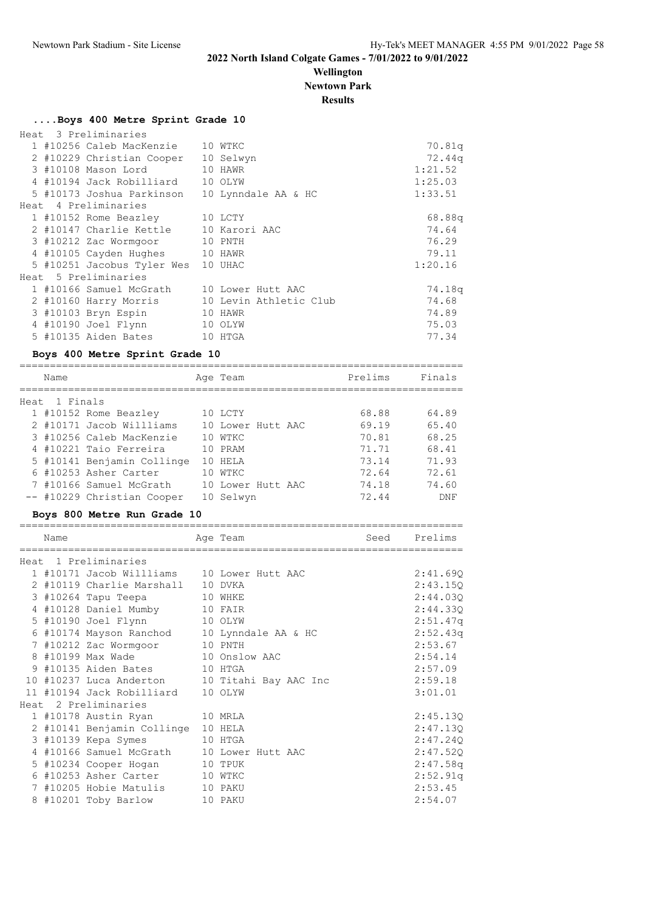**Wellington Newtown Park**

**Results**

#### **....Boys 400 Metre Sprint Grade 10**

|  | Heat 3 Preliminaries       |                        |         |
|--|----------------------------|------------------------|---------|
|  | 1 #10256 Caleb MacKenzie   | 10 WTKC                | 70.81q  |
|  | 2 #10229 Christian Cooper  | 10 Selwyn              | 72.44q  |
|  | 3 #10108 Mason Lord        | 10 HAWR                | 1:21.52 |
|  | 4 #10194 Jack Robilliard   | 10 OLYW                | 1:25.03 |
|  | 5 #10173 Joshua Parkinson  | 10 Lynndale AA & HC    | 1:33.51 |
|  | Heat, 4 Preliminaries      |                        |         |
|  | 1 #10152 Rome Beazley      | 10 LCTY                | 68.88q  |
|  | 2 #10147 Charlie Kettle    | 10 Karori AAC          | 74.64   |
|  | 3 #10212 Zac Wormgoor      | 10 PNTH                | 76.29   |
|  | 4 #10105 Cayden Hughes     | 10 HAWR                | 79.11   |
|  | 5 #10251 Jacobus Tyler Wes | 10 UHAC                | 1:20.16 |
|  | Heat 5 Preliminaries       |                        |         |
|  | 1 #10166 Samuel McGrath    | 10 Lower Hutt AAC      | 74.18q  |
|  | 2 #10160 Harry Morris      | 10 Levin Athletic Club | 74.68   |
|  | 3 #10103 Bryn Espin        | 10 HAWR                | 74.89   |
|  | 4 #10190 Joel Flynn        | 10 OLYW                | 75.03   |
|  | 5 #10135 Aiden Bates       | 10 HTGA                | 77.34   |

#### **Boys 400 Metre Sprint Grade 10**

| Name          |                            | Age Team          | Prelims | Finals |
|---------------|----------------------------|-------------------|---------|--------|
|               |                            |                   |         |        |
| Heat 1 Finals |                            |                   |         |        |
|               | 1 #10152 Rome Beazley      | 10 LCTY           | 68.88   | 64.89  |
|               | 2 #10171 Jacob Willliams   | 10 Lower Hutt AAC | 69.19   | 65.40  |
|               | 3 #10256 Caleb MacKenzie   | 10 WTKC           | 70.81   | 68.25  |
|               | 4 #10221 Taio Ferreira     | 10 PRAM           | 71.71   | 68.41  |
|               | 5 #10141 Benjamin Collinge | 10 HELA           | 73.14   | 71.93  |
|               | 6 #10253 Asher Carter      | 10 WTKC           | 72.64   | 72.61  |
|               | 7 #10166 Samuel McGrath    | 10 Lower Hutt AAC | 74.18   | 74.60  |
|               | -- #10229 Christian Cooper | 10 Selwyn         | 72.44   | DNF    |

=========================================================================

## **Boys 800 Metre Run Grade 10**

| Name |                                             | Age Team                                      | Seed | Prelims  |
|------|---------------------------------------------|-----------------------------------------------|------|----------|
|      | Heat 1 Preliminaries                        |                                               |      |          |
|      | 1 #10171 Jacob Willliams 10 Lower Hutt AAC  |                                               |      | 2:41.69Q |
|      | 2 #10119 Charlie Marshall 10 DVKA           |                                               |      | 2:43.15Q |
|      | 3 #10264 Tapu Teepa                         | 10 WHKE                                       |      | 2:44.03Q |
|      | 4 #10128 Daniel Mumby 10 FAIR               |                                               |      | 2:44.33Q |
|      | 5 #10190 Joel Flynn<br>10 OLYW              |                                               |      | 2:51.47q |
|      | 6 #10174 Mayson Ranchod 10 Lynndale AA & HC |                                               |      | 2:52.43q |
|      | 7 #10212 Zac Wormgoor 10 PNTH               |                                               |      | 2:53.67  |
|      | 8 #10199 Max Wade 10 Onslow AAC             |                                               |      | 2:54.14  |
|      | 9 #10135 Aiden Bates 10 HTGA                |                                               |      | 2:57.09  |
|      |                                             | 10 #10237 Luca Anderton 10 Titahi Bay AAC Inc |      | 2:59.18  |
|      | 11 #10194 Jack Robilliard 10 OLYW           |                                               |      | 3:01.01  |
|      | Heat 2 Preliminaries                        |                                               |      |          |
|      | 1 #10178 Austin Ryan 10 MRLA                |                                               |      | 2:45.13Q |
|      | 2 #10141 Benjamin Collinge 10 HELA          |                                               |      | 2:47.13Q |
|      | 3 #10139 Kepa Symes 10 HTGA                 |                                               |      | 2:47.24Q |
|      | 4 #10166 Samuel McGrath 10 Lower Hutt AAC   |                                               |      | 2:47.52Q |
|      | 5 #10234 Cooper Hogan 10 TPUK               |                                               |      | 2:47.58q |
|      | 6 #10253 Asher Carter 10 WTKC               |                                               |      | 2:52.91q |
|      | 7 #10205 Hobie Matulis 10 PAKU              |                                               |      | 2:53.45  |
|      | 8 #10201 Toby Barlow 10 PAKU                |                                               |      | 2:54.07  |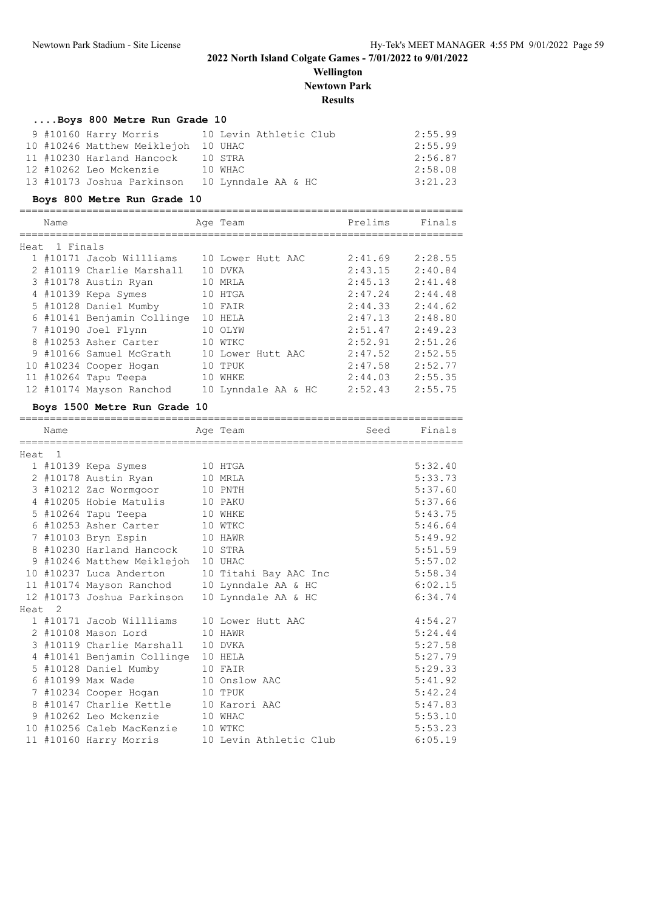**Wellington Newtown Park**

**Results**

=========================================================================

| Boys 800 Metre Run Grade 10 |                        |         |
|-----------------------------|------------------------|---------|
| 9 #10160 Harry Morris       | 10 Levin Athletic Club | 2:55.99 |
| 10 #10246 Matthew Meiklejoh | 10 UHAC                | 2:55.99 |
| 11 #10230 Harland Hancock   | 10 STRA                | 2:56.87 |
| 12 #10262 Leo Mckenzie      | 10 WHAC                | 2:58.08 |
| 13 #10173 Joshua Parkinson  | 10 Lynndale AA & HC    | 3:21.23 |

#### **Boys 800 Metre Run Grade 10**

|      | Name     |                            | Age Team            | Prelims | Finals  |
|------|----------|----------------------------|---------------------|---------|---------|
| Heat | 1 Finals |                            |                     |         |         |
|      |          | 1 #10171 Jacob Willliams   | 10 Lower Hutt AAC   | 2:41.69 | 2:28.55 |
|      |          | 2 #10119 Charlie Marshall  | 10 DVKA             | 2:43.15 | 2:40.84 |
|      |          | 3 #10178 Austin Ryan       | 10 MRLA             | 2:45.13 | 2:41.48 |
|      |          | 4 #10139 Kepa Symes        | 10 HTGA             | 2:47.24 | 2:44.48 |
|      |          | 5 #10128 Daniel Mumby      | 10 FAIR             | 2:44.33 | 2:44.62 |
|      |          | 6 #10141 Benjamin Collinge | 10 HELA             | 2:47.13 | 2:48.80 |
|      |          | 7 #10190 Joel Flynn        | 10 OLYW             | 2:51.47 | 2:49.23 |
|      |          | 8 #10253 Asher Carter      | 10 WTKC             | 2:52.91 | 2:51.26 |
|      |          | 9 #10166 Samuel McGrath    | 10 Lower Hutt AAC   | 2:47.52 | 2:52.55 |
|      |          | 10 #10234 Cooper Hogan     | 10 TPUK             | 2:47.58 | 2:52.77 |
|      |          | 11 #10264 Tapu Teepa       | 10 WHKE             | 2:44.03 | 2:55.35 |
|      |          | 12 #10174 Mayson Ranchod   | 10 Lynndale AA & HC | 2:52.43 | 2:55.75 |
|      |          |                            |                     |         |         |

#### **Boys 1500 Metre Run Grade 10**

|                   | Name |                                    | Age Team               | Seed | Finals  |
|-------------------|------|------------------------------------|------------------------|------|---------|
| Heat <sub>1</sub> |      |                                    |                        |      |         |
|                   |      | 1 #10139 Kepa Symes                | 10 HTGA                |      | 5:32.40 |
|                   |      | 2 #10178 Austin Ryan               | 10 MRLA                |      | 5:33.73 |
|                   |      | 3 #10212 Zac Wormgoor              | 10 PNTH                |      | 5:37.60 |
|                   |      | 4 #10205 Hobie Matulis             | 10 PAKU                |      | 5:37.66 |
|                   |      | 5 #10264 Tapu Teepa                | 10 WHKE                |      | 5:43.75 |
|                   |      | 6 #10253 Asher Carter              | 10 WTKC                |      | 5:46.64 |
|                   |      | 7 #10103 Bryn Espin                | 10 HAWR                |      | 5:49.92 |
|                   |      | 8 #10230 Harland Hancock           | 10 STRA                |      | 5:51.59 |
|                   |      | 9 #10246 Matthew Meiklejoh         | 10 UHAC                |      | 5:57.02 |
|                   |      | 10 #10237 Luca Anderton            | 10 Titahi Bay AAC Inc  |      | 5:58.34 |
|                   |      | 11 #10174 Mayson Ranchod           | 10 Lynndale AA & HC    |      | 6:02.15 |
|                   |      | 12 #10173 Joshua Parkinson         | 10 Lynndale AA & HC    |      | 6:34.74 |
| Heat <sub>2</sub> |      |                                    |                        |      |         |
|                   |      | 1 #10171 Jacob Willliams           | 10 Lower Hutt AAC      |      | 4:54.27 |
|                   |      | 2 #10108 Mason Lord                | 10 HAWR                |      | 5:24.44 |
|                   |      | 3 #10119 Charlie Marshall          | 10 DVKA                |      | 5:27.58 |
|                   |      | 4 #10141 Benjamin Collinge 10 HELA |                        |      | 5:27.79 |
|                   |      | 5 #10128 Daniel Mumby              | 10 FAIR                |      | 5:29.33 |
|                   |      | 6 #10199 Max Wade                  | 10 Onslow AAC          |      | 5:41.92 |
|                   |      | 7 #10234 Cooper Hogan              | 10 TPUK                |      | 5:42.24 |
|                   |      | 8 #10147 Charlie Kettle            | 10 Karori AAC          |      | 5:47.83 |
|                   |      | 9 #10262 Leo Mckenzie              | 10 WHAC                |      | 5:53.10 |
|                   |      | 10 #10256 Caleb MacKenzie          | 10 WTKC                |      | 5:53.23 |
|                   |      | 11 #10160 Harry Morris             | 10 Levin Athletic Club |      | 6:05.19 |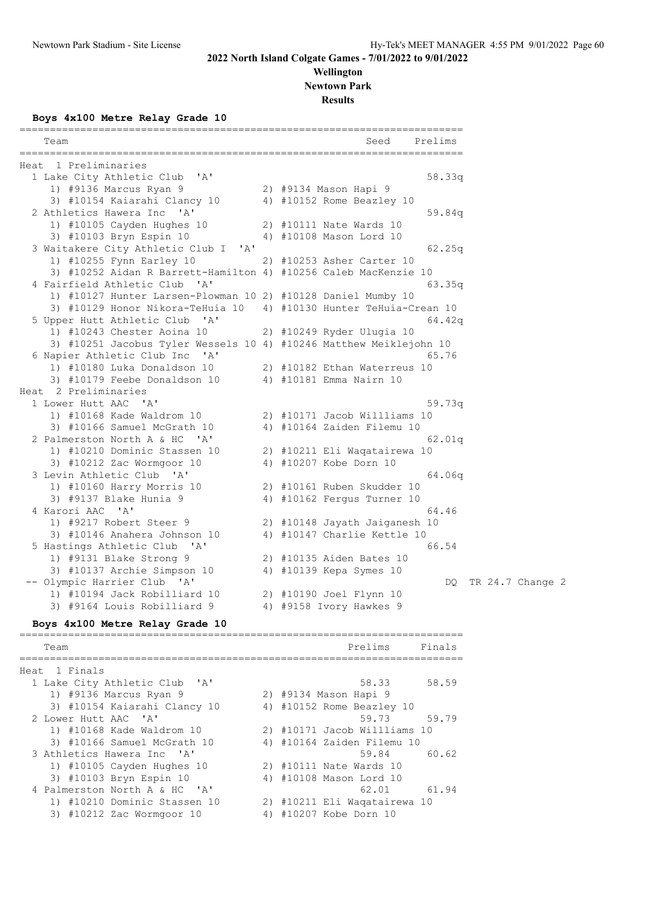**Wellington Newtown Park**

**Results**

**Boys 4x100 Metre Relay Grade 10**

| Team                                                               | Seed<br>Prelims                        |
|--------------------------------------------------------------------|----------------------------------------|
| Heat 1 Preliminaries                                               |                                        |
| 1 Lake City Athletic Club 'A'                                      | 58.33q                                 |
| 1) #9136 Marcus Ryan 9                                             | 2) #9134 Mason Hapi 9                  |
| 3) #10154 Kaiarahi Clancy 10                                       | 4) #10152 Rome Beazley 10              |
| 2 Athletics Hawera Inc 'A'                                         | 59.84q                                 |
| 1) #10105 Cayden Hughes 10                                         | 2) #10111 Nate Wards 10                |
| 3) #10103 Bryn Espin 10                                            | 4) #10108 Mason Lord 10                |
| 3 Waitakere City Athletic Club I<br>$\mathsf{A}$                   | 62.25q                                 |
| 1) #10255 Fynn Earley 10                                           | 2) #10253 Asher Carter 10              |
| 3) #10252 Aidan R Barrett-Hamilton 4) #10256 Caleb MacKenzie 10    |                                        |
| 4 Fairfield Athletic Club 'A'                                      | 63.35q                                 |
| 1) #10127 Hunter Larsen-Plowman 10 2) #10128 Daniel Mumby 10       |                                        |
| 3) #10129 Honor Nikora-TeHuia 10                                   | 4) #10130 Hunter TeHuia-Crean 10       |
| 5 Upper Hutt Athletic Club 'A'                                     | 64.42q                                 |
| 1) #10243 Chester Aoina 10                                         | 2) #10249 Ryder Ulugia 10              |
| 3) #10251 Jacobus Tyler Wessels 10 4) #10246 Matthew Meiklejohn 10 |                                        |
| 6 Napier Athletic Club Inc 'A'                                     | 65.76                                  |
| 1) #10180 Luka Donaldson 10                                        | 2) #10182 Ethan Waterreus 10           |
|                                                                    | 4) #10181 Emma Nairn 10                |
| 3) #10179 Feebe Donaldson 10                                       |                                        |
| Heat 2 Preliminaries<br>1 Lower Hutt AAC 'A'                       |                                        |
| 1) #10168 Kade Waldrom 10                                          | 59.73q<br>2) #10171 Jacob Willliams 10 |
|                                                                    |                                        |
| 3) #10166 Samuel McGrath 10                                        | 4) #10164 Zaiden Filemu 10             |
| 2 Palmerston North A & HC 'A'                                      | 62.01q                                 |
| 1) #10210 Dominic Stassen 10                                       | 2) #10211 Eli Waqatairewa 10           |
| 3) #10212 Zac Wormgoor 10                                          | 4) #10207 Kobe Dorn 10                 |
| 3 Levin Athletic Club 'A'                                          | 64.06q                                 |
| 1) #10160 Harry Morris 10                                          | 2) #10161 Ruben Skudder 10             |
| 3) #9137 Blake Hunia 9                                             | 4) #10162 Fergus Turner 10             |
| 4 Karori AAC 'A'                                                   | 64.46                                  |
| 1) #9217 Robert Steer 9                                            | 2) #10148 Jayath Jaiganesh 10          |
| 3) #10146 Anahera Johnson 10                                       | 4) #10147 Charlie Kettle 10            |
| 5 Hastings Athletic Club 'A'                                       | 66.54                                  |
| 1) #9131 Blake Strong 9                                            | 2) #10135 Aiden Bates 10               |
| 3) #10137 Archie Simpson 10                                        | 4) #10139 Kepa Symes 10                |
| -- Olympic Harrier Club 'A'                                        | TR 24.7 Change 2<br>DQ.                |
| 1) #10194 Jack Robilliard 10                                       | 2) #10190 Joel Flynn 10                |
| 3) #9164 Louis Robilliard 9                                        | 4) #9158 Ivory Hawkes 9                |
| Boys 4x100 Metre Relay Grade 10                                    |                                        |
| Team                                                               | Prelims<br>Finals                      |
| Heat 1 Finals                                                      |                                        |
| 1 Lake City Athletic Club<br>"A"                                   | 58.33<br>58.59                         |
| 1) #9136 Marcus Ryan 9                                             | 2) #9134 Mason Hapi 9                  |
| 3) #10154 Kaiarahi Clancy 10                                       | 4) #10152 Rome Beazley 10              |
| 2 Lower Hutt AAC<br>' A'                                           | 59.73<br>59.79                         |
| 1) #10168 Kade Waldrom 10                                          | 2) #10171 Jacob Willliams 10           |
| 3) #10166 Samuel McGrath 10                                        | 4) #10164 Zaiden Filemu 10             |
| 3 Athletics Hawera Inc<br>' A'                                     | 59.84<br>60.62                         |
|                                                                    |                                        |

 1) #10105 Cayden Hughes 10 2) #10111 Nate Wards 10 3) #10103 Bryn Espin 10 4) #10108 Mason Lord 10 4 Palmerston North A & HC 'A' 62.01 61.94 1) #10210 Dominic Stassen 10 2) #10211 Eli Waqatairewa 10 3) #10212 Zac Wormgoor 10 4) #10207 Kobe Dorn 10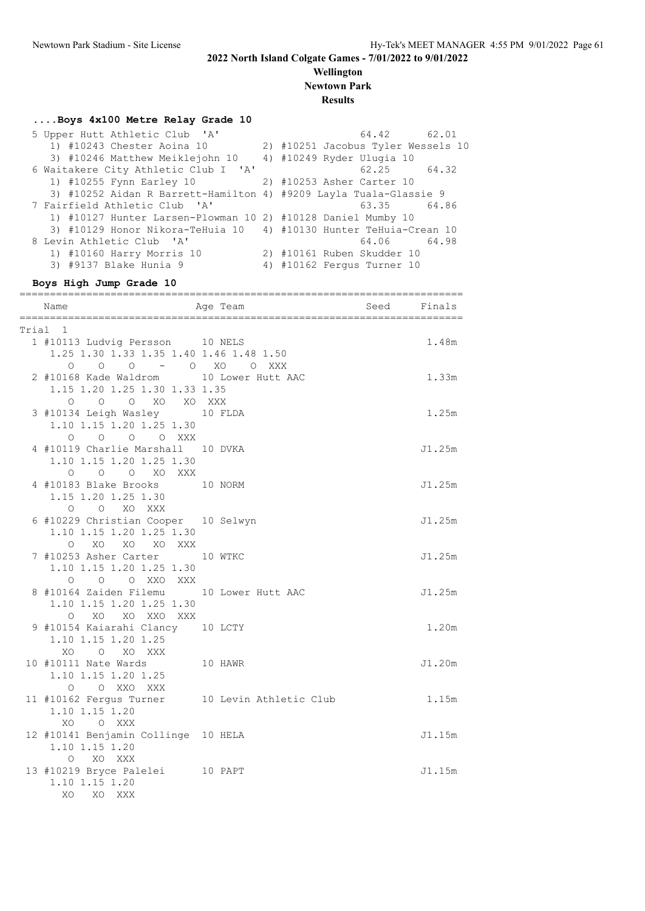#### **Wellington Newtown Park**

**Results**

#### **....Boys 4x100 Metre Relay Grade 10**

| 5 Upper Hutt Athletic Club 'A'                                    | 64.42 62.01                        |
|-------------------------------------------------------------------|------------------------------------|
| 1) #10243 Chester Aoina 10                                        | 2) #10251 Jacobus Tyler Wessels 10 |
| 3) #10246 Matthew Meiklejohn 10                                   | 4) #10249 Ryder Ulugia 10          |
| 6 Waitakere City Athletic Club I 'A'                              | 62.25<br>64.32                     |
| 1) #10255 Fynn Earley 10 2) #10253 Asher Carter 10                |                                    |
| 3) #10252 Aidan R Barrett-Hamilton 4) #9209 Layla Tuala-Glassie 9 |                                    |
| 7 Fairfield Athletic Club 'A'                                     | 63.35 64.86                        |
| 1) #10127 Hunter Larsen-Plowman 10 2) #10128 Daniel Mumby 10      |                                    |
| 3) #10129 Honor Nikora-TeHuia 10 4) #10130 Hunter TeHuia-Crean 10 |                                    |
| 8 Levin Athletic Club 'A'                                         | 64.06 64.98                        |
| 1) #10160 Harry Morris 10                                         | 2) #10161 Ruben Skudder 10         |
| 3) #9137 Blake Hunia 9                                            | 4) #10162 Ferqus Turner 10         |

#### **Boys High Jump Grade 10**

| Name                                                                                                                                             | ==========================<br>Age Team         | Seed Finals | ======= |
|--------------------------------------------------------------------------------------------------------------------------------------------------|------------------------------------------------|-------------|---------|
| Trial 1                                                                                                                                          |                                                |             |         |
| 1 #10113 Ludvig Persson 10 NELS                                                                                                                  |                                                |             | 1.48m   |
| 1.25 1.30 1.33 1.35 1.40 1.46 1.48 1.50                                                                                                          |                                                |             |         |
| $\begin{tabular}{cccccc} & O & O & O & - & O & XO & O & XXX \\ 2 \#10168 \ \texttt{Kade Waldrom} & & 10 \ \texttt{Lower Hutt AAC} \end{tabular}$ |                                                |             |         |
|                                                                                                                                                  |                                                |             | 1.33m   |
| 1.15 1.20 1.25 1.30 1.33 1.35                                                                                                                    |                                                |             |         |
| O O O XO XO XXX                                                                                                                                  |                                                |             |         |
| 3 #10134 Leigh Wasley 10 FLDA                                                                                                                    |                                                |             | 1.25m   |
| 1.10 1.15 1.20 1.25 1.30<br>0 0 0 0 XXX                                                                                                          |                                                |             |         |
| 4 #10119 Charlie Marshall 10 DVKA                                                                                                                |                                                |             | J1.25m  |
| 1.10 1.15 1.20 1.25 1.30                                                                                                                         |                                                |             |         |
| O O O XO XXX                                                                                                                                     |                                                |             |         |
| 4 #10183 Blake Brooks 10 NORM                                                                                                                    |                                                |             | J1.25m  |
| 1.15 1.20 1.25 1.30                                                                                                                              |                                                |             |         |
| O O XO XXX                                                                                                                                       |                                                |             |         |
| 6 #10229 Christian Cooper 10 Selwyn                                                                                                              |                                                |             | J1.25m  |
| 1.10 1.15 1.20 1.25 1.30                                                                                                                         |                                                |             |         |
| O XO XO XO XXX                                                                                                                                   |                                                |             |         |
| 7 #10253 Asher Carter 10 WTKC                                                                                                                    |                                                |             | J1.25m  |
| 1.10 1.15 1.20 1.25 1.30                                                                                                                         |                                                |             |         |
| O O O XXO XXX                                                                                                                                    |                                                |             |         |
| 8 #10164 Zaiden Filemu 10 Lower Hutt AAC                                                                                                         |                                                |             | J1.25m  |
| 1.10 1.15 1.20 1.25 1.30<br>O XO XO XXO XXX                                                                                                      |                                                |             |         |
| 9 #10154 Kaiarahi Clancy 10 LCTY                                                                                                                 |                                                |             | 1.20m   |
| 1.10 1.15 1.20 1.25                                                                                                                              |                                                |             |         |
| XO O XO XXX                                                                                                                                      |                                                |             |         |
| 10 #10111 Nate Wards 10 HAWR                                                                                                                     |                                                |             | J1.20m  |
| 1.10 1.15 1.20 1.25                                                                                                                              |                                                |             |         |
| O O XXO XXX                                                                                                                                      |                                                |             |         |
|                                                                                                                                                  | 11 #10162 Fergus Turner 10 Levin Athletic Club |             | 1.15m   |
| 1.10 1.15 1.20                                                                                                                                   |                                                |             |         |
| XO OXXX                                                                                                                                          |                                                |             |         |
| 12 #10141 Benjamin Collinge 10 HELA                                                                                                              |                                                |             | J1.15m  |
| 1.10 1.15 1.20                                                                                                                                   |                                                |             |         |
| O XO XXX                                                                                                                                         |                                                |             |         |
| 13 #10219 Bryce Palelei 10 PAPT                                                                                                                  |                                                |             | J1.15m  |
| 1.10 1.15 1.20                                                                                                                                   |                                                |             |         |
| XO<br>XO XXX                                                                                                                                     |                                                |             |         |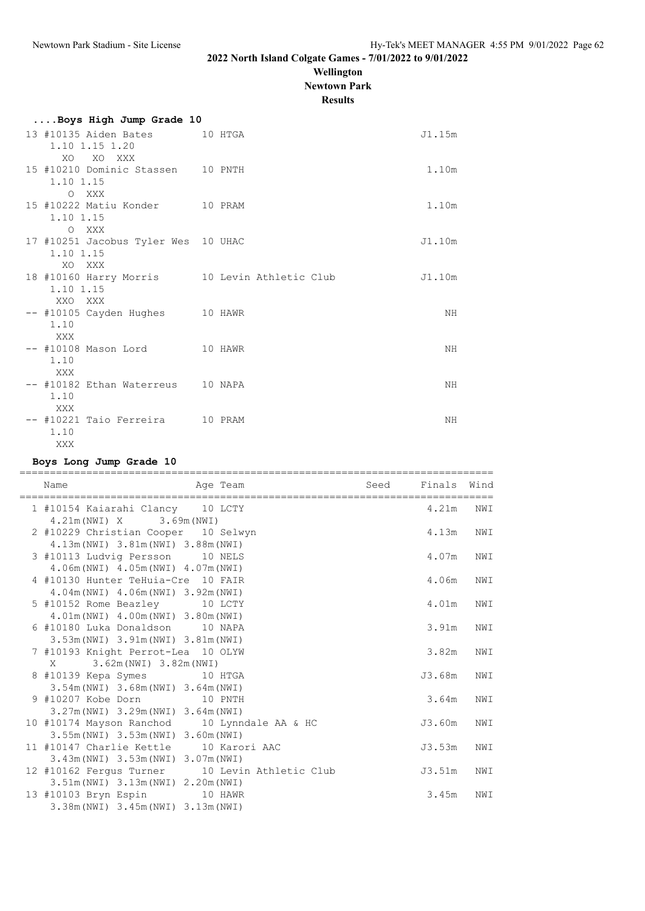**Wellington**

**Newtown Park**

**Results**

| Boys High Jump Grade 10                         |  |                                               |        |
|-------------------------------------------------|--|-----------------------------------------------|--------|
| 13 #10135 Aiden Bates 10 HTGA<br>1.10 1.15 1.20 |  |                                               | J1.15m |
| XO.<br>XO XXX                                   |  |                                               |        |
| 15 #10210 Dominic Stassen 10 PNTH               |  |                                               | 1.10m  |
| 1.10 1.15                                       |  |                                               |        |
| O XXX                                           |  |                                               |        |
| 15 #10222 Matiu Konder 10 PRAM                  |  |                                               | 1.10m  |
| 1.10 1.15                                       |  |                                               |        |
| O XXX                                           |  |                                               |        |
| 17 #10251 Jacobus Tyler Wes 10 UHAC             |  |                                               | J1.10m |
| 1.10 1.15                                       |  |                                               |        |
| XO.<br>XXX                                      |  |                                               |        |
|                                                 |  | 18 #10160 Harry Morris 10 Levin Athletic Club | J1.10m |
| 1.10 1.15                                       |  |                                               |        |
| XXO XXX                                         |  |                                               |        |
| -- #10105 Cayden Hughes 10 HAWR                 |  |                                               | ΝH     |
| 1.10                                            |  |                                               |        |
| XXX                                             |  |                                               |        |
| -- #10108 Mason Lord 10 HAWR                    |  |                                               | ΝH     |
| 1.10                                            |  |                                               |        |
| XXX                                             |  |                                               |        |
| -- #10182 Ethan Waterreus 10 NAPA               |  |                                               | ΝH     |
| 1.10                                            |  |                                               |        |
| XXX                                             |  |                                               |        |
| -- #10221 Taio Ferreira 10 PRAM                 |  |                                               | NΗ     |
| 1.10                                            |  |                                               |        |
| XXX                                             |  |                                               |        |

#### **Boys Long Jump Grade 10**

| Name                                                                                  | Age Team | Seed Finals Wind |     |
|---------------------------------------------------------------------------------------|----------|------------------|-----|
| 1 #10154 Kaiarahi Clancy 10 LCTY<br>4.21m (NWI) X 3.69m (NWI)                         |          | 4.21m            | NWI |
| 2 #10229 Christian Cooper 10 Selwyn<br>4.13m (NWI) 3.81m (NWI) 3.88m (NWI)            |          | 4.13m            | NWI |
| 3 #10113 Ludvig Persson 10 NELS<br>4.06m (NWI) 4.05m (NWI) 4.07m (NWI)                |          | 4.07m            | NWI |
| 4 #10130 Hunter TeHuia-Cre 10 FAIR<br>4.04m (NWI) 4.06m (NWI) 3.92m (NWI)             |          | 4.06m            | NWI |
| 5 #10152 Rome Beazley 10 LCTY<br>4.01m (NWI) 4.00m (NWI) 3.80m (NWI)                  |          | 4.01m            | NWI |
| 6 #10180 Luka Donaldson 10 NAPA<br>3.53m (NWI) 3.91m (NWI) 3.81m (NWI)                |          | 3.91m            | NWI |
| 7 #10193 Knight Perrot-Lea 10 OLYW<br>X 3.62m (NWI) 3.82m (NWI)                       |          | 3.82m            | NWI |
| 8 #10139 Kepa Symes 10 HTGA<br>3.54m (NWI) 3.68m (NWI) 3.64m (NWI)                    |          | J3.68m           | NWI |
| 9 #10207 Kobe Dorn 10 PNTH<br>3.27m (NWI) 3.29m (NWI) 3.64m (NWI)                     |          | 3.64m            | NWI |
| 10 #10174 Mayson Ranchod 10 Lynndale AA & HC<br>3.55m (NWI) 3.53m (NWI) 3.60m (NWI)   |          | J3.60m           | NWI |
| 11 #10147 Charlie Kettle 10 Karori AAC<br>3.43m (NWI) 3.53m (NWI) 3.07m (NWI)         |          | J3.53m           | NWI |
| 12 #10162 Ferqus Turner 10 Levin Athletic Club<br>3.51m (NWI) 3.13m (NWI) 2.20m (NWI) |          | J3.51m           | NWI |
| 13 #10103 Bryn Espin 10 HAWR<br>3.38m (NWI) 3.45m (NWI) 3.13m (NWI)                   |          | 3.45m            | NWI |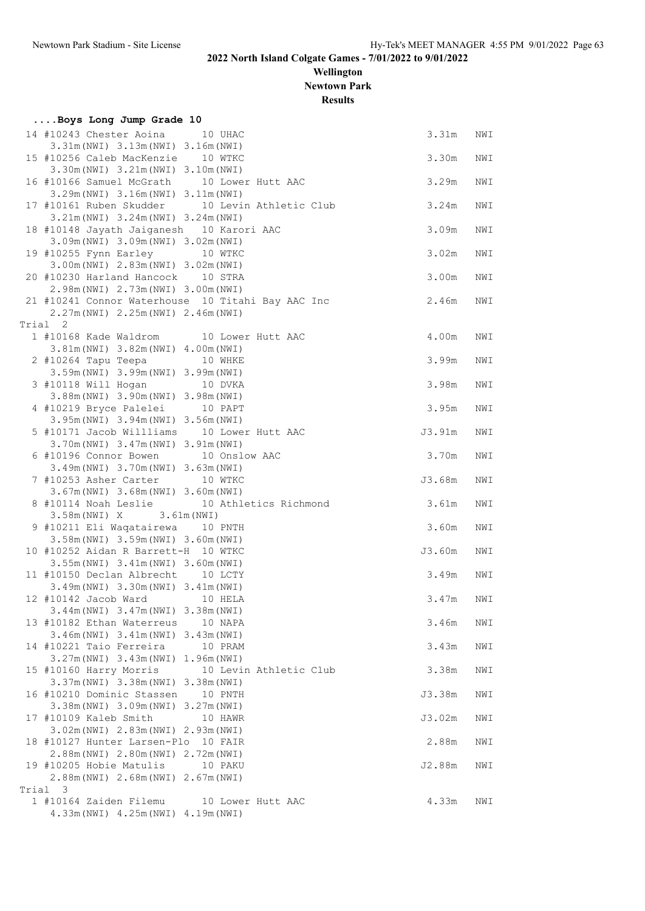**Wellington Newtown Park**

**Results**

|       | Boys Long Jump Grade 10                                                                             |                                                |           |     |
|-------|-----------------------------------------------------------------------------------------------------|------------------------------------------------|-----------|-----|
|       | 14 #10243 Chester Aoina<br>3.31m (NWI) 3.13m (NWI) 3.16m (NWI)                                      | 10 UHAC                                        | 3.31m     | NWI |
|       | 15 #10256 Caleb MacKenzie 10 WTKC<br>3.30m (NWI) 3.21m (NWI) 3.10m (NWI)                            |                                                | 3.30m     | NWI |
|       | 16 #10166 Samuel McGrath 10 Lower Hutt AAC<br>3.29m (NWI) 3.16m (NWI) 3.11m (NWI)                   |                                                | 3.29m     | NWI |
|       | 3.21m (NWI) 3.24m (NWI) 3.24m (NWI)                                                                 | 17 #10161 Ruben Skudder 10 Levin Athletic Club | 3.24m     | NWI |
|       | 18 #10148 Jayath Jaiganesh 10 Karori AAC<br>3.09m (NWI) 3.09m (NWI) 3.02m (NWI)                     |                                                | 3.09m     | NWI |
|       | 19 #10255 Fynn Earley 10 WTKC<br>3.00m (NWI) 2.83m (NWI) 3.02m (NWI)                                |                                                | 3.02m     | NWI |
|       | 20 #10230 Harland Hancock<br>2.98m (NWI) 2.73m (NWI) 3.00m (NWI)                                    | 10 STRA                                        | 3.00m     | NWI |
|       | 21 #10241 Connor Waterhouse 10 Titahi Bay AAC Inc<br>2.27m (NWI) 2.25m (NWI) 2.46m (NWI)            |                                                | 2.46m     | NWI |
|       | Trial 2                                                                                             |                                                |           |     |
|       | 1 #10168 Kade Waldrom 10 Lower Hutt AAC                                                             |                                                | 4.00m     | NWI |
|       | 3.81m (NWI) 3.82m (NWI) 4.00m (NWI)<br>2 #10264 Tapu Teepa 10 WHKE                                  |                                                | 3.99m     | NWI |
|       | 3.59m (NWI) 3.99m (NWI) 3.99m (NWI)<br>3 #10118 Will Hogan 10 DVKA                                  |                                                | 3.98m     | NWI |
|       | 3.88m (NWI) 3.90m (NWI) 3.98m (NWI)<br>4 #10219 Bryce Palelei 10 PAPT                               |                                                | 3.95m     | NWI |
|       | 3.95m (NWI) 3.94m (NWI) 3.56m (NWI)<br>5 #10171 Jacob Willliams 10 Lower Hutt AAC                   |                                                | J3.91m    | NWI |
|       | 3.70m (NWI) 3.47m (NWI) 3.91m (NWI)<br>6 #10196 Connor Bowen 10 Onslow AAC                          |                                                | 3.70m     | NWI |
|       | 3.49m (NWI) 3.70m (NWI) 3.63m (NWI)<br>7 #10253 Asher Carter<br>3.67m (NWI) 3.68m (NWI) 3.60m (NWI) | 10 WTKC                                        | J3.68m    | NWI |
|       | 3.58m (NWI) X 3.61m (NWI)                                                                           | 8 #10114 Noah Leslie 10 Athletics Richmond     | 3.61m     | NWI |
|       | 9 #10211 Eli Waqatairewa 10 PNTH<br>3.58m (NWI) 3.59m (NWI) 3.60m (NWI)                             |                                                | 3.60m     | NWI |
|       | 10 #10252 Aidan R Barrett-H 10 WTKC<br>3.55m (NWI) 3.41m (NWI) 3.60m (NWI)                          |                                                | J3.60m    | NWI |
|       | 11 #10150 Declan Albrecht 10 LCTY<br>3.49m (NWI) 3.30m (NWI) 3.41m (NWI)                            |                                                | 3.49m     | NWI |
|       | 12 #10142 Jacob Ward 10 HELA<br>3.44m (NWI) 3.47m (NWI) 3.38m (NWI)                                 |                                                | 3.47m NWI |     |
|       | 13 #10182 Ethan Waterreus<br>3.46m (NWI) 3.41m (NWI) 3.43m (NWI)                                    | 10 NAPA                                        | 3.46m     | NWI |
|       | 14 #10221 Taio Ferreira<br>3.27m (NWI) 3.43m (NWI) 1.96m (NWI)                                      | 10 PRAM                                        | 3.43m     | NWI |
|       | 3.37m (NWI) 3.38m (NWI) 3.38m (NWI)                                                                 | 15 #10160 Harry Morris 10 Levin Athletic Club  | 3.38m     | NWI |
|       | 16 #10210 Dominic Stassen<br>3.38m (NWI) 3.09m (NWI) 3.27m (NWI)                                    | 10 PNTH                                        | J3.38m    | NWI |
|       | 17 #10109 Kaleb Smith<br>3.02m (NWI) 2.83m (NWI) 2.93m (NWI)                                        | 10 HAWR                                        | J3.02m    | NWI |
|       | 18 #10127 Hunter Larsen-Plo 10 FAIR<br>2.88m (NWI) 2.80m (NWI) 2.72m (NWI)                          |                                                | 2.88m     | NWI |
|       | 19 #10205 Hobie Matulis<br>2.88m (NWI) 2.68m (NWI) 2.67m (NWI)                                      | 10 PAKU                                        | J2.88m    | NWI |
| Trial | 3                                                                                                   |                                                |           |     |
|       | 1 #10164 Zaiden Filemu<br>4.33m (NWI) 4.25m (NWI) 4.19m (NWI)                                       | 10 Lower Hutt AAC                              | 4.33m     | NWI |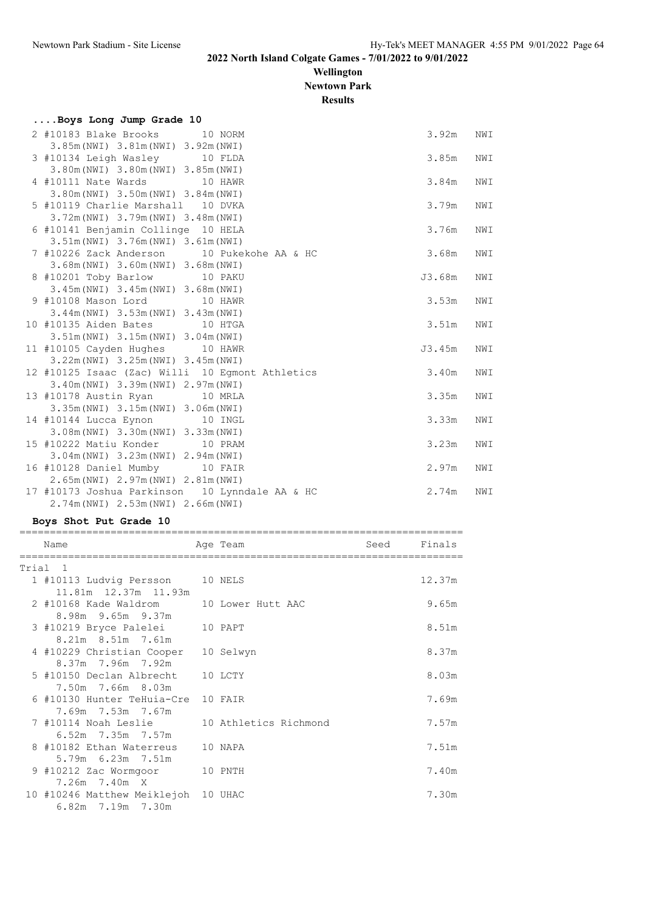## **Wellington Newtown Park**

**Results**

| Boys Long Jump Grade 10 |  |  |
|-------------------------|--|--|
|                         |  |  |

| 2 #10183 Blake Brooks                          | 10 NORM                                         | 3.92m  | NWI |
|------------------------------------------------|-------------------------------------------------|--------|-----|
| 3.85m (NWI) 3.81m (NWI) 3.92m (NWI)            |                                                 |        |     |
| 3 #10134 Leigh Wasley 10 FLDA                  |                                                 | 3.85m  | NWI |
| 3.80m (NWI) 3.80m (NWI) 3.85m (NWI)            |                                                 |        |     |
| 4 #10111 Nate Wards 10 HAWR                    |                                                 | 3.84m  | NWI |
| 3.80m (NWI) 3.50m (NWI) 3.84m (NWI)            |                                                 |        |     |
| 5 #10119 Charlie Marshall 10 DVKA              |                                                 | 3.79m  | NWI |
| 3.72m (NWI) 3.79m (NWI) 3.48m (NWI)            |                                                 |        |     |
| 6 #10141 Benjamin Collinge 10 HELA             |                                                 | 3.76m  | NWI |
| 3.51m (NWI) 3.76m (NWI) 3.61m (NWI)            |                                                 |        |     |
|                                                | 7 #10226 Zack Anderson 10 Pukekohe AA & HC      | 3.68m  | NWI |
| 3.68m (NWI) 3.60m (NWI) 3.68m (NWI)            |                                                 |        |     |
| 8 #10201 Toby Barlow 10 PAKU                   |                                                 | J3.68m | NWI |
| 3.45m (NWI) 3.45m (NWI) 3.68m (NWI)            |                                                 |        |     |
| 9 #10108 Mason Lord 10 HAWR                    |                                                 | 3.53m  | NWI |
| 3.44m (NWI) 3.53m (NWI) 3.43m (NWI)            |                                                 |        |     |
| 10 #10135 Aiden Bates 10 HTGA                  |                                                 | 3.51m  | NWI |
| 3.51m (NWI) 3.15m (NWI) 3.04m (NWI)            |                                                 |        |     |
| 11 #10105 Cayden Hughes 10 HAWR                |                                                 | J3.45m | NWI |
| 3.22m (NWI) 3.25m (NWI) 3.45m (NWI)            |                                                 |        |     |
|                                                | 12 #10125 Isaac (Zac) Willi 10 Eqmont Athletics | 3.40m  | NWI |
| 3.40m (NWI) 3.39m (NWI) 2.97m (NWI)            |                                                 |        |     |
| 13 #10178 Austin Ryan 10 MRLA                  |                                                 | 3.35m  | NWI |
| 3.35m (NWI) 3.15m (NWI) 3.06m (NWI)            |                                                 |        |     |
| 14 #10144 Lucca Eynon                          | 10 INGL                                         | 3.33m  | NWI |
| 3.08m (NWI) 3.30m (NWI) 3.33m (NWI)            |                                                 |        |     |
| 15 #10222 Matiu Konder 10 PRAM                 |                                                 | 3.23m  | NWI |
| $3.04m(NWI)$ $3.23m(NWI)$ $2.94m(NWI)$         |                                                 |        |     |
| 16 #10128 Daniel Mumby 10 FAIR                 |                                                 | 2.97m  | NWI |
| 2.65m (NWI) 2.97m (NWI) 2.81m (NWI)            |                                                 |        |     |
| 17 #10173 Joshua Parkinson 10 Lynndale AA & HC |                                                 | 2.74m  | NWI |
| 2.74m (NWI) 2.53m (NWI) 2.66m (NWI)            |                                                 |        |     |

#### **Boys Shot Put Grade 10**

| Name                                       | Age Team  | Seed | Finals |
|--------------------------------------------|-----------|------|--------|
|                                            |           |      |        |
| Trial 1                                    |           |      |        |
| 1 #10113 Ludvig Persson 10 NELS            |           |      | 12.37m |
| 11.81m  12.37m  11.93m                     |           |      |        |
| 2 #10168 Kade Waldrom 10 Lower Hutt AAC    |           |      | 9.65m  |
| 8.98m 9.65m 9.37m                          |           |      |        |
| 3 #10219 Bryce Palelei                     | 10 PAPT   |      | 8.51m  |
| 8.21m 8.51m 7.61m                          |           |      |        |
| 4 #10229 Christian Cooper                  | 10 Selwyn |      | 8.37m  |
| 8.37m 7.96m 7.92m                          |           |      |        |
| 5 #10150 Declan Albrecht                   | 10 LCTY   |      | 8.03m  |
| 7.50m 7.66m 8.03m                          |           |      |        |
| 6 #10130 Hunter TeHuia-Cre 10 FAIR         |           |      | 7.69m  |
| 7.69m 7.53m 7.67m                          |           |      |        |
| 7 #10114 Noah Leslie 10 Athletics Richmond |           |      | 7.57m  |
| $6.52m$ 7.35m 7.57m                        |           |      |        |
| 8 #10182 Ethan Waterreus                   | 10 NAPA   |      | 7.51m  |
| 5.79m 6.23m 7.51m                          |           |      |        |
| 9 #10212 Zac Wormgoor 10 PNTH              |           |      | 7.40m  |
| 7.26m 7.40m X                              |           |      |        |
| 10 #10246 Matthew Meiklejoh 10 UHAC        |           |      | 7.30m  |
| 6.82m 7.19m 7.30m                          |           |      |        |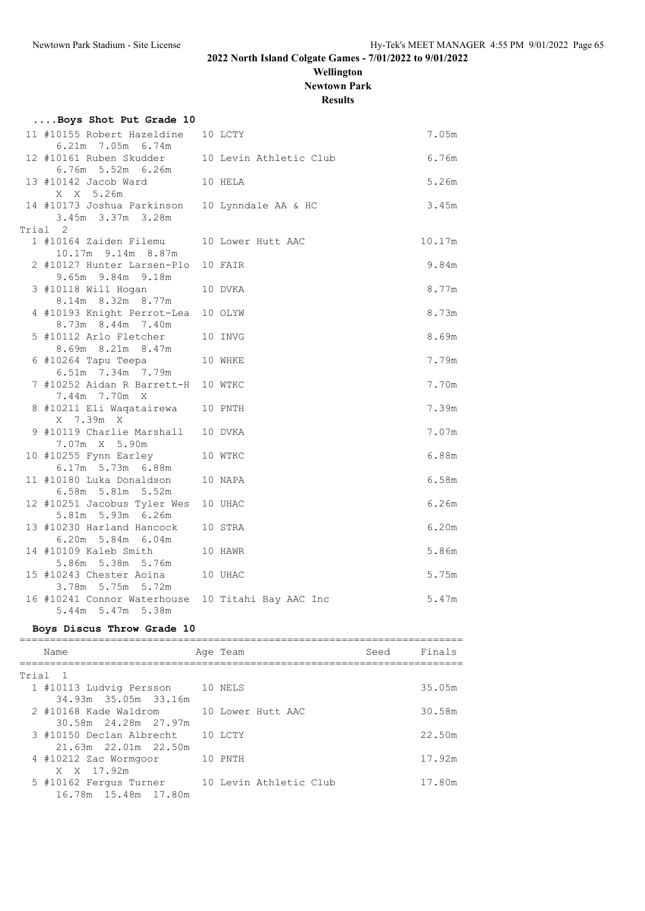**Wellington**

**Newtown Park**

**Results**

| Boys Shot Put Grade 10                                  |                        |        |
|---------------------------------------------------------|------------------------|--------|
| 11 #10155 Robert Hazeldine<br>6.21m 7.05m 6.74m         | 10 LCTY                | 7.05m  |
| 12 #10161 Ruben Skudder<br>6.76m 5.52m 6.26m            | 10 Levin Athletic Club | 6.76m  |
| 13 #10142 Jacob Ward<br>10 HELA<br>X X 5.26m            |                        | 5.26m  |
| 14 #10173 Joshua Parkinson<br>3.45m 3.37m 3.28m         | 10 Lynndale AA & HC    | 3.45m  |
| Trial 2                                                 |                        |        |
| 1 #10164 Zaiden Filemu<br>10.17m 9.14m 8.87m            | 10 Lower Hutt AAC      | 10.17m |
| 2 #10127 Hunter Larsen-Plo<br>9.65m 9.84m 9.18m         | 10 FAIR                | 9.84m  |
| 3 #10118 Will Hogan<br>8.14m 8.32m 8.77m                | 10 DVKA                | 8.77m  |
| 4 #10193 Knight Perrot-Lea<br>8.73m 8.44m 7.40m         | 10 OLYW                | 8.73m  |
| 5 #10112 Arlo Fletcher                                  | 10 INVG                | 8.69m  |
| 8.69m 8.21m 8.47m<br>6 #10264 Tapu Teepa                | 10 WHKE                | 7.79m  |
| 6.51m 7.34m 7.79m<br>7 #10252 Aidan R Barrett-H 10 WTKC |                        | 7.70m  |
| 7.44m 7.70m X<br>8 #10211 Eli Waqatairewa               | 10 PNTH                | 7.39m  |
| X 7.39m X<br>9 #10119 Charlie Marshall 10 DVKA          |                        | 7.07m  |
| 7.07m X 5.90m<br>10 #10255 Fynn Earley                  | 10 WTKC                | 6.88m  |
| 6.17m 5.73m 6.88m<br>11 #10180 Luka Donaldson           | 10 NAPA                | 6.58m  |
| 6.58m 5.81m 5.52m<br>12 #10251 Jacobus Tyler Wes        | 10 UHAC                | 6.26m  |
| 5.81m 5.93m 6.26m<br>13 #10230 Harland Hancock          | 10 STRA                | 6.20m  |
| 6.20m 5.84m 6.04m                                       |                        |        |
| 14 #10109 Kaleb Smith<br>5.86m 5.38m 5.76m              | 10 HAWR                | 5.86m  |
| 15 #10243 Chester Aoina<br>3.78m 5.75m 5.72m            | 10 UHAC                | 5.75m  |
| 16 #10241 Connor Waterhouse<br>5.44m 5.47m 5.38m        | 10 Titahi Bay AAC Inc  | 5.47m  |

#### **Boys Discus Throw Grade 10**

| Name                       |         | Age Team               | Seed | Finals |
|----------------------------|---------|------------------------|------|--------|
|                            |         |                        |      |        |
| Trial 1                    |         |                        |      |        |
| 1 #10113 Ludvig Persson    | 10 NELS |                        |      | 35.05m |
| 34.93m 35.05m 33.16m       |         |                        |      |        |
| 2 #10168 Kade Waldrom      |         | 10 Lower Hutt AAC      |      | 30.58m |
| 30.58m 24.28m 27.97m       |         |                        |      |        |
| 3 #10150 Declan Albrecht   |         | 10 LCTY                |      | 22.50m |
| $21.63m$ $22.01m$ $22.50m$ |         |                        |      |        |
| 4 #10212 Zac Wormgoor      |         | 10 PNTH                |      | 17.92m |
| X X 17.92m                 |         |                        |      |        |
| 5 #10162 Fergus Turner     |         | 10 Levin Athletic Club |      | 17.80m |
|                            |         |                        |      |        |
| 16.78m 15.48m 17.80m       |         |                        |      |        |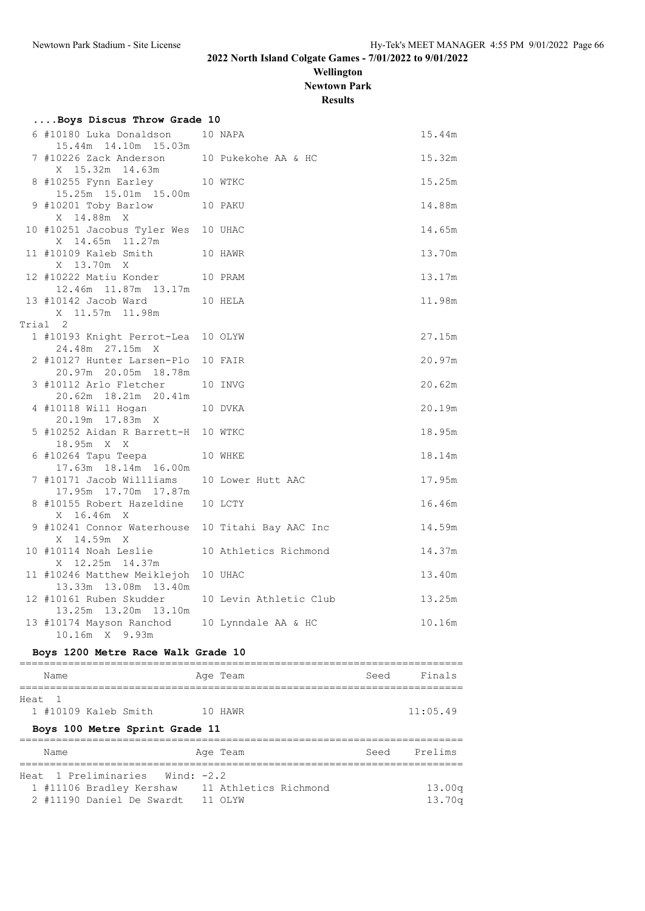**Wellington Newtown Park**

**Results**

| Boys Discus Throw Grade 10                                           |                        |        |
|----------------------------------------------------------------------|------------------------|--------|
| 6 #10180 Luka Donaldson<br>15.44m 14.10m 15.03m                      | 10 NAPA                | 15.44m |
| 7 #10226 Zack Anderson<br>X 15.32m 14.63m                            | 10 Pukekohe AA & HC    | 15.32m |
| 8 #10255 Fynn Earley<br>15.25m  15.01m  15.00m                       | 10 WTKC                | 15.25m |
| 9 #10201 Toby Barlow<br>10 PAKU<br>X 14.88m X                        |                        | 14.88m |
| 10 #10251 Jacobus Tyler Wes 10 UHAC<br>X 14.65m 11.27m               |                        | 14.65m |
| 11 #10109 Kaleb Smith 10 HAWR<br>X 13.70m X                          |                        | 13.70m |
| 12 #10222 Matiu Konder 10 PRAM<br>12.46m  11.87m  13.17m             |                        | 13.17m |
| 13 #10142 Jacob Ward<br>10 HELA<br>X 11.57m 11.98m                   |                        | 11.98m |
| Trial 2                                                              |                        |        |
| 1 #10193 Knight Perrot-Lea 10 OLYW<br>24.48m 27.15m X                |                        | 27.15m |
| 2 #10127 Hunter Larsen-Plo 10 FAIR<br>20.97m 20.05m 18.78m           |                        | 20.97m |
| 3 #10112 Arlo Fletcher<br>10 INVG<br>20.62m 18.21m 20.41m            |                        | 20.62m |
| 4 #10118 Will Hogan<br>20.19m 17.83m X                               | 10 DVKA                | 20.19m |
| 5 #10252 Aidan R Barrett-H 10 WTKC<br>18.95m X X                     |                        | 18.95m |
| 6 #10264 Tapu Teepa<br>17.63m  18.14m  16.00m                        | 10 WHKE                | 18.14m |
| 7 #10171 Jacob Willliams 10 Lower Hutt AAC<br>17.95m  17.70m  17.87m |                        | 17.95m |
| 8 #10155 Robert Hazeldine 10 LCTY<br>X 16.46m X                      |                        | 16.46m |
| 9 #10241 Connor Waterhouse 10 Titahi Bay AAC Inc<br>X 14.59m X       |                        | 14.59m |
| 10 #10114 Noah Leslie<br>X 12.25m 14.37m                             | 10 Athletics Richmond  | 14.37m |
| 11 #10246 Matthew Meiklejoh 10 UHAC<br>13.33m 13.08m 13.40m          |                        | 13.40m |
| 12 #10161 Ruben Skudder<br>13.25m  13.20m  13.10m                    | 10 Levin Athletic Club | 13.25m |
| 13 #10174 Mayson Ranchod<br>10.16m X 9.93m                           | 10 Lynndale AA & HC    | 10.16m |

### **Boys 1200 Metre Race Walk Grade 10**

| Name                           | Age Team | Finals<br>Seed |
|--------------------------------|----------|----------------|
| Heat 1                         |          |                |
| 1 #10109 Kaleb Smith           | 10 HAWR  | 11:05.49       |
| Boys 100 Metre Sprint Grade 11 |          |                |
|                                |          |                |

| Name                                           | Age Team | Seed Prelims       |
|------------------------------------------------|----------|--------------------|
| Heat 1 Preliminaries Wind: -2.2                |          |                    |
| 1 #11106 Bradley Kershaw 11 Athletics Richmond |          | 13.00 <sub>q</sub> |
| 2 #11190 Daniel De Swardt                      | 11 OLYW  | $13.70\alpha$      |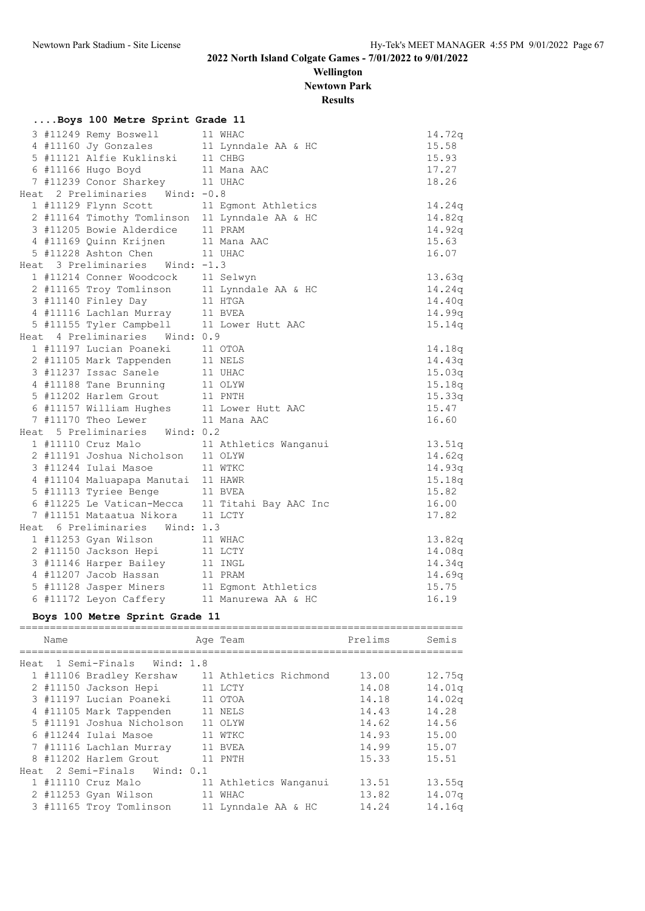**Wellington Newtown Park**

**Results**

|  | Boys 100 Metre Sprint Grade 11                                               |                                                |        |
|--|------------------------------------------------------------------------------|------------------------------------------------|--------|
|  | 3 #11249 Remy Boswell                                                        | 11 WHAC                                        | 14.72q |
|  | 4 #11160 Jy Gonzales                                                         | 11 Lynndale AA & HC                            | 15.58  |
|  | 5 #11121 Alfie Kuklinski                                                     | 11 CHBG                                        | 15.93  |
|  | 6 #11166 Hugo Boyd                                                           | 11 Mana AAC                                    | 17.27  |
|  | 7 #11239 Conor Sharkey                                                       | 11 UHAC                                        | 18.26  |
|  | Heat 2 Preliminaries Wind: -0.8                                              |                                                |        |
|  | 1 #11129 Flynn Scott                                                         | 11 Egmont Athletics                            | 14.24q |
|  |                                                                              | 2 #11164 Timothy Tomlinson 11 Lynndale AA & HC | 14.82q |
|  | 3 #11205 Bowie Alderdice                                                     | 11 PRAM                                        | 14.92q |
|  | 4 #11169 Quinn Krijnen                                                       | 11 Mana AAC                                    | 15.63  |
|  | 5 #11228 Ashton Chen                                                         | 11 UHAC                                        | 16.07  |
|  | Heat 3 Preliminaries Wind: -1.3                                              |                                                |        |
|  | 1 #11214 Conner Woodcock                                                     | 11 Selwyn                                      | 13.63q |
|  | 2 #11165 Troy Tomlinson                                                      | 11 Lynndale AA & HC                            | 14.24q |
|  | 3 #11140 Finley Day                                                          | 11 HTGA                                        | 14.40q |
|  | 4 #11116 Lachlan Murray                                                      | 11 BVEA                                        | 14.99q |
|  | 5 #11155 Tyler Campbell 11 Lower Hutt AAC                                    |                                                | 15.14q |
|  | Heat 4 Preliminaries Wind: 0.9                                               |                                                |        |
|  | 1 #11197 Lucian Poaneki 11 OTOA                                              |                                                | 14.18q |
|  | 2 #11105 Mark Tappenden                                                      | 11 NELS                                        | 14.43q |
|  | 3 #11237 Issac Sanele                                                        | 11 UHAC                                        | 15.03q |
|  | 4 #11188 Tane Brunning 11 OLYW                                               |                                                | 15.18q |
|  | 5 #11202 Harlem Grout 11 PNTH                                                |                                                | 15.33q |
|  | 6 #11157 William Hughes 11 Lower Hutt AAC<br>7 #11170 Theo Lewer 11 Mana AAC |                                                | 15.47  |
|  |                                                                              |                                                | 16.60  |
|  | Heat 5 Preliminaries Wind: 0.2                                               |                                                |        |
|  |                                                                              | 1 #11110 Cruz Malo 11 Athletics Wanganui       | 13.51q |
|  | 2 #11191 Joshua Nicholson 11 OLYW                                            |                                                | 14.62q |
|  | 3 #11244 Iulai Masoe                                                         | 11 WTKC                                        | 14.93q |
|  | 4 #11104 Maluapapa Manutai 11 HAWR                                           |                                                | 15.18q |
|  | 5 #11113 Tyriee Benge                                                        | 11 BVEA                                        | 15.82  |
|  | 6 #11225 Le Vatican-Mecca                                                    | 11 Titahi Bay AAC Inc                          | 16.00  |
|  | 7 #11151 Mataatua Nikora                                                     | 11 LCTY                                        | 17.82  |
|  | Heat 6 Preliminaries Wind: 1.3                                               |                                                |        |
|  | 1 #11253 Gyan Wilson                                                         | 11 WHAC                                        | 13.82q |
|  | 2 #11150 Jackson Hepi                                                        | 11 LCTY                                        | 14.08q |
|  | 3 #11146 Harper Bailey                                                       | 11 INGL                                        | 14.34q |
|  | 4 #11207 Jacob Hassan                                                        | 11 PRAM                                        | 14.69q |
|  | 5 #11128 Jasper Miners                                                       | 11 Egmont Athletics                            | 15.75  |
|  | 6 #11172 Leyon Caffery                                                       | 11 Manurewa AA & HC                            | 16.19  |

#### **Boys 100 Metre Sprint Grade 11**

| Name |                                             |         | Age Team                                       | Prelims | Semis              |
|------|---------------------------------------------|---------|------------------------------------------------|---------|--------------------|
|      | Heat 1 Semi-Finals Wind: 1.8                |         |                                                |         |                    |
|      |                                             |         | 1 #11106 Bradley Kershaw 11 Athletics Richmond | 13.00   | 12.75q             |
|      | 2 #11150 Jackson Hepi 11 LCTY               |         |                                                | 14.08   | 14.01q             |
|      | 3 #11197 Lucian Poaneki 11 OTOA             |         |                                                | 14.18   | 14.02 <sub>q</sub> |
|      | 4 #11105 Mark Tappenden 11 NELS             |         |                                                | 14.43   | 14.28              |
|      | 5 #11191 Joshua Nicholson                   |         | 11 OLYW                                        | 14.62   | 14.56              |
|      | 6 #11244 Iulai Masoe                        | 11 WTKC |                                                | 14.93   | 15.00              |
|      | 7 #11116 Lachlan Murray 11 BVEA             |         |                                                | 14.99   | 15.07              |
|      | 8 #11202 Harlem Grout                       | 11 PNTH |                                                | 15.33   | 15.51              |
|      | Heat 2 Semi-Finals Wind: 0.1                |         |                                                |         |                    |
|      | 1 #11110 Cruz Malo                          |         | 11 Athletics Wanganui                          | 13.51   | 13.55 <sub>q</sub> |
|      | 2 #11253 Gyan Wilson                        | 11 WHAC |                                                | 13.82   | 14.07q             |
|      | 3 #11165 Troy Tomlinson 11 Lynndale AA & HC |         |                                                | 14.24   | 14.16g             |
|      |                                             |         |                                                |         |                    |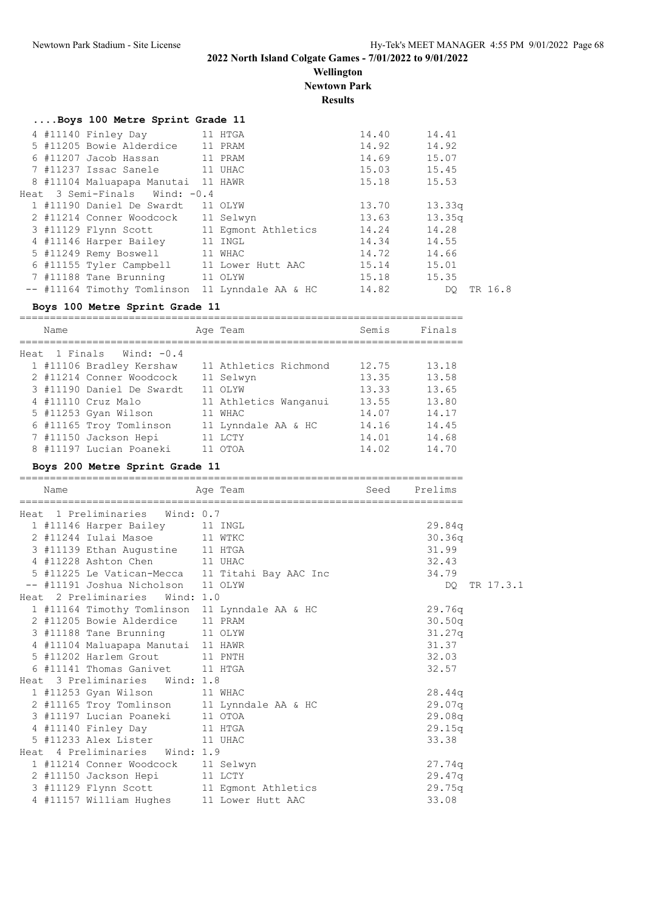**Wellington Newtown Park**

**Results**

|  | Boys 100 Metre Sprint Grade 11                  |         |             |               |
|--|-------------------------------------------------|---------|-------------|---------------|
|  | 4 #11140 Finley Day 11 HTGA                     |         | 14.40       | 14.41         |
|  | 5 #11205 Bowie Alderdice 11 PRAM                |         | 14.92       | 14.92         |
|  | 6 #11207 Jacob Hassan 11 PRAM                   |         | 14.69       | 15.07         |
|  | 7 #11237 Issac Sanele 11 UHAC                   |         | 15.03 15.45 |               |
|  | 8 #11104 Maluapapa Manutai 11 HAWR              |         | 15.18       | 15.53         |
|  | Heat 3 Semi-Finals Wind: -0.4                   |         |             |               |
|  | 1 #11190 Daniel De Swardt                       | 11 OLYW | 13.70       | 13.33q        |
|  | 2 #11214 Conner Woodcock 11 Selwyn              |         | 13.63       | 13.35q        |
|  | 3 #11129 Flynn Scott 11 Eqmont Athletics        |         | 14.24       | 14.28         |
|  | 4 #11146 Harper Bailey 11 INGL                  |         | 14.34       | 14.55         |
|  | 5 #11249 Remy Boswell 11 WHAC                   |         | 14.72       | 14.66         |
|  | 6 #11155 Tyler Campbell 11 Lower Hutt AAC       |         | 15.14       | 15.01         |
|  | 7 #11188 Tane Brunning 11 OLYW                  |         | 15.18       | 15.35         |
|  | -- #11164 Timothy Tomlinson 11 Lynndale AA & HC |         | 14.82       | TR 16.8<br>DO |

#### **Boys 100 Metre Sprint Grade 11**

| Name |                                                                                                                                                                                                                                            | Semis                                                                                                                                | Finals |
|------|--------------------------------------------------------------------------------------------------------------------------------------------------------------------------------------------------------------------------------------------|--------------------------------------------------------------------------------------------------------------------------------------|--------|
|      |                                                                                                                                                                                                                                            |                                                                                                                                      |        |
|      |                                                                                                                                                                                                                                            | 12.75                                                                                                                                | 13.18  |
|      |                                                                                                                                                                                                                                            | 13.35                                                                                                                                | 13.58  |
|      |                                                                                                                                                                                                                                            | 13.33                                                                                                                                | 13.65  |
|      |                                                                                                                                                                                                                                            | 13.55                                                                                                                                | 13.80  |
|      |                                                                                                                                                                                                                                            | 14.07                                                                                                                                | 14.17  |
|      |                                                                                                                                                                                                                                            | 14.16                                                                                                                                | 14.45  |
|      |                                                                                                                                                                                                                                            | 14.01                                                                                                                                | 14.68  |
|      |                                                                                                                                                                                                                                            | 14.02                                                                                                                                | 14.70  |
|      | Heat 1 Finals Wind: -0.4<br>1 #11106 Bradley Kershaw<br>2 #11214 Conner Woodcock<br>3 #11190 Daniel De Swardt<br>4 #11110 Cruz Malo<br>5 #11253 Gyan Wilson<br>6 #11165 Troy Tomlinson<br>7 #11150 Jackson Hepi<br>8 #11197 Lucian Poaneki | Age Team<br>11 Athletics Richmond<br>11 Selwyn<br>11 OLYW<br>11 Athletics Wanganui<br>11 WHAC<br>11 Lynndale AA & HC<br>LCTY<br>OTOA |        |

#### **Boys 200 Metre Sprint Grade 11**

| Name |                                                | Age Team                                        | Seed Prelims |           |
|------|------------------------------------------------|-------------------------------------------------|--------------|-----------|
|      | Heat 1 Preliminaries Wind: 0.7                 |                                                 |              |           |
|      | 1 #11146 Harper Bailey 11 INGL                 |                                                 | 29.84q       |           |
|      | 2 #11244 Iulai Masoe 11 WTKC                   |                                                 | 30.36q       |           |
|      | 3 #11139 Ethan Augustine 11 HTGA               |                                                 | 31.99        |           |
|      | 4 #11228 Ashton Chen 11 UHAC                   |                                                 | 32.43        |           |
|      |                                                | 5 #11225 Le Vatican-Mecca 11 Titahi Bay AAC Inc | 34.79        |           |
|      | -- #11191 Joshua Nicholson 11 OLYW             |                                                 | DO           | TR 17.3.1 |
|      | Heat 2 Preliminaries Wind: 1.0                 |                                                 |              |           |
|      | 1 #11164 Timothy Tomlinson 11 Lynndale AA & HC |                                                 | 29.76q       |           |
|      | 2 #11205 Bowie Alderdice 11 PRAM               |                                                 | 30.50q       |           |
|      | 3 #11188 Tane Brunning 11 OLYW                 |                                                 | 31.27q       |           |
|      | 4 #11104 Maluapapa Manutai 11 HAWR             |                                                 | 31.37        |           |
|      | 5 #11202 Harlem Grout 11 PNTH                  |                                                 | 32.03        |           |
|      | 6 #11141 Thomas Ganivet 11 HTGA                |                                                 | 32.57        |           |
|      | Heat 3 Preliminaries Wind: 1.8                 |                                                 |              |           |
|      | 1 #11253 Gyan Wilson 11 WHAC                   |                                                 | 28.44q       |           |
|      | 2 #11165 Troy Tomlinson 11 Lynndale AA & HC    |                                                 | 29.07q       |           |
|      | 3 #11197 Lucian Poaneki 11 OTOA                |                                                 | 29.08q       |           |
|      | 4 #11140 Finley Day 11 HTGA                    |                                                 | 29.15q       |           |
|      | 5 #11233 Alex Lister 11 UHAC                   |                                                 | 33.38        |           |
|      | Heat 4 Preliminaries Wind: 1.9                 |                                                 |              |           |
|      | 1 #11214 Conner Woodcock 11 Selwyn             |                                                 | 27.74q       |           |
|      | 2 #11150 Jackson Hepi 11 LCTY                  |                                                 | 29.47q       |           |
|      | 3 #11129 Flynn Scott 11 Egmont Athletics       |                                                 | 29.75q       |           |
|      | 4 #11157 William Hughes 11 Lower Hutt AAC      |                                                 | 33.08        |           |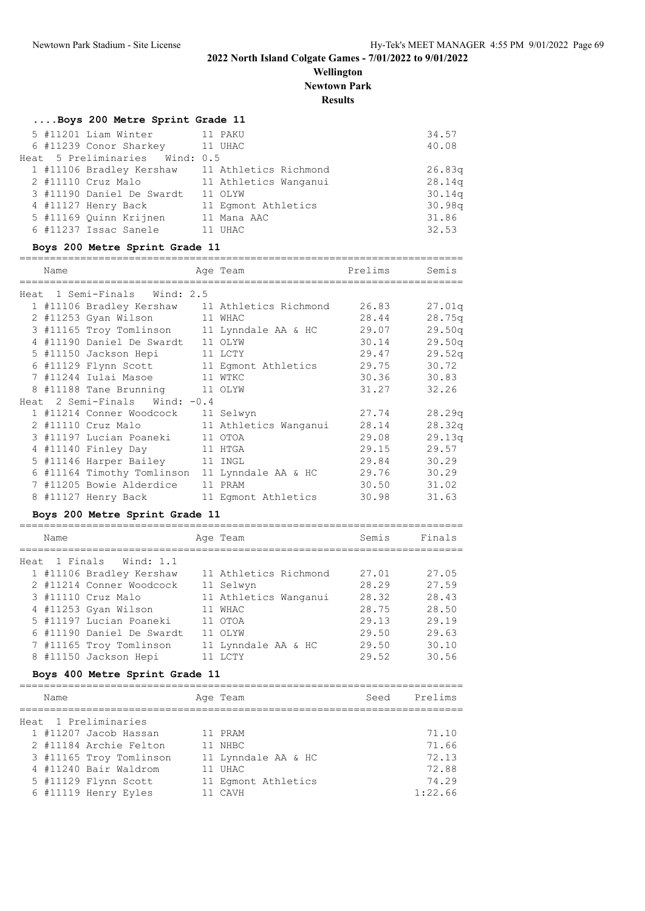**Wellington Newtown Park**

**Results**

#### **....Boys 200 Metre Sprint Grade 11**

|  | 5 #11201 Liam Winter           | 11 PAKU                                        | 34.57  |
|--|--------------------------------|------------------------------------------------|--------|
|  | 6 #11239 Conor Sharkey 11 UHAC |                                                | 40.08  |
|  | Heat 5 Preliminaries Wind: 0.5 |                                                |        |
|  |                                | 1 #11106 Bradley Kershaw 11 Athletics Richmond | 26.83q |
|  | 2 #11110 Cruz Malo             | 11 Athletics Wanganui                          | 28.14q |
|  | 3 #11190 Daniel De Swardt      | 11 OLYW                                        | 30.14q |
|  | 4 #11127 Henry Back            | 11 Eqmont Athletics                            | 30.98q |
|  | 5 #11169 Quinn Krijnen         | 11 Mana AAC                                    | 31.86  |
|  | 6 #11237 Issac Sanele          | 11 UHAC                                        | 32.53  |

#### **Boys 200 Metre Sprint Grade 11**

=========================================================================

| Name |                                                | Age Team                                       | Prelims | Semis  |
|------|------------------------------------------------|------------------------------------------------|---------|--------|
|      | Heat 1 Semi-Finals Wind: 2.5                   |                                                |         |        |
|      |                                                | 1 #11106 Bradley Kershaw 11 Athletics Richmond | 26.83   | 27.01q |
|      | 2 #11253 Gyan Wilson<br>11 WHAC                |                                                | 28.44   | 28.75q |
|      | 3 #11165 Troy Tomlinson 11 Lynndale AA & HC    |                                                | 29.07   | 29.50q |
|      | 4 #11190 Daniel De Swardt 11 OLYW              |                                                | 30.14   | 29.50q |
|      | 5 #11150 Jackson Hepi                          | 11 LCTY                                        | 29.47   | 29.52q |
|      |                                                | 6 #11129 Flynn Scott 11 Egmont Athletics       | 29.75   | 30.72  |
|      | 7 #11244 Iulai Masoe 11 WTKC                   |                                                | 30.36   | 30.83  |
|      | 8 #11188 Tane Brunning 11 OLYW                 |                                                | 31.27   | 32.26  |
|      | Heat 2 Semi-Finals Wind: -0.4                  |                                                |         |        |
|      | 1 #11214 Conner Woodcock                       | 11 Selwyn                                      | 27.74   | 28.29q |
|      | 2 #11110 Cruz Malo                             | 11 Athletics Wanganui                          | 28.14   | 28.32q |
|      | 3 #11197 Lucian Poaneki 11 OTOA                |                                                | 29.08   | 29.13q |
|      | 4 #11140 Finley Day 11 HTGA                    |                                                | 29.15   | 29.57  |
|      | 5 #11146 Harper Bailey 11 INGL                 |                                                | 29.84   | 30.29  |
|      | 6 #11164 Timothy Tomlinson 11 Lynndale AA & HC |                                                | 29.76   | 30.29  |
|      | 7 #11205 Bowie Alderdice                       | 11 PRAM                                        | 30.50   | 31.02  |
|      | 8 #11127 Henry Back 11 Eqmont Athletics        |                                                | 30.98   | 31.63  |
|      |                                                |                                                |         |        |

## **Boys 200 Metre Sprint Grade 11**

| Name |                           | Age Team              | Semis | Finals |
|------|---------------------------|-----------------------|-------|--------|
|      | Heat 1 Finals Wind: 1.1   |                       |       |        |
|      | 1 #11106 Bradley Kershaw  | 11 Athletics Richmond | 27.01 | 27.05  |
|      | 2 #11214 Conner Woodcock  | 11 Selwyn             | 28.29 | 27.59  |
|      | 3 #11110 Cruz Malo        | 11 Athletics Wanganui | 28.32 | 28.43  |
|      | 4 #11253 Gyan Wilson      | 11 WHAC               | 28.75 | 28.50  |
|      | 5 #11197 Lucian Poaneki   | 11 OTOA               | 29.13 | 29.19  |
|      | 6 #11190 Daniel De Swardt | 11 OLYW               | 29.50 | 29.63  |
|      | 7 #11165 Troy Tomlinson   | 11 Lynndale AA & HC   | 29.50 | 30.10  |
|      | 8 #11150 Jackson Hepi     | T.C.T.Y               | 29.52 | 30.56  |

#### **Boys 400 Metre Sprint Grade 11**

| Name |                         | Age Team            | Seed | Prelims |
|------|-------------------------|---------------------|------|---------|
|      | Heat 1 Preliminaries    |                     |      |         |
|      | 1 #11207 Jacob Hassan   | 11 PRAM             |      | 71.10   |
|      | 2 #11184 Archie Felton  | 11 NHBC             |      | 71.66   |
|      | 3 #11165 Troy Tomlinson | 11 Lynndale AA & HC |      | 72.13   |
|      | 4 #11240 Bair Waldrom   | 11 UHAC             |      | 72.88   |
|      | 5 #11129 Flynn Scott    | 11 Eqmont Athletics |      | 74.29   |
|      | 6 #11119 Henry Eyles    | 11 CAVH             |      | 1:22.66 |
|      |                         |                     |      |         |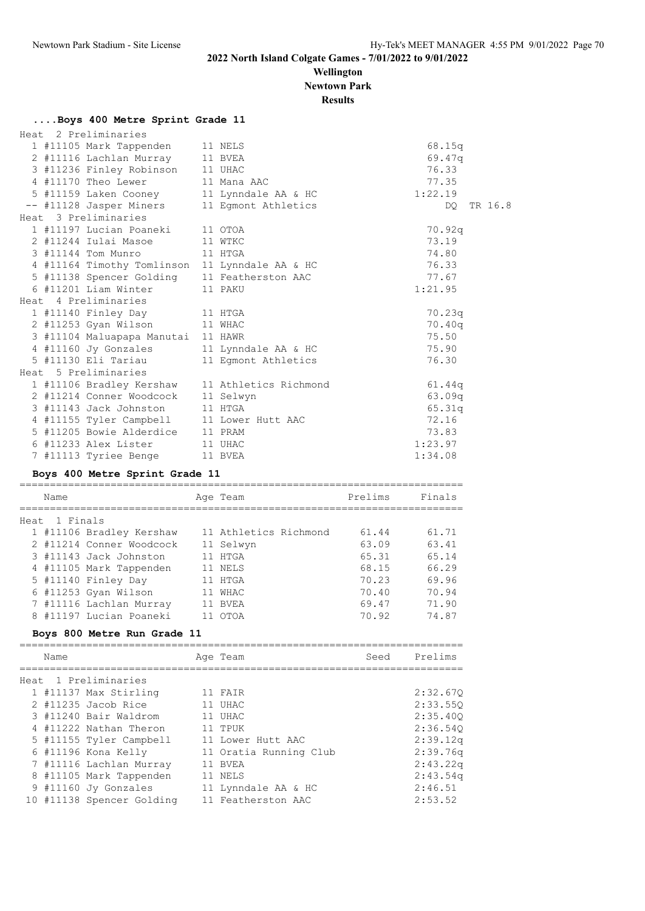**Wellington**

**Newtown Park**

**Results**

#### **....Boys 400 Metre Sprint Grade 11**

| Heat 2 Preliminaries                           |                       |            |
|------------------------------------------------|-----------------------|------------|
| 1 #11105 Mark Tappenden                        | 11 NELS               | 68.15q     |
| 2 #11116 Lachlan Murray 11 BVEA                |                       | 69.47q     |
| 3 #11236 Finley Robinson 11 UHAC               |                       | 76.33      |
| 4 #11170 Theo Lewer                            | 11 Mana AAC           | 77.35      |
| 5 #11159 Laken Cooney                          | 11 Lynndale AA & HC   | 1:22.19    |
| -- #11128 Jasper Miners                        | 11 Egmont Athletics   | DO TR 16.8 |
| Heat 3 Preliminaries                           |                       |            |
| 1 #11197 Lucian Poaneki                        | 11 OTOA               | 70.92q     |
| 2 #11244 Iulai Masoe                           | 11 WTKC               | 73.19      |
| 3 #11144 Tom Munro                             | 11 HTGA               | 74.80      |
| 4 #11164 Timothy Tomlinson 11 Lynndale AA & HC |                       | 76.33      |
| 5 #11138 Spencer Golding 11 Featherston AAC    |                       | 77.67      |
| 6 #11201 Liam Winter                           | 11 PAKU               | 1:21.95    |
| Heat 4 Preliminaries                           |                       |            |
| 1 #11140 Finley Day 11 HTGA                    |                       | 70.23q     |
| 2 #11253 Gyan Wilson                           | 11 WHAC               | 70.40q     |
| 3 #11104 Maluapapa Manutai 11 HAWR             |                       | 75.50      |
| 4 #11160 Jy Gonzales                           | 11 Lynndale AA & HC   | 75.90      |
| 5 #11130 Eli Tariau                            | 11 Eqmont Athletics   | 76.30      |
| Heat 5 Preliminaries                           |                       |            |
| 1 #11106 Bradley Kershaw                       | 11 Athletics Richmond | 61.44g     |
| 2 #11214 Conner Woodcock                       | 11 Selwyn             | 63.09q     |
| 3 #11143 Jack Johnston                         | 11 HTGA               | 65.31q     |
| 4 #11155 Tyler Campbell 11 Lower Hutt AAC      |                       | 72.16      |
| 5 #11205 Bowie Alderdice 11 PRAM               |                       | 73.83      |
| 6 #11233 Alex Lister 11 UHAC                   |                       | 1:23.97    |
| 7 #11113 Tyriee Benge                          | 11 BVEA               | 1:34.08    |
|                                                |                       |            |

#### **Boys 400 Metre Sprint Grade 11**

|      | Name     |                          | Age Team              | Prelims | Finals |
|------|----------|--------------------------|-----------------------|---------|--------|
|      |          |                          |                       |         |        |
| Heat | 1 Finals |                          |                       |         |        |
|      |          | 1 #11106 Bradley Kershaw | 11 Athletics Richmond | 61.44   | 61.71  |
|      |          | 2 #11214 Conner Woodcock | 11 Selwyn             | 63.09   | 63.41  |
|      |          | 3 #11143 Jack Johnston   | 11 HTGA               | 65.31   | 65.14  |
|      |          | 4 #11105 Mark Tappenden  | 11 NELS               | 68.15   | 66.29  |
|      |          | 5 #11140 Finley Day      | 11 HTGA               | 70.23   | 69.96  |
|      |          | 6 #11253 Gyan Wilson     | 11 WHAC               | 70.40   | 70.94  |
|      |          | 7 #11116 Lachlan Murray  | 11 BVEA               | 69.47   | 71.90  |
|      |          | 8 #11197 Lucian Poaneki  | OTOA                  | 70.92   | 74.87  |

#### **Boys 800 Metre Run Grade 11**

| Name |                           | Age Team               | Seed | Prelims  |
|------|---------------------------|------------------------|------|----------|
|      | Heat 1 Preliminaries      |                        |      |          |
|      | 1 #11137 Max Stirling     | 11 FAIR                |      | 2:32.670 |
|      | $2$ #11235 Jacob Rice     | 11 UHAC                |      | 2:33.550 |
|      | 3 #11240 Bair Waldrom     | 11 UHAC                |      | 2:35.400 |
|      | 4 #11222 Nathan Theron    | 11 TPUK                |      | 2:36.540 |
|      | 5 #11155 Tyler Campbell   | 11 Lower Hutt AAC      |      | 2:39.12q |
|      | 6 #11196 Kona Kelly       | 11 Oratia Running Club |      | 2:39.76q |
|      | 7 #11116 Lachlan Murray   | 11 BVEA                |      | 2:43.22q |
|      | 8 #11105 Mark Tappenden   | 11 NELS                |      | 2:43.54q |
|      | 9 #11160 Jy Gonzales      | 11 Lynndale AA & HC    |      | 2:46.51  |
|      | 10 #11138 Spencer Golding | 11 Featherston AAC     |      | 2:53.52  |
|      |                           |                        |      |          |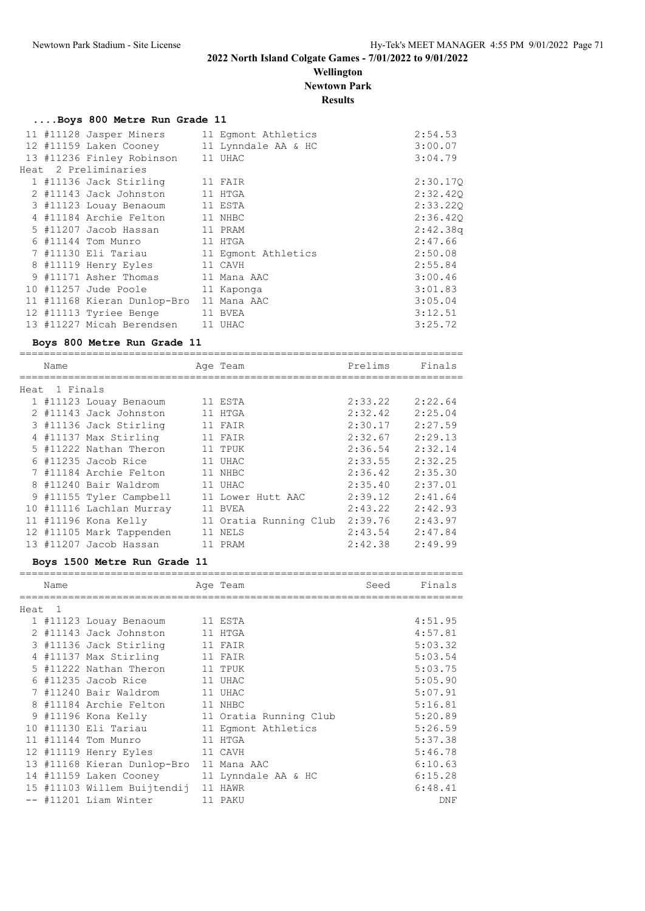#### **Wellington Newtown Park**

**Results**

|  | Boys 800 Metre Run Grade 11    |                     |          |
|--|--------------------------------|---------------------|----------|
|  | 11 #11128 Jasper Miners        | 11 Eqmont Athletics | 2:54.53  |
|  | 12 #11159 Laken Cooney         | 11 Lynndale AA & HC | 3:00.07  |
|  | 13 #11236 Finley Robinson      | 11 UHAC             | 3:04.79  |
|  | Heat 2 Preliminaries           |                     |          |
|  | 1 #11136 Jack Stirling         | 11 FAIR             | 2:30.170 |
|  | 2 #11143 Jack Johnston         | 11 HTGA             | 2:32.420 |
|  | 3 #11123 Louay Benaoum 11 ESTA |                     | 2:33.220 |
|  | 4 #11184 Archie Felton         | 11 NHBC             | 2:36.420 |
|  | 5 #11207 Jacob Hassan          | 11 PRAM             | 2:42.38q |
|  | 6 #11144 Tom Munro             | 11 HTGA             | 2:47.66  |
|  | 7 #11130 Eli Tariau            | 11 Eqmont Athletics | 2:50.08  |
|  | 8 #11119 Henry Eyles           | 11 CAVH             | 2:55.84  |
|  | 9 #11171 Asher Thomas          | 11 Mana AAC         | 3:00.46  |
|  | 10 #11257 Jude Poole           | 11 Kaponga          | 3:01.83  |
|  | 11 #11168 Kieran Dunlop-Bro    | 11 Mana AAC         | 3:05.04  |
|  | 12 #11113 Tyriee Benge         | 11 BVEA             | 3:12.51  |
|  | 13 #11227 Micah Berendsen      | 11 UHAC             | 3:25.72  |

#### **Boys 800 Metre Run Grade 11**

|  | Name          |                          |    | Age Team               | Prelims | Finals  |  |  |  |
|--|---------------|--------------------------|----|------------------------|---------|---------|--|--|--|
|  | Heat 1 Finals |                          |    |                        |         |         |  |  |  |
|  |               | 1 #11123 Louay Benaoum   |    | 11 ESTA                | 2:33.22 | 2:22.64 |  |  |  |
|  |               | 2 #11143 Jack Johnston   |    | 11 HTGA                | 2:32.42 | 2:25.04 |  |  |  |
|  |               | 3 #11136 Jack Stirling   |    | 11 FAIR                | 2:30.17 | 2:27.59 |  |  |  |
|  |               | 4 #11137 Max Stirling    |    | 11 FAIR                | 2:32.67 | 2:29.13 |  |  |  |
|  |               | 5 #11222 Nathan Theron   |    | 11 TPUK                | 2:36.54 | 2:32.14 |  |  |  |
|  |               | $6$ #11235 Jacob Rice    |    | 11 UHAC                | 2:33.55 | 2:32.25 |  |  |  |
|  |               | 7 #11184 Archie Felton   |    | 11 NHBC                | 2:36.42 | 2:35.30 |  |  |  |
|  |               | 8 #11240 Bair Waldrom    |    | 11 UHAC                | 2:35.40 | 2:37.01 |  |  |  |
|  |               | 9 #11155 Tyler Campbell  |    | 11 Lower Hutt AAC      | 2:39.12 | 2:41.64 |  |  |  |
|  |               | 10 #11116 Lachlan Murray |    | 11 BVEA                | 2:43.22 | 2:42.93 |  |  |  |
|  |               | 11 #11196 Kona Kelly     |    | 11 Oratia Running Club | 2:39.76 | 2:43.97 |  |  |  |
|  |               | 12 #11105 Mark Tappenden | 11 | NELS                   | 2:43.54 | 2:47.84 |  |  |  |
|  |               | 13 #11207 Jacob Hassan   |    | . PRAM                 | 2:42.38 | 2:49.99 |  |  |  |
|  |               |                          |    |                        |         |         |  |  |  |

#### **Boys 1500 Metre Run Grade 11**

|        | Name |                             | Age Team               | Seed | Finals  |
|--------|------|-----------------------------|------------------------|------|---------|
| Heat 1 |      |                             |                        |      |         |
|        |      | 1 #11123 Louay Benaoum      | 11 ESTA                |      | 4:51.95 |
|        |      | 2 #11143 Jack Johnston      | 11 HTGA                |      | 4:57.81 |
|        |      | 3 #11136 Jack Stirling      | 11 FAIR                |      | 5:03.32 |
|        |      | 4 #11137 Max Stirling       | 11 FAIR                |      | 5:03.54 |
|        |      | 5 #11222 Nathan Theron      | 11 TPUK                |      | 5:03.75 |
| 6      |      | #11235 Jacob Rice           | 11 UHAC                |      | 5:05.90 |
|        |      | #11240 Bair Waldrom         | 11 UHAC                |      | 5:07.91 |
| 8      |      | #11184 Archie Felton        | 11 NHBC                |      | 5:16.81 |
|        |      | 9 #11196 Kona Kelly         | 11 Oratia Running Club |      | 5:20.89 |
| 10     |      | #11130 Eli Tariau           | 11 Eqmont Athletics    |      | 5:26.59 |
| 11     |      | #11144 Tom Munro            | 11 HTGA                |      | 5:37.38 |
|        |      | 12 #11119 Henry Eyles       | 11 CAVH                |      | 5:46.78 |
|        |      | 13 #11168 Kieran Dunlop-Bro | 11 Mana AAC            |      | 6:10.63 |
|        |      | 14 #11159 Laken Cooney      | 11 Lynndale AA & HC    |      | 6:15.28 |
|        |      | 15 #11103 Willem Buijtendij | 11 HAWR                |      | 6:48.41 |
|        |      | -- #11201 Liam Winter       | 11 PAKU                |      | DNF     |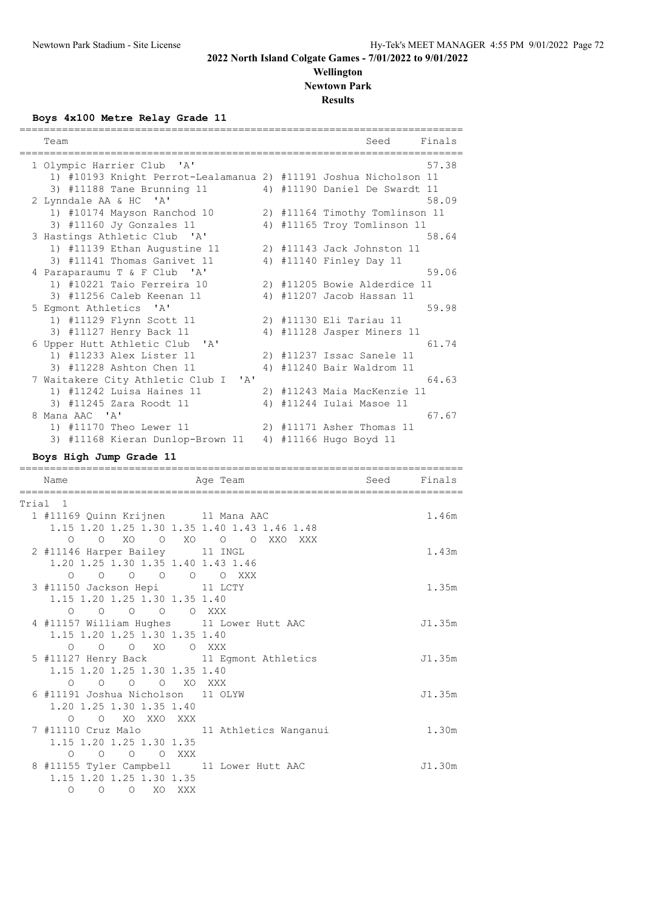#### **Wellington Newtown Park Results**

**Boys 4x100 Metre Relay Grade 11**

|                                         | Team                                                                                                                                                  |    |            | Finals<br>Seed                                                |  |  |  |  |
|-----------------------------------------|-------------------------------------------------------------------------------------------------------------------------------------------------------|----|------------|---------------------------------------------------------------|--|--|--|--|
|                                         | 1 Olympic Harrier Club<br>$^{\prime}$ A $^{\prime}$<br>1) #10193 Knight Perrot-Lealamanua 2) #11191 Joshua Nicholson 11<br>3) #11188 Tane Brunning 11 |    |            | 57.38<br>4) #11190 Daniel De Swardt 11                        |  |  |  |  |
|                                         | 2 Lynndale AA & HC 'A'                                                                                                                                |    |            | 58.09                                                         |  |  |  |  |
|                                         | 1) #10174 Mayson Ranchod 10<br>3) #11160 Jy Gonzales 11                                                                                               |    |            | 2) #11164 Timothy Tomlinson 11<br>4) #11165 Troy Tomlinson 11 |  |  |  |  |
|                                         | 3 Hastings Athletic Club 'A'                                                                                                                          |    |            | 58.64                                                         |  |  |  |  |
|                                         | 1) #11139 Ethan Augustine 11                                                                                                                          |    |            | 2) #11143 Jack Johnston 11                                    |  |  |  |  |
|                                         | 3) #11141 Thomas Ganivet 11                                                                                                                           |    |            | 4) #11140 Finley Day 11                                       |  |  |  |  |
|                                         | 4 Paraparaumu T & F Club 'A'                                                                                                                          |    |            | 59.06                                                         |  |  |  |  |
|                                         | 1) #10221 Taio Ferreira 10                                                                                                                            |    |            | 2) #11205 Bowie Alderdice 11                                  |  |  |  |  |
|                                         | 3) #11256 Caleb Keenan 11                                                                                                                             |    |            | 4) #11207 Jacob Hassan 11                                     |  |  |  |  |
|                                         | 5 Eqmont Athletics<br>$^{\prime}$ A $^{\prime}$                                                                                                       |    |            | 59.98                                                         |  |  |  |  |
|                                         | 1) #11129 Flynn Scott 11                                                                                                                              |    |            | 2) #11130 Eli Tariau 11                                       |  |  |  |  |
|                                         | 3) #11127 Henry Back 11                                                                                                                               |    |            | 4) #11128 Jasper Miners 11                                    |  |  |  |  |
|                                         | 6 Upper Hutt Athletic Club<br>$\mathsf{A}$                                                                                                            |    |            | 61.74                                                         |  |  |  |  |
|                                         | 1) #11233 Alex Lister 11                                                                                                                              |    |            | 2) #11237 Issac Sanele 11                                     |  |  |  |  |
|                                         | 3) #11228 Ashton Chen 11                                                                                                                              | 4) |            | #11240 Bair Waldrom 11                                        |  |  |  |  |
|                                         | 7 Waitakere City Athletic Club I<br>' A'                                                                                                              |    |            | 64.63                                                         |  |  |  |  |
|                                         | 1) #11242 Luisa Haines 11                                                                                                                             |    |            | 2) #11243 Maia MacKenzie 11                                   |  |  |  |  |
|                                         | 3) #11245 Zara Roodt 11                                                                                                                               |    |            | 4) #11244 Iulai Masoe 11                                      |  |  |  |  |
|                                         | 8 Mana AAC 'A'                                                                                                                                        |    |            | 67.67                                                         |  |  |  |  |
|                                         | 1) #11170 Theo Lewer 11                                                                                                                               |    |            | 2) #11171 Asher Thomas 11                                     |  |  |  |  |
|                                         | 3) #11168 Kieran Dunlop-Brown 11                                                                                                                      |    |            | 4) #11166 Hugo Boyd 11                                        |  |  |  |  |
| Boys High Jump Grade 11<br>============ |                                                                                                                                                       |    |            |                                                               |  |  |  |  |
|                                         | Name<br>Age Team                                                                                                                                      |    |            | Finals<br>Seed                                                |  |  |  |  |
|                                         | Trial 1                                                                                                                                               |    |            |                                                               |  |  |  |  |
|                                         | 1 #11169 Quinn Krijnen<br>11 Mana AAC                                                                                                                 |    |            | 1.46m                                                         |  |  |  |  |
|                                         | 1.15 1.20 1.25 1.30 1.35 1.40 1.43 1.46 1.48                                                                                                          |    |            |                                                               |  |  |  |  |
|                                         | XO<br>$\circ$<br>XO.<br>O<br>$\Omega$<br>$\circ$<br>$\Omega$                                                                                          |    | XXO<br>XXX |                                                               |  |  |  |  |
|                                         | 2 #11146 Harper Bailey<br>11 INGL                                                                                                                     |    |            | 1.43m                                                         |  |  |  |  |

| 2 #11146 Harper Bailey 11 INGL                                   | 1.43m  |
|------------------------------------------------------------------|--------|
| 1.20 1.25 1.30 1.35 1.40 1.43 1.46                               |        |
| $\begin{matrix} 0 & 0 & 0 & 0 & 0 & 0 & \text{XXX} \end{matrix}$ |        |
| 3 #11150 Jackson Hepi 11 LCTY                                    | 1.35m  |
| 1.15 1.20 1.25 1.30 1.35 1.40                                    |        |
| 0 0 0 0 XXX<br>$\circ$                                           |        |
| 4 #11157 William Hughes 11 Lower Hutt AAC                        | J1.35m |
| 1.15 1.20 1.25 1.30 1.35 1.40                                    |        |
| 0 0 0 XO 0 XXX                                                   |        |
| 5 #11127 Henry Back 11 Egmont Athletics                          | J1.35m |
| 1.15 1.20 1.25 1.30 1.35 1.40                                    |        |
| O O O O XO XXX                                                   |        |
| 6 #11191 Joshua Nicholson 11 OLYW                                | J1.35m |
| 1.20 1.25 1.30 1.35 1.40                                         |        |
| O O XO XXO XXX                                                   |        |
| 7 #11110 Cruz Malo 11 Athletics Wanganui                         | 1.30m  |
| 1.15 1.20 1.25 1.30 1.35                                         |        |
| O O XXX<br>$\overline{O}$<br>$\circ$                             |        |
| 8 #11155 Tyler Campbell 11 Lower Hutt AAC                        | J1.30m |
| 1.15 1.20 1.25 1.30 1.35                                         |        |
| $\circ$<br>O XO XXX<br>$\circ$                                   |        |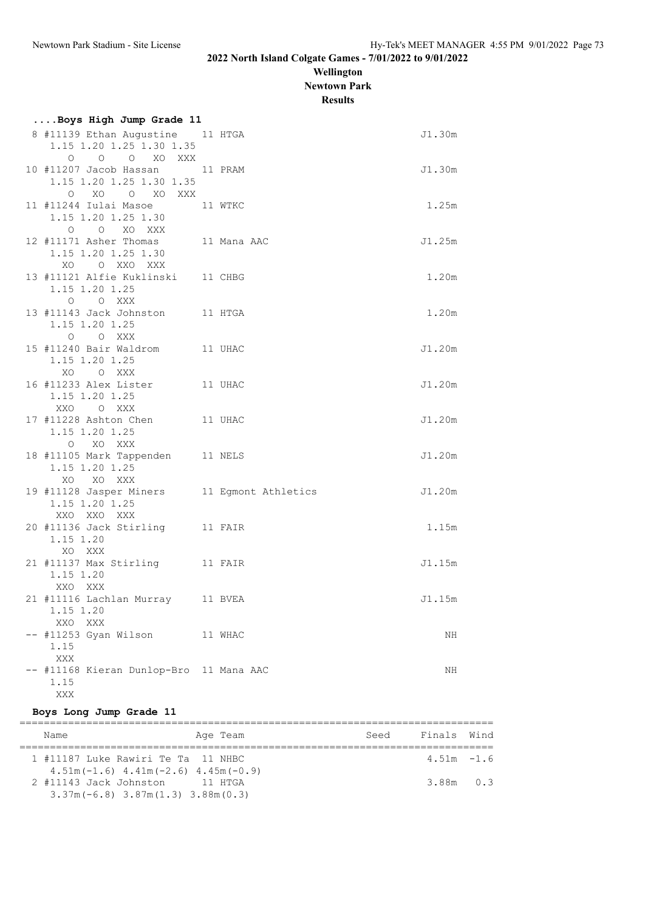**Wellington Newtown Park**

**Results**

| Boys High Jump Grade 11                                                      |         |        |
|------------------------------------------------------------------------------|---------|--------|
| 8 #11139 Ethan Augustine 11 HTGA<br>1.15 1.20 1.25 1.30 1.35<br>O O O XO XXX |         | J1.30m |
| 10 #11207 Jacob Hassan 11 PRAM<br>1.15 1.20 1.25 1.30 1.35<br>O XO O XO XXX  |         | J1.30m |
| 11 #11244 Iulai Masoe<br>1.15 1.20 1.25 1.30<br>O O XO XXX                   | 11 WTKC | 1.25m  |
| 12 #11171 Asher Thomas 11 Mana AAC<br>1.15 1.20 1.25 1.30<br>XO O XXO XXX    |         | J1.25m |
| 13 #11121 Alfie Kuklinski 11 CHBG<br>1.15 1.20 1.25<br>O O XXX               |         | 1.20m  |
| 13 #11143 Jack Johnston 11 HTGA<br>1.15 1.20 1.25<br>O O XXX                 |         | 1.20m  |
| 15 #11240 Bair Waldrom 11 UHAC<br>1.15 1.20 1.25<br>XO O XXX                 |         | J1.20m |
| 16 #11233 Alex Lister 11 UHAC<br>1.15 1.20 1.25<br>XXO O XXX                 |         | J1.20m |
| 17 #11228 Ashton Chen 11 UHAC<br>1.15 1.20 1.25<br>O XO XXX                  |         | J1.20m |
| 18 #11105 Mark Tappenden 11 NELS<br>1.15 1.20 1.25<br>XO XO XXX              |         | J1.20m |
| 19 #11128 Jasper Miners 11 Egmont Athletics<br>1.15 1.20 1.25<br>XXO XXO XXX |         | J1.20m |
| 20 #11136 Jack Stirling 11 FAIR<br>1.15 1.20<br>XO XXX                       |         | 1.15m  |
| 21 #11137 Max Stirling 11 FAIR<br>1.15 1.20<br>XXO XXX                       |         | J1.15m |
| 21 #11116 Lachlan Murray 11 BVEA<br>1.15 1.20<br>XXO XXX                     |         | J1.15m |
| -- #11253 Gyan Wilson<br>1.15<br>$\mathbf{XXX}$                              | 11 WHAC | ΝH     |
| -- #11168 Kieran Dunlop-Bro 11 Mana AAC<br>1.15<br>XXX                       |         | ΝH     |

### **Boys Long Jump Grade 11**

| Age Team<br>Name                                                                | Seed | Finals Wind   |  |
|---------------------------------------------------------------------------------|------|---------------|--|
| 1 #11187 Luke Rawiri Te Ta 11 NHBC<br>$4.51m(-1.6)$ $4.41m(-2.6)$ $4.45m(-0.9)$ |      | $4.51m - 1.6$ |  |
| 2 #11143 Jack Johnston 11 HTGA<br>$3.37m(-6.8)$ $3.87m(1.3)$ $3.88m(0.3)$       |      | $3.88m$ $0.3$ |  |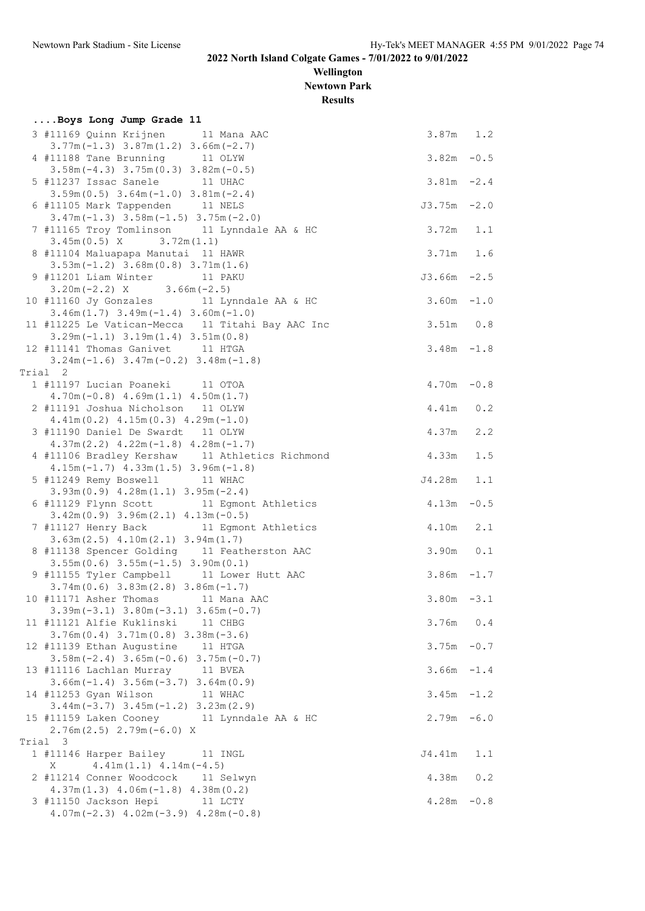**Wellington Newtown Park**

**Results**

| 3 #11169 Quinn Krijnen 11 Mana AAC<br>$3.87m$ 1.2<br>$3.77m(-1.3)$ $3.87m(1.2)$ $3.66m(-2.7)$<br>4 #11188 Tane Brunning 11 OLYW<br>$3.82m - 0.5$<br>$3.58m(-4.3)$ $3.75m(0.3)$ $3.82m(-0.5)$<br>$3.81m - 2.4$<br>5 #11237 Issac Sanele 11 UHAC<br>$3.59m(0.5)$ $3.64m(-1.0)$ $3.81m(-2.4)$<br>6 #11105 Mark Tappenden 11 NELS<br>$J3.75m - 2.0$<br>$3.47m(-1.3)$ $3.58m(-1.5)$ $3.75m(-2.0)$<br>7 #11165 Troy Tomlinson 11 Lynndale AA & HC<br>$3.72m$ 1.1<br>$3.45m(0.5)$ X $3.72m(1.1)$<br>$3.71m$ 1.6<br>8 #11104 Maluapapa Manutai 11 HAWR<br>$3.53m(-1.2)$ $3.68m(0.8)$ $3.71m(1.6)$<br>9 #11201 Liam Winter 11 PAKU<br>$J3.66m - 2.5$<br>$3.20m(-2.2)$ X $3.66m(-2.5)$<br>10 #11160 Jy Gonzales 11 Lynndale AA & HC<br>$3.60m - 1.0$<br>$3.46m(1.7)$ $3.49m(-1.4)$ $3.60m(-1.0)$<br>11 #11225 Le Vatican-Mecca 11 Titahi Bay AAC Inc<br>$3.51m$ 0.8<br>$3.29m(-1.1)$ $3.19m(1.4)$ $3.51m(0.8)$<br>12 #11141 Thomas Ganivet 11 HTGA<br>$3.48m - 1.8$<br>$3.24m(-1.6)$ $3.47m(-0.2)$ $3.48m(-1.8)$<br>Trial 2<br>1 #11197 Lucian Poaneki 11 OTOA<br>$4.70m - 0.8$<br>$4.70m(-0.8)$ $4.69m(1.1)$ $4.50m(1.7)$<br>2 #11191 Joshua Nicholson 11 OLYW<br>4.41m  0.2<br>$4.41m(0.2)$ $4.15m(0.3)$ $4.29m(-1.0)$<br>4.37m 2.2<br>3 #11190 Daniel De Swardt 11 OLYW<br>$4.37m(2.2)$ $4.22m(-1.8)$ $4.28m(-1.7)$<br>4 #11106 Bradley Kershaw 11 Athletics Richmond<br>4.33m<br>1.5<br>$4.15m(-1.7)$ $4.33m(1.5)$ $3.96m(-1.8)$<br>5 #11249 Remy Boswell 11 WHAC<br>J4.28m<br>1.1<br>$3.93m(0.9)$ 4.28 $m(1.1)$ 3.95 $m(-2.4)$<br>6 #11129 Flynn Scott 11 Egmont Athletics<br>$4.13m - 0.5$<br>$3.42m(0.9)$ $3.96m(2.1)$ $4.13m(-0.5)$<br>7 #11127 Henry Back 11 Egmont Athletics<br>4.10m 2.1<br>$3.63m(2.5)$ 4.10m $(2.1)$ 3.94m $(1.7)$<br>$3.90m$ 0.1<br>8 #11138 Spencer Golding 11 Featherston AAC<br>$3.55m(0.6)$ $3.55m(-1.5)$ $3.90m(0.1)$<br>9 #11155 Tyler Campbell 11 Lower Hutt AAC<br>$3.86m - 1.7$<br>$3.74m(0.6)$ $3.83m(2.8)$ $3.86m(-1.7)$<br>$3.80m - 3.1$<br>10 #11171 Asher Thomas 11 Mana AAC<br>$3.39m(-3.1)$ $3.80m(-3.1)$ $3.65m(-0.7)$<br>11 #11121 Alfie Kuklinski 11 CHBG<br>$3.76m$ 0.4<br>$3.76m(0.4)$ $3.71m(0.8)$ $3.38m(-3.6)$<br>12 #11139 Ethan Augustine 11 HTGA<br>$3.75m - 0.7$<br>$3.58m(-2.4)$ $3.65m(-0.6)$ $3.75m(-0.7)$<br>13 #11116 Lachlan Murray 11 BVEA<br>$3.66m - 1.4$<br>$3.66m(-1.4)$ $3.56m(-3.7)$ $3.64m(0.9)$<br>$3.45m - 1.2$<br>14 #11253 Gyan Wilson<br>11 WHAC<br>$3.44m(-3.7)$ $3.45m(-1.2)$ $3.23m(2.9)$<br>$2.79m - 6.0$<br>15 #11159 Laken Cooney 11 Lynndale AA & HC<br>$2.76m(2.5)$ $2.79m(-6.0)$ X<br>Trial 3<br>1 #11146 Harper Bailey<br>J4.41m<br>1.1<br>11 INGL<br>$4.41m(1.1)$ $4.14m(-4.5)$<br>Χ<br>2 #11214 Conner Woodcock 11 Selwyn<br>4.38m 0.2<br>$4.37m(1.3)$ $4.06m(-1.8)$ $4.38m(0.2)$<br>3 #11150 Jackson Hepi 11 LCTY<br>$4.28m - 0.8$<br>$4.07m(-2.3)$ $4.02m(-3.9)$ $4.28m(-0.8)$ | Boys Long Jump Grade 11 |  |
|-----------------------------------------------------------------------------------------------------------------------------------------------------------------------------------------------------------------------------------------------------------------------------------------------------------------------------------------------------------------------------------------------------------------------------------------------------------------------------------------------------------------------------------------------------------------------------------------------------------------------------------------------------------------------------------------------------------------------------------------------------------------------------------------------------------------------------------------------------------------------------------------------------------------------------------------------------------------------------------------------------------------------------------------------------------------------------------------------------------------------------------------------------------------------------------------------------------------------------------------------------------------------------------------------------------------------------------------------------------------------------------------------------------------------------------------------------------------------------------------------------------------------------------------------------------------------------------------------------------------------------------------------------------------------------------------------------------------------------------------------------------------------------------------------------------------------------------------------------------------------------------------------------------------------------------------------------------------------------------------------------------------------------------------------------------------------------------------------------------------------------------------------------------------------------------------------------------------------------------------------------------------------------------------------------------------------------------------------------------------------------------------------------------------------------------------------------------------------------------------------------------------------------------------------------------------------------------------------------------------------------------------------------------------------------------------------------------------------------------------------------------------------------------------------------------------------------------------------------------------|-------------------------|--|
|                                                                                                                                                                                                                                                                                                                                                                                                                                                                                                                                                                                                                                                                                                                                                                                                                                                                                                                                                                                                                                                                                                                                                                                                                                                                                                                                                                                                                                                                                                                                                                                                                                                                                                                                                                                                                                                                                                                                                                                                                                                                                                                                                                                                                                                                                                                                                                                                                                                                                                                                                                                                                                                                                                                                                                                                                                                                 |                         |  |
|                                                                                                                                                                                                                                                                                                                                                                                                                                                                                                                                                                                                                                                                                                                                                                                                                                                                                                                                                                                                                                                                                                                                                                                                                                                                                                                                                                                                                                                                                                                                                                                                                                                                                                                                                                                                                                                                                                                                                                                                                                                                                                                                                                                                                                                                                                                                                                                                                                                                                                                                                                                                                                                                                                                                                                                                                                                                 |                         |  |
|                                                                                                                                                                                                                                                                                                                                                                                                                                                                                                                                                                                                                                                                                                                                                                                                                                                                                                                                                                                                                                                                                                                                                                                                                                                                                                                                                                                                                                                                                                                                                                                                                                                                                                                                                                                                                                                                                                                                                                                                                                                                                                                                                                                                                                                                                                                                                                                                                                                                                                                                                                                                                                                                                                                                                                                                                                                                 |                         |  |
|                                                                                                                                                                                                                                                                                                                                                                                                                                                                                                                                                                                                                                                                                                                                                                                                                                                                                                                                                                                                                                                                                                                                                                                                                                                                                                                                                                                                                                                                                                                                                                                                                                                                                                                                                                                                                                                                                                                                                                                                                                                                                                                                                                                                                                                                                                                                                                                                                                                                                                                                                                                                                                                                                                                                                                                                                                                                 |                         |  |
|                                                                                                                                                                                                                                                                                                                                                                                                                                                                                                                                                                                                                                                                                                                                                                                                                                                                                                                                                                                                                                                                                                                                                                                                                                                                                                                                                                                                                                                                                                                                                                                                                                                                                                                                                                                                                                                                                                                                                                                                                                                                                                                                                                                                                                                                                                                                                                                                                                                                                                                                                                                                                                                                                                                                                                                                                                                                 |                         |  |
|                                                                                                                                                                                                                                                                                                                                                                                                                                                                                                                                                                                                                                                                                                                                                                                                                                                                                                                                                                                                                                                                                                                                                                                                                                                                                                                                                                                                                                                                                                                                                                                                                                                                                                                                                                                                                                                                                                                                                                                                                                                                                                                                                                                                                                                                                                                                                                                                                                                                                                                                                                                                                                                                                                                                                                                                                                                                 |                         |  |
|                                                                                                                                                                                                                                                                                                                                                                                                                                                                                                                                                                                                                                                                                                                                                                                                                                                                                                                                                                                                                                                                                                                                                                                                                                                                                                                                                                                                                                                                                                                                                                                                                                                                                                                                                                                                                                                                                                                                                                                                                                                                                                                                                                                                                                                                                                                                                                                                                                                                                                                                                                                                                                                                                                                                                                                                                                                                 |                         |  |
|                                                                                                                                                                                                                                                                                                                                                                                                                                                                                                                                                                                                                                                                                                                                                                                                                                                                                                                                                                                                                                                                                                                                                                                                                                                                                                                                                                                                                                                                                                                                                                                                                                                                                                                                                                                                                                                                                                                                                                                                                                                                                                                                                                                                                                                                                                                                                                                                                                                                                                                                                                                                                                                                                                                                                                                                                                                                 |                         |  |
|                                                                                                                                                                                                                                                                                                                                                                                                                                                                                                                                                                                                                                                                                                                                                                                                                                                                                                                                                                                                                                                                                                                                                                                                                                                                                                                                                                                                                                                                                                                                                                                                                                                                                                                                                                                                                                                                                                                                                                                                                                                                                                                                                                                                                                                                                                                                                                                                                                                                                                                                                                                                                                                                                                                                                                                                                                                                 |                         |  |
|                                                                                                                                                                                                                                                                                                                                                                                                                                                                                                                                                                                                                                                                                                                                                                                                                                                                                                                                                                                                                                                                                                                                                                                                                                                                                                                                                                                                                                                                                                                                                                                                                                                                                                                                                                                                                                                                                                                                                                                                                                                                                                                                                                                                                                                                                                                                                                                                                                                                                                                                                                                                                                                                                                                                                                                                                                                                 |                         |  |
|                                                                                                                                                                                                                                                                                                                                                                                                                                                                                                                                                                                                                                                                                                                                                                                                                                                                                                                                                                                                                                                                                                                                                                                                                                                                                                                                                                                                                                                                                                                                                                                                                                                                                                                                                                                                                                                                                                                                                                                                                                                                                                                                                                                                                                                                                                                                                                                                                                                                                                                                                                                                                                                                                                                                                                                                                                                                 |                         |  |
|                                                                                                                                                                                                                                                                                                                                                                                                                                                                                                                                                                                                                                                                                                                                                                                                                                                                                                                                                                                                                                                                                                                                                                                                                                                                                                                                                                                                                                                                                                                                                                                                                                                                                                                                                                                                                                                                                                                                                                                                                                                                                                                                                                                                                                                                                                                                                                                                                                                                                                                                                                                                                                                                                                                                                                                                                                                                 |                         |  |
|                                                                                                                                                                                                                                                                                                                                                                                                                                                                                                                                                                                                                                                                                                                                                                                                                                                                                                                                                                                                                                                                                                                                                                                                                                                                                                                                                                                                                                                                                                                                                                                                                                                                                                                                                                                                                                                                                                                                                                                                                                                                                                                                                                                                                                                                                                                                                                                                                                                                                                                                                                                                                                                                                                                                                                                                                                                                 |                         |  |
|                                                                                                                                                                                                                                                                                                                                                                                                                                                                                                                                                                                                                                                                                                                                                                                                                                                                                                                                                                                                                                                                                                                                                                                                                                                                                                                                                                                                                                                                                                                                                                                                                                                                                                                                                                                                                                                                                                                                                                                                                                                                                                                                                                                                                                                                                                                                                                                                                                                                                                                                                                                                                                                                                                                                                                                                                                                                 |                         |  |
|                                                                                                                                                                                                                                                                                                                                                                                                                                                                                                                                                                                                                                                                                                                                                                                                                                                                                                                                                                                                                                                                                                                                                                                                                                                                                                                                                                                                                                                                                                                                                                                                                                                                                                                                                                                                                                                                                                                                                                                                                                                                                                                                                                                                                                                                                                                                                                                                                                                                                                                                                                                                                                                                                                                                                                                                                                                                 |                         |  |
|                                                                                                                                                                                                                                                                                                                                                                                                                                                                                                                                                                                                                                                                                                                                                                                                                                                                                                                                                                                                                                                                                                                                                                                                                                                                                                                                                                                                                                                                                                                                                                                                                                                                                                                                                                                                                                                                                                                                                                                                                                                                                                                                                                                                                                                                                                                                                                                                                                                                                                                                                                                                                                                                                                                                                                                                                                                                 |                         |  |
|                                                                                                                                                                                                                                                                                                                                                                                                                                                                                                                                                                                                                                                                                                                                                                                                                                                                                                                                                                                                                                                                                                                                                                                                                                                                                                                                                                                                                                                                                                                                                                                                                                                                                                                                                                                                                                                                                                                                                                                                                                                                                                                                                                                                                                                                                                                                                                                                                                                                                                                                                                                                                                                                                                                                                                                                                                                                 |                         |  |
|                                                                                                                                                                                                                                                                                                                                                                                                                                                                                                                                                                                                                                                                                                                                                                                                                                                                                                                                                                                                                                                                                                                                                                                                                                                                                                                                                                                                                                                                                                                                                                                                                                                                                                                                                                                                                                                                                                                                                                                                                                                                                                                                                                                                                                                                                                                                                                                                                                                                                                                                                                                                                                                                                                                                                                                                                                                                 |                         |  |
|                                                                                                                                                                                                                                                                                                                                                                                                                                                                                                                                                                                                                                                                                                                                                                                                                                                                                                                                                                                                                                                                                                                                                                                                                                                                                                                                                                                                                                                                                                                                                                                                                                                                                                                                                                                                                                                                                                                                                                                                                                                                                                                                                                                                                                                                                                                                                                                                                                                                                                                                                                                                                                                                                                                                                                                                                                                                 |                         |  |
|                                                                                                                                                                                                                                                                                                                                                                                                                                                                                                                                                                                                                                                                                                                                                                                                                                                                                                                                                                                                                                                                                                                                                                                                                                                                                                                                                                                                                                                                                                                                                                                                                                                                                                                                                                                                                                                                                                                                                                                                                                                                                                                                                                                                                                                                                                                                                                                                                                                                                                                                                                                                                                                                                                                                                                                                                                                                 |                         |  |
|                                                                                                                                                                                                                                                                                                                                                                                                                                                                                                                                                                                                                                                                                                                                                                                                                                                                                                                                                                                                                                                                                                                                                                                                                                                                                                                                                                                                                                                                                                                                                                                                                                                                                                                                                                                                                                                                                                                                                                                                                                                                                                                                                                                                                                                                                                                                                                                                                                                                                                                                                                                                                                                                                                                                                                                                                                                                 |                         |  |
|                                                                                                                                                                                                                                                                                                                                                                                                                                                                                                                                                                                                                                                                                                                                                                                                                                                                                                                                                                                                                                                                                                                                                                                                                                                                                                                                                                                                                                                                                                                                                                                                                                                                                                                                                                                                                                                                                                                                                                                                                                                                                                                                                                                                                                                                                                                                                                                                                                                                                                                                                                                                                                                                                                                                                                                                                                                                 |                         |  |
|                                                                                                                                                                                                                                                                                                                                                                                                                                                                                                                                                                                                                                                                                                                                                                                                                                                                                                                                                                                                                                                                                                                                                                                                                                                                                                                                                                                                                                                                                                                                                                                                                                                                                                                                                                                                                                                                                                                                                                                                                                                                                                                                                                                                                                                                                                                                                                                                                                                                                                                                                                                                                                                                                                                                                                                                                                                                 |                         |  |
|                                                                                                                                                                                                                                                                                                                                                                                                                                                                                                                                                                                                                                                                                                                                                                                                                                                                                                                                                                                                                                                                                                                                                                                                                                                                                                                                                                                                                                                                                                                                                                                                                                                                                                                                                                                                                                                                                                                                                                                                                                                                                                                                                                                                                                                                                                                                                                                                                                                                                                                                                                                                                                                                                                                                                                                                                                                                 |                         |  |
|                                                                                                                                                                                                                                                                                                                                                                                                                                                                                                                                                                                                                                                                                                                                                                                                                                                                                                                                                                                                                                                                                                                                                                                                                                                                                                                                                                                                                                                                                                                                                                                                                                                                                                                                                                                                                                                                                                                                                                                                                                                                                                                                                                                                                                                                                                                                                                                                                                                                                                                                                                                                                                                                                                                                                                                                                                                                 |                         |  |
|                                                                                                                                                                                                                                                                                                                                                                                                                                                                                                                                                                                                                                                                                                                                                                                                                                                                                                                                                                                                                                                                                                                                                                                                                                                                                                                                                                                                                                                                                                                                                                                                                                                                                                                                                                                                                                                                                                                                                                                                                                                                                                                                                                                                                                                                                                                                                                                                                                                                                                                                                                                                                                                                                                                                                                                                                                                                 |                         |  |
|                                                                                                                                                                                                                                                                                                                                                                                                                                                                                                                                                                                                                                                                                                                                                                                                                                                                                                                                                                                                                                                                                                                                                                                                                                                                                                                                                                                                                                                                                                                                                                                                                                                                                                                                                                                                                                                                                                                                                                                                                                                                                                                                                                                                                                                                                                                                                                                                                                                                                                                                                                                                                                                                                                                                                                                                                                                                 |                         |  |
|                                                                                                                                                                                                                                                                                                                                                                                                                                                                                                                                                                                                                                                                                                                                                                                                                                                                                                                                                                                                                                                                                                                                                                                                                                                                                                                                                                                                                                                                                                                                                                                                                                                                                                                                                                                                                                                                                                                                                                                                                                                                                                                                                                                                                                                                                                                                                                                                                                                                                                                                                                                                                                                                                                                                                                                                                                                                 |                         |  |
|                                                                                                                                                                                                                                                                                                                                                                                                                                                                                                                                                                                                                                                                                                                                                                                                                                                                                                                                                                                                                                                                                                                                                                                                                                                                                                                                                                                                                                                                                                                                                                                                                                                                                                                                                                                                                                                                                                                                                                                                                                                                                                                                                                                                                                                                                                                                                                                                                                                                                                                                                                                                                                                                                                                                                                                                                                                                 |                         |  |
|                                                                                                                                                                                                                                                                                                                                                                                                                                                                                                                                                                                                                                                                                                                                                                                                                                                                                                                                                                                                                                                                                                                                                                                                                                                                                                                                                                                                                                                                                                                                                                                                                                                                                                                                                                                                                                                                                                                                                                                                                                                                                                                                                                                                                                                                                                                                                                                                                                                                                                                                                                                                                                                                                                                                                                                                                                                                 |                         |  |
|                                                                                                                                                                                                                                                                                                                                                                                                                                                                                                                                                                                                                                                                                                                                                                                                                                                                                                                                                                                                                                                                                                                                                                                                                                                                                                                                                                                                                                                                                                                                                                                                                                                                                                                                                                                                                                                                                                                                                                                                                                                                                                                                                                                                                                                                                                                                                                                                                                                                                                                                                                                                                                                                                                                                                                                                                                                                 |                         |  |
|                                                                                                                                                                                                                                                                                                                                                                                                                                                                                                                                                                                                                                                                                                                                                                                                                                                                                                                                                                                                                                                                                                                                                                                                                                                                                                                                                                                                                                                                                                                                                                                                                                                                                                                                                                                                                                                                                                                                                                                                                                                                                                                                                                                                                                                                                                                                                                                                                                                                                                                                                                                                                                                                                                                                                                                                                                                                 |                         |  |
|                                                                                                                                                                                                                                                                                                                                                                                                                                                                                                                                                                                                                                                                                                                                                                                                                                                                                                                                                                                                                                                                                                                                                                                                                                                                                                                                                                                                                                                                                                                                                                                                                                                                                                                                                                                                                                                                                                                                                                                                                                                                                                                                                                                                                                                                                                                                                                                                                                                                                                                                                                                                                                                                                                                                                                                                                                                                 |                         |  |
|                                                                                                                                                                                                                                                                                                                                                                                                                                                                                                                                                                                                                                                                                                                                                                                                                                                                                                                                                                                                                                                                                                                                                                                                                                                                                                                                                                                                                                                                                                                                                                                                                                                                                                                                                                                                                                                                                                                                                                                                                                                                                                                                                                                                                                                                                                                                                                                                                                                                                                                                                                                                                                                                                                                                                                                                                                                                 |                         |  |
|                                                                                                                                                                                                                                                                                                                                                                                                                                                                                                                                                                                                                                                                                                                                                                                                                                                                                                                                                                                                                                                                                                                                                                                                                                                                                                                                                                                                                                                                                                                                                                                                                                                                                                                                                                                                                                                                                                                                                                                                                                                                                                                                                                                                                                                                                                                                                                                                                                                                                                                                                                                                                                                                                                                                                                                                                                                                 |                         |  |
|                                                                                                                                                                                                                                                                                                                                                                                                                                                                                                                                                                                                                                                                                                                                                                                                                                                                                                                                                                                                                                                                                                                                                                                                                                                                                                                                                                                                                                                                                                                                                                                                                                                                                                                                                                                                                                                                                                                                                                                                                                                                                                                                                                                                                                                                                                                                                                                                                                                                                                                                                                                                                                                                                                                                                                                                                                                                 |                         |  |
|                                                                                                                                                                                                                                                                                                                                                                                                                                                                                                                                                                                                                                                                                                                                                                                                                                                                                                                                                                                                                                                                                                                                                                                                                                                                                                                                                                                                                                                                                                                                                                                                                                                                                                                                                                                                                                                                                                                                                                                                                                                                                                                                                                                                                                                                                                                                                                                                                                                                                                                                                                                                                                                                                                                                                                                                                                                                 |                         |  |
|                                                                                                                                                                                                                                                                                                                                                                                                                                                                                                                                                                                                                                                                                                                                                                                                                                                                                                                                                                                                                                                                                                                                                                                                                                                                                                                                                                                                                                                                                                                                                                                                                                                                                                                                                                                                                                                                                                                                                                                                                                                                                                                                                                                                                                                                                                                                                                                                                                                                                                                                                                                                                                                                                                                                                                                                                                                                 |                         |  |
|                                                                                                                                                                                                                                                                                                                                                                                                                                                                                                                                                                                                                                                                                                                                                                                                                                                                                                                                                                                                                                                                                                                                                                                                                                                                                                                                                                                                                                                                                                                                                                                                                                                                                                                                                                                                                                                                                                                                                                                                                                                                                                                                                                                                                                                                                                                                                                                                                                                                                                                                                                                                                                                                                                                                                                                                                                                                 |                         |  |
|                                                                                                                                                                                                                                                                                                                                                                                                                                                                                                                                                                                                                                                                                                                                                                                                                                                                                                                                                                                                                                                                                                                                                                                                                                                                                                                                                                                                                                                                                                                                                                                                                                                                                                                                                                                                                                                                                                                                                                                                                                                                                                                                                                                                                                                                                                                                                                                                                                                                                                                                                                                                                                                                                                                                                                                                                                                                 |                         |  |
|                                                                                                                                                                                                                                                                                                                                                                                                                                                                                                                                                                                                                                                                                                                                                                                                                                                                                                                                                                                                                                                                                                                                                                                                                                                                                                                                                                                                                                                                                                                                                                                                                                                                                                                                                                                                                                                                                                                                                                                                                                                                                                                                                                                                                                                                                                                                                                                                                                                                                                                                                                                                                                                                                                                                                                                                                                                                 |                         |  |
|                                                                                                                                                                                                                                                                                                                                                                                                                                                                                                                                                                                                                                                                                                                                                                                                                                                                                                                                                                                                                                                                                                                                                                                                                                                                                                                                                                                                                                                                                                                                                                                                                                                                                                                                                                                                                                                                                                                                                                                                                                                                                                                                                                                                                                                                                                                                                                                                                                                                                                                                                                                                                                                                                                                                                                                                                                                                 |                         |  |
|                                                                                                                                                                                                                                                                                                                                                                                                                                                                                                                                                                                                                                                                                                                                                                                                                                                                                                                                                                                                                                                                                                                                                                                                                                                                                                                                                                                                                                                                                                                                                                                                                                                                                                                                                                                                                                                                                                                                                                                                                                                                                                                                                                                                                                                                                                                                                                                                                                                                                                                                                                                                                                                                                                                                                                                                                                                                 |                         |  |
|                                                                                                                                                                                                                                                                                                                                                                                                                                                                                                                                                                                                                                                                                                                                                                                                                                                                                                                                                                                                                                                                                                                                                                                                                                                                                                                                                                                                                                                                                                                                                                                                                                                                                                                                                                                                                                                                                                                                                                                                                                                                                                                                                                                                                                                                                                                                                                                                                                                                                                                                                                                                                                                                                                                                                                                                                                                                 |                         |  |
|                                                                                                                                                                                                                                                                                                                                                                                                                                                                                                                                                                                                                                                                                                                                                                                                                                                                                                                                                                                                                                                                                                                                                                                                                                                                                                                                                                                                                                                                                                                                                                                                                                                                                                                                                                                                                                                                                                                                                                                                                                                                                                                                                                                                                                                                                                                                                                                                                                                                                                                                                                                                                                                                                                                                                                                                                                                                 |                         |  |
|                                                                                                                                                                                                                                                                                                                                                                                                                                                                                                                                                                                                                                                                                                                                                                                                                                                                                                                                                                                                                                                                                                                                                                                                                                                                                                                                                                                                                                                                                                                                                                                                                                                                                                                                                                                                                                                                                                                                                                                                                                                                                                                                                                                                                                                                                                                                                                                                                                                                                                                                                                                                                                                                                                                                                                                                                                                                 |                         |  |
|                                                                                                                                                                                                                                                                                                                                                                                                                                                                                                                                                                                                                                                                                                                                                                                                                                                                                                                                                                                                                                                                                                                                                                                                                                                                                                                                                                                                                                                                                                                                                                                                                                                                                                                                                                                                                                                                                                                                                                                                                                                                                                                                                                                                                                                                                                                                                                                                                                                                                                                                                                                                                                                                                                                                                                                                                                                                 |                         |  |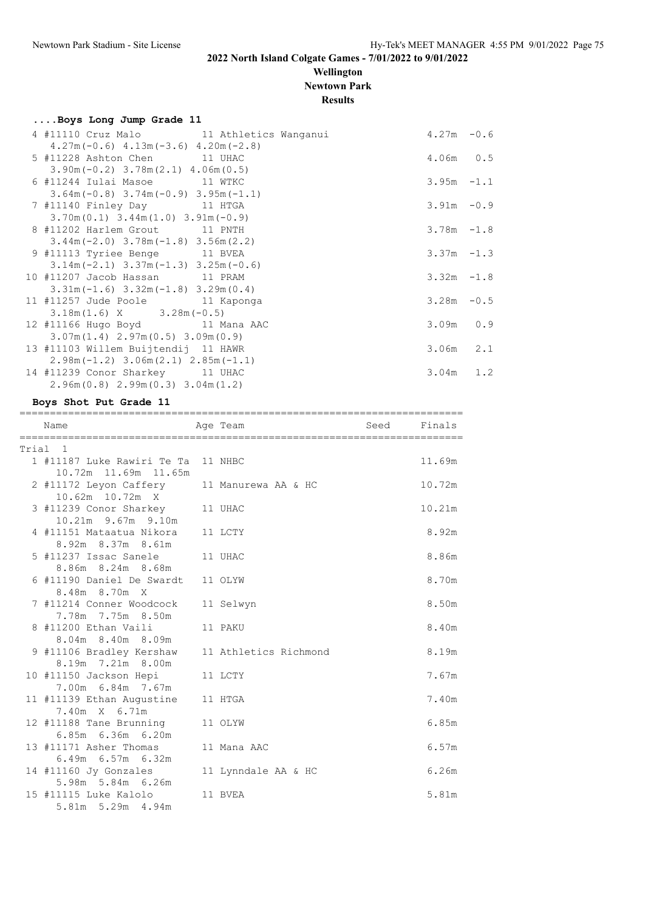### **Wellington Newtown Park**

**Results**

| Boys Long Jump Grade 11                    |               |  |
|--------------------------------------------|---------------|--|
| 4 #11110 Cruz Malo 11 Athletics Wanganui   | $4.27m - 0.6$ |  |
| $4.27m(-0.6)$ $4.13m(-3.6)$ $4.20m(-2.8)$  |               |  |
| 5 #11228 Ashton Chen 11 UHAC               | $4.06m$ 0.5   |  |
| $3.90m(-0.2)$ $3.78m(2.1)$ $4.06m(0.5)$    |               |  |
| 6 #11244 Iulai Masoe 11 WTKC               | $3.95m - 1.1$ |  |
| $3.64m(-0.8)$ $3.74m(-0.9)$ $3.95m(-1.1)$  |               |  |
| 7 #11140 Finley Day 11 HTGA                | $3.91m - 0.9$ |  |
| $3.70m(0.1)$ $3.44m(1.0)$ $3.91m(-0.9)$    |               |  |
| 8 #11202 Harlem Grout 11 PNTH              | $3.78m - 1.8$ |  |
| $3.44m(-2.0)$ $3.78m(-1.8)$ $3.56m(2.2)$   |               |  |
| 9 #11113 Tyriee Benge 11 BVEA              | $3.37m - 1.3$ |  |
| $3.14m(-2.1)$ $3.37m(-1.3)$ $3.25m(-0.6)$  |               |  |
| 10 #11207 Jacob Hassan 11 PRAM             | $3.32m - 1.8$ |  |
| $3.31m(-1.6)$ $3.32m(-1.8)$ $3.29m(0.4)$   |               |  |
| 11 #11257 Jude Poole 11 Kaponga            | $3.28m - 0.5$ |  |
| $3.18m(1.6)$ X $3.28m(-0.5)$               |               |  |
| 12 #11166 Hugo Boyd 11 Mana AAC            | $3.09m$ 0.9   |  |
| $3.07m(1.4)$ 2.97m $(0.5)$ 3.09m $(0.9)$   |               |  |
| 13 #11103 Willem Buijtendij 11 HAWR        | $3.06m$ 2.1   |  |
| $2.98m(-1.2)$ 3.06m $(2.1)$ 2.85m $(-1.1)$ |               |  |
| 14 #11239 Conor Sharkey 11 UHAC            | $3.04m$ 1.2   |  |
| $2.96m(0.8)$ $2.99m(0.3)$ $3.04m(1.2)$     |               |  |

**Boys Shot Put Grade 11** ========================================================================= Name **Age Team** Seed Finals ========================================================================= Trial 1 1 #11187 Luke Rawiri Te Ta 11 NHBC 11.69m 10.72m 11.69m 11.65m 2 #11172 Leyon Caffery 11 Manurewa AA & HC 10.72m 10.62m 10.72m X 3 #11239 Conor Sharkey 11 UHAC 10.21m 10.21m 9.67m 9.10m 4 #11151 Mataatua Nikora 11 LCTY 8.92m 8.92m 8.37m 8.61m 6. 92. 11 0. 01. 11 0. 01. 11 0. 01. 1237 Issac Sanele 11 UHAC 8.86m 8.86m 8.24m 8.68m 6 #11190 Daniel De Swardt 11 OLYW 8.70m 8.48m 8.70m X 7 #11214 Conner Woodcock 11 Selwyn 8.50m 7.78m 7.75m 8.50m 8 #11200 Ethan Vaili 11 PAKU 8.40m 8.04m 8.40m 8.09m 9 #11106 Bradley Kershaw 11 Athletics Richmond 8.19m 8.19m 7.21m 8.00m 10 #11150 Jackson Hepi 11 LCTY 7.67m 7.00m 6.84m 7.67m 11 #11139 Ethan Augustine 11 HTGA 7.40m 7.40m X 6.71m 12 #11188 Tane Brunning 11 OLYW 6.85m 6.85m 6.36m 6.20m 13 #11171 Asher Thomas 11 Mana AAC 6.57m 6.49m 6.57m 6.32m

 14 #11160 Jy Gonzales 11 Lynndale AA & HC 6.26m 5.98m 5.84m 6.26m 15 #11115 Luke Kalolo 11 BVEA 5.81m 5.81m 5.29m 4.94m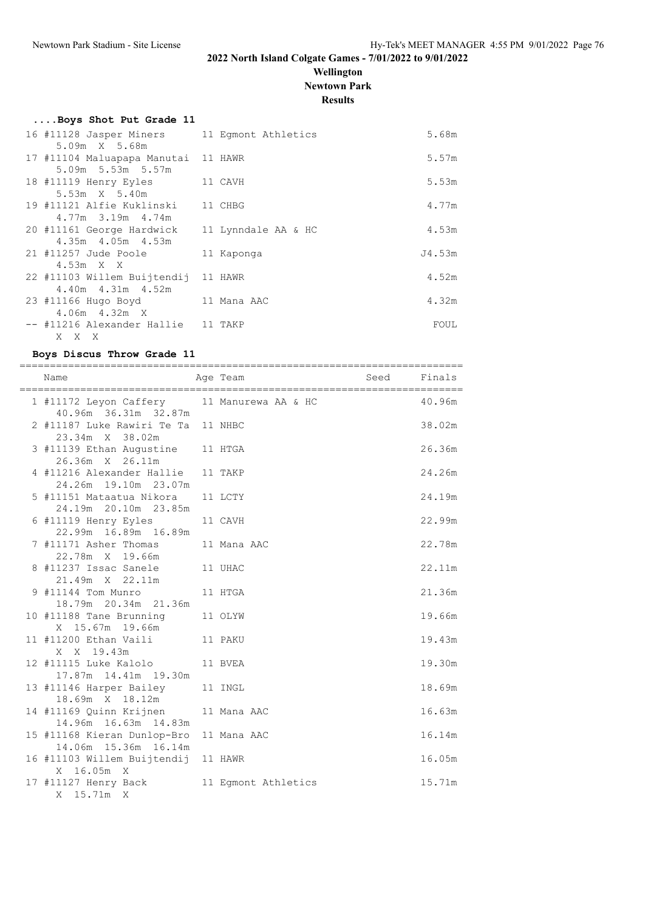### **Wellington Newtown Park**

**Results**

|                         | Boys Shot Put Grade 11 |      |  |
|-------------------------|------------------------|------|--|
| 16 #11128 Jasper Miners |                        | 11 E |  |

| 16 #11128 Jasper Miners<br>5.09m X 5.68m                       | 11 Eqmont Athletics | 5.68m  |
|----------------------------------------------------------------|---------------------|--------|
| 17 #11104 Maluapapa Manutai 11 HAWR<br>5.09m 5.53m 5.57m       |                     | 5.57m  |
| 18 #11119 Henry Eyles 11 CAVH<br>5.53m X 5.40m                 |                     | 5.53m  |
| 19 #11121 Alfie Kuklinski 11 CHBG<br>4.77m 3.19m 4.74m         |                     | 4.77m  |
| 20 #11161 George Hardwick<br>4.35m 4.05m 4.53m                 | 11 Lynndale AA & HC | 4.53m  |
| 21 #11257 Jude Poole<br>$4.53m \times X$                       | 11 Kaponga          | J4.53m |
| 22 #11103 Willem Buijtendij 11 HAWR<br>$4.40m$ $4.31m$ $4.52m$ |                     | 4.52m  |
| 23 #11166 Hugo Boyd<br>$4.06m$ $4.32m$ X                       | 11 Mana AAC         | 4.32m  |
| -- #11216 Alexander Hallie 11 TAKP<br>X X X                    |                     | FOUL   |

#### **Boys Discus Throw Grade 11**

| ==============<br>Name                                             | Age Team            | Seed | Finals |
|--------------------------------------------------------------------|---------------------|------|--------|
|                                                                    |                     |      |        |
| 1 #11172 Leyon Caffery 11 Manurewa AA & HC<br>40.96m 36.31m 32.87m |                     |      | 40.96m |
| 2 #11187 Luke Rawiri Te Ta 11 NHBC<br>23.34m X 38.02m              |                     |      | 38.02m |
| 3 #11139 Ethan Augustine 11 HTGA<br>26.36m X 26.11m                |                     |      | 26.36m |
| 4 #11216 Alexander Hallie<br>24.26m 19.10m 23.07m                  | 11 TAKP             |      | 24.26m |
| 5 #11151 Mataatua Nikora<br>24.19m 20.10m 23.85m                   | 11 LCTY             |      | 24.19m |
| 6 #11119 Henry Eyles<br>22.99m 16.89m 16.89m                       | 11 CAVH             |      | 22.99m |
| 7 #11171 Asher Thomas<br>22.78m X 19.66m                           | 11 Mana AAC         |      | 22.78m |
| 8 #11237 Issac Sanele<br>21.49m X 22.11m                           | 11 UHAC             |      | 22.11m |
| 9 #11144 Tom Munro                                                 | 11 HTGA             |      | 21.36m |
| 18.79m  20.34m  21.36m<br>10 #11188 Tane Brunning                  | 11 OLYW             |      | 19.66m |
| X 15.67m 19.66m                                                    |                     |      |        |
| 11 #11200 Ethan Vaili 11 PAKU<br>X X 19.43m                        |                     |      | 19.43m |
| 12 #11115 Luke Kalolo 11 BVEA<br>17.87m  14.41m  19.30m            |                     |      | 19.30m |
| 13 #11146 Harper Bailey<br>18.69m X 18.12m                         | 11 INGL             |      | 18.69m |
| 14 #11169 Quinn Krijnen<br>14.96m  16.63m  14.83m                  | 11 Mana AAC         |      | 16.63m |
| 15 #11168 Kieran Dunlop-Bro<br>14.06m 15.36m 16.14m                | 11 Mana AAC         |      | 16.14m |
| 16 #11103 Willem Buijtendij 11 HAWR                                |                     |      | 16.05m |
| X 16.05m X<br>17 #11127 Henry Back<br>X 15.71m X                   | 11 Eqmont Athletics |      | 15.71m |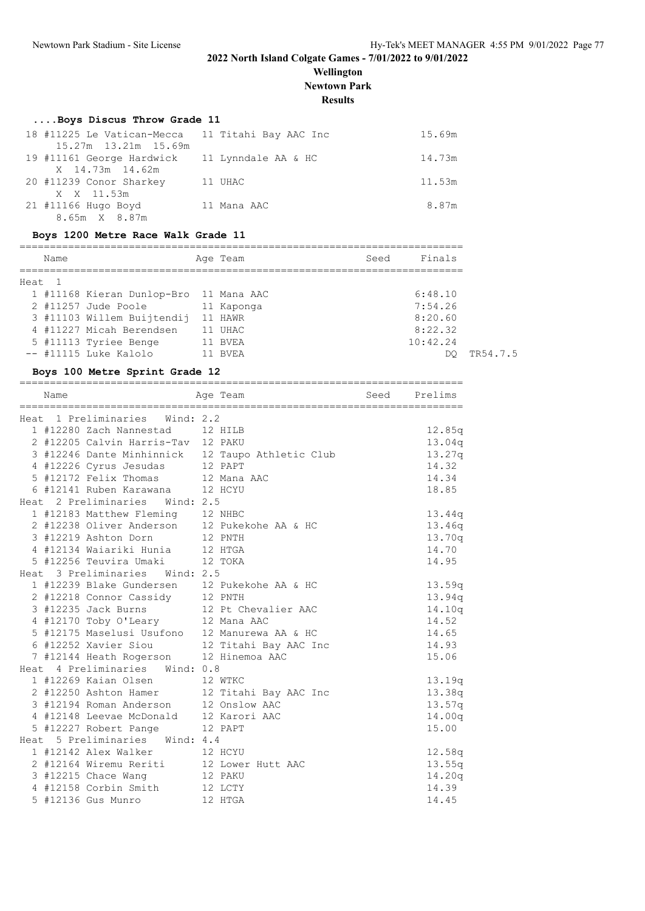### **Wellington Newtown Park**

**Results**

# **....Boys Discus Throw Grade 11**

| 18 #11225 Le Vatican-Mecca 11 Titahi Bay AAC Inc |             | 15.69m |
|--------------------------------------------------|-------------|--------|
| 15.27m 13.21m 15.69m                             |             |        |
| 19 #11161 George Hardwick 11 Lynndale AA & HC    |             | 14.73m |
| X 14.73m 14.62m                                  |             |        |
| 20 #11239 Conor Sharkey                          | 11 UHAC     | 11.53m |
| X X 11.53m                                       |             |        |
| 21 #11166 Hugo Boyd                              | 11 Mana AAC | 8.87m  |
| 8.65m X 8.87m                                    |             |        |

#### **Boys 1200 Metre Race Walk Grade 11**

| Name   |                                        | Age Team   | Finals<br>Seed |
|--------|----------------------------------------|------------|----------------|
| Heat 1 |                                        |            |                |
|        | 1 #11168 Kieran Dunlop-Bro 11 Mana AAC |            | 6:48.10        |
|        | 2 #11257 Jude Poole                    | 11 Kaponga | 7:54.26        |
|        | 3 #11103 Willem Buijtendij             | 11 HAWR    | 8:20.60        |
|        | 4 #11227 Micah Berendsen               | 11 UHAC    | 8:22.32        |
|        | 5 #11113 Tyriee Benge                  | 11 BVEA    | 10:42.24       |
|        | -- #11115 Luke Kalolo                  | 11 BVEA    | DO             |

### **Boys 100 Metre Sprint Grade 12**

| Name                                             | Age Team | Seed Prelims |
|--------------------------------------------------|----------|--------------|
| Heat 1 Preliminaries Wind: 2.2                   |          |              |
| 1 #12280 Zach Nannestad 12 HILB                  |          | 12.85q       |
| 2 #12205 Calvin Harris-Tav 12 PAKU               |          | 13.04q       |
| 3 #12246 Dante Minhinnick 12 Taupo Athletic Club |          | 13.27q       |
| 4 #12226 Cyrus Jesudas 12 PAPT                   |          | 14.32        |
| 5 #12172 Felix Thomas 12 Mana AAC                |          | 14.34        |
| 6 #12141 Ruben Karawana 12 HCYU                  |          | 18.85        |
| Heat 2 Preliminaries Wind: 2.5                   |          |              |
| 1 #12183 Matthew Fleming 12 NHBC                 |          | 13.44q       |
| 2 #12238 Oliver Anderson 12 Pukekohe AA & HC     |          | 13.46q       |
| 3 #12219 Ashton Dorn                             | 12 PNTH  | 13.70q       |
| 4 #12134 Waiariki Hunia 12 HTGA                  |          | 14.70        |
| 5 #12256 Teuvira Umaki 12 TOKA                   |          | 14.95        |
| Heat 3 Preliminaries Wind: 2.5                   |          |              |
| 1 #12239 Blake Gundersen 12 Pukekohe AA & HC     |          | 13.59q       |
| 2 #12218 Connor Cassidy 12 PNTH                  |          | 13.94q       |
| 3 #12235 Jack Burns 12 Pt Chevalier AAC          |          | 14.10q       |
| 4 #12170 Toby O'Leary 12 Mana AAC                |          | 14.52        |
| 5 #12175 Maselusi Usufono 12 Manurewa AA & HC    |          | 14.65        |
| 6 #12252 Xavier Siou 12 Titahi Bay AAC Inc       |          | 14.93        |
| 7 #12144 Heath Rogerson 12 Hinemoa AAC           |          | 15.06        |
| Heat 4 Preliminaries Wind: 0.8                   |          |              |
| 1 #12269 Kaian Olsen 12 WTKC                     |          | 13.19q       |
| 2 #12250 Ashton Hamer 12 Titahi Bay AAC Inc      |          | 13.38q       |
| 3 #12194 Roman Anderson 12 Onslow AAC            |          | 13.57q       |
| 4 #12148 Leevae McDonald 12 Karori AAC           |          | 14.00q       |
| 5 #12227 Robert Pange 12 PAPT                    |          | 15.00        |
| Heat 5 Preliminaries Wind: 4.4                   |          |              |
| 1 #12142 Alex Walker 12 HCYU                     |          | 12.58q       |
| 2 #12164 Wiremu Reriti 12 Lower Hutt AAC         |          | 13.55q       |
| 3 #12215 Chace Wang                              | 12 PAKU  | 14.20q       |
| 4 #12158 Corbin Smith 12 LCTY                    |          | 14.39        |
| 5 #12136 Gus Munro                               | 12 HTGA  | 14.45        |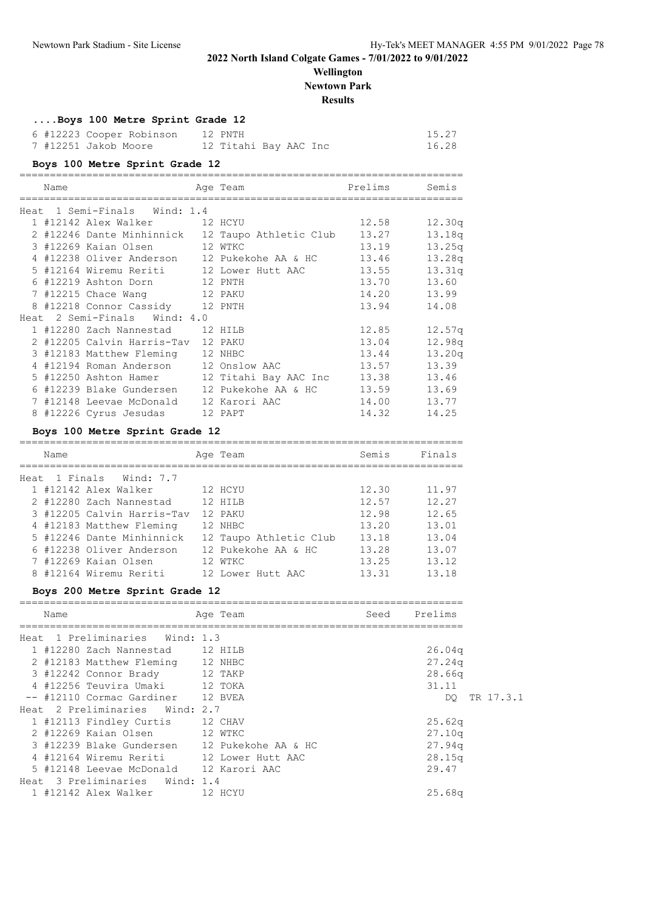DQ TR 17.3.1

**2022 North Island Colgate Games - 7/01/2022 to 9/01/2022**

| Wellington<br><b>Newtown Park</b><br><b>Results</b>                                                                                |  |                              |       |                 |
|------------------------------------------------------------------------------------------------------------------------------------|--|------------------------------|-------|-----------------|
| Boys 100 Metre Sprint Grade 12                                                                                                     |  |                              |       |                 |
|                                                                                                                                    |  |                              |       | 15.27           |
| 6 #12223 Cooper Robinson 12 PNTH<br>7 #12251 Jakob Moore 12 Titahi Bay AAC Inc                                                     |  |                              |       | 16.28           |
| Boys 100 Metre Sprint Grade 12                                                                                                     |  |                              |       |                 |
|                                                                                                                                    |  |                              |       |                 |
| Name                                                                                                                               |  | Age Team                     |       | Prelims Semis   |
| Heat 1 Semi-Finals Wind: 1.4                                                                                                       |  |                              |       |                 |
| 1 #12142 Alex Walker 12 HCYU                                                                                                       |  |                              | 12.58 | 12.30g          |
| 2 #12246 Dante Minhinnick 12 Taupo Athletic Club 13.27                                                                             |  |                              |       | 13.18q          |
| 3 #12269 Kaian Olsen 12 WTKC                                                                                                       |  |                              | 13.19 | 13.25q          |
| 4 #12238 Oliver Anderson 12 Pukekohe AA & HC                                                                                       |  |                              | 13.46 | 13.28q          |
| 5 #12164 Wiremu Reriti                                                                                                             |  | 12 Lower Hutt AAC<br>12 PNTH | 13.55 | 13.31q          |
| 6 #12219 Ashton Dorn                                                                                                               |  |                              | 13.70 | 13.60           |
| 7 #12215 Chace Wang 12 PAKU                                                                                                        |  |                              | 14.20 | 13.99           |
| 8 #12218 Connor Cassidy 12 PNTH                                                                                                    |  |                              | 13.94 | 14.08           |
| Heat 2 Semi-Finals Wind: 4.0                                                                                                       |  |                              |       |                 |
| 1 #12280 Zach Nannestad 12 HILB                                                                                                    |  |                              | 12.85 | 12.57q          |
| 2 #12205 Calvin Harris-Tav 12 PAKU                                                                                                 |  |                              | 13.04 | 12.98q          |
| 3 #12183 Matthew Fleming 12 NHBC                                                                                                   |  |                              | 13.44 | 13.20q          |
| 4 #12194 Roman Anderson 12 Onslow AAC                                                                                              |  |                              | 13.57 | 13.39           |
| 5 #12250 Ashton Hamer 12 Titahi Bay AAC Inc 13.38 13.46                                                                            |  |                              |       |                 |
| 6 #12239 Blake Gundersen 12 Pukekohe AA & HC 13.59 13.69                                                                           |  |                              |       |                 |
| 7 #12148 Leevae McDonald 12 Karori AAC                                                                                             |  |                              | 14.00 | 13.77           |
| 8 #12226 Cyrus Jesudas 12 PAPT                                                                                                     |  |                              | 14.32 | 14.25           |
| Boys 100 Metre Sprint Grade 12                                                                                                     |  |                              |       |                 |
| Name                                                                                                                               |  | Age Team                     | Semis | Finals          |
|                                                                                                                                    |  |                              |       |                 |
| Heat 1 Finals Wind: 7.7                                                                                                            |  |                              |       |                 |
| 1 #12142 Alex Walker 12 HCYU                                                                                                       |  |                              |       | 12.30 11.97     |
| 2 #12280 Zach Nannestad 12 HILB                                                                                                    |  |                              |       | 12.57 12.27     |
| 3 #12205 Calvin Harris-Tav 12 PAKU                                                                                                 |  |                              | 12.98 | 12.65           |
| 4 #12183 Matthew Fleming 12 NHBC                                                                                                   |  |                              | 13.20 | 13.01           |
| 5 #12246 Dante Minhinnick 12 Taupo Athletic Club                                                                                   |  |                              | 13.18 | 13.04           |
| 6 #12238 Oliver Anderson 12 Pukekohe AA & HC                                                                                       |  |                              | 13.28 | 13.07           |
| 7 #12269 Kaian Olsen                                                                                                               |  | 12 WTKC                      | 13.25 | 13.12           |
| 8 #12164 Wiremu Reriti 12 Lower Hutt AAC                                                                                           |  |                              |       | 13.31 13.18     |
| Boys 200 Metre Sprint Grade 12                                                                                                     |  |                              |       |                 |
| Name                                                                                                                               |  | Age Team                     |       | Seed Prelims    |
|                                                                                                                                    |  |                              |       |                 |
| Heat 1 Preliminaries Wind: 1.3<br>1 #12280 Zach Nannestad 12 HILB                                                                  |  |                              |       | 26.04q          |
|                                                                                                                                    |  |                              |       |                 |
| 2 #12183 Matthew Fleming 12 NHBC                                                                                                   |  |                              |       | 27.24q          |
| 3 #12242 Connor Brady 12 TAKP<br>4 #12256 Teuvira Umaki 12 TOKA                                                                    |  |                              |       | 28.66q<br>31.11 |
| -- #12110 Cormac Gardiner 12 BVEA                                                                                                  |  |                              |       |                 |
| Heat 2 Preliminaries Wind: 2.7                                                                                                     |  |                              |       | DQ.             |
| 1 #12113 Findley Curtis                                                                                                            |  | 12 CHAV                      |       | 25.62q          |
| 2 #12269 Kaian Olsen                                                                                                               |  |                              |       | 27.10q          |
|                                                                                                                                    |  | 12 WTKC                      |       | 27.94q          |
| 3 #12239 Blake Gundersen 12 Pukekohe AA & HC<br>4 #12164 Wiremu Reriti 12 Lower Hutt AAC<br>5 #12148 Leevae McDonald 12 Karori AAC |  |                              |       |                 |
|                                                                                                                                    |  |                              |       | 28.15q<br>29.47 |
| Heat 3 Preliminaries Wind: 1.4                                                                                                     |  |                              |       |                 |
| 1 #12142 Alex Walker 12 HCYU                                                                                                       |  |                              |       | 25.68q          |
|                                                                                                                                    |  |                              |       |                 |
|                                                                                                                                    |  |                              |       |                 |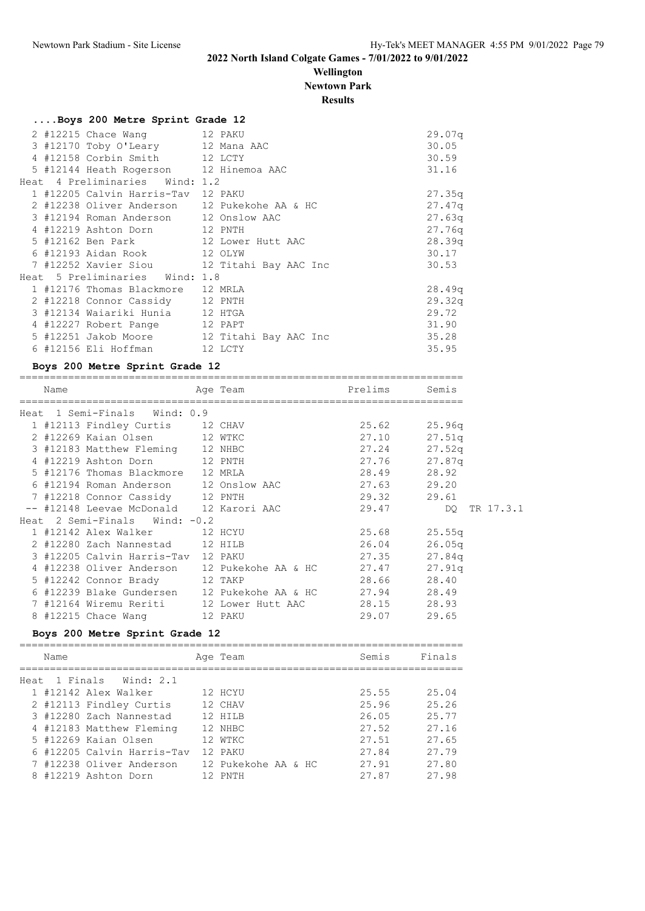### **Wellington Newtown Park**

**Results**

### **....Boys 200 Metre Sprint Grade 12**

|  | 2 #12215 Chace Wang 12 PAKU            |                                              | 29.07q |
|--|----------------------------------------|----------------------------------------------|--------|
|  | 3 #12170 Toby O'Leary 12 Mana AAC      |                                              | 30.05  |
|  | 4 #12158 Corbin Smith 12 LCTY          |                                              | 30.59  |
|  | 5 #12144 Heath Rogerson 12 Hinemoa AAC |                                              | 31.16  |
|  | Heat 4 Preliminaries Wind: 1.2         |                                              |        |
|  | 1 #12205 Calvin Harris-Tav 12 PAKU     |                                              | 27.35q |
|  |                                        | 2 #12238 Oliver Anderson 12 Pukekohe AA & HC | 27.47q |
|  | 3 #12194 Roman Anderson 12 Onslow AAC  |                                              | 27.63q |
|  | 4 #12219 Ashton Dorn 12 PNTH           |                                              | 27.76q |
|  | 5 #12162 Ben Park 12 Lower Hutt AAC    |                                              | 28.39q |
|  | 6 #12193 Aidan Rook 12 OLYW            |                                              | 30.17  |
|  |                                        | 7 #12252 Xavier Siou 12 Titahi Bay AAC Inc   | 30.53  |
|  | Heat 5 Preliminaries Wind: 1.8         |                                              |        |
|  | 1 #12176 Thomas Blackmore 12 MRLA      |                                              | 28.49q |
|  | 2 #12218 Connor Cassidy 12 PNTH        |                                              | 29.32q |
|  | 3 #12134 Waiariki Hunia 12 HTGA        |                                              | 29.72  |
|  | 4 #12227 Robert Pange 12 PAPT          |                                              | 31.90  |
|  |                                        | 5 #12251 Jakob Moore 12 Titahi Bay AAC Inc   | 35.28  |
|  | 6 #12156 Eli Hoffman 12 LCTY           |                                              | 35.95  |

#### **Boys 200 Metre Sprint Grade 12**

=========================================================================

| Name |                                         | Age Team                                             | Prelims          | Semis              |
|------|-----------------------------------------|------------------------------------------------------|------------------|--------------------|
|      | Heat 1 Semi-Finals Wind: 0.9            |                                                      |                  |                    |
|      | 1 #12113 Findley Curtis 12 CHAV         |                                                      | 25.62 25.96q     |                    |
|      | 2 #12269 Kaian Olsen 12 WTKC            |                                                      | 27.10            | 27.51q             |
|      | 3 #12183 Matthew Fleming 12 NHBC        |                                                      | $27.24$ $27.52q$ |                    |
|      | 4 #12219 Ashton Dorn 12 PNTH            |                                                      | 27.76 27.87q     |                    |
|      | 5 #12176 Thomas Blackmore 12 MRLA       |                                                      | 28.49            | 28.92              |
|      | 6 #12194 Roman Anderson 12 Onslow AAC   |                                                      | 27.63            | 29.20              |
|      | 7 #12218 Connor Cassidy 12 PNTH         |                                                      | 29.32 29.61      |                    |
|      | -- #12148 Leevae McDonald 12 Karori AAC |                                                      |                  | 29.47 DO TR 17.3.1 |
|      | Heat 2 Semi-Finals Wind: $-0.2$         |                                                      |                  |                    |
|      | 1 #12142 Alex Walker 12 HCYU            |                                                      | 25.68 25.55q     |                    |
|      | 2 #12280 Zach Nannestad 12 HILB         |                                                      | 26.04            | 26.05q             |
|      | 3 #12205 Calvin Harris-Tav 12 PAKU      |                                                      | $27.35$ $27.84q$ |                    |
|      |                                         | 4 #12238 Oliver Anderson 12 Pukekohe AA & HC 27.47   |                  | 27.91q             |
|      | 5 #12242 Connor Brady 12 TAKP           |                                                      | 28.66            | 28.40              |
|      |                                         | 6 #12239 Blake Gundersen 12 Pukekohe AA & HC 27.94   |                  | 28.49              |
|      |                                         | 7 #12164 Wiremu Reriti 12 Lower Hutt AAC 28.15 28.93 |                  |                    |
|      | 8 #12215 Chace Wang 12 PAKU             |                                                      | 29.07 29.65      |                    |

#### **Boys 200 Metre Sprint Grade 12**

| Name |                            | Age Team            | Semis | Finals |
|------|----------------------------|---------------------|-------|--------|
|      | Heat 1 Finals Wind: 2.1    |                     |       |        |
|      | 1 #12142 Alex Walker       | 12 HCYU             | 25.55 | 25.04  |
|      | 2 #12113 Findley Curtis    | 12 CHAV             | 25.96 | 25.26  |
|      | 3 #12280 Zach Nannestad    | 12 HTLB             | 26.05 | 25.77  |
|      | 4 #12183 Matthew Fleming   | 12 NHBC             | 27.52 | 27.16  |
|      | 5 #12269 Kaian Olsen       | 12 WTKC             | 27.51 | 27.65  |
|      | 6 #12205 Calvin Harris-Tav | 12 PAKU             | 27.84 | 27.79  |
|      | 7 #12238 Oliver Anderson   | 12 Pukekohe AA & HC | 27.91 | 27.80  |
|      | 8 #12219 Ashton Dorn       | 12 PNTH             | 27.87 | 27.98  |
|      |                            |                     |       |        |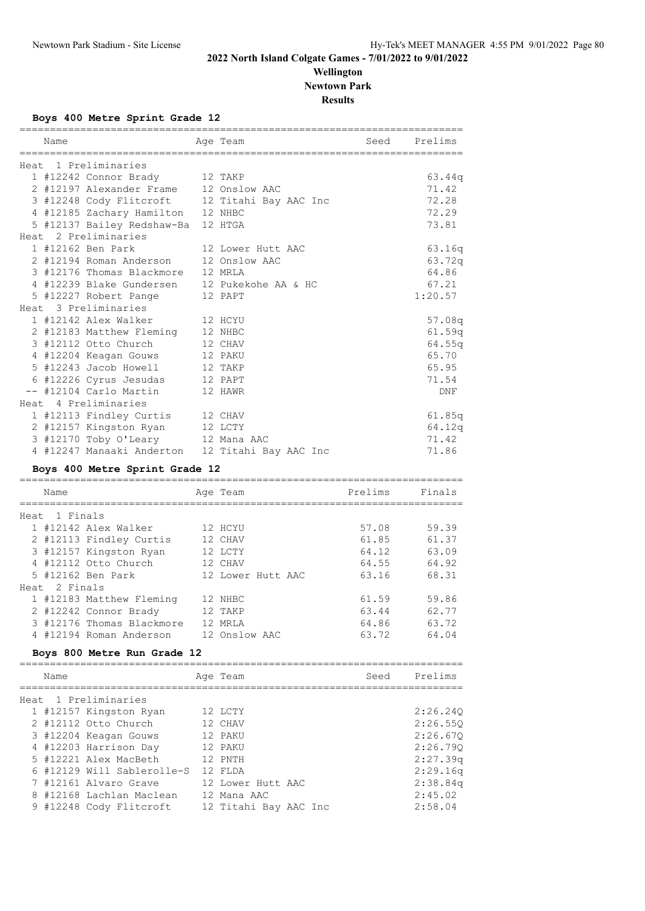### **Wellington Newtown Park**

**Results**

**Boys 400 Metre Sprint Grade 12**

| Name                                                                                    |         | Age Team              |         | Seed Prelims    |
|-----------------------------------------------------------------------------------------|---------|-----------------------|---------|-----------------|
| Heat 1 Preliminaries                                                                    |         |                       |         |                 |
| 1 #12242 Connor Brady                                                                   |         | 12 TAKP               |         | 63.44q          |
|                                                                                         |         |                       |         | 71.42           |
| 2 #12197 Alexander Frame 12 Onslow AAC<br>3 #12248 Cody Flitcroft 12 Titahi Bay AAC Inc |         |                       |         | 72.28           |
| 4 #12185 Zachary Hamilton 12 NHBC                                                       |         |                       |         | 72.29           |
| 5 #12137 Bailey Redshaw-Ba 12 HTGA                                                      |         |                       |         | 73.81           |
| Heat 2 Preliminaries                                                                    |         |                       |         |                 |
| 1 #12162 Ben Park                                                                       |         | 12 Lower Hutt AAC     |         | 63.16q          |
| 2 #12194 Roman Anderson                                                                 |         | 12 Onslow AAC         |         | 63.72q          |
| 3 #12176 Thomas Blackmore                                                               |         | 12 MRLA               |         | 64.86           |
| 4 #12239 Blake Gundersen 12 Pukekohe AA & HC                                            |         |                       |         | 67.21           |
| 5 #12227 Robert Pange                                                                   |         | 12 PAPT               |         | 1:20.57         |
| Heat 3 Preliminaries                                                                    |         |                       |         |                 |
| 1 #12142 Alex Walker                                                                    | 12 HCYU |                       |         | 57.08q          |
|                                                                                         |         |                       |         | 61.59q          |
| 2 #12183 Matthew Fleming 12 NHBC<br>3 #12112 Otto Church                                |         | 12 CHAV               |         | 64.55q          |
| 4 #12204 Keagan Gouws                                                                   | 12 PAKU |                       |         | 65.70           |
| 5 #12243 Jacob Howell 12 TAKP                                                           |         |                       |         | 65.95           |
| 6 #12226 Cyrus Jesudas 12 PAPT                                                          |         |                       |         | 71.54           |
| -- #12104 Carlo Martin                                                                  | 12 HAWR |                       |         | DNF             |
| Heat 4 Preliminaries                                                                    |         |                       |         |                 |
| 1 #12113 Findley Curtis 12 CHAV                                                         |         |                       |         | 61.85q          |
| 2 #12157 Kingston Ryan 12 LCTY                                                          |         |                       |         |                 |
| 3 #12170 Toby O'Leary 12 Mana AAC                                                       |         |                       |         | 64.12q<br>71.42 |
| 4 #12247 Manaaki Anderton 12 Titahi Bay AAC Inc                                         |         |                       |         | 71.86           |
|                                                                                         |         |                       |         |                 |
| Boys 400 Metre Sprint Grade 12                                                          |         |                       |         |                 |
| Name                                                                                    |         | Age Team              | Prelims | Finals          |
| Heat 1 Finals                                                                           |         |                       |         |                 |
| 1 #12142 Alex Walker                                                                    |         | 12 HCYU               | 57.08   | 59.39           |
| 2 #12113 Findley Curtis                                                                 |         | 12 CHAV               | 61.85   | 61.37           |
| 3 #12157 Kingston Ryan                                                                  |         | 12 LCTY               | 64.12   | 63.09           |
| 4 #12112 Otto Church                                                                    |         | 12 CHAV               | 64.55   | 64.92           |
| 5 #12162 Ben Park                                                                       |         | 12 Lower Hutt AAC     | 63.16   | 68.31           |
| Heat 2 Finals                                                                           |         |                       |         |                 |
| 1 #12183 Matthew Fleming 12 NHBC                                                        |         |                       | 61.59   | 59.86           |
| 2 #12242 Connor Brady                                                                   |         | 12 TAKP               | 63.44   | 62.77           |
| 3 #12176 Thomas Blackmore 12 MRLA                                                       |         |                       | 64.86   | 63.72           |
| 4 #12194 Roman Anderson 12 Onslow AAC                                                   |         |                       | 63.72   | 64.04           |
| Boys 800 Metre Run Grade 12                                                             |         |                       |         |                 |
|                                                                                         |         |                       |         |                 |
| Name                                                                                    |         | Age Team              | Seed    | Prelims         |
| Heat 1 Preliminaries                                                                    |         |                       |         |                 |
| 1 #12157 Kingston Ryan                                                                  | 12 LCTY |                       |         | 2:26.24Q        |
| 2 #12112 Otto Church                                                                    |         | 12 CHAV               |         | 2:26.55Q        |
| 3 #12204 Keagan Gouws                                                                   |         | 12 PAKU               |         | 2:26.67Q        |
| 4 #12203 Harrison Day                                                                   |         | 12 PAKU               |         | 2:26.790        |
| 5 #12221 Alex MacBeth                                                                   |         | 12 PNTH               |         | 2:27.39q        |
| 6 #12129 Will Sablerolle-S 12 FLDA                                                      |         |                       |         | 2:29.16q        |
| 7 #12161 Alvaro Grave                                                                   |         | 12 Lower Hutt AAC     |         | 2:38.84q        |
| 8 #12168 Lachlan Maclean 12 Mana AAC                                                    |         |                       |         | 2:45.02         |
| 9 #12248 Cody Flitcroft                                                                 |         | 12 Titahi Bay AAC Inc |         | 2:58.04         |
|                                                                                         |         |                       |         |                 |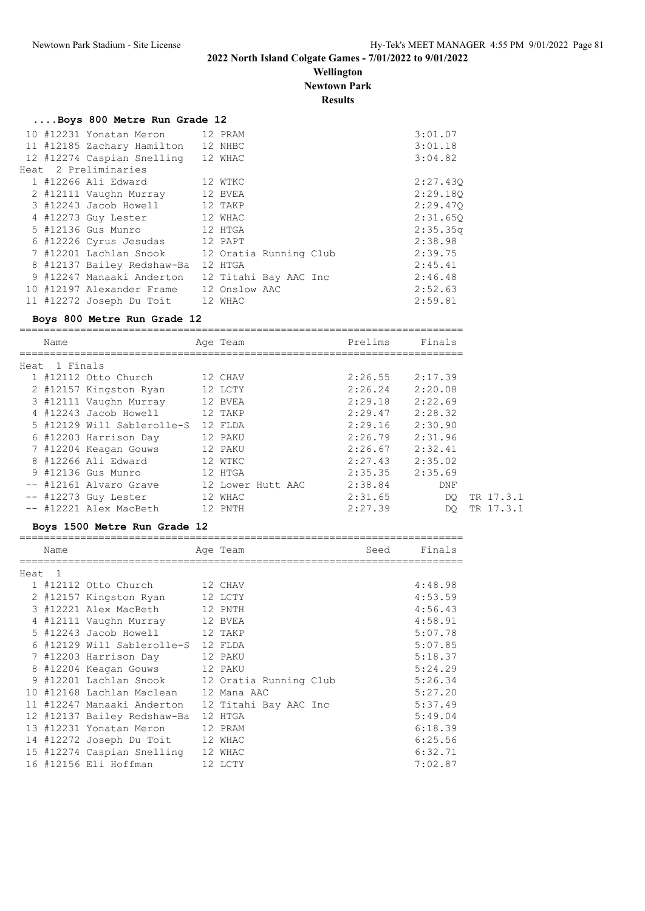**Wellington Newtown Park**

**Results**

#### **....Boys 800 Metre Run Grade 12**

|  | 10 #12231 Yonatan Meron 12 PRAM         |                        | 3:01.07  |
|--|-----------------------------------------|------------------------|----------|
|  | 11 #12185 Zachary Hamilton              | 12 NHBC                | 3:01.18  |
|  | 12 #12274 Caspian Snelling              | 12 WHAC                | 3:04.82  |
|  | Heat 2 Preliminaries                    |                        |          |
|  | 1 #12266 Ali Edward                     | 12 WTKC                | 2:27.430 |
|  | 2 #12111 Vaughn Murray 12 BVEA          |                        | 2:29.180 |
|  | 3 #12243 Jacob Howell 12 TAKP           |                        | 2:29.470 |
|  | 4 #12273 Guy Lester 12 WHAC             |                        | 2:31.650 |
|  | 5 #12136 Gus Munro 12 HTGA              |                        | 2:35.35q |
|  | 6 #12226 Cyrus Jesudas 12 PAPT          |                        | 2:38.98  |
|  | 7 #12201 Lachlan Snook                  | 12 Oratia Running Club | 2:39.75  |
|  | 8 #12137 Bailey Redshaw-Ba              | 12 HTGA                | 2:45.41  |
|  | 9 #12247 Manaaki Anderton               | 12 Titahi Bay AAC Inc  | 2:46.48  |
|  | 10 #12197 Alexander Frame 12 Onslow AAC |                        | 2:52.63  |
|  | 11 #12272 Joseph Du Toit 12 WHAC        |                        | 2:59.81  |
|  |                                         |                        |          |

#### **Boys 800 Metre Run Grade 12**

========================================================================= Name **Age Team** Prelims Finals ========================================================================= Heat 1 Finals 1 #12112 Otto Church 12 CHAV 2:26.55 2:17.39 2 #12157 Kingston Ryan 12 LCTY 2:26.24 2:20.08 3 #12111 Vaughn Murray 12 BVEA 2:29.18 2:22.69 4 #12243 Jacob Howell 12 TAKP 2:29.47 2:28.32 5 #12129 Will Sablerolle-S 12 FLDA 2:29.16 2:30.90 6 #12203 Harrison Day 12 PAKU 2:26.79 2:31.96 7 #12204 Keagan Gouws 12 PAKU 2:26.67 2:32.41 8 #12266 Ali Edward 12 WTKC 2:27.43 2:35.02 9 #12136 Gus Munro 12 HTGA 2:35.35 2:35.69 -- #12161 Alvaro Grave 12 Lower Hutt AAC 2:38.84 DNF -- #12273 Guy Lester 12 WHAC 2:31.65 DQ TR 17.3.1 -- #12221 Alex MacBeth 12 PNTH 2:27.39 DQ TR 17.3.1

#### **Boys 1500 Metre Run Grade 12**

|        | Name |                              | Age Team               | Seed | Finals  |
|--------|------|------------------------------|------------------------|------|---------|
| Heat 1 |      |                              |                        |      |         |
|        |      | 1 #12112 Otto Church 12 CHAV |                        |      | 4:48.98 |
|        |      | 2 #12157 Kingston Ryan       | 12 LCTY                |      | 4:53.59 |
|        |      | 3 #12221 Alex MacBeth        | 12 PNTH                |      | 4:56.43 |
|        |      | 4 #12111 Vaughn Murray       | 12 BVEA                |      | 4:58.91 |
|        |      | 5 #12243 Jacob Howell        | 12 TAKP                |      | 5:07.78 |
|        |      | #12129 Will Sablerolle-S     | 12 FLDA                |      | 5:07.85 |
|        |      | 7 #12203 Harrison Day        | 12 PAKU                |      | 5:18.37 |
| 8      |      | #12204 Keagan Gouws          | 12 PAKU                |      | 5:24.29 |
| 9      |      | #12201 Lachlan Snook         | 12 Oratia Running Club |      | 5:26.34 |
| 10     |      | #12168 Lachlan Maclean       | 12 Mana AAC            |      | 5:27.20 |
|        |      | 11 #12247 Manaaki Anderton   | 12 Titahi Bay AAC Inc  |      | 5:37.49 |
|        |      | 12 #12137 Bailey Redshaw-Ba  | 12 HTGA                |      | 5:49.04 |
| 13     |      | #12231 Yonatan Meron         | 12 PRAM                |      | 6:18.39 |
|        |      | 14 #12272 Joseph Du Toit     | 12 WHAC                |      | 6:25.56 |
|        |      | 15 #12274 Caspian Snelling   | 12 WHAC                |      | 6:32.71 |
|        |      | 16 #12156 Eli Hoffman        | 12 LCTY                |      | 7:02.87 |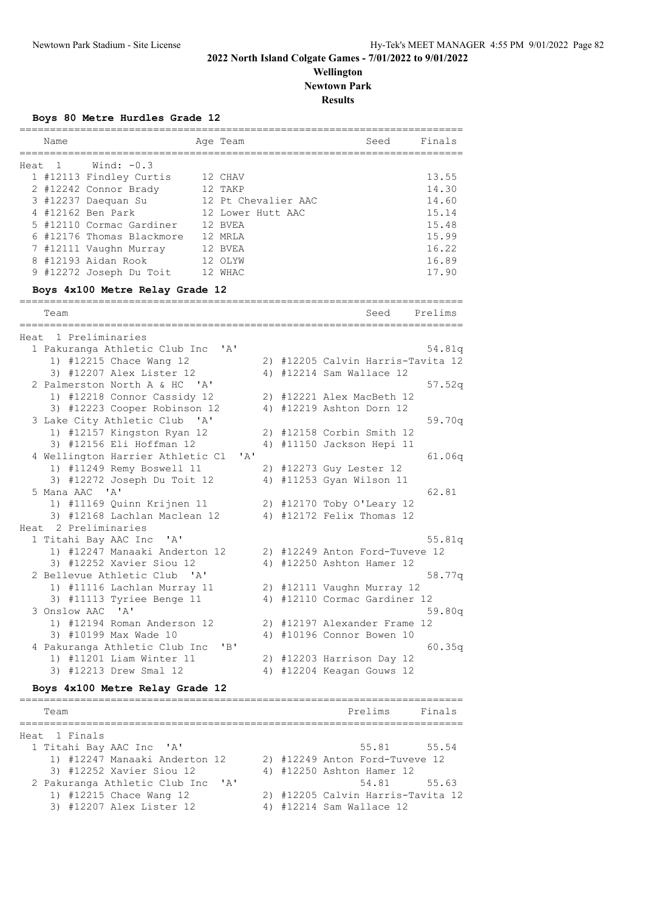### **Wellington Newtown Park**

**Results**

#### **Boys 80 Metre Hurdles Grade 12**

| Name   |                           | Age Team            | Seed | Finals |
|--------|---------------------------|---------------------|------|--------|
| Heat 1 | Wind: $-0.3$              |                     |      |        |
|        | 1 #12113 Findley Curtis   | 12 CHAV             |      | 13.55  |
|        | 2 #12242 Connor Brady     | 12 TAKP             |      | 14.30  |
|        | 3 #12237 Daequan Su       | 12 Pt Chevalier AAC |      | 14.60  |
|        | 4 #12162 Ben Park         | 12 Lower Hutt AAC   |      | 15.14  |
|        | 5 #12110 Cormac Gardiner  | 12 BVEA             |      | 15.48  |
|        | 6 #12176 Thomas Blackmore | 12 MRLA             |      | 15.99  |
|        | 7 #12111 Vaughn Murray    | 12 BVEA             |      | 16.22  |
|        | 8 #12193 Aidan Rook       | 12 OLYW             |      | 16.89  |
|        | 9 #12272 Joseph Du Toit   | WHAC                |      | 17.90  |

#### **Boys 4x100 Metre Relay Grade 12**

========================================================================= Team Seed Prelims ========================================================================= Heat 1 Preliminaries 1 Pakuranga Athletic Club Inc 'A' 54.81q 1) #12215 Chace Wang 12 2) #12205 Calvin Harris-Tavita 12 3) #12207 Alex Lister 12 4) #12214 Sam Wallace 12 2 Palmerston North A & HC 'A' 57.52q 1) #12218 Connor Cassidy 12 2) #12221 Alex MacBeth 12 3) #12223 Cooper Robinson 12 4) #12219 Ashton Dorn 12 3 Lake City Athletic Club 'A' 59.70q 1) #12157 Kingston Ryan 12 2) #12158 Corbin Smith 12 3) #12156 Eli Hoffman 12 4) #11150 Jackson Hepi 11 4 Wellington Harrier Athletic Cl 'A' 61.06q 1) #11249 Remy Boswell 11 2) #12273 Guy Lester 12 3) #12272 Joseph Du Toit 12 4) #11253 Gyan Wilson 11 5 Mana AAC 'A' 62.81 1) #11169 Quinn Krijnen 11 2) #12170 Toby O'Leary 12 3) #12168 Lachlan Maclean 12 4) #12172 Felix Thomas 12 Heat 2 Preliminaries<br>1 Titahi Bay AAC Inc 'A' 1 Titahi Bay AAC Inc 'A' 55.81q 1) #12247 Manaaki Anderton 12 2) #12249 Anton Ford-Tuveve 12 3) #12252 Xavier Siou 12 4) #12250 Ashton Hamer 12 2 Bellevue Athletic Club 'A' 58.77q 1) #11116 Lachlan Murray 11 2) #12111 Vaughn Murray 12 3) #11113 Tyriee Benge 11 4) #12110 Cormac Gardiner 12 3 Onslow AAC 'A' 59.80q 1) #12194 Roman Anderson 12 2) #12197 Alexander Frame 12 3) #10199 Max Wade 10 4) #10196 Connor Bowen 10 4 Pakuranga Athletic Club Inc 'B' 60.35q 1) #11201 Liam Winter 11 2) #12203 Harrison Day 12 3) #12213 Drew Smal 12 4) #12204 Keagan Gouws 12

#### **Boys 4x100 Metre Relay Grade 12**

| Team                                          |  | Prelims                           | Finals |
|-----------------------------------------------|--|-----------------------------------|--------|
| Heat 1 Finals                                 |  |                                   |        |
| 1 Titahi Bay AAC Inc 'A'                      |  | 55.81 55.54                       |        |
| 1) #12247 Manaaki Anderton 12                 |  | 2) #12249 Anton Ford-Tuveve 12    |        |
| 3) #12252 Xavier Siou 12                      |  | 4) #12250 Ashton Hamer 12         |        |
| 2 Pakuranga Athletic Club Inc<br>$\mathsf{A}$ |  | 54.81 55.63                       |        |
| 1) #12215 Chace Wang 12                       |  | 2) #12205 Calvin Harris-Tavita 12 |        |
| 3) #12207 Alex Lister 12                      |  | 4) #12214 Sam Wallace 12          |        |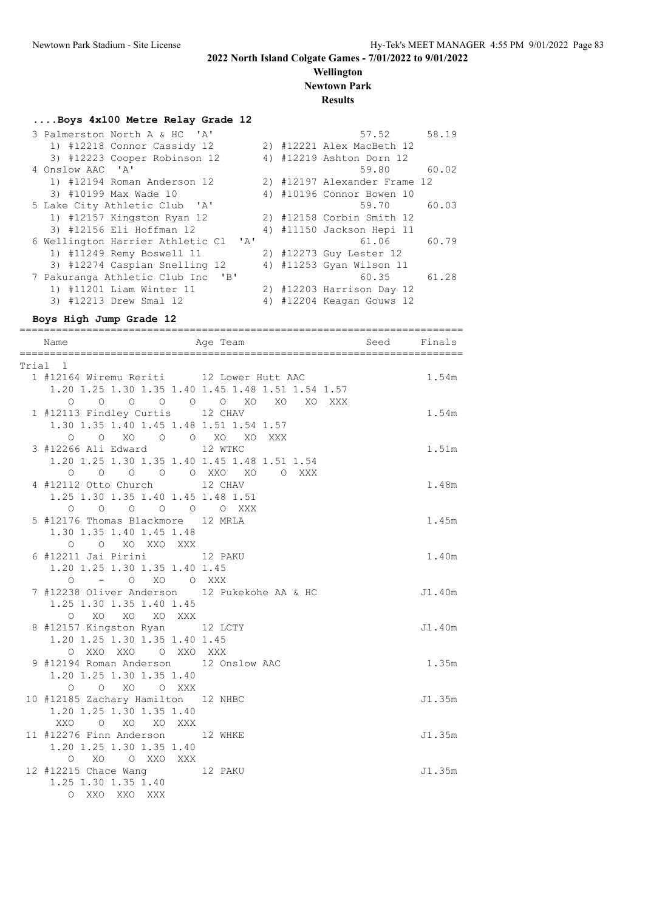# **Wellington Newtown Park**

# **Results**

### **....Boys 4x100 Metre Relay Grade 12**

| 3 Palmerston North A & HC 'A'                 |  | 57.52                        | 58.19 |
|-----------------------------------------------|--|------------------------------|-------|
| 1) #12218 Connor Cassidy 12                   |  | 2) #12221 Alex MacBeth 12    |       |
| 3) #12223 Cooper Robinson 12                  |  | 4) #12219 Ashton Dorn 12     |       |
| 4 Onslow AAC 'A'                              |  | 59.80                        | 60.02 |
| 1) #12194 Roman Anderson 12                   |  | 2) #12197 Alexander Frame 12 |       |
| 3) #10199 Max Wade 10                         |  | 4) #10196 Connor Bowen 10    |       |
| 5 Lake City Athletic Club 'A'                 |  | 59.70                        | 60.03 |
| 1) #12157 Kingston Ryan 12                    |  | 2) #12158 Corbin Smith 12    |       |
| 3) #12156 Eli Hoffman 12                      |  | 4) #11150 Jackson Hepi 11    |       |
| 6 Wellington Harrier Athletic Cl 'A'          |  | 61.06                        | 60.79 |
| 1) #11249 Remy Boswell 11                     |  | 2) #12273 Guy Lester 12      |       |
| 3) #12274 Caspian Snelling 12                 |  | 4) #11253 Gyan Wilson 11     |       |
| 7 Pakuranga Athletic Club Inc<br>$\mathsf{B}$ |  | 60.35                        | 61.28 |
| 1) #11201 Liam Winter 11                      |  | 2) #12203 Harrison Day 12    |       |
| 3) #12213 Drew Smal 12                        |  | 4) #12204 Keagan Gouws 12    |       |
|                                               |  |                              |       |

### **Boys High Jump Grade 12**

| Name                                                                                                         | ,,,,,,,,,,,,,,,,,,,,,,<br>==============<br>Aqe Team                            | Seed Finals | ================ |
|--------------------------------------------------------------------------------------------------------------|---------------------------------------------------------------------------------|-------------|------------------|
| Trial 1                                                                                                      |                                                                                 |             |                  |
| 1 #12164 Wiremu Reriti 12 Lower Hutt AAC                                                                     | 1.20 1.25 1.30 1.35 1.40 1.45 1.48 1.51 1.54 1.57<br>0 0 0 0 0 0 0 XO XO XO XXX |             | 1.54m            |
| 1 #12113 Findley Curtis 12 CHAV<br>1.30 1.35 1.40 1.45 1.48 1.51 1.54 1.57<br>0 0 XO 0 0 XO XO               |                                                                                 |             | 1.54m            |
| 3 #12266 Ali Edward 12 WTKC<br>1.20 1.25 1.30 1.35 1.40 1.45 1.48 1.51 1.54                                  | XXX                                                                             |             | 1.51m            |
| 0 0 0 0 0 0 XXO XO 0 XXX<br>4 #12112 Otto Church 12 CHAV<br>1.25 1.30 1.35 1.40 1.45 1.48 1.51               |                                                                                 |             | 1.48m            |
| 0 0 0 0 0 0 XXX<br>5 #12176 Thomas Blackmore 12 MRLA<br>1.30 1.35 1.40 1.45 1.48                             |                                                                                 |             | 1.45m            |
| O O XO XXO XXX<br>6 #12211 Jai Pirini 12 PAKU<br>1.20 1.25 1.30 1.35 1.40 1.45                               |                                                                                 |             | 1.40m            |
| 0 - 0 XO 0 XXX<br>7 #12238 Oliver Anderson 12 Pukekohe AA & HC<br>1.25 1.30 1.35 1.40 1.45<br>O XO XO XO XXX |                                                                                 |             | J1.40m           |
| 8 #12157 Kingston Ryan 12 LCTY<br>1.20 1.25 1.30 1.35 1.40 1.45                                              |                                                                                 |             | J1.40m           |
| O XXO XXO O XXO XXX<br>9 #12194 Roman Anderson 12 Onslow AAC<br>1.20 1.25 1.30 1.35 1.40                     |                                                                                 |             | 1.35m            |
| O O XO O XXX<br>10 #12185 Zachary Hamilton 12 NHBC<br>1.20 1.25 1.30 1.35 1.40<br>XXO O XO XO XXX            |                                                                                 |             | J1.35m           |
| 11 #12276 Finn Anderson 12 WHKE<br>1.20 1.25 1.30 1.35 1.40<br>O XO O XXO XXX                                |                                                                                 |             | J1.35m           |
| 12 #12215 Chace Wang 12 PAKU<br>1.25 1.30 1.35 1.40<br>O XXO XXO XXX                                         |                                                                                 |             | J1.35m           |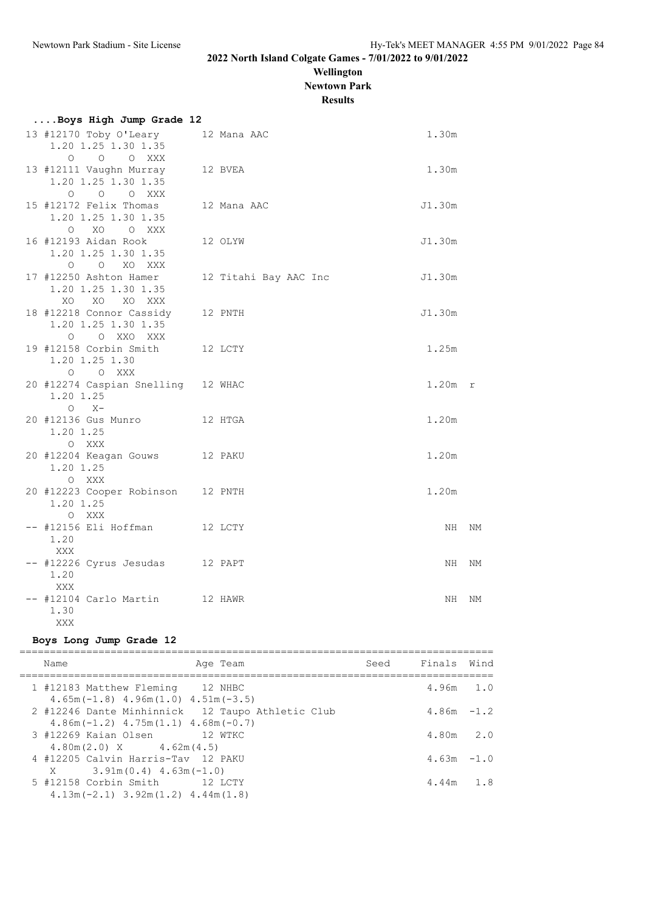## **Wellington Newtown Park**

**Results**

| Boys High Jump Grade 12                                                              |                       |           |    |
|--------------------------------------------------------------------------------------|-----------------------|-----------|----|
| 13 #12170 Toby O'Leary 12 Mana AAC<br>1.20 1.25 1.30 1.35                            |                       | 1.30m     |    |
| $\circ$<br>$\overline{O}$<br>O XXX<br>13 #12111 Vaughn Murray<br>1.20 1.25 1.30 1.35 | 12 BVEA               | 1.30m     |    |
| O O O XXX<br>15 #12172 Felix Thomas<br>1.20 1.25 1.30 1.35<br>XO OXXX                | 12 Mana AAC           | J1.30m    |    |
| $\circ$<br>16 #12193 Aidan Rook<br>1.20 1.25 1.30 1.35<br>O O XO XXX                 | 12 OLYW               | J1.30m    |    |
| 17 #12250 Ashton Hamer<br>1.20 1.25 1.30 1.35<br>XO XO XO XXX                        | 12 Titahi Bay AAC Inc | J1.30m    |    |
| 18 #12218 Connor Cassidy<br>1.20 1.25 1.30 1.35<br>Q Q XXQ XXX                       | 12 PNTH               | J1.30m    |    |
| 19 #12158 Corbin Smith 12 LCTY<br>1.20 1.25 1.30<br>O O XXX                          |                       | 1.25m     |    |
| 20 #12274 Caspian Snelling 12 WHAC<br>1.20 1.25<br>$O X -$                           |                       | $1.20m$ r |    |
| 12 HTGA<br>20 #12136 Gus Munro<br>1.20 1.25<br>O XXX                                 |                       | 1.20m     |    |
| 20 #12204 Keagan Gouws 12 PAKU<br>1.20 1.25<br>O XXX                                 |                       | 1.20m     |    |
| 20 #12223 Cooper Robinson 12 PNTH<br>1.20 1.25<br>O XXX                              |                       | 1.20m     |    |
| -- #12156 Eli Hoffman 12 LCTY<br>1.20<br>XXX                                         |                       | NH.       | NΜ |
| -- #12226 Cyrus Jesudas 12 PAPT<br>1.20<br>XXX                                       |                       | NH        | NM |
| -- #12104 Carlo Martin 12 HAWR<br>1.30<br>XXX                                        |                       | NH        | ΝM |

#### **Boys Long Jump Grade 12**

| Name                                                                                         | Age Team | Seed Finals Wind |     |
|----------------------------------------------------------------------------------------------|----------|------------------|-----|
| 1 #12183 Matthew Fleming 12 NHBC<br>$4.65m(-1.8)$ $4.96m(1.0)$ $4.51m(-3.5)$                 |          | $4.96m$ 1.0      |     |
| 2 #12246 Dante Minhinnick 12 Taupo Athletic Club<br>$4.86m(-1.2)$ $4.75m(1.1)$ $4.68m(-0.7)$ |          | $4.86m - 1.2$    |     |
| 3 #12269 Kaian Olsen 12 WTKC<br>$4.80 \text{ m} (2.0) \text{ X}$ $4.62 \text{ m} (4.5)$      |          | $4.80m$ $2.0$    |     |
| 4 #12205 Calvin Harris-Tav 12 PAKU<br>$X = 3.91m(0.4) 4.63m(-1.0)$                           |          | $4.63m - 1.0$    |     |
| 5 #12158 Corbin Smith 12 LCTY<br>$4.13$ m (-2.1) $3.92$ m (1.2) $4.44$ m (1.8)               |          | 4.44m            | 1.8 |
|                                                                                              |          |                  |     |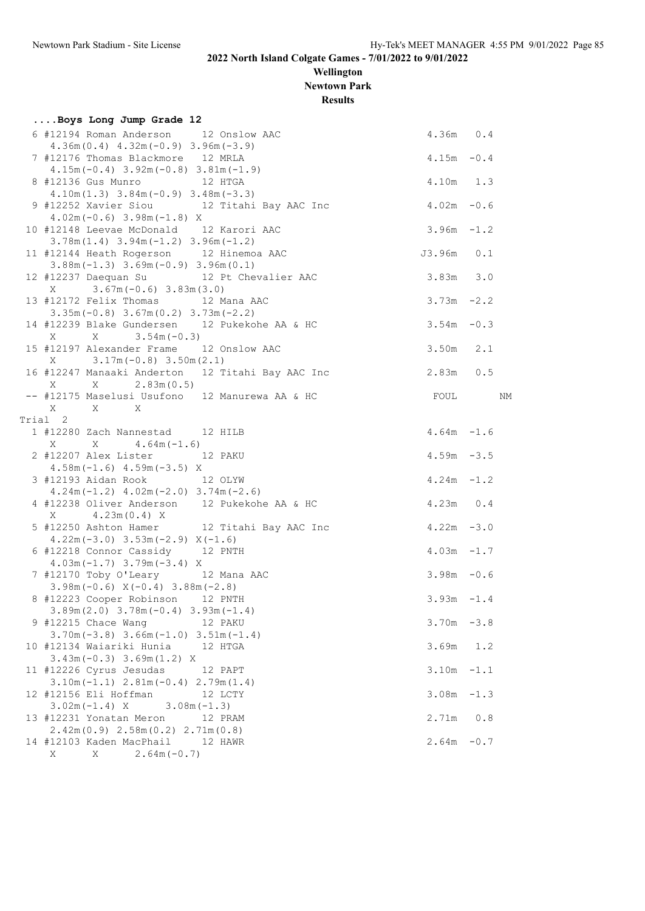**Wellington Newtown Park**

**Results**

| Boys Long Jump Grade 12                                                              |               |  |
|--------------------------------------------------------------------------------------|---------------|--|
| 6 #12194 Roman Anderson 12 Onslow AAC<br>$4.36m(0.4)$ $4.32m(-0.9)$ $3.96m(-3.9)$    | 4.36m 0.4     |  |
| 7 #12176 Thomas Blackmore 12 MRLA<br>$4.15m(-0.4)$ 3.92m $(-0.8)$ 3.81m $(-1.9)$     | $4.15m - 0.4$ |  |
| 8 #12136 Gus Munro 12 HTGA<br>$4.10m(1.3)$ $3.84m(-0.9)$ $3.48m(-3.3)$               | 4.10m 1.3     |  |
| 9 #12252 Xavier Siou 12 Titahi Bay AAC Inc<br>$4.02m(-0.6)$ 3.98m $(-1.8)$ X         | $4.02m - 0.6$ |  |
| 10 #12148 Leevae McDonald 12 Karori AAC<br>$3.78m(1.4)$ $3.94m(-1.2)$ $3.96m(-1.2)$  | $3.96m - 1.2$ |  |
| 11 #12144 Heath Rogerson 12 Hinemoa AAC<br>$3.88m(-1.3)$ $3.69m(-0.9)$ $3.96m(0.1)$  | J3.96m 0.1    |  |
| 12 #12237 Daequan Su 12 Pt Chevalier AAC<br>$X = 3.67m(-0.6) 3.83m(3.0)$             | $3.83m$ $3.0$ |  |
| 13 #12172 Felix Thomas 12 Mana AAC<br>$3.35m(-0.8)$ $3.67m(0.2)$ $3.73m(-2.2)$       | $3.73m - 2.2$ |  |
| 14 #12239 Blake Gundersen 12 Pukekohe AA & HC<br>$X = 3.54m(-0.3)$<br>X              | $3.54m - 0.3$ |  |
| 15 #12197 Alexander Frame 12 Onslow AAC<br>$X = 3.17m(-0.8) 3.50m(2.1)$              | $3.50m$ 2.1   |  |
| 16 #12247 Manaaki Anderton 12 Titahi Bay AAC Inc                                     | 2.83m 0.5     |  |
| X 2.83m (0.5)<br>X<br>-- #12175 Maselusi Usufono 12 Manurewa AA & HC                 | FOUL NM       |  |
| X<br>$X$ X                                                                           |               |  |
| Trial 2                                                                              |               |  |
| 1 #12280 Zach Nannestad 12 HILB<br>$X \tX \t4.64m(-1.6)$                             | $4.64m - 1.6$ |  |
| 2 #12207 Alex Lister 12 PAKU<br>$4.58m(-1.6)$ $4.59m(-3.5)$ X                        | $4.59m - 3.5$ |  |
| 3 #12193 Aidan Rook 12 OLYW<br>$4.24m(-1.2)$ $4.02m(-2.0)$ $3.74m(-2.6)$             | $4.24m - 1.2$ |  |
| 4 #12238 Oliver Anderson 12 Pukekohe AA & HC<br>$X = 4.23m(0.4) X$                   | 4.23m 0.4     |  |
| 5 #12250 Ashton Hamer 12 Titahi Bay AAC Inc<br>$4.22m(-3.0)$ $3.53m(-2.9)$ $X(-1.6)$ | $4.22m - 3.0$ |  |
| 6 #12218 Connor Cassidy 12 PNTH<br>$4.03m(-1.7)$ 3.79m $(-3.4)$ X                    | $4.03m - 1.7$ |  |
| 7 #12170 Toby O'Leary 12 Mana AAC<br>$3.98m(-0.6) X(-0.4) 3.88m(-2.8)$               | $3.98m - 0.6$ |  |
| 8 #12223 Cooper Robinson 12 PNTH<br>$3.89m(2.0)$ $3.78m(-0.4)$ $3.93m(-1.4)$         | $3.93m - 1.4$ |  |
| 9 #12215 Chace Wang<br>12 PAKU<br>$3.70m(-3.8)$ $3.66m(-1.0)$ $3.51m(-1.4)$          | $3.70m - 3.8$ |  |
| 10 #12134 Waiariki Hunia 12 HTGA<br>$3.43m(-0.3)$ $3.69m(1.2)$ X                     | $3.69m$ 1.2   |  |
| 11 #12226 Cyrus Jesudas<br>12 PAPT                                                   | $3.10m - 1.1$ |  |
| $3.10m(-1.1)$ $2.81m(-0.4)$ $2.79m(1.4)$<br>12 #12156 Eli Hoffman<br>12 LCTY         | $3.08m - 1.3$ |  |
| $3.02m(-1.4)$ X $3.08m(-1.3)$<br>13 #12231 Yonatan Meron<br>12 PRAM                  | 2.71m 0.8     |  |
| $2.42m(0.9)$ $2.58m(0.2)$ $2.71m(0.8)$<br>14 #12103 Kaden MacPhail 12 HAWR           | $2.64m - 0.7$ |  |
| $X = 2.64m(-0.7)$<br>X                                                               |               |  |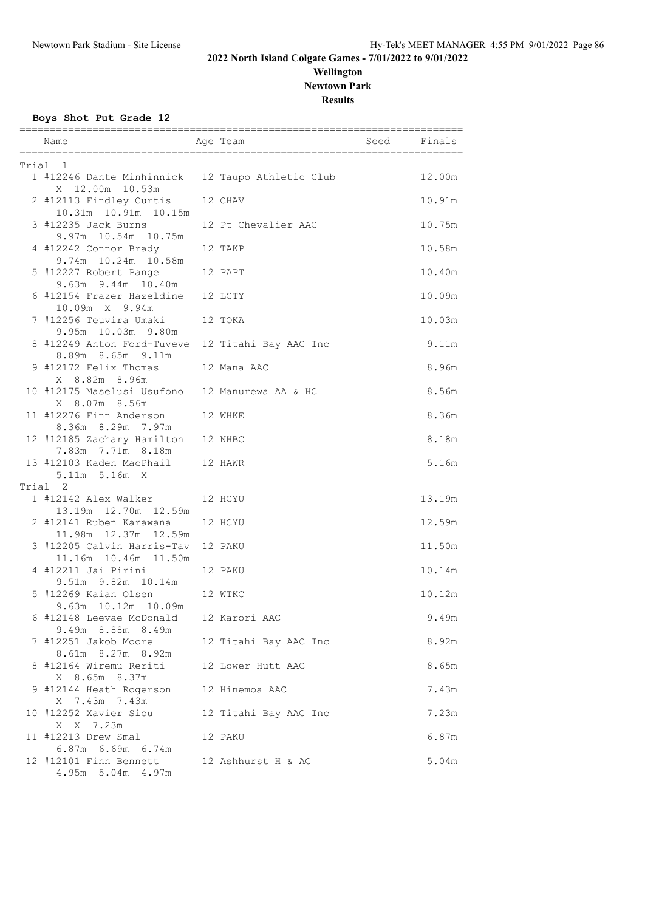### **Wellington Newtown Park Results**

**Boys Shot Put Grade 12**

| Name                                                                | Age Team              | seed Seed | ================<br>Finals |
|---------------------------------------------------------------------|-----------------------|-----------|----------------------------|
| Trial 1                                                             |                       |           |                            |
| 1 #12246 Dante Minhinnick 12 Taupo Athletic Club<br>X 12.00m 10.53m |                       |           | 12.00m                     |
| 2 #12113 Findley Curtis<br>10.31m  10.91m  10.15m                   | 12 CHAV               |           | 10.91m                     |
| 3 #12235 Jack Burns<br>9.97m 10.54m 10.75m                          | 12 Pt Chevalier AAC   |           | 10.75m                     |
| 4 #12242 Connor Brady 12 TAKP<br>9.74m 10.24m 10.58m                |                       |           | 10.58m                     |
| 5 #12227 Robert Pange 12 PAPT<br>9.63m 9.44m 10.40m                 |                       |           | 10.40m                     |
| 6 #12154 Frazer Hazeldine<br>10.09m X 9.94m                         | 12 LCTY               |           | 10.09m                     |
| 7 #12256 Teuvira Umaki<br>9.95m 10.03m 9.80m                        | 12 TOKA               |           | 10.03m                     |
| 8 #12249 Anton Ford-Tuveve<br>8.89m 8.65m 9.11m                     | 12 Titahi Bay AAC Inc |           | 9.11m                      |
| 9 #12172 Felix Thomas<br>X 8.82m 8.96m                              | 12 Mana AAC           |           | 8.96m                      |
| 10 #12175 Maselusi Usufono 12 Manurewa AA & HC<br>X 8.07m 8.56m     |                       |           | 8.56m                      |
| 11 #12276 Finn Anderson<br>8.36m 8.29m 7.97m                        | 12 WHKE               |           | 8.36m                      |
| 12 #12185 Zachary Hamilton<br>7.83m 7.71m 8.18m                     | 12 NHBC               |           | 8.18m                      |
| 13 #12103 Kaden MacPhail 12 HAWR<br>5.11m 5.16m X                   |                       |           | 5.16m                      |
| Trial 2                                                             |                       |           |                            |
| 1 #12142 Alex Walker<br>13.19m  12.70m  12.59m                      | 12 HCYU               |           | 13.19m                     |
| 2 #12141 Ruben Karawana<br>11.98m  12.37m  12.59m                   | 12 HCYU               |           | 12.59m                     |
| 3 #12205 Calvin Harris-Tav<br>11.16m  10.46m  11.50m                | 12 PAKU               |           | 11.50m                     |
| 4 #12211 Jai Pirini<br>9.51m 9.82m 10.14m                           | 12 PAKU               |           | 10.14m                     |
| 5 #12269 Kaian Olsen 12 WTKC<br>9.63m 10.12m 10.09m                 |                       |           | 10.12m                     |
| 6 #12148 Leevae McDonald<br>9.49m 8.88m 8.49m                       | 12 Karori AAC         |           | 9.49m                      |
| 7 #12251 Jakob Moore<br>8.61m 8.27m 8.92m                           | 12 Titahi Bay AAC Inc |           | 8.92m                      |
| 8 #12164 Wiremu Reriti<br>X 8.65m 8.37m                             | 12 Lower Hutt AAC     |           | 8.65m                      |
| 9 #12144 Heath Rogerson<br>X 7.43m 7.43m                            | 12 Hinemoa AAC        |           | 7.43m                      |
| 10 #12252 Xavier Siou<br>X X 7.23m                                  | 12 Titahi Bay AAC Inc |           | 7.23m                      |
| 11 #12213 Drew Smal                                                 | 12 PAKU               |           | 6.87m                      |
| 6.87m 6.69m 6.74m<br>12 #12101 Finn Bennett<br>4.95m 5.04m 4.97m    | 12 Ashhurst H & AC    |           | 5.04m                      |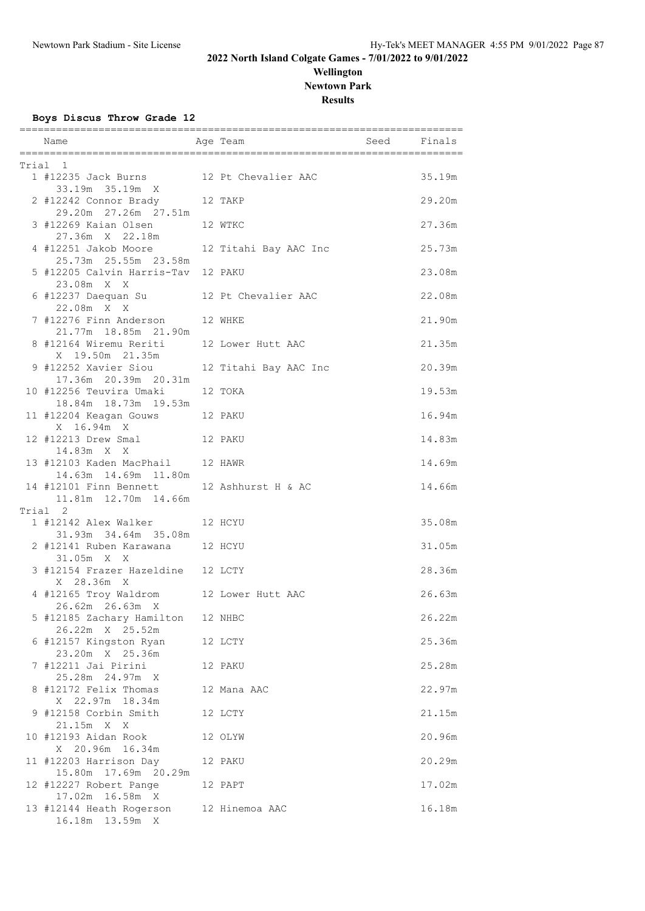# **Wellington Newtown Park**

**Results**

**Boys Discus Throw Grade 12**

| Name                                                                | Age Team and Seed Finals |        |
|---------------------------------------------------------------------|--------------------------|--------|
| Trial 1                                                             |                          |        |
| 1 #12235 Jack Burns 12 Pt Chevalier AAC<br>33.19m 35.19m X          |                          | 35.19m |
| 2 #12242 Connor Brady 12 TAKP<br>29.20m  27.26m  27.51m             |                          | 29.20m |
| 3 #12269 Kaian Olsen<br>27.36m X 22.18m                             | 12 WTKC                  | 27.36m |
| 4 #12251 Jakob Moore                                                | 12 Titahi Bay AAC Inc    | 25.73m |
| 5 #12205 Calvin Harris-Tav 12 PAKU<br>23.08m X X                    |                          | 23.08m |
| 6 #12237 Daequan Su 12 Pt Chevalier AAC<br>22.08m X X               |                          | 22.08m |
| 7 #12276 Finn Anderson 12 WHKE<br>21.77m 18.85m 21.90m              |                          | 21.90m |
| 8 #12164 Wiremu Reriti 12 Lower Hutt AAC<br>X 19.50m 21.35m         |                          | 21.35m |
| 9 #12252 Xavier Siou 12 Titahi Bay AAC Inc<br>17.36m 20.39m 20.31m  |                          | 20.39m |
| 10 #12256 Teuvira Umaki<br>18.84m  18.73m  19.53m                   | 12 TOKA                  | 19.53m |
| 11 #12204 Keagan Gouws 12 PAKU<br>X 16.94m X                        |                          | 16.94m |
| 12 #12213 Drew Smal 12 PAKU<br>14.83m X X                           |                          | 14.83m |
| 13 #12103 Kaden MacPhail 12 HAWR<br>14.63m  14.69m  11.80m          |                          | 14.69m |
| 14 #12101 Finn Bennett 12 Ashhurst H & AC<br>11.81m  12.70m  14.66m |                          | 14.66m |
| Trial 2                                                             |                          |        |
| 1 #12142 Alex Walker 12 HCYU<br>31.93m 34.64m 35.08m                |                          | 35.08m |
| 2 #12141 Ruben Karawana 12 HCYU<br>31.05m X X                       |                          | 31.05m |
| 3 #12154 Frazer Hazeldine 12 LCTY<br>X 28.36m X                     |                          | 28.36m |
| 4 #12165 Troy Waldrom 12 Lower Hutt AAC<br>26.62m 26.63m X          |                          | 26.63m |
| 5 #12185 Zachary Hamilton<br>26.22m X 25.52m                        | 12 NHBC                  | 26.22m |
| 6 #12157 Kingston Ryan<br>23.20m X 25.36m                           | 12 LCTY                  | 25.36m |
| 7 #12211 Jai Pirini<br>25.28m 24.97m X                              | 12 PAKU                  | 25.28m |
| 8 #12172 Felix Thomas<br>X 22.97m 18.34m                            | 12 Mana AAC              | 22.97m |
| 9 #12158 Corbin Smith<br>21.15m X X                                 | 12 LCTY                  | 21.15m |
| 10 #12193 Aidan Rook<br>X 20.96m 16.34m                             | 12 OLYW                  | 20.96m |
| 11 #12203 Harrison Day<br>15.80m  17.69m  20.29m                    | 12 PAKU                  | 20.29m |
| 12 #12227 Robert Pange<br>17.02m  16.58m  X                         | 12 PAPT                  | 17.02m |
| 13 #12144 Heath Rogerson<br>16.18m  13.59m  X                       | 12 Hinemoa AAC           | 16.18m |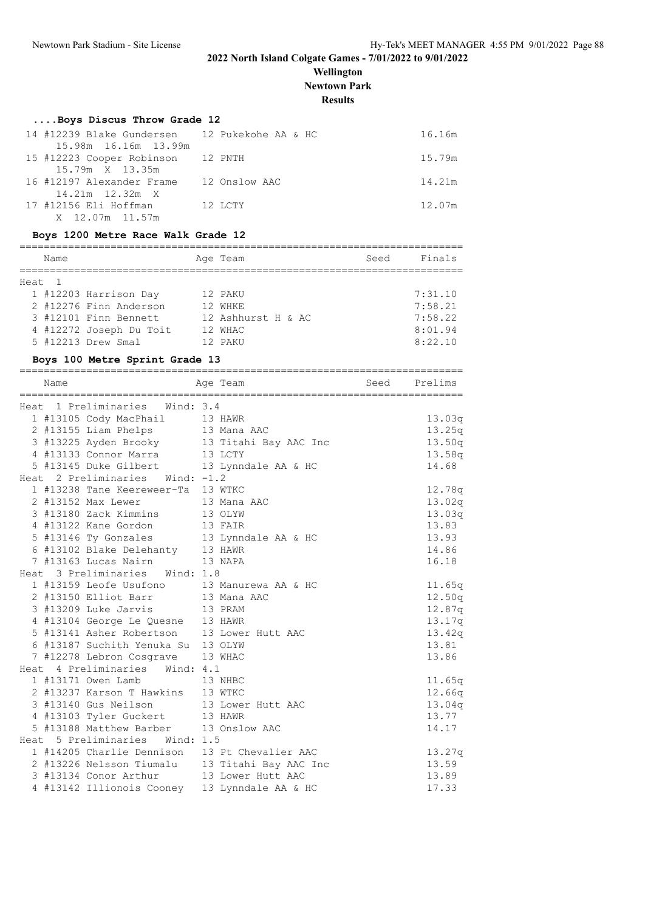**Wellington Newtown Park**

**Results**

### **....Boys Discus Throw Grade 12**

| 14 #12239 Blake Gundersen 12 Pukekohe AA & HC |         |               | 16.16m |
|-----------------------------------------------|---------|---------------|--------|
| 15.98m 16.16m 13.99m                          |         |               |        |
| 15 #12223 Cooper Robinson 12 PNTH             |         |               | 15.79m |
| 15.79m X 13.35m                               |         |               |        |
| 16 #12197 Alexander Frame                     |         | 12 Onslow AAC | 14.21m |
| 14.21m  12.32m  X                             |         |               |        |
| 17 #12156 Eli Hoffman                         | 12 LCTY |               | 12.07m |
| X 12.07m 11.57m                               |         |               |        |

#### **Boys 1200 Metre Race Walk Grade 12**

| Name   |                         | Age Team           | Seed | Finals  |
|--------|-------------------------|--------------------|------|---------|
| Heat 1 |                         |                    |      |         |
|        | 1 #12203 Harrison Day   | 12 PAKU            |      | 7:31.10 |
|        | 2 #12276 Finn Anderson  | 12 WHKE            |      | 7:58.21 |
|        | 3 #12101 Finn Bennett   | 12 Ashhurst H & AC |      | 7:58.22 |
|        | 4 #12272 Joseph Du Toit | 12 WHAC            |      | 8:01.94 |
|        | 5 #12213 Drew Smal      | 12 PAKU            |      | 8:22.10 |

#### **Boys 100 Metre Sprint Grade 13**

| Name | Age Team                                                                              | Seed Prelims                                   |                  |
|------|---------------------------------------------------------------------------------------|------------------------------------------------|------------------|
|      | Heat 1 Preliminaries Wind: 3.4                                                        |                                                |                  |
|      | 1 #13105 Cody MacPhail 13 HAWR                                                        |                                                | 13.03q           |
|      |                                                                                       |                                                | 13.25q           |
|      | 2 #13155 Liam Phelps 13 Mana AAC                                                      |                                                |                  |
|      | 4 #13133 Connor Marra 13 LCTY                                                         | 3 #13225 Ayden Brooky 13 Titahi Bay AAC Inc    | 13.50q           |
|      | 5 #13145 Duke Gilbert 13 Lynndale AA & HC                                             |                                                | 13.58q<br>14.68  |
|      | Heat 2 Preliminaries Wind: -1.2                                                       |                                                |                  |
|      | 1 #13238 Tane Keereweer-Ta 13 WTKC                                                    |                                                | 12.78q           |
|      | 2 #13152 Max Lewer 13 Mana AAC                                                        |                                                |                  |
|      |                                                                                       |                                                | 13.02q<br>13.03q |
|      | 3 #13180 Zack Kimmins<br>4 #13122 Kane Gordon 13 OLYW<br>4 #13122 Kane Gordon 13 FAIR |                                                | 13.83            |
|      |                                                                                       |                                                | 13.93            |
|      | 5 #13146 Ty Gonzales 13 Lynndale AA & HC                                              |                                                | 14.86            |
|      | 6 #13102 Blake Delehanty 13 HAWR                                                      |                                                | 16.18            |
|      | 7 #13163 Lucas Nairn 13 NAPA                                                          |                                                |                  |
|      | Heat 3 Preliminaries Wind: 1.8                                                        |                                                |                  |
|      | 1 #13159 Leofe Usufono 13 Manurewa AA & HC<br>2 #13150 Elliot Barr 13 Mana AAC        |                                                | 11.65q           |
|      |                                                                                       |                                                | 12.50q           |
|      | 3 #13209 Luke Jarvis 13 PRAM                                                          |                                                | 12.87q           |
|      | 4 #13104 George Le Quesne 13 HAWR<br>5 #13141 Asher Robertson 13 Lower Hutt AAC       |                                                | 13.17q           |
|      |                                                                                       |                                                | 13.42q           |
|      | 6 #13187 Suchith Yenuka Su 13 OLYW                                                    |                                                | 13.81            |
|      | 7 #12278 Lebron Cosgrave 13 WHAC                                                      |                                                | 13.86            |
|      | Heat 4 Preliminaries Wind: 4.1                                                        |                                                |                  |
|      | 1 #13171 Owen Lamb<br>13 NHBC                                                         |                                                | 11.65q           |
|      | 2 #13237 Karson T Hawkins 13 WTKC                                                     |                                                | 12.66q           |
|      | 3 #13140 Gus Neilson 13 Lower Hutt AAC                                                |                                                | 13.04q           |
|      | 4 #13103 Tyler Guckert 13 HAWR                                                        |                                                | 13.77            |
|      | 5 #13188 Matthew Barber 13 Onslow AAC                                                 |                                                | 14.17            |
|      | Heat 5 Preliminaries Wind: 1.5                                                        |                                                |                  |
|      | 1 #14205 Charlie Dennison 13 Pt Chevalier AAC                                         |                                                | 13.27q           |
|      |                                                                                       | 2 #13226 Nelsson Tiumalu 13 Titahi Bay AAC Inc | 13.59            |
|      | 3 #13134 Conor Arthur 13 Lower Hutt AAC                                               |                                                | 13.89            |
|      | 4 #13142 Illionois Cooney 13 Lynndale AA & HC                                         |                                                | 17.33            |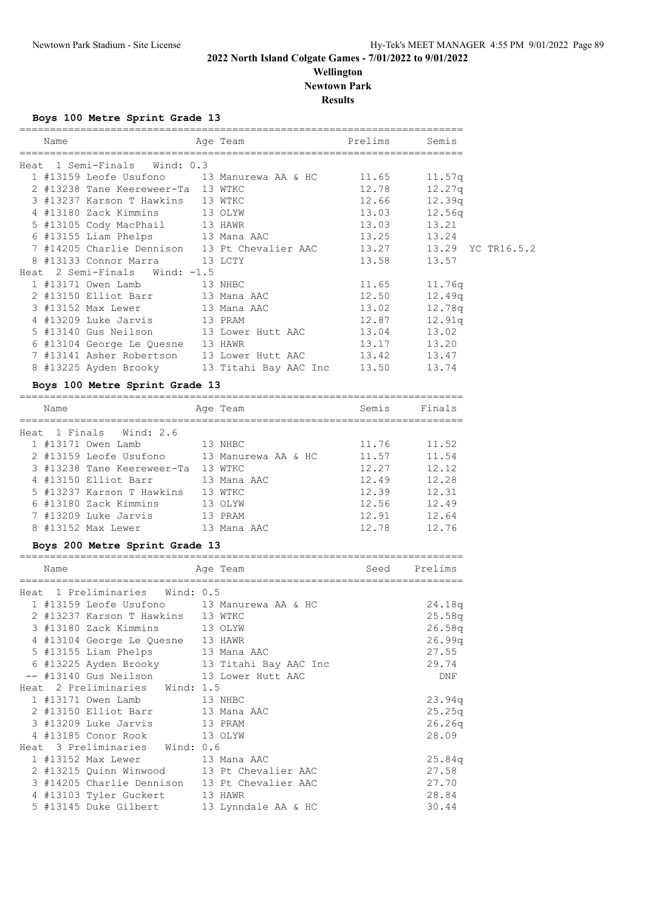### **Wellington Newtown Park**

**Results**

**Boys 100 Metre Sprint Grade 13**

| Name |                                                                 | Age Team and the state of the state of the state of the state of the state of the state of the state of the sta | Prelims Semis    |                                                                       |
|------|-----------------------------------------------------------------|-----------------------------------------------------------------------------------------------------------------|------------------|-----------------------------------------------------------------------|
|      | Heat 1 Semi-Finals Wind: 0.3                                    |                                                                                                                 |                  |                                                                       |
|      | $1$ #13159 Leofe Usufono $13$ Manurewa AA & HC $11.65$ $11.57q$ |                                                                                                                 |                  |                                                                       |
|      | 2 #13238 Tane Keereweer-Ta 13 WTKC                              |                                                                                                                 | $12.78$ $12.27q$ |                                                                       |
|      | 3 #13237 Karson T Hawkins 13 WTKC                               |                                                                                                                 | 12.66 12.39q     |                                                                       |
|      | 4 #13180 Zack Kimmins 13 OLYW                                   |                                                                                                                 | 13.03            | 12.56q                                                                |
|      | 5 #13105 Cody MacPhail 13 HAWR                                  |                                                                                                                 | 13.03 13.21      |                                                                       |
|      | 6 #13155 Liam Phelps 13 Mana AAC                                |                                                                                                                 | 13.25 13.24      |                                                                       |
|      |                                                                 |                                                                                                                 |                  | 7 #14205 Charlie Dennison 13 Pt Chevalier AAC 13.27 13.29 YC TR16.5.2 |
|      | 8 #13133 Connor Marra 13 LCTY                                   |                                                                                                                 | 13.58 13.57      |                                                                       |
|      | Heat 2 Semi-Finals Wind: -1.5                                   |                                                                                                                 |                  |                                                                       |
|      | 1 #13171 Owen Lamb 13 NHBC                                      |                                                                                                                 | $11.65$ $11.76q$ |                                                                       |
|      | 2 #13150 Elliot Barr 13 Mana AAC                                |                                                                                                                 | 12.50            | 12.49q                                                                |
|      | 3 #13152 Max Lewer 13 Mana AAC                                  |                                                                                                                 | 13.02            | 12.78q                                                                |
|      | 4 #13209 Luke Jarvis 13 PRAM                                    |                                                                                                                 | 12.87            | 12.91q                                                                |
|      |                                                                 |                                                                                                                 |                  |                                                                       |
|      | 6 #13104 George Le Quesne 13 HAWR                               |                                                                                                                 | 13.17 13.20      |                                                                       |
|      | 7 #13141 Asher Robertson 13 Lower Hutt AAC 13.42 13.47          |                                                                                                                 |                  |                                                                       |
|      | 8 #13225 Ayden Brooky         13 Titahi Bay AAC Inc       13.50 |                                                                                                                 |                  | 13.74                                                                 |
|      |                                                                 |                                                                                                                 |                  |                                                                       |

## **Boys 100 Metre Sprint Grade 13**

|      | Name |                            | Age Team            | Semis | Finals |
|------|------|----------------------------|---------------------|-------|--------|
| Heat |      | 1 Finals Wind: 2.6         |                     |       |        |
|      |      | 1 #13171 Owen Lamb         | 13 NHBC             | 11.76 | 11.52  |
|      |      | 2 #13159 Leofe Usufono     | 13 Manurewa AA & HC | 11.57 | 11.54  |
|      |      | 3 #13238 Tane Keereweer-Ta | 13 WTKC             | 12.27 | 12.12  |
|      |      | 4 #13150 Elliot Barr       | 13 Mana AAC         | 12.49 | 12.28  |
|      |      | 5 #13237 Karson T Hawkins  | 13 WTKC             | 12.39 | 12.31  |
|      |      | 6 #13180 Zack Kimmins      | 13 OLYW             | 12.56 | 12.49  |
|      |      | 7 #13209 Luke Jarvis       | 13 PRAM             | 12.91 | 12.64  |
|      |      | 8 #13152 Max Lewer         | 13 Mana AAC         | 12.78 | 12.76  |

### **Boys 200 Metre Sprint Grade 13**

| Name |                                         | Age Team                                      | Seed Prelims |
|------|-----------------------------------------|-----------------------------------------------|--------------|
|      | ____________________________________    |                                               |              |
|      | Heat 1 Preliminaries Wind: 0.5          |                                               |              |
|      |                                         | 1 #13159 Leofe Usufono 13 Manurewa AA & HC    | 24.18q       |
|      | 2 #13237 Karson T Hawkins 13 WTKC       |                                               | 25.58q       |
|      | 3 #13180 Zack Kimmins 13 OLYW           |                                               | 26.58q       |
|      | 4 #13104 George Le Quesne 13 HAWR       |                                               | 26.99q       |
|      | 5 #13155 Liam Phelps 13 Mana AAC        |                                               | 27.55        |
|      |                                         | 6 #13225 Ayden Brooky 13 Titahi Bay AAC Inc   | 29.74        |
|      | -- #13140 Gus Neilson 13 Lower Hutt AAC |                                               | DNF          |
|      | Heat 2 Preliminaries Wind: 1.5          |                                               |              |
|      | 1 #13171 Owen Lamb 13 NHBC              |                                               | 23.94q       |
|      | 2 #13150 Elliot Barr 13 Mana AAC        |                                               | 25.25q       |
|      | 3 #13209 Luke Jarvis 13 PRAM            |                                               | 26.26q       |
|      | 4 #13185 Conor Rook 13 OLYW             |                                               | 28.09        |
|      | Heat 3 Preliminaries Wind: 0.6          |                                               |              |
|      | 1 #13152 Max Lewer 13 Mana AAC          |                                               | 25.84q       |
|      |                                         | 2 #13215 Quinn Winwood 13 Pt Chevalier AAC    | 27.58        |
|      |                                         | 3 #14205 Charlie Dennison 13 Pt Chevalier AAC | 27.70        |
|      | 4 #13103 Tyler Guckert 13 HAWR          |                                               | 28.84        |
|      |                                         | 5 #13145 Duke Gilbert 13 Lynndale AA & HC     | 30.44        |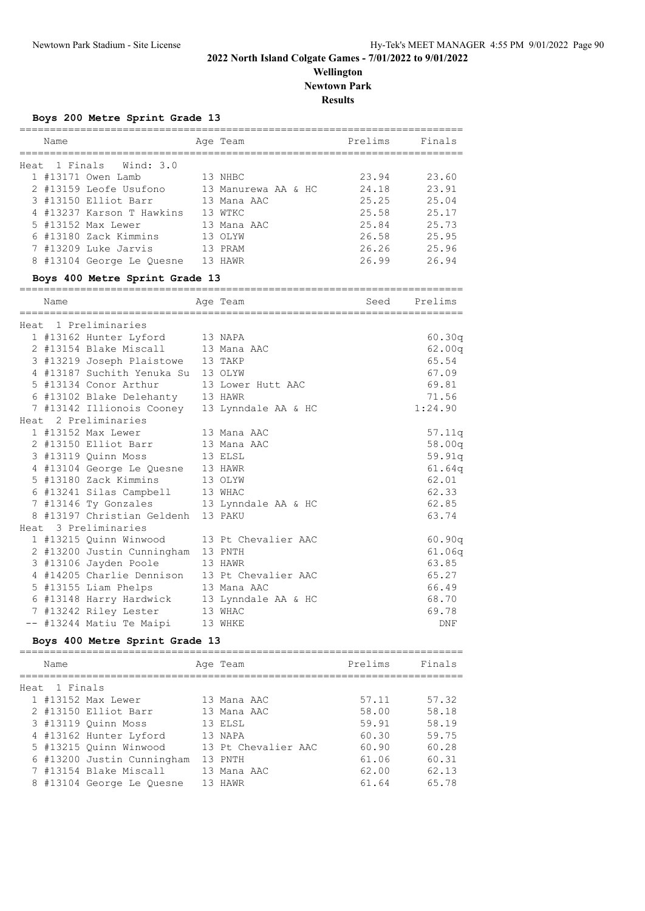**Wellington Newtown Park**

**Results**

|  |  |  | Boys 200 Metre Sprint Grade 13 |  |  |
|--|--|--|--------------------------------|--|--|
|--|--|--|--------------------------------|--|--|

|      | Name |                           |    | Age Team            | Prelims | Finals |
|------|------|---------------------------|----|---------------------|---------|--------|
| Heat |      | 1 Finals Wind: 3.0        |    |                     |         |        |
|      |      | 1 #13171 Owen Lamb        |    | 13 NHBC             | 23.94   | 23.60  |
|      |      | 2 #13159 Leofe Usufono    |    | 13 Manurewa AA & HC | 24.18   | 23.91  |
|      |      | 3 #13150 Elliot Barr      |    | 13 Mana AAC         | 25.25   | 25.04  |
|      |      | 4 #13237 Karson T Hawkins |    | 13 WTKC             | 25.58   | 25.17  |
|      |      | 5 #13152 Max Lewer        |    | 13 Mana AAC         | 25.84   | 25.73  |
|      |      | 6 #13180 Zack Kimmins     |    | 13 OLYW             | 26.58   | 25.95  |
|      |      | 7 #13209 Luke Jarvis      |    | 13 PRAM             | 26.26   | 25.96  |
|      |      | 8 #13104 George Le Ouesne | 13 | HAWR                | 26.99   | 26.94  |

### **Boys 400 Metre Sprint Grade 13**

| Name |                                               | Age Team | Seed Prelims |
|------|-----------------------------------------------|----------|--------------|
|      | Heat 1 Preliminaries                          |          |              |
|      | 1 #13162 Hunter Lyford 13 NAPA                |          | 60.30q       |
|      | 2 #13154 Blake Miscall 13 Mana AAC            |          | 62.00q       |
|      | 3 #13219 Joseph Plaistowe 13 TAKP             |          | 65.54        |
|      | 4 #13187 Suchith Yenuka Su 13 OLYW            |          | 67.09        |
|      | 5 #13134 Conor Arthur 13 Lower Hutt AAC       |          | 69.81        |
|      | 6 #13102 Blake Delehanty 13 HAWR              |          | 71.56        |
|      | 7 #13142 Illionois Cooney 13 Lynndale AA & HC |          | 1:24.90      |
|      | Heat 2 Preliminaries                          |          |              |
|      | 1 #13152 Max Lewer 13 Mana AAC                |          | 57.11q       |
|      | 2 #13150 Elliot Barr 13 Mana AAC              |          | 58.00q       |
|      | 3 #13119 Ouinn Moss 13 ELSL                   |          | 59.91q       |
|      | 4 #13104 George Le Quesne 13 HAWR             |          | 61.64q       |
|      | 5 #13180 Zack Kimmins 13 OLYW                 |          | 62.01        |
|      | 6 #13241 Silas Campbell 13 WHAC               |          | 62.33        |
|      | 7 #13146 Ty Gonzales 13 Lynndale AA & HC      |          | 62.85        |
|      | 8 #13197 Christian Geldenh 13 PAKU            |          | 63.74        |
|      | Heat 3 Preliminaries                          |          |              |
|      | 1 #13215 Ouinn Winwood 13 Pt Chevalier AAC    |          | 60.90q       |
|      | 2 #13200 Justin Cunningham 13 PNTH            |          | 61.06q       |
|      | 3 #13106 Jayden Poole 13 HAWR                 |          | 63.85        |
|      | 4 #14205 Charlie Dennison 13 Pt Chevalier AAC |          | 65.27        |
|      | 5 #13155 Liam Phelps 13 Mana AAC              |          | 66.49        |
|      | 6 #13148 Harry Hardwick 13 Lynndale AA & HC   |          | 68.70        |
|      | 7 #13242 Riley Lester 13 WHAC                 |          | 69.78        |
|      | -- #13244 Matiu Te Maipi 13 WHKE              |          | DNF          |

#### **Boys 400 Metre Sprint Grade 13**

|      | Name     |                            |    | Age Team            | Prelims | Finals |
|------|----------|----------------------------|----|---------------------|---------|--------|
| Heat | 1 Finals |                            |    |                     |         |        |
|      |          | 1 #13152 Max Lewer         |    | 13 Mana AAC         | 57.11   | 57.32  |
|      |          | 2 #13150 Elliot Barr       |    | 13 Mana AAC         | 58.00   | 58.18  |
|      |          | 3 #13119 Ouinn Moss        |    | 13 ELSL             | 59.91   | 58.19  |
|      |          | 4 #13162 Hunter Lyford     |    | 13 NAPA             | 60.30   | 59.75  |
|      |          | 5 #13215 Ouinn Winwood     |    | 13 Pt Chevalier AAC | 60.90   | 60.28  |
|      |          | 6 #13200 Justin Cunningham |    | 13 PNTH             | 61.06   | 60.31  |
|      |          | 7 #13154 Blake Miscall     |    | 13 Mana AAC         | 62.00   | 62.13  |
|      |          | 8 #13104 George Le Quesne  | 13 | HAWR                | 61.64   | 65.78  |
|      |          |                            |    |                     |         |        |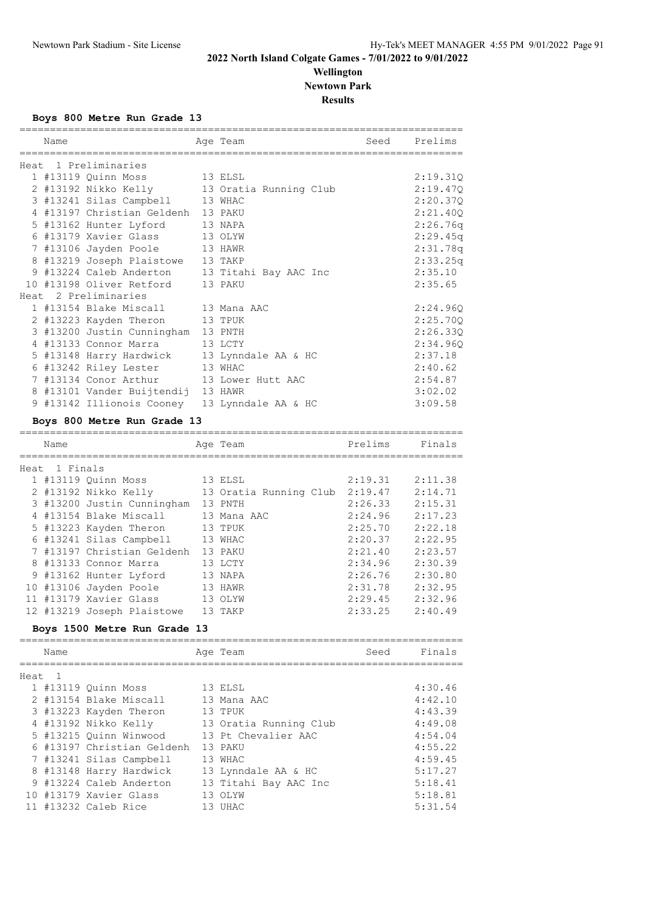### **2022 North Island Colgate Games - 7/01/2022 to 9/01/2022 Wellington**

# **Newtown Park**

**Results**

**Boys 800 Metre Run Grade 13**

| ============<br>Name |                                               | Age Team                                    | Seed    | Prelims  |
|----------------------|-----------------------------------------------|---------------------------------------------|---------|----------|
|                      | Heat 1 Preliminaries                          |                                             |         |          |
|                      | 1 #13119 Quinn Moss 13 ELSL                   |                                             |         | 2:19.31Q |
|                      |                                               | 2 #13192 Nikko Kelly 13 Oratia Running Club |         | 2:19.47Q |
|                      | 3 #13241 Silas Campbell 13 WHAC               |                                             |         | 2:20.37Q |
|                      | 4 #13197 Christian Geldenh 13 PAKU            |                                             |         | 2:21.40Q |
|                      | 5 #13162 Hunter Lyford                        | 13 NAPA                                     |         | 2:26.76q |
|                      | 6 #13179 Xavier Glass                         | 13 OLYW                                     |         | 2:29.45q |
|                      | 7 #13106 Jayden Poole                         | 13 HAWR                                     |         | 2:31.78q |
|                      | 8 #13219 Joseph Plaistowe 13 TAKP             |                                             |         | 2:33.25q |
|                      | 9 #13224 Caleb Anderton                       | 13 Titahi Bay AAC Inc                       |         | 2:35.10  |
|                      | 10 #13198 Oliver Retford                      | 13 PAKU                                     |         | 2:35.65  |
|                      | Heat 2 Preliminaries                          |                                             |         |          |
|                      | 1 #13154 Blake Miscall                        | 13 Mana AAC                                 |         | 2:24.96Q |
|                      | 2 #13223 Kayden Theron                        | 13 TPUK                                     |         | 2:25.70Q |
|                      | 3 #13200 Justin Cunningham 13 PNTH            |                                             |         | 2:26.33Q |
|                      | 4 #13133 Connor Marra                         | 13 LCTY                                     |         | 2:34.96Q |
|                      | 5 #13148 Harry Hardwick                       | 13 Lynndale AA & HC                         |         | 2:37.18  |
|                      | 6 #13242 Riley Lester                         | 13 WHAC                                     |         | 2:40.62  |
|                      | 7 #13134 Conor Arthur                         | 13 Lower Hutt AAC                           |         | 2:54.87  |
|                      | 8 #13101 Vander Buijtendij 13 HAWR            |                                             |         | 3:02.02  |
|                      | 9 #13142 Illionois Cooney 13 Lynndale AA & HC |                                             |         | 3:09.58  |
|                      | Boys 800 Metre Run Grade 13                   |                                             |         |          |
| Name                 |                                               | Age Team                                    | Prelims | Finals   |
| Heat 1 Finals        |                                               |                                             |         |          |
|                      | 1 #13119 Quinn Moss                           | 13 ELSL                                     | 2:19.31 | 2:11.38  |
|                      | 2 #13192 Nikko Kelly                          | 13 Oratia Running Club 2:19.47              |         | 2:14.71  |
|                      | 3 #13200 Justin Cunningham 13 PNTH            |                                             | 2:26.33 | 2:15.31  |
|                      | 4 #13154 Blake Miscall                        | 13 Mana AAC                                 | 2:24.96 | 2:17.23  |
|                      | 5 #13223 Kayden Theron                        | 13 TPUK                                     | 2:25.70 | 2:22.18  |
|                      | 6 #13241 Silas Campbell 13 WHAC               |                                             | 2:20.37 | 2:22.95  |
|                      | 7 #13197 Christian Geldenh 13 PAKU            |                                             | 2:21.40 | 2:23.57  |
|                      | 8 #13133 Connor Marra                         | 13 LCTY                                     | 2:34.96 | 2:30.39  |
|                      | 9 #13162 Hunter Lyford                        | 13 NAPA                                     | 2:26.76 | 2:30.80  |
|                      | 10 #13106 Jayden Poole                        | 13 HAWR                                     | 2:31.78 | 2:32.95  |

#### **Boys 1500 Metre Run Grade 13**

=========================================================================

 11 #13179 Xavier Glass 13 OLYW 2:29.45 2:32.96 12 #13219 Joseph Plaistowe 13 TAKP 2:33.25 2:40.49

| Name   |                            | Age Team               | Seed | Finals  |
|--------|----------------------------|------------------------|------|---------|
| Heat 1 |                            |                        |      |         |
|        | 1 #13119 Quinn Moss        | 13 ELSL                |      | 4:30.46 |
|        | 2 #13154 Blake Miscall     | 13 Mana AAC            |      | 4:42.10 |
|        | 3 #13223 Kayden Theron     | 13 TPUK                |      | 4:43.39 |
|        | 4 #13192 Nikko Kelly       | 13 Oratia Running Club |      | 4:49.08 |
|        | 5 #13215 Quinn Winwood     | 13 Pt Chevalier AAC    |      | 4:54.04 |
|        | 6 #13197 Christian Geldenh | 13 PAKU                |      | 4:55.22 |
|        | 7 #13241 Silas Campbell    | 13 WHAC                |      | 4:59.45 |
|        | 8 #13148 Harry Hardwick    | 13 Lynndale AA & HC    |      | 5:17.27 |
|        | 9 #13224 Caleb Anderton    | 13 Titahi Bay AAC Inc  |      | 5:18.41 |
|        | 10 #13179 Xavier Glass     | 13 OLYW                |      | 5:18.81 |
|        | 11 #13232 Caleb Rice       | 13 UHAC                |      | 5:31.54 |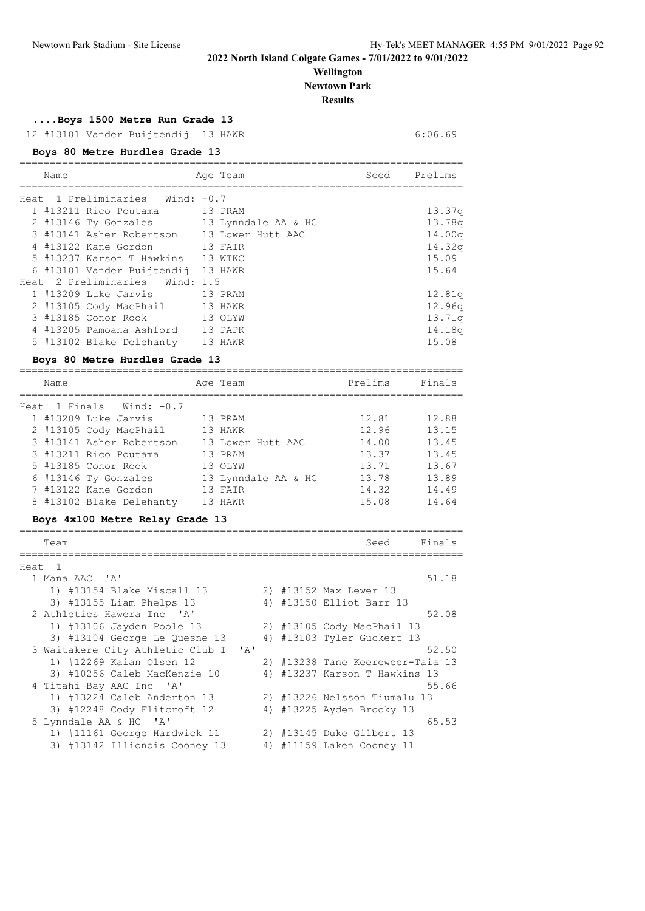# **Wellington Newtown Park**

**Results**

**....Boys 1500 Metre Run Grade 13**

12 #13101 Vander Buijtendij 13 HAWR 6:06.69

#### **Boys 80 Metre Hurdles Grade 13**

| Name                               | Age Team                                   | Seed Prelims |                    |
|------------------------------------|--------------------------------------------|--------------|--------------------|
|                                    |                                            |              |                    |
| Heat 1 Preliminaries Wind: -0.7    |                                            |              |                    |
| 1 #13211 Rico Poutama 13 PRAM      |                                            |              | 13.37q             |
|                                    | 2 #13146 Ty Gonzales 13 Lynndale AA & HC   |              | 13.78q             |
|                                    | 3 #13141 Asher Robertson 13 Lower Hutt AAC |              | 14.00 <sub>a</sub> |
| 4 #13122 Kane Gordon 13 FAIR       |                                            |              | 14.32q             |
| 5 #13237 Karson T Hawkins 13 WTKC  |                                            |              | 15.09              |
| 6 #13101 Vander Buijtendij 13 HAWR |                                            |              | 15.64              |
| Heat 2 Preliminaries Wind: 1.5     |                                            |              |                    |
| 1 #13209 Luke Jarvis 13 PRAM       |                                            |              | 12.81q             |
| 2 #13105 Cody MacPhail 13 HAWR     |                                            |              | 12.96q             |
| 3 #13185 Conor Rook 13 OLYW        |                                            |              | 13.71q             |
| 4 #13205 Pamoana Ashford 13 PAPK   |                                            |              | 14.18 <sub>q</sub> |
| 5 #13102 Blake Delehanty 13 HAWR   |                                            |              | 15.08              |
| Boys 80 Metre Hurdles Grade 13     |                                            |              |                    |

| Name |                            | Age Team            | Prelims | Finals |
|------|----------------------------|---------------------|---------|--------|
|      | Heat 1 Finals Wind: $-0.7$ |                     |         |        |
|      | 1 #13209 Luke Jarvis       | 13 PRAM             | 12.81   | 12.88  |
|      | 2 #13105 Cody MacPhail     | 13 HAWR             | 12.96   | 13.15  |
|      | 3 #13141 Asher Robertson   | 13 Lower Hutt AAC   | 14.00   | 13.45  |
|      | 3 #13211 Rico Poutama      | 13 PRAM             | 13.37   | 13.45  |
|      | 5 #13185 Conor Rook        | 13 OLYW             | 13.71   | 13.67  |
|      | 6 #13146 Ty Gonzales       | 13 Lynndale AA & HC | 13.78   | 13.89  |
|      | 7 #13122 Kane Gordon       | 13 FAIR             | 14.32   | 14.49  |
|      | 8 #13102 Blake Delehanty   | 13 HAWR             | 15.08   | 14.64  |

#### **Boys 4x100 Metre Relay Grade 13**

| Team                                             |  | Finals<br>Seed                   |
|--------------------------------------------------|--|----------------------------------|
| Heat<br>$\overline{1}$                           |  |                                  |
| 1 Mana AAC 'A'                                   |  | 51.18                            |
| 1) #13154 Blake Miscall 13                       |  | 2) #13152 Max Lewer 13           |
| 3) #13155 Liam Phelps 13                         |  | 4) #13150 Elliot Barr 13         |
| 2 Athletics Hawera Inc 'A'                       |  | 52.08                            |
| 1) #13106 Jayden Poole 13                        |  | 2) #13105 Cody MacPhail 13       |
| 3) #13104 George Le Quesne 13                    |  | 4) #13103 Tyler Guckert 13       |
| 3 Waitakere City Athletic Club I<br>$\mathsf{A}$ |  | 52.50                            |
| 1) #12269 Kaian Olsen 12                         |  | 2) #13238 Tane Keereweer-Taia 13 |
| 3) #10256 Caleb MacKenzie 10                     |  | 4) #13237 Karson T Hawkins 13    |
| 4 Titahi Bay AAC Inc 'A'                         |  | 55.66                            |
| 1) #13224 Caleb Anderton 13                      |  | 2) #13226 Nelsson Tiumalu 13     |
| 3) #12248 Cody Flitcroft 12                      |  | 4) #13225 Ayden Brooky 13        |
| 5 Lynndale AA & HC<br>$^{\prime}$ A $^{\prime}$  |  | 65.53                            |
| 1) #11161 George Hardwick 11                     |  | 2) #13145 Duke Gilbert 13        |
| 3) #13142 Illionois Cooney 13                    |  | 4) #11159 Laken Cooney 11        |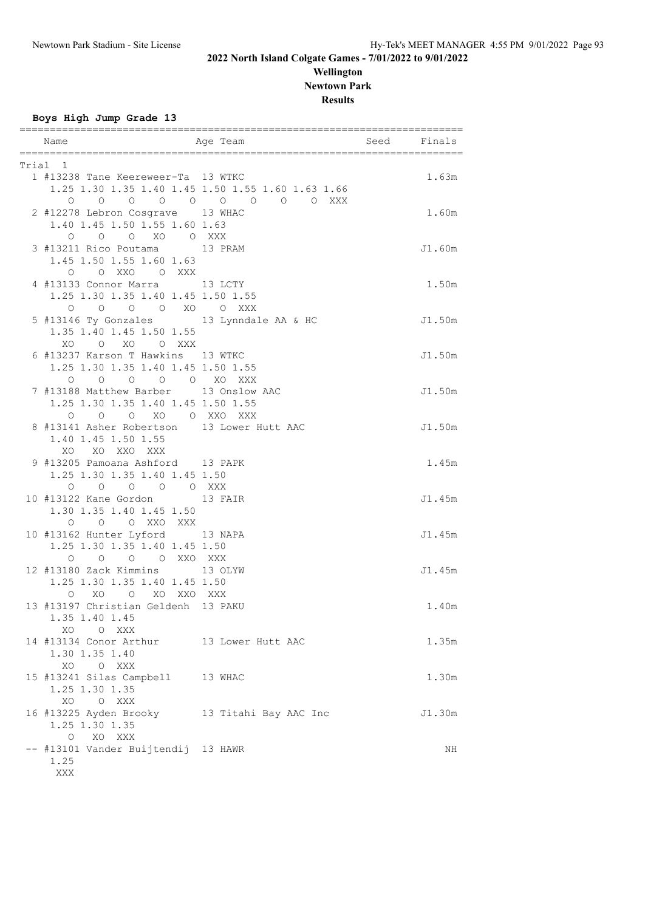### **Wellington Newtown Park Results**

**Boys High Jump Grade 13**

| Name                                                            | Age Team                                          | Seed Finals |        |
|-----------------------------------------------------------------|---------------------------------------------------|-------------|--------|
|                                                                 |                                                   |             |        |
| Trial 1                                                         |                                                   |             |        |
| 1 #13238 Tane Keereweer-Ta 13 WTKC                              |                                                   |             | 1.63m  |
|                                                                 | 1.25 1.30 1.35 1.40 1.45 1.50 1.55 1.60 1.63 1.66 |             |        |
| $\circ$ $\circ$                                                 | 0 0 0 0 0 0 0 XXX                                 |             |        |
| 2 #12278 Lebron Cosgrave 13 WHAC                                |                                                   |             | 1.60m  |
| 1.40 1.45 1.50 1.55 1.60 1.63                                   |                                                   |             |        |
| $\begin{matrix}0&0&0&\text{X0}&0&\text{XXX}\end{matrix}$        |                                                   |             |        |
| 3 #13211 Rico Poutama 13 PRAM                                   |                                                   |             | J1.60m |
| 1.45 1.50 1.55 1.60 1.63<br>O OXXO OXXX                         |                                                   |             |        |
| 4 #13133 Connor Marra 13 LCTY                                   |                                                   |             | 1.50m  |
| 1.25 1.30 1.35 1.40 1.45 1.50 1.55                              |                                                   |             |        |
| O O XO O XXX<br>$\overline{O}$<br>$\circ$                       |                                                   |             |        |
| 5 #13146 Ty Gonzales 13 Lynndale AA & HC                        |                                                   |             | J1.50m |
| 1.35 1.40 1.45 1.50 1.55                                        |                                                   |             |        |
| XO O XO O XXX                                                   |                                                   |             |        |
| 6 #13237 Karson T Hawkins 13 WTKC                               |                                                   |             | J1.50m |
| 1.25 1.30 1.35 1.40 1.45 1.50 1.55                              |                                                   |             |        |
| O O O O XO XXX<br>$\circ$                                       |                                                   |             |        |
| 7 #13188 Matthew Barber 13 Onslow AAC                           |                                                   |             | J1.50m |
| 1.25 1.30 1.35 1.40 1.45 1.50 1.55                              |                                                   |             |        |
| O O XO O XXO XXX<br>0                                           |                                                   |             |        |
| 8 #13141 Asher Robertson 13 Lower Hutt AAC                      |                                                   |             | J1.50m |
| 1.40 1.45 1.50 1.55                                             |                                                   |             |        |
| XO XO XXO XXX                                                   |                                                   |             |        |
| 9 #13205 Pamoana Ashford 13 PAPK                                |                                                   |             | 1.45m  |
| 1.25 1.30 1.35 1.40 1.45 1.50                                   |                                                   |             |        |
| 0 0 0 0 0 XXX                                                   |                                                   |             |        |
| 10 #13122 Kane Gordon 13 FAIR                                   |                                                   |             | J1.45m |
| 1.30 1.35 1.40 1.45 1.50                                        |                                                   |             |        |
| O O XXO XXX<br>$\circ$                                          |                                                   |             |        |
| 10 #13162 Hunter Lyford 13 NAPA                                 |                                                   |             | J1.45m |
| 1.25 1.30 1.35 1.40 1.45 1.50                                   |                                                   |             |        |
| O O O XXO XXX<br>$\circ$                                        |                                                   |             | J1.45m |
| 12 #13180 Zack Kimmins 13 OLYW<br>1.25 1.30 1.35 1.40 1.45 1.50 |                                                   |             |        |
| XO<br>O XO XXO XXX<br>$\circ$                                   |                                                   |             |        |
| 13 #13197 Christian Geldenh 13 PAKU                             |                                                   |             | 1.40m  |
| 1.35 1.40 1.45                                                  |                                                   |             |        |
| XO<br>O XXX                                                     |                                                   |             |        |
| 14 #13134 Conor Arthur 13 Lower Hutt AAC                        |                                                   |             | 1.35m  |
| 1.30 1.35 1.40                                                  |                                                   |             |        |
| O XXX<br>XO                                                     |                                                   |             |        |
| 15 #13241 Silas Campbell 13 WHAC                                |                                                   |             | 1.30m  |
| 1.25 1.30 1.35                                                  |                                                   |             |        |
| XO O XXX                                                        |                                                   |             |        |
| 16 #13225 Ayden Brooky 13 Titahi Bay AAC Inc                    |                                                   |             | J1.30m |
| 1.25 1.30 1.35                                                  |                                                   |             |        |
| $\circ$<br>XO XXX                                               |                                                   |             |        |
| -- #13101 Vander Buijtendij 13 HAWR                             |                                                   |             | ΝH     |
| 1.25                                                            |                                                   |             |        |
| XXX                                                             |                                                   |             |        |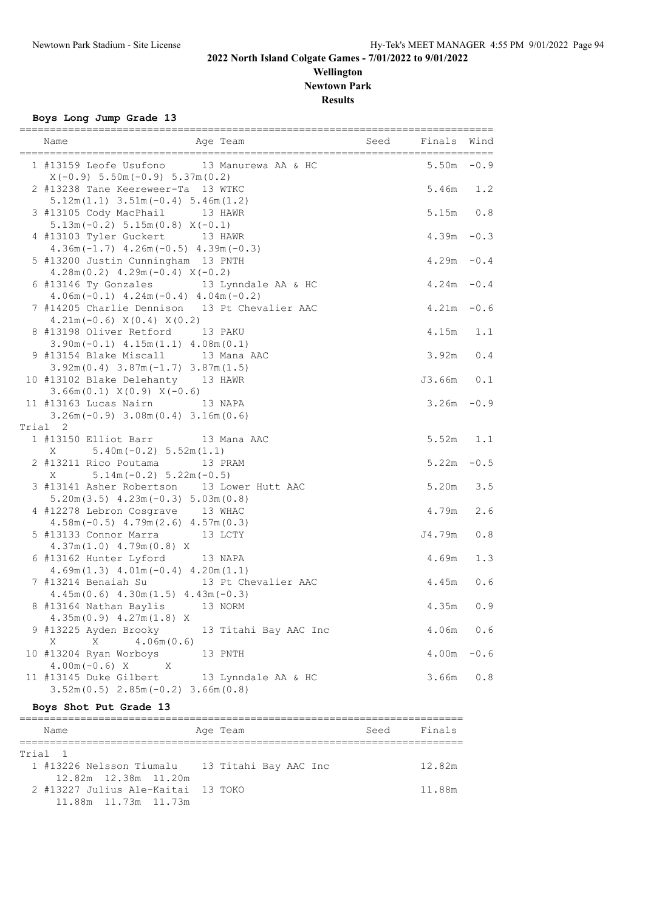# **Wellington Newtown Park**

**Results**

**Boys Long Jump Grade 13**

| Name<br>Age Team                                                                                            | Seed Finals   | Wind   |
|-------------------------------------------------------------------------------------------------------------|---------------|--------|
| 1 #13159 Leofe Usufono 13 Manurewa AA & HC<br>$X(-0.9) 5.50m(-0.9) 5.37m(0.2)$                              | $5.50m - 0.9$ |        |
| 2 #13238 Tane Keereweer-Ta 13 WTKC<br>$5.12m(1.1)$ $3.51m(-0.4)$ $5.46m(1.2)$                               | $5.46m$ 1.2   |        |
| 3 #13105 Cody MacPhail<br>13 HAWR<br>$5.13m(-0.2) 5.15m(0.8) X(-0.1)$                                       | $5.15m$ 0.8   |        |
| 4 #13103 Tyler Guckert 13 HAWR<br>$4.36m(-1.7)$ $4.26m(-0.5)$ $4.39m(-0.3)$                                 | $4.39m - 0.3$ |        |
| 5 #13200 Justin Cunningham 13 PNTH<br>$4.28m(0.2)$ $4.29m(-0.4)$ $X(-0.2)$                                  | $4.29m - 0.4$ |        |
| 6 #13146 Ty Gonzales 13 Lynndale AA & HC<br>$4.06m(-0.1)$ $4.24m(-0.4)$ $4.04m(-0.2)$                       | $4.24m - 0.4$ |        |
| 7 #14205 Charlie Dennison 13 Pt Chevalier AAC                                                               | $4.21m - 0.6$ |        |
| $4.21m(-0.6) X(0.4) X(0.2)$<br>8 #13198 Oliver Retford 13 PAKU                                              | 4.15m 1.1     |        |
| $3.90m(-0.1)$ 4.15m(1.1) 4.08m(0.1)<br>13 Mana AAC<br>9 #13154 Blake Miscall                                | 3.92m         | 0.4    |
| $3.92m(0.4)$ $3.87m(-1.7)$ $3.87m(1.5)$<br>10 #13102 Blake Delehanty 13 HAWR                                | J3.66m 0.1    |        |
| $3.66m(0.1)$ $X(0.9)$ $X(-0.6)$<br>11 #13163 Lucas Nairn 13 NAPA<br>$3.26m(-0.9)$ $3.08m(0.4)$ $3.16m(0.6)$ | $3.26m - 0.9$ |        |
| Trial 2                                                                                                     |               |        |
| 1 #13150 Elliot Barr 13 Mana AAC                                                                            | 5.52m         | 1.1    |
| $5.40m(-0.2)$ $5.52m(1.1)$<br>X                                                                             |               |        |
| 2 #13211 Rico Poutama 13 PRAM                                                                               | $5.22m - 0.5$ |        |
| $5.14m(-0.2) 5.22m(-0.5)$<br>X.                                                                             |               |        |
| 3 #13141 Asher Robertson 13 Lower Hutt AAC                                                                  | 5.20m         | 3.5    |
| $5.20m(3.5)$ 4.23m $(-0.3)$ 5.03m $(0.8)$                                                                   |               |        |
| 4 #12278 Lebron Cosgrave 13 WHAC                                                                            | 4.79m         | 2.6    |
| $4.58m(-0.5)$ $4.79m(2.6)$ $4.57m(0.3)$                                                                     |               |        |
| 5 #13133 Connor Marra 13 LCTY                                                                               | J4.79m        | 0.8    |
| $4.37m(1.0)$ $4.79m(0.8)$ X                                                                                 |               |        |
| 6 #13162 Hunter Lyford 13 NAPA                                                                              | 4.69m         | 1.3    |
| $4.69m(1.3)$ $4.01m(-0.4)$ $4.20m(1.1)$                                                                     |               |        |
| 7 #13214 Benaiah Su 13 Pt Chevalier AAC                                                                     | 4.45m         | 0.6    |
| $4.45m(0.6)$ $4.30m(1.5)$ $4.43m(-0.3)$                                                                     |               |        |
| 8 #13164 Nathan Baylis 13 NORM                                                                              | 4.35m         | 0.9    |
| $4.35m(0.9)$ $4.27m(1.8)$ X<br>9 #13225 Ayden Brooky<br>13 Titahi Bay AAC Inc                               | 4.06m         | 0.6    |
| Χ<br>4.06m(0.6)<br>Χ                                                                                        |               |        |
| 10 #13204 Ryan Worboys<br>13 PNTH                                                                           | 4.00m         | $-0.6$ |
| $4.00m(-0.6) X$<br>X                                                                                        |               |        |
| 11 #13145 Duke Gilbert<br>13 Lynndale AA & HC                                                               | 3.66m         | 0.8    |
| $3.52m(0.5)$ $2.85m(-0.2)$ $3.66m(0.8)$                                                                     |               |        |

#### **Boys Shot Put Grade 13**

========================================================================= Name Register Age Team Name Seed Finals ========================================================================= Trial 1<br>1 #13226 Nelsson Tiumalu 13 Titahi Bay AAC Inc 12.82m 12.82m 12.38m 11.20m 2 #13227 Julius Ale-Kaitai 13 TOKO 11.88m 11.88m 11.73m 11.73m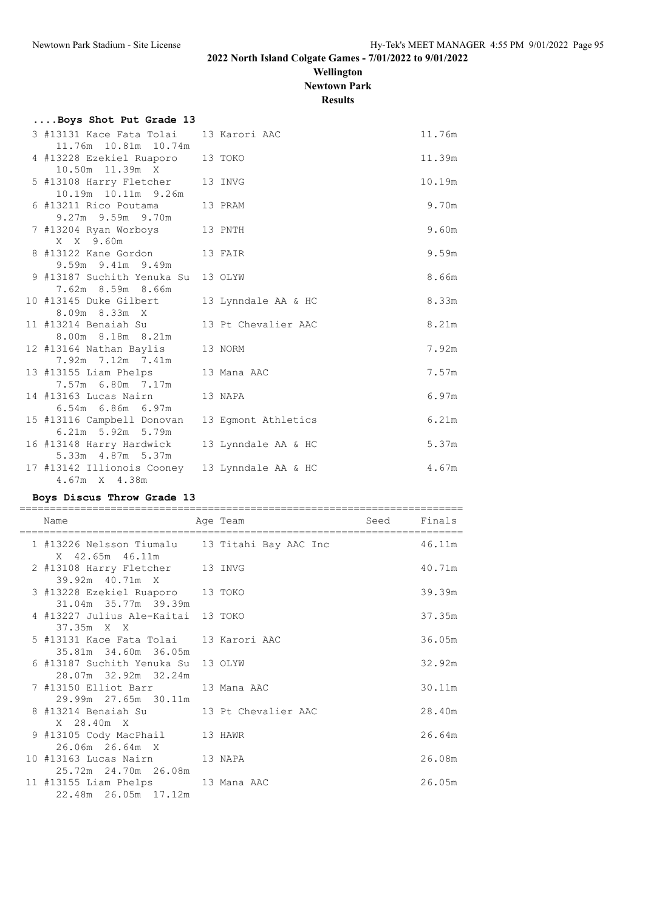### **Wellington Newtown Park Results**

| Boys Shot Put Grade 13                                          |                     |        |
|-----------------------------------------------------------------|---------------------|--------|
| 3 #13131 Kace Fata Tolai<br>11.76m  10.81m  10.74m              | 13 Karori AAC       | 11.76m |
| 4 #13228 Ezekiel Ruaporo<br>10.50m 11.39m X                     | 13 TOKO             | 11.39m |
| 5 #13108 Harry Fletcher 13 INVG<br>10.19m  10.11m  9.26m        |                     | 10.19m |
| 6 #13211 Rico Poutama<br>9.27m 9.59m 9.70m                      | 13 PRAM             | 9.70m  |
| 7 #13204 Ryan Worboys<br>X X 9.60m                              | 13 PNTH             | 9.60m  |
| 8 #13122 Kane Gordon 13 FAIR<br>9.59m 9.41m 9.49m               |                     | 9.59m  |
| 9 #13187 Suchith Yenuka Su 13 OLYW<br>7.62m 8.59m 8.66m         |                     | 8.66m  |
| 10 #13145 Duke Gilbert<br>8.09m 8.33m X                         | 13 Lynndale AA & HC | 8.33m  |
| 11 #13214 Benaiah Su<br>8.00m 8.18m 8.21m                       | 13 Pt Chevalier AAC | 8.21m  |
| 12 #13164 Nathan Baylis<br>7.92m 7.12m 7.41m                    | 13 NORM             | 7.92m  |
| 13 #13155 Liam Phelps<br>7.57m 6.80m 7.17m                      | 13 Mana AAC         | 7.57m  |
| 14 #13163 Lucas Nairn<br>6.54m 6.86m 6.97m                      | 13 NAPA             | 6.97m  |
| 15 #13116 Campbell Donovan<br>6.21m 5.92m 5.79m                 | 13 Eqmont Athletics | 6.21m  |
| 16 #13148 Harry Hardwick<br>5.33m 4.87m 5.37m                   | 13 Lynndale AA & HC | 5.37m  |
| 17 #13142 Illionois Cooney 13 Lynndale AA & HC<br>4.67m X 4.38m |                     | 4.67m  |

#### **Boys Discus Throw Grade 13**

| Name                                                              | Age Team | Seed | Finals |
|-------------------------------------------------------------------|----------|------|--------|
| 1 #13226 Nelsson Tiumalu 13 Titahi Bay AAC Inc<br>X 42.65m 46.11m |          |      | 46.11m |
| 2 #13108 Harry Fletcher 13 INVG<br>39.92m 40.71m X                |          |      | 40.71m |
| 3 #13228 Ezekiel Ruaporo 13 TOKO<br>31.04m 35.77m 39.39m          |          |      | 39.39m |
| 4 #13227 Julius Ale-Kaitai 13 TOKO<br>$37.35m \times X$           |          |      | 37.35m |
| 5 #13131 Kace Fata Tolai 13 Karori AAC<br>35.81m 34.60m 36.05m    |          |      | 36.05m |
| 6 #13187 Suchith Yenuka Su 13 OLYW<br>28.07m 32.92m 32.24m        |          |      | 32.92m |
| 7 #13150 Elliot Barr 13 Mana AAC<br>29.99m 27.65m 30.11m          |          |      | 30.11m |
| X 28.40m X                                                        |          |      | 28.40m |
| 9 #13105 Cody MacPhail 13 HAWR<br>26.06m 26.64m X                 |          |      | 26.64m |
| 10 #13163 Lucas Nairn 13 NAPA<br>25.72m 24.70m 26.08m             |          |      | 26.08m |
| 11 #13155 Liam Phelps 13 Mana AAC<br>22.48m 26.05m 17.12m         |          |      | 26.05m |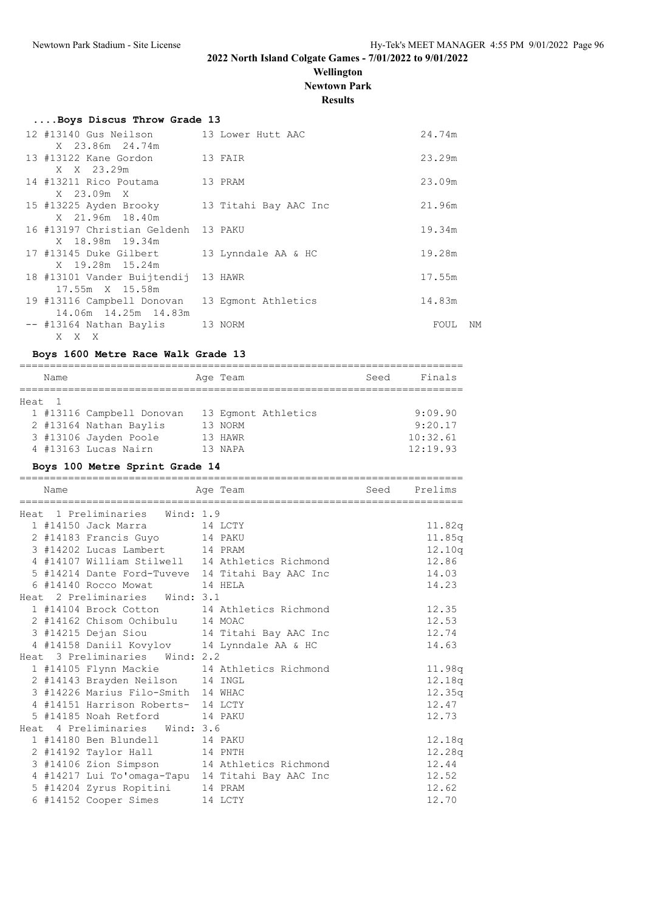### **Wellington Newtown Park**

**Results**

| Boys Discus Throw Grade 13                                        |                       |        |    |
|-------------------------------------------------------------------|-----------------------|--------|----|
| 12 #13140 Gus Neilson 13 Lower Hutt AAC<br>X 23.86m 24.74m        |                       | 24.74m |    |
| 13 #13122 Kane Gordon 13 FAIR                                     |                       | 23.29m |    |
| X X 23.29m<br>14 #13211 Rico Poutama<br>13 PRAM                   |                       | 23.09m |    |
| X 23.09m X<br>15 #13225 Ayden Brooky                              | 13 Titahi Bay AAC Inc | 21.96m |    |
| X 21.96m 18.40m<br>16 #13197 Christian Geldenh 13 PAKU            |                       | 19.34m |    |
| X 18.98m 19.34m<br>17 #13145 Duke Gilbert                         | 13 Lynndale AA & HC   | 19.28m |    |
| X 19.28m 15.24m<br>18 #13101 Vander Buijtendij 13 HAWR            |                       | 17.55m |    |
| 17.55m X 15.58m<br>19 #13116 Campbell Donovan 13 Eqmont Athletics |                       | 14.83m |    |
| 14.06m 14.25m 14.83m                                              |                       |        |    |
| -- #13164 Nathan Baylis 13 NORM<br>X X X                          |                       | FOUL   | NΜ |

#### **Boys 1600 Metre Race Walk Grade 13**

| Name   |                           | Age Team            | Seed | Finals   |
|--------|---------------------------|---------------------|------|----------|
| Heat 1 |                           |                     |      |          |
|        | 1 #13116 Campbell Donovan | 13 Eqmont Athletics |      | 9:09.90  |
|        | 2 #13164 Nathan Baylis    | 13 NORM             |      | 9:20.17  |
|        | 3 #13106 Jayden Poole     | 13 HAWR             |      | 10:32.61 |
|        | 4 #13163 Lucas Nairn      | 13 NAPA             |      | 12:19.93 |
|        |                           |                     |      |          |

#### **Boys 100 Metre Sprint Grade 14**

| Name                                             | Age Team | Seed Prelims |
|--------------------------------------------------|----------|--------------|
| Heat 1 Preliminaries Wind: 1.9                   |          |              |
| 1 #14150 Jack Marra 14 LCTY                      |          | 11.82q       |
| 2 #14183 Francis Guyo 14 PAKU                    |          | 11.85q       |
| 3 #14202 Lucas Lambert 14 PRAM                   |          | 12.10q       |
| 4 #14107 William Stilwell 14 Athletics Richmond  |          | 12.86        |
| 5 #14214 Dante Ford-Tuveve 14 Titahi Bay AAC Inc |          | 14.03        |
| 6 #14140 Rocco Mowat 14 HELA                     |          | 14.23        |
| Heat 2 Preliminaries Wind: 3.1                   |          |              |
| 1 #14104 Brock Cotton 14 Athletics Richmond      |          | 12.35        |
| 2 #14162 Chisom Ochibulu 14 MOAC                 |          | 12.53        |
| 3 #14215 Dejan Siou 14 Titahi Bay AAC Inc        |          | 12.74        |
| 4 #14158 Daniil Kovylov 14 Lynndale AA & HC      |          | 14.63        |
| Heat 3 Preliminaries Wind: 2.2                   |          |              |
| 1 #14105 Flynn Mackie 14 Athletics Richmond      |          | 11.98q       |
| 2 #14143 Brayden Neilson 14 INGL                 |          | 12.18q       |
| 3 #14226 Marius Filo-Smith 14 WHAC               |          | 12.35q       |
| 4 #14151 Harrison Roberts- 14 LCTY               |          | 12.47        |
| 5 #14185 Noah Retford 14 PAKU                    |          | 12.73        |
| Heat 4 Preliminaries Wind: 3.6                   |          |              |
| 1 #14180 Ben Blundell 14 PAKU                    |          | 12.18q       |
| 2 #14192 Taylor Hall 14 PNTH                     |          | 12.28q       |
| 3 #14106 Zion Simpson 14 Athletics Richmond      |          | 12.44        |
| 4 #14217 Lui To'omaga-Tapu 14 Titahi Bay AAC Inc |          | 12.52        |
| 5 #14204 Zyrus Ropitini 14 PRAM                  |          | 12.62        |
| 6 #14152 Cooper Simes 14 LCTY                    |          | 12.70        |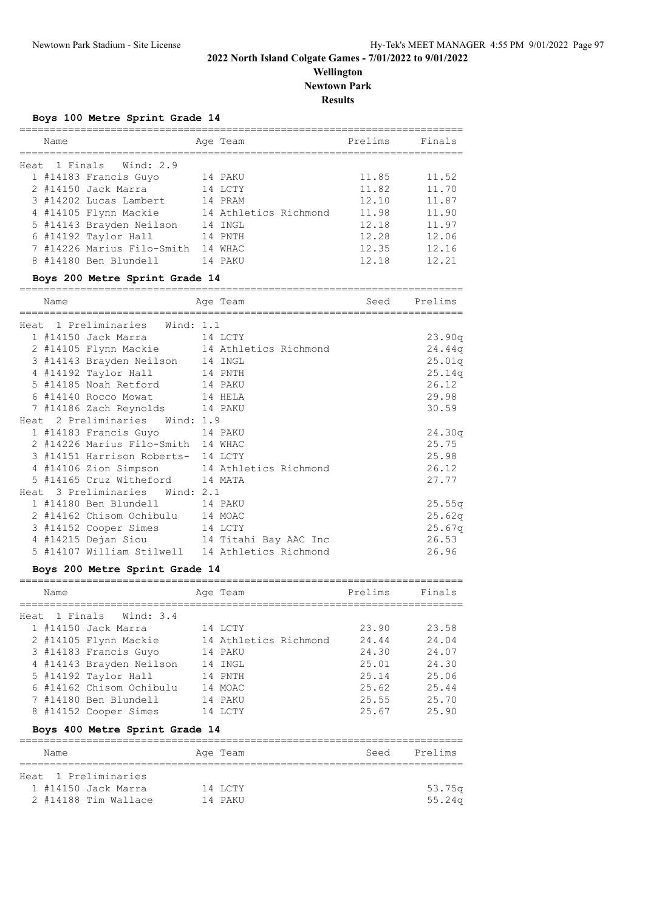**Wellington Newtown Park**

**Results**

=========================================================================

#### **Boys 100 Metre Sprint Grade 14**

| Name |                            | Age Team              | Prelims | Finals |
|------|----------------------------|-----------------------|---------|--------|
|      | Heat 1 Finals Wind: 2.9    |                       |         |        |
|      | 1 #14183 Francis Guyo      | 14 PAKU               | 11.85   | 11.52  |
|      | 2 #14150 Jack Marra        | 14 LCTY               | 11.82   | 11.70  |
|      | 3 #14202 Lucas Lambert     | 14 PRAM               | 12.10   | 11.87  |
|      | 4 #14105 Flynn Mackie      | 14 Athletics Richmond | 11.98   | 11.90  |
|      | 5 #14143 Brayden Neilson   | 14 INGL               | 12.18   | 11.97  |
|      | 6 #14192 Taylor Hall       | 14 PNTH               | 12.28   | 12.06  |
|      | 7 #14226 Marius Filo-Smith | 14 WHAC               | 12.35   | 12.16  |
|      | 8 #14180 Ben Blundell      | 14 PAKU               | 12 18   | 12.21  |

#### **Boys 200 Metre Sprint Grade 14**

| Name |                                    | Age Team                                        | seed Prelims |        |
|------|------------------------------------|-------------------------------------------------|--------------|--------|
|      | Heat 1 Preliminaries Wind: 1.1     |                                                 |              |        |
|      | 1 #14150 Jack Marra 14 LCTY        |                                                 |              | 23.90q |
|      |                                    | 2 #14105 Flynn Mackie 14 Athletics Richmond     |              | 24.44q |
|      | 3 #14143 Brayden Neilson 14 INGL   |                                                 |              | 25.01q |
|      | 4 #14192 Taylor Hall 14 PNTH       |                                                 |              | 25.14q |
|      | 5 #14185 Noah Retford 14 PAKU      |                                                 |              | 26.12  |
|      | 6 #14140 Rocco Mowat 14 HELA       |                                                 |              | 29.98  |
|      | 7 #14186 Zach Reynolds 14 PAKU     |                                                 |              | 30.59  |
|      | Heat 2 Preliminaries Wind: 1.9     |                                                 |              |        |
|      | 1 #14183 Francis Guyo 14 PAKU      |                                                 |              | 24.30q |
|      | 2 #14226 Marius Filo-Smith 14 WHAC |                                                 |              | 25.75  |
|      | 3 #14151 Harrison Roberts- 14 LCTY |                                                 |              | 25.98  |
|      |                                    | 4 #14106 Zion Simpson 14 Athletics Richmond     |              | 26.12  |
|      | 5 #14165 Cruz Witheford 14 MATA    |                                                 |              | 27.77  |
|      | Heat 3 Preliminaries Wind: 2.1     |                                                 |              |        |
|      | 1 #14180 Ben Blundell 14 PAKU      |                                                 |              | 25.55q |
|      | 2 #14162 Chisom Ochibulu 14 MOAC   |                                                 |              | 25.62q |
|      | 3 #14152 Cooper Simes 14 LCTY      |                                                 |              | 25.67q |
|      |                                    | 4 #14215 Dejan Siou 14 Titahi Bay AAC Inc       |              | 26.53  |
|      |                                    | 5 #14107 William Stilwell 14 Athletics Richmond |              | 26.96  |

### **Boys 200 Metre Sprint Grade 14**

| Name |                          | Age Team              | Prelims | Finals |
|------|--------------------------|-----------------------|---------|--------|
|      | Heat 1 Finals Wind: 3.4  |                       |         |        |
|      | 1 #14150 Jack Marra      | 14 LCTY               | 23.90   | 23.58  |
|      | 2 #14105 Flynn Mackie    | 14 Athletics Richmond | 24.44   | 24.04  |
|      | 3 #14183 Francis Guyo    | 14 PAKU               | 24.30   | 24.07  |
|      | 4 #14143 Brayden Neilson | 14 INGL               | 25.01   | 24.30  |
|      | 5 #14192 Taylor Hall     | 14 PNTH               | 25.14   | 25.06  |
|      | 6 #14162 Chisom Ochibulu | 14 MOAC               | 25.62   | 25.44  |
|      | 7 #14180 Ben Blundell    | 14 PAKU               | 25.55   | 25.70  |
|      | 8 #14152 Cooper Simes    | 14 I.C.TY             | 25.67   | 25.90  |
|      |                          |                       |         |        |

### **Boys 400 Metre Sprint Grade 14**

| Name                 | Age Team | Prelims<br>Seed |
|----------------------|----------|-----------------|
|                      |          |                 |
| Heat 1 Preliminaries |          |                 |
| 1 #14150 Jack Marra  | 14 LCTY  | 53.75a          |
| 2 #14188 Tim Wallace | 14 PAKU  | $55.24\alpha$   |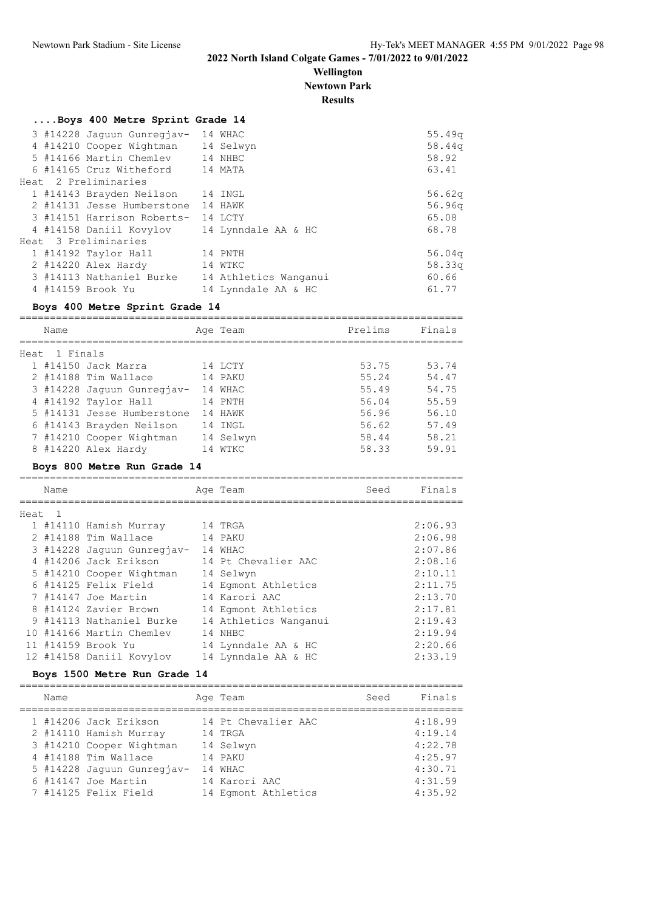**Wellington Newtown Park**

**Results**

| 3 #14228 Jaquun Gunregjav- 14 WHAC                | 55.49q                         |
|---------------------------------------------------|--------------------------------|
| 4 #14210 Cooper Wightman 14 Selwyn                | 58.44q                         |
| 5 #14166 Martin Chemlev 14 NHBC                   | 58.92                          |
| 6 #14165 Cruz Witheford 14 MATA                   | 63.41                          |
|                                                   |                                |
| 1 #14143 Brayden Neilson 14 INGL                  | 56.62q                         |
| 2 #14131 Jesse Humberstone<br>14 HAWK             | 56.96q                         |
| 3 #14151 Harrison Roberts- 14 LCTY                | 65.08                          |
| 4 #14158 Daniil Kovylov<br>14 Lynndale AA & HC    | 68.78                          |
|                                                   |                                |
| 14 PNTH                                           | 56.04q                         |
| 2 #14220 Alex Hardy<br>14 WTKC                    | 58.33q                         |
| 3 #14113 Nathaniel Burke<br>14 Athletics Wanganui | 60.66                          |
| 14 Lynndale AA & HC                               | 61.77                          |
|                                                   | Boys 400 Metre Sprint Grade 14 |

### **Boys 400 Metre Sprint Grade 14**

| Name          |                            |    | Age Team  | Prelims | Finals |
|---------------|----------------------------|----|-----------|---------|--------|
|               |                            |    |           |         |        |
| Heat 1 Finals |                            |    |           |         |        |
|               | 1 #14150 Jack Marra        |    | 14 LCTY   | 53.75   | 53.74  |
|               | 2 #14188 Tim Wallace       |    | 14 PAKU   | 55.24   | 54.47  |
|               | 3 #14228 Jaquun Gunregjav- |    | 14 WHAC   | 55.49   | 54.75  |
|               | 4 #14192 Taylor Hall       |    | 14 PNTH   | 56.04   | 55.59  |
|               | 5 #14131 Jesse Humberstone |    | 14 HAWK   | 56.96   | 56.10  |
|               | 6 #14143 Brayden Neilson   |    | 14 INGL   | 56.62   | 57.49  |
|               | 7 #14210 Cooper Wightman   |    | 14 Selwyn | 58.44   | 58.21  |
|               | 8 #14220 Alex Hardy        | 14 | WTKC.     | 58.33   | 59.91  |

#### **Boys 800 Metre Run Grade 14**

|        | Name |                            | Age Team              | Seed | Finals  |
|--------|------|----------------------------|-----------------------|------|---------|
|        |      |                            |                       |      |         |
| Heat 1 |      |                            |                       |      |         |
|        |      | 1 #14110 Hamish Murray     | 14 TRGA               |      | 2:06.93 |
|        |      | 2 #14188 Tim Wallace       | 14 PAKU               |      | 2:06.98 |
|        |      | 3 #14228 Jaquun Gunregjav- | 14 WHAC               |      | 2:07.86 |
|        |      | 4 #14206 Jack Erikson      | 14 Pt Chevalier AAC   |      | 2:08.16 |
|        |      | 5 #14210 Cooper Wightman   | 14 Selwyn             |      | 2:10.11 |
|        |      | 6 #14125 Felix Field       | 14 Eqmont Athletics   |      | 2:11.75 |
|        |      | 7 #14147 Joe Martin        | 14 Karori AAC         |      | 2:13.70 |
|        |      | 8 #14124 Zavier Brown      | 14 Eqmont Athletics   |      | 2:17.81 |
|        |      | 9 #14113 Nathaniel Burke   | 14 Athletics Wanganui |      | 2:19.43 |
|        |      | 10 #14166 Martin Chemlev   | 14 NHBC               |      | 2:19.94 |
|        |      | 11 #14159 Brook Yu         | 14 Lynndale AA & HC   |      | 2:20.66 |
|        |      | 12 #14158 Daniil Kovylov   | 14 Lynndale AA & HC   |      | 2:33.19 |

### **Boys 1500 Metre Run Grade 14**

| Name |                            | Age Team            | Seed | Finals  |
|------|----------------------------|---------------------|------|---------|
|      | 1 #14206 Jack Erikson      | 14 Pt Chevalier AAC |      | 4:18.99 |
|      | 2 #14110 Hamish Murray     | 14 TRGA             |      | 4:19.14 |
|      | 3 #14210 Cooper Wightman   | 14 Selwyn           |      | 4:22.78 |
|      | 4 #14188 Tim Wallace       | 14 PAKU             |      | 4:25.97 |
|      | 5 #14228 Jaquun Gunregjav- | 14 WHAC             |      | 4:30.71 |
|      | 6 #14147 Joe Martin        | 14 Karori AAC       |      | 4:31.59 |
|      | 7 #14125 Felix Field       | 14 Eqmont Athletics |      | 4:35.92 |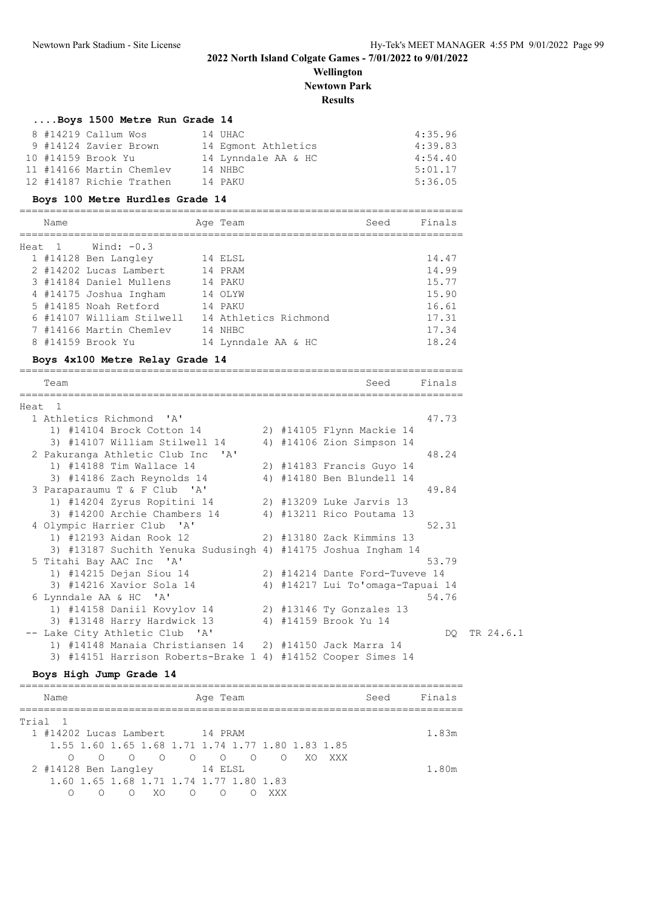### **Wellington Newtown Park**

# **Results**

| Boys 1500 Metre Run Grade 14    |                     |      |         |
|---------------------------------|---------------------|------|---------|
| 8 #14219 Callum Wos             | 14 UHAC             |      | 4:35.96 |
| 9 #14124 Zavier Brown           | 14 Eqmont Athletics |      | 4:39.83 |
| 10 #14159 Brook Yu              | 14 Lynndale AA & HC |      | 4:54.40 |
| 11 #14166 Martin Chemlev        | 14 NHBC             |      | 5:01.17 |
| 12 #14187 Richie Trathen        | 14 PAKU             |      | 5:36.05 |
| Boys 100 Metre Hurdles Grade 14 |                     |      |         |
| Name                            | Age Team            | Seed | Finals  |
| Heat 1<br>Wind: $-0.3$          |                     |      |         |
| 1 #14128 Ben Langley            | 14 ELSL             |      | 14.47   |

|  | 2 #14202 Lucas Lambert    | 14 PRAM               | 14.99 |
|--|---------------------------|-----------------------|-------|
|  | 3 #14184 Daniel Mullens   | 14 PAKU               | 15.77 |
|  | 4 #14175 Joshua Ingham    | 14 OLYW               | 15.90 |
|  | 5 #14185 Noah Retford     | 14 PAKU               | 16.61 |
|  | 6 #14107 William Stilwell | 14 Athletics Richmond | 17.31 |
|  | 7 #14166 Martin Chemley   | 14 NHBC               | 17.34 |
|  | 8 #14159 Brook Yu         | 14 Lynndale AA & HC   | 18.24 |
|  |                           |                       |       |

### **Boys 4x100 Metre Relay Grade 14**

|        | Team                                                          |  | Seed                             | Finals |           |
|--------|---------------------------------------------------------------|--|----------------------------------|--------|-----------|
| Heat 1 |                                                               |  |                                  |        |           |
|        | 1 Athletics Richmond 'A'                                      |  |                                  | 47.73  |           |
|        | 1) #14104 Brock Cotton 14                                     |  | 2) #14105 Flynn Mackie 14        |        |           |
|        | 3) #14107 William Stilwell 14                                 |  | 4) #14106 Zion Simpson 14        |        |           |
|        | 2 Pakuranga Athletic Club Inc 'A'                             |  |                                  | 48.24  |           |
|        | 1) #14188 Tim Wallace 14                                      |  | 2) #14183 Francis Guyo 14        |        |           |
|        | 3) #14186 Zach Reynolds 14                                    |  | 4) #14180 Ben Blundell 14        |        |           |
|        | 3 Paraparaumu T & F Club 'A'                                  |  |                                  | 49.84  |           |
|        | 1) #14204 Zyrus Ropitini 14                                   |  | 2) #13209 Luke Jarvis 13         |        |           |
|        | 3) #14200 Archie Chambers 14                                  |  | 4) #13211 Rico Poutama 13        |        |           |
|        | 4 Olympic Harrier Club 'A'                                    |  |                                  | 52.31  |           |
|        | 1) #12193 Aidan Rook 12                                       |  | 2) #13180 Zack Kimmins 13        |        |           |
|        | 3) #13187 Suchith Yenuka Sudusingh 4) #14175 Joshua Ingham 14 |  |                                  |        |           |
|        | 5 Titahi Bay AAC Inc 'A'                                      |  |                                  | 53.79  |           |
|        | 1) #14215 Dejan Siou 14                                       |  | 2) #14214 Dante Ford-Tuveve 14   |        |           |
|        | 3) #14216 Xavior Sola 14                                      |  | 4) #14217 Lui To'omaga-Tapuai 14 |        |           |
|        | 6 Lynndale AA & HC 'A'                                        |  |                                  | 54.76  |           |
|        | 1) #14158 Daniil Kovylov 14                                   |  | 2) #13146 Ty Gonzales 13         |        |           |
|        | 3) #13148 Harry Hardwick 13                                   |  | 4) #14159 Brook Yu 14            |        |           |
|        | -- Lake City Athletic Club 'A'                                |  |                                  | DO -   | TR 24.6.1 |
|        | 1) #14148 Manaia Christiansen 14 2) #14150 Jack Marra 14      |  |                                  |        |           |
|        | 3) #14151 Harrison Roberts-Brake 1 4) #14152 Cooper Simes 14  |  |                                  |        |           |

### **Boys High Jump Grade 14**

| Name                                              |        |            |         | Age Team  |     |       | Seed | Finals |
|---------------------------------------------------|--------|------------|---------|-----------|-----|-------|------|--------|
| Trial 1                                           |        |            |         |           |     |       |      |        |
| 1 #14202 Lucas Lambert 14 PRAM                    |        |            |         |           |     |       |      | 1.83m  |
| 1.55 1.60 1.65 1.68 1.71 1.74 1.77 1.80 1.83 1.85 |        |            |         |           |     |       |      |        |
|                                                   |        |            |         |           |     | XXX X |      |        |
| 2 #14128 Ben Langley                              |        |            | 14 ELSL |           |     |       |      | 1.80m  |
| 1.60 1.65 1.68 1.71 1.74 1.77 1.80 1.83           |        |            |         |           |     |       |      |        |
| ∩<br>$\cap$                                       | $\cap$ | $X \cap Y$ |         | $\circ$ 0 | XXX |       |      |        |
|                                                   |        |            |         |           |     |       |      |        |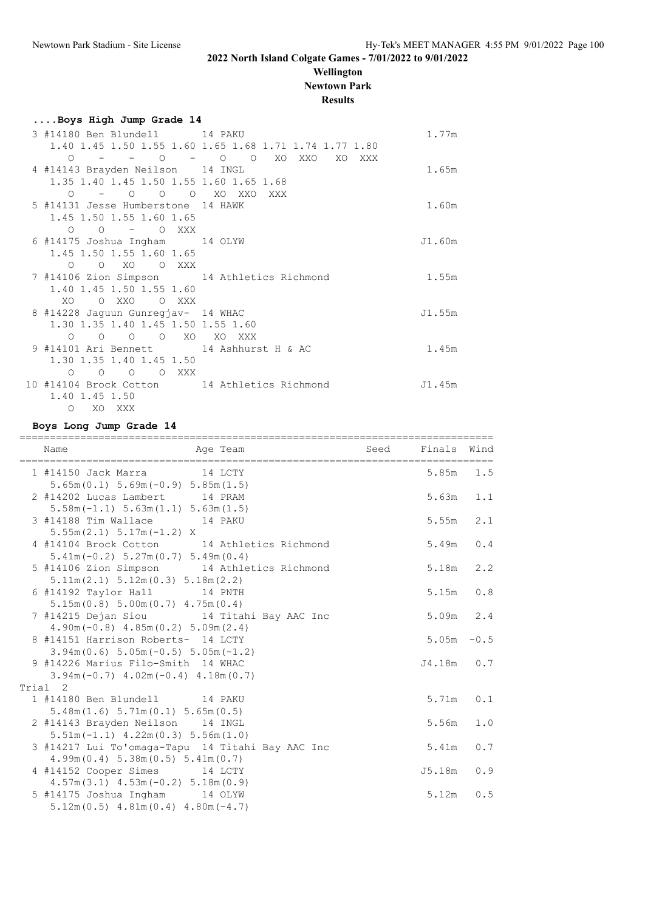## **Wellington Newtown Park**

|                                                         | <b>Results</b>                                         |        |
|---------------------------------------------------------|--------------------------------------------------------|--------|
| Boys High Jump Grade 14                                 |                                                        |        |
| 3 #14180 Ben Blundell 14 PAKU                           |                                                        | 1.77m  |
|                                                         | 1.40 1.45 1.50 1.55 1.60 1.65 1.68 1.71 1.74 1.77 1.80 |        |
|                                                         | 0 - - 0 - 0 0 XO XXO XO XXX                            |        |
| 4 #14143 Brayden Neilson 14 INGL                        |                                                        | 1.65m  |
| 1.35 1.40 1.45 1.50 1.55 1.60 1.65 1.68                 |                                                        |        |
| 0 - 0 0 0 XO XXO XXX                                    |                                                        |        |
| 5 #14131 Jesse Humberstone 14 HAWK                      |                                                        | 1.60m  |
| 1.45 1.50 1.55 1.60 1.65                                |                                                        |        |
| 0 0 – 0 XXX                                             |                                                        |        |
| 6 #14175 Joshua Ingham 14 OLYW                          |                                                        | J1.60m |
| 1.45 1.50 1.55 1.60 1.65                                |                                                        |        |
| O O XO O XXX                                            |                                                        |        |
| 7 #14106 Zion Simpson 14 Athletics Richmond             |                                                        | 1.55m  |
| 1.40 1.45 1.50 1.55 1.60                                |                                                        |        |
| XO OXXO OXXX                                            |                                                        |        |
| 8 #14228 Jaguun Gunregjav- 14 WHAC                      |                                                        | J1.55m |
| 1.30 1.35 1.40 1.45 1.50 1.55 1.60<br>0 0 0 0 XO XO XXX |                                                        |        |
| 9 #14101 Ari Bennett 14 Ashhurst H & AC                 |                                                        | 1.45m  |
| 1.30 1.35 1.40 1.45 1.50                                |                                                        |        |
| 0 0 0 0 XXX                                             |                                                        |        |
| 10 #14104 Brock Cotton 14 Athletics Richmond            |                                                        | J1.45m |
| 1.40 1.45 1.50                                          |                                                        |        |
| XO XXX<br>$\Omega$                                      |                                                        |        |
|                                                         |                                                        |        |

### **Boys Long Jump Grade 14**

| Name                                                                                   |               |     |
|----------------------------------------------------------------------------------------|---------------|-----|
| 1 #14150 Jack Marra 14 LCTY<br>$5.65m(0.1) 5.69m(-0.9) 5.85m(1.5)$                     | $5.85m$ 1.5   |     |
| 2 #14202 Lucas Lambert 14 PRAM<br>$5.58m(-1.1) 5.63m(1.1) 5.63m(1.5)$                  | 5.63m         | 1.1 |
| 3 #14188 Tim Wallace 14 PAKU<br>$5.55m(2.1) 5.17m(-1.2) X$                             | 5.55m         | 2.1 |
| 4 #14104 Brock Cotton 14 Athletics Richmond<br>$5.41m(-0.2)$ $5.27m(0.7)$ $5.49m(0.4)$ | 5.49m         | 0.4 |
| 5 #14106 Zion Simpson 14 Athletics Richmond<br>5.11m(2.1) 5.12m(0.3) 5.18m(2.2)        | 5.18m         | 2.2 |
| 6 #14192 Taylor Hall 14 PNTH<br>5.15m(0.8) 5.00m(0.7) 4.75m(0.4)                       | 5.15m         | 0.8 |
| 7 #14215 Dejan Siou 14 Titahi Bay AAC Inc<br>$4.90m(-0.8)$ $4.85m(0.2)$ $5.09m(2.4)$   | 5.09m 2.4     |     |
| 8 #14151 Harrison Roberts- 14 LCTY<br>$3.94m(0.6) 5.05m(-0.5) 5.05m(-1.2)$             | $5.05m - 0.5$ |     |
| 9 #14226 Marius Filo-Smith 14 WHAC<br>$3.94m(-0.7)$ 4.02m $(-0.4)$ 4.18m $(0.7)$       | $J4.18m$ 0.7  |     |
| Trial 2                                                                                |               |     |
| 1 #14180 Ben Blundell 14 PAKU<br>5.48m(1.6) 5.71m(0.1) 5.65m(0.5)                      | 5.71m         | 0.1 |
| 2 #14143 Brayden Neilson 14 INGL<br>$5.51m(-1.1)$ 4.22m(0.3) 5.56m(1.0)                | 5.56m         | 1.0 |
| 3 #14217 Lui To'omaga-Tapu 14 Titahi Bay AAC Inc<br>4.99m(0.4) 5.38m(0.5) 5.41m(0.7)   | 5.41m         | 0.7 |
| 4 #14152 Cooper Simes 14 LCTY<br>$4.57m(3.1)$ $4.53m(-0.2)$ $5.18m(0.9)$               | J5.18m        | 0.9 |
| 5 #14175 Joshua Ingham 14 OLYW<br>$5.12m(0.5)$ 4.81m $(0.4)$ 4.80m $(-4.7)$            | 5.12m         | 0.5 |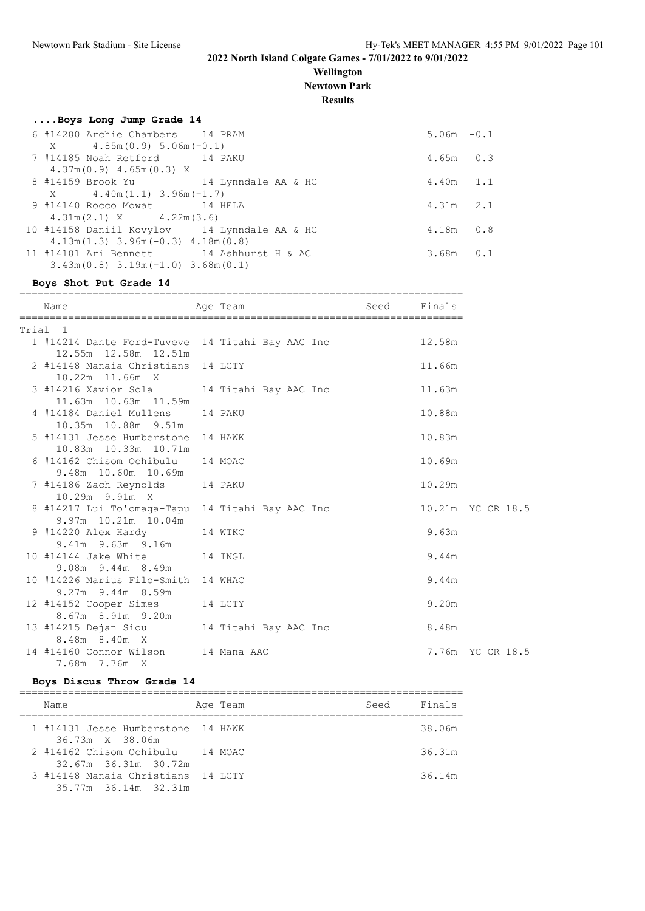### **Wellington Newtown Park**

**Results**

| Boys Long Jump Grade 14                             |               |  |
|-----------------------------------------------------|---------------|--|
| 6 #14200 Archie Chambers 14 PRAM                    | $5.06m - 0.1$ |  |
| $X = 4.85m(0.9) 5.06m(-0.1)$                        |               |  |
| 7 #14185 Noah Retford 14 PAKU                       | $4.65m$ 0.3   |  |
| $4.37m(0.9)$ $4.65m(0.3)$ X                         |               |  |
| 8 #14159 Brook Yu 14 Lynndale AA & HC               | $4.40m$ 1.1   |  |
| $X = 4.40m(1.1) 3.96m(-1.7)$                        |               |  |
| 9 #14140 Rocco Mowat 14 HELA                        | $4.31m$ 2.1   |  |
| $4.31m(2.1)$ X $4.22m(3.6)$                         |               |  |
| 10 #14158 Daniil Kovylov 14 Lynndale AA & HC        | $4.18m$ $0.8$ |  |
| $4.13m(1.3)$ $3.96m(-0.3)$ $4.18m(0.8)$             |               |  |
| 11 #14101 Ari Bennett 14 Ashhurst H & AC            | $3.68m$ $0.1$ |  |
| $3.43$ m $(0.8)$ $3.19$ m $(-1.0)$ $3.68$ m $(0.1)$ |               |  |

### **Boys Shot Put Grade 14**

| Age Team and Seed Finals<br>Name                                                          |  |  |  |        |                  |
|-------------------------------------------------------------------------------------------|--|--|--|--------|------------------|
| Trial 1                                                                                   |  |  |  |        |                  |
| 1 #14214 Dante Ford-Tuveve 14 Titahi Bay AAC Inc 12.58m<br>12.55m 12.58m 12.51m           |  |  |  |        |                  |
| 2 #14148 Manaia Christians 14 LCTY<br>10.22m 11.66m X                                     |  |  |  | 11.66m |                  |
| 11.63m  10.63m  11.59m                                                                    |  |  |  |        |                  |
| 4 #14184 Daniel Mullens 14 PAKU<br>10.35m  10.88m  9.51m                                  |  |  |  | 10.88m |                  |
| 5 #14131 Jesse Humberstone 14 HAWK<br>10.83m  10.33m  10.71m                              |  |  |  | 10.83m |                  |
| 6 #14162 Chisom Ochibulu 14 MOAC<br>9.48m 10.60m 10.69m                                   |  |  |  | 10.69m |                  |
| 7 #14186 Zach Reynolds 14 PAKU<br>10.29m 9.91m X                                          |  |  |  | 10.29m |                  |
| 8 #14217 Lui To'omaga-Tapu 14 Titahi Bay AAC Inc 10.21m YC CR 18.5<br>9.97m 10.21m 10.04m |  |  |  |        |                  |
| 9 #14220 Alex Hardy 14 WTKC<br>9.41m 9.63m 9.16m                                          |  |  |  | 9.63m  |                  |
| 10 #14144 Jake White 14 INGL<br>$9.08m$ $9.44m$ $8.49m$                                   |  |  |  | 9.44m  |                  |
| 10 #14226 Marius Filo-Smith 14 WHAC<br>$9.27m$ 9.44m 8.59m                                |  |  |  | 9.44m  |                  |
| 12 #14152 Cooper Simes 14 LCTY<br>8.67m 8.91m 9.20m                                       |  |  |  | 9.20m  |                  |
| 13 #14215 Dejan Siou 14 Titahi Bay AAC Inc 8.48m<br>8.48m 8.40m X                         |  |  |  |        |                  |
| 14 #14160 Connor Wilson 14 Mana AAC<br>7.68m 7.76m X                                      |  |  |  |        | 7.76m YC CR 18.5 |

### **Boys Discus Throw Grade 14**

| Name                                                       | Age Team | Seed | Finals |
|------------------------------------------------------------|----------|------|--------|
| 1 #14131 Jesse Humberstone 14 HAWK<br>36.73m X 38.06m      |          |      | 38.06m |
| 2 #14162 Chisom Ochibulu 14 MOAC<br>32.67m 36.31m 30.72m   |          |      | 36.31m |
| 3 #14148 Manaia Christians 14 LCTY<br>35.77m 36.14m 32.31m |          |      | 36.14m |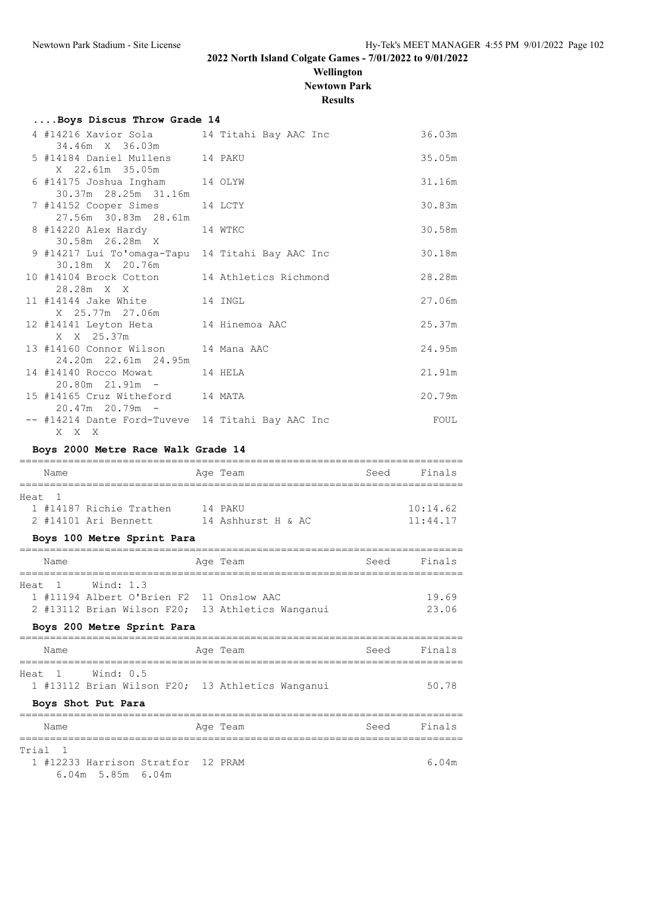# **Wellington Newtown Park**

**Results**

| Boys Discus Throw Grade 14                                            |  |        |
|-----------------------------------------------------------------------|--|--------|
| 4 #14216 Xavior Sola         14 Titahi Bay AAC Inc<br>34.46m X 36.03m |  | 36.03m |
| 5 #14184 Daniel Mullens 14 PAKU<br>X 22.61m 35.05m                    |  | 35.05m |
| 6 #14175 Joshua Ingham 14 OLYW<br>30.37m 28.25m 31.16m                |  | 31.16m |
| 7 #14152 Cooper Simes 14 LCTY<br>27.56m 30.83m 28.61m                 |  | 30.83m |
| 8 #14220 Alex Hardy 14 WTKC<br>30.58m 26.28m X                        |  | 30.58m |
| 9 #14217 Lui To'omaga-Tapu 14 Titahi Bay AAC Inc<br>30.18m X 20.76m   |  | 30.18m |
| 10 #14104 Brock Cotton 14 Athletics Richmond<br>28.28m X X            |  | 28.28m |
| 11 #14144 Jake White 14 INGL<br>X 25.77m 27.06m                       |  | 27.06m |
| 12 #14141 Leyton Heta 14 Hinemoa AAC<br>X X 25.37m                    |  | 25.37m |
| 13 #14160 Connor Wilson 14 Mana AAC<br>24.20m 22.61m 24.95m           |  | 24.95m |
| 14 #14140 Rocco Mowat 14 HELA<br>$20.80m$ $21.91m$ -                  |  | 21.91m |
| 15 #14165 Cruz Witheford 14 MATA<br>$20.47m$ 20.79m $-$               |  | 20.79m |
| -- #14214 Dante Ford-Tuveve 14 Titahi Bay AAC Inc<br>X X X            |  | FOUL   |

### **Boys 2000 Metre Race Walk Grade 14**

| Name                                                                                                                                           | Age Team | Seed | Finals               |
|------------------------------------------------------------------------------------------------------------------------------------------------|----------|------|----------------------|
| Heat<br>$\sqrt{1}$<br>1 #14187 Richie Trathen 14 PAKU<br>2 #14101 Ari Bennett 14 Ashhurst H & AC<br>Boys 100 Metre Sprint Para                 |          |      | 10:14.62<br>11:44.17 |
| Name                                                                                                                                           | Age Team | Seed | Finals               |
| Heat 1 Wind: 1.3<br>1 #11194 Albert O'Brien F2 11 Onslow AAC<br>2 #13112 Brian Wilson F20; 13 Athletics Wanganui<br>Boys 200 Metre Sprint Para |          |      | 19.69<br>23.06       |
| Name                                                                                                                                           | Age Team | Seed | Finals               |
| ===================================<br>Heat 1 Wind: 0.5<br>1 #13112 Brian Wilson F20; 13 Athletics Wanganui<br>Boys Shot Put Para              |          |      | 50.78                |
| Name                                                                                                                                           | Age Team | Seed | Finals               |
| Trial 1<br>1 #12233 Harrison Stratfor 12 PRAM<br>$6.04m$ 5.85m $6.04m$                                                                         |          |      | 6.04m                |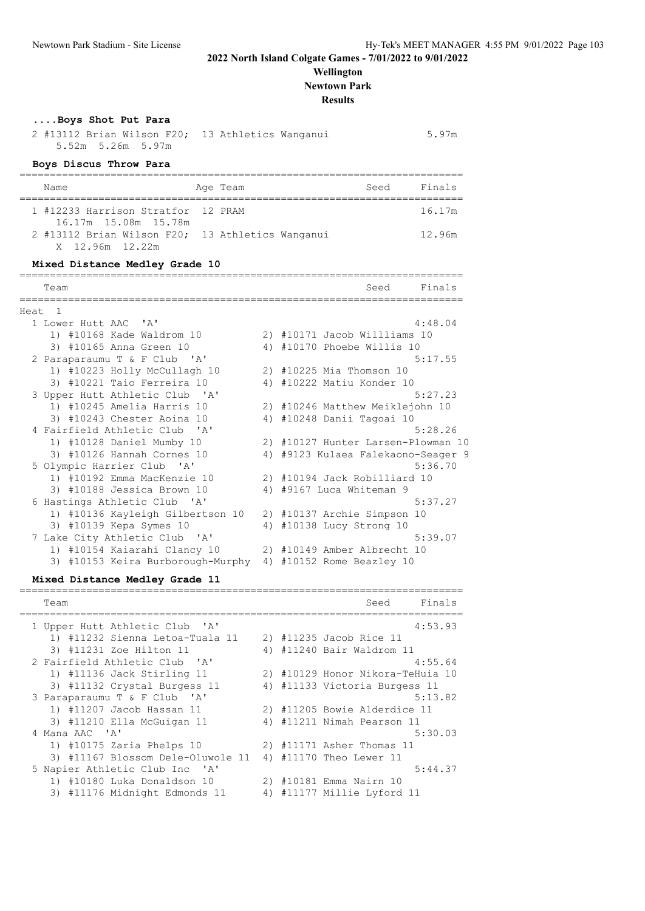### **Wellington Newtown Park Results**

| Boys Shot Put Para<br>2 #13112 Brian Wilson F20; 13 Athletics Wanganui<br>5.52m 5.26m 5.97m |                       |                                    | 5.97m   |
|---------------------------------------------------------------------------------------------|-----------------------|------------------------------------|---------|
| Boys Discus Throw Para                                                                      |                       |                                    |         |
| Name                                                                                        | Age Team              | Seed                               | Finals  |
| 1 #12233 Harrison Stratfor 12 PRAM<br>16.17m 15.08m 15.78m                                  |                       |                                    | 16.17m  |
| 2 #13112 Brian Wilson F20; 13 Athletics Wanganui<br>X 12.96m 12.22m                         |                       |                                    | 12.96m  |
| Mixed Distance Medley Grade 10                                                              | ===================== |                                    |         |
| Team                                                                                        |                       | Seed                               | Finals  |
| Heat <sub>1</sub>                                                                           |                       |                                    |         |
| 1 Lower Hutt AAC 'A'                                                                        |                       |                                    | 4:48.04 |
| 1) #10168 Kade Waldrom 10                                                                   |                       | 2) #10171 Jacob Willliams 10       |         |
| 3) #10165 Anna Green 10                                                                     |                       | 4) #10170 Phoebe Willis 10         |         |
| 2 Paraparaumu T & F Club 'A'                                                                |                       |                                    | 5:17.55 |
| 1) #10223 Holly McCullagh 10                                                                |                       | 2) #10225 Mia Thomson 10           |         |
| 3) #10221 Taio Ferreira 10                                                                  |                       | 4) #10222 Matiu Konder 10          |         |
| 3 Upper Hutt Athletic Club 'A'                                                              |                       |                                    | 5:27.23 |
| 1) #10245 Amelia Harris 10                                                                  |                       | 2) #10246 Matthew Meiklejohn 10    |         |
| 3) #10243 Chester Aoina 10                                                                  |                       | 4) #10248 Danii Tagoai 10          |         |
| 4 Fairfield Athletic Club 'A'                                                               |                       |                                    | 5:28.26 |
| 1) #10128 Daniel Mumby 10                                                                   |                       | 2) #10127 Hunter Larsen-Plowman 10 |         |
| 3) #10126 Hannah Cornes 10                                                                  |                       | 4) #9123 Kulaea Falekaono-Seager 9 |         |
| 5 Olympic Harrier Club 'A'                                                                  |                       |                                    | 5:36.70 |

| 3) #10126 Hannah Cornes 10        | 4) #9123 Kulaea Falekaono-Seager |
|-----------------------------------|----------------------------------|
| 5 Olympic Harrier Club 'A'        | 5:36.70                          |
| 1) #10192 Emma MacKenzie 10       | 2) #10194 Jack Robilliard 10     |
| 3) #10188 Jessica Brown 10        | 4) #9167 Luca Whiteman 9         |
| 6 Hastings Athletic Club 'A'      | 5:37.27                          |
| 1) #10136 Kayleigh Gilbertson 10  | 2) #10137 Archie Simpson 10      |
| 3) #10139 Kepa Symes 10           | 4) #10138 Lucy Strong 10         |
| 7 Lake City Athletic Club 'A'     | 5:39.07                          |
| 1) #10154 Kaiarahi Clancy 10      | 2) #10149 Amber Albrecht 10      |
| 3) #10153 Keira Burborough-Murphy | 4) #10152 Rome Beazley 10        |

## **Mixed Distance Medley Grade 11**

| Team                              |    | Finals<br>Seed                   |
|-----------------------------------|----|----------------------------------|
| 1 Upper Hutt Athletic Club 'A'    |    | 4:53.93                          |
| 1) #11232 Sienna Letoa-Tuala 11   |    | 2) #11235 Jacob Rice 11          |
| 3) #11231 Zoe Hilton 11           | 4) | #11240 Bair Waldrom 11           |
| 2 Fairfield Athletic Club 'A'     |    | 4:55.64                          |
| 1) #11136 Jack Stirling 11        |    | 2) #10129 Honor Nikora-TeHuia 10 |
| 3) #11132 Crystal Burgess 11      |    | 4) #11133 Victoria Burgess 11    |
| 3 Paraparaumu T & F Club 'A'      |    | 5:13.82                          |
| 1) #11207 Jacob Hassan 11         |    | 2) #11205 Bowie Alderdice 11     |
| 3) #11210 Ella McGuigan 11        |    | 4) #11211 Nimah Pearson 11       |
| 4 Mana AAC 'A'                    |    | 5:30.03                          |
| 1) #10175 Zaria Phelps 10         |    | 2) #11171 Asher Thomas 11        |
| 3) #11167 Blossom Dele-Oluwole 11 | 4) | #11170 Theo Lewer 11             |
| 5 Napier Athletic Club Inc 'A'    |    | 5:44.37                          |
| 1) #10180 Luka Donaldson 10       | 2) | #10181 Emma Nairn 10             |
| 3) #11176 Midnight Edmonds 11     | 4) | #11177 Millie Lyford 11          |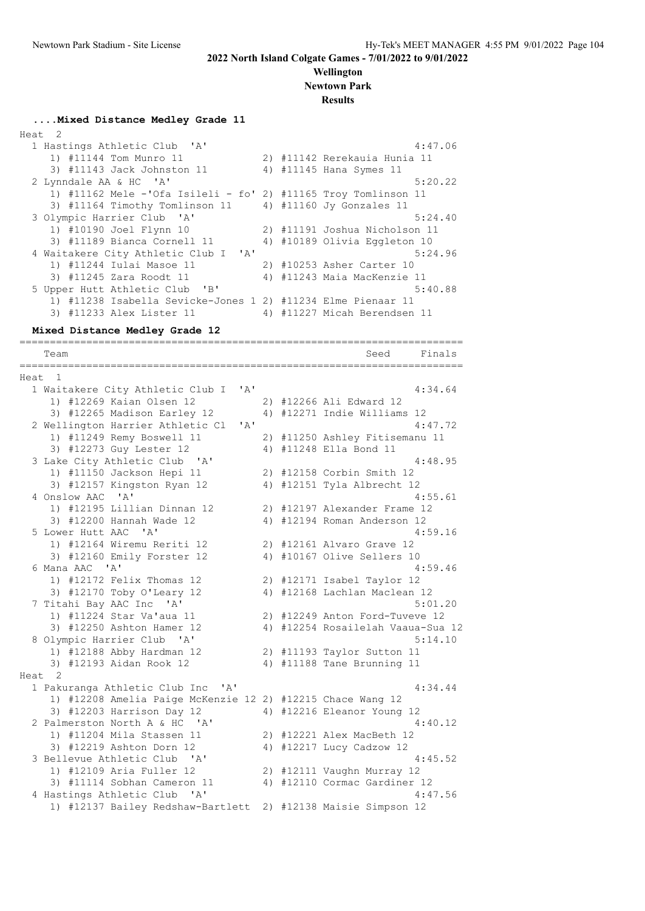#### **Wellington Newtown Park**

**Results**

# **....Mixed Distance Medley Grade 11**

| Heat 2 |                                                                |  |                               |
|--------|----------------------------------------------------------------|--|-------------------------------|
|        | 1 Hastings Athletic Club 'A'                                   |  | 4:47.06                       |
|        | 1) #11144 Tom Munro 11                                         |  | 2) #11142 Rerekauia Hunia 11  |
|        | 3) #11143 Jack Johnston 11                                     |  | 4) #11145 Hana Symes 11       |
|        | 2 Lynndale AA & HC 'A'                                         |  | 5:20.22                       |
|        | 1) #11162 Mele -'Ofa Isileli - fo' 2) #11165 Troy Tomlinson 11 |  |                               |
|        | 3) #11164 Timothy Tomlinson 11 4) #11160 Jy Gonzales 11        |  |                               |
|        | 3 Olympic Harrier Club 'A'                                     |  | 5:24.40                       |
|        | 1) #10190 Joel Flynn 10                                        |  | 2) #11191 Joshua Nicholson 11 |
|        | 3) #11189 Bianca Cornell 11                                    |  | 4) #10189 Olivia Eggleton 10  |
|        | 4 Waitakere City Athletic Club I 'A'                           |  | 5:24.96                       |
|        | 1) #11244 Iulai Masoe 11                                       |  | 2) #10253 Asher Carter 10     |
|        | 3) #11245 Zara Roodt 11                                        |  | 4) #11243 Maia MacKenzie 11   |
|        | 5 Upper Hutt Athletic Club 'B'                                 |  | 5:40.88                       |
|        | 1) #11238 Isabella Sevicke-Jones 1 2) #11234 Elme Pienaar 11   |  |                               |
|        | 3) #11233 Alex Lister 11                                       |  | 4) #11227 Micah Berendsen 11  |
|        |                                                                |  |                               |

=========================================================================

#### **Mixed Distance Medley Grade 12**

Team Seed Finals ========================================================================= Heat 1 1 Waitakere City Athletic Club I 'A' 4:34.64 1) #12269 Kaian Olsen 12 2) #12266 Ali Edward 12 3) #12265 Madison Earley 12 4) #12271 Indie Williams 12 2 Wellington Harrier Athletic Cl 'A' 4:47.72 1) #11249 Remy Boswell 11 2) #11250 Ashley Fitisemanu 11 3) #12273 Guy Lester 12 4) #11248 Ella Bond 11 3 Lake City Athletic Club 'A' 4:48.95 1) #11150 Jackson Hepi 11 2) #12158 Corbin Smith 12 3) #12157 Kingston Ryan 12 4) #12151 Tyla Albrecht 12 4 Onslow AAC 'A' 4:55.61 1) #12195 Lillian Dinnan 12 2) #12197 Alexander Frame 12 3) #12200 Hannah Wade 12 4) #12194 Roman Anderson 12 5 Lower Hutt AAC 'A' 4:59.16 1) #12164 Wiremu Reriti 12 2) #12161 Alvaro Grave 12 3) #12160 Emily Forster 12 4) #10167 Olive Sellers 10 6 Mana AAC 'A' 4:59.46 1) #12172 Felix Thomas 12 2) #12171 Isabel Taylor 12 3) #12170 Toby O'Leary 12 4) #12168 Lachlan Maclean 12 7 Titahi Bay AAC Inc 'A' 5:01.20 1) #11224 Star Va'aua 11 2) #12249 Anton Ford-Tuveve 12 3) #12250 Ashton Hamer 12 4) #12254 Rosailelah Vaaua-Sua 12 8 Olympic Harrier Club 'A' 5:14.10 1) #12188 Abby Hardman 12 2) #11193 Taylor Sutton 11 3) #12193 Aidan Rook 12 4) #11188 Tane Brunning 11 Heat 2 1 Pakuranga Athletic Club Inc 'A' 4:34.44 1) #12208 Amelia Paige McKenzie 12 2) #12215 Chace Wang 12 3) #12203 Harrison Day 12 4) #12216 Eleanor Young 12 2 Palmerston North A & HC 'A' 4:40.12 1) #11204 Mila Stassen 11 2) #12221 Alex MacBeth 12 3) #12219 Ashton Dorn 12 4) #12217 Lucy Cadzow 12 3 Bellevue Athletic Club 'A' 4:45.52 1) #12109 Aria Fuller 12 2) #12111 Vaughn Murray 12 3) #11114 Sobhan Cameron 11 4) #12110 Cormac Gardiner 12 4 Hastings Athletic Club 'A' 4:47.56 1) #12137 Bailey Redshaw-Bartlett 2) #12138 Maisie Simpson 12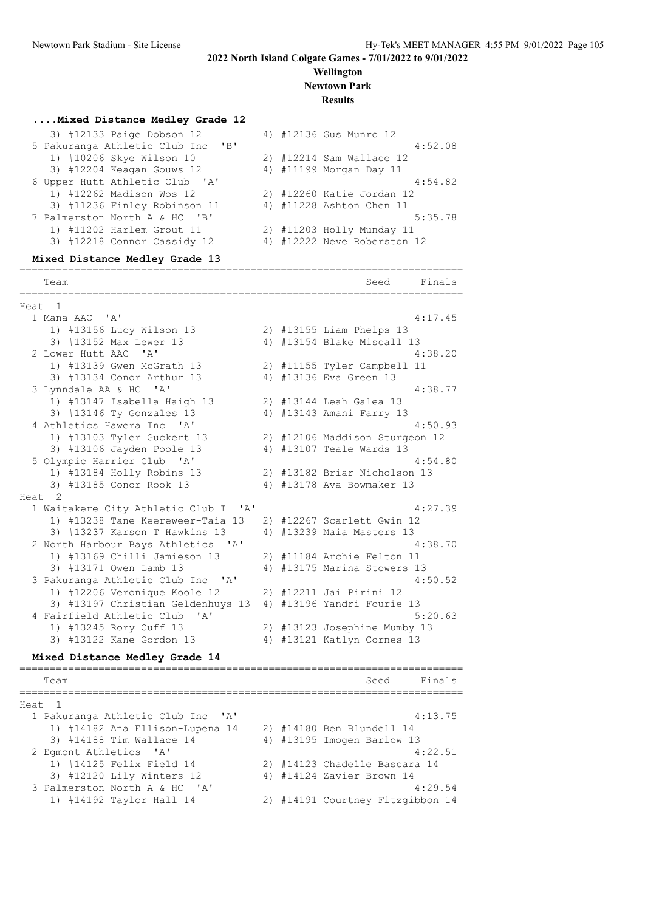#### **Wellington Newtown Park**

**Results**

#### **....Mixed Distance Medley Grade 12**

| 3) #12133 Paige Dobson 12            |  | 4) #12136 Gus Munro 12      |
|--------------------------------------|--|-----------------------------|
| 5 Pakuranga Athletic Club Inc<br>"B" |  | 4:52.08                     |
| 1) #10206 Skye Wilson 10             |  | 2) #12214 Sam Wallace 12    |
| 3) #12204 Keagan Gouws 12            |  | 4) #11199 Morgan Day 11     |
| 6 Upper Hutt Athletic Club 'A'       |  | 4:54.82                     |
| 1) #12262 Madison Wos 12             |  | 2) #12260 Katie Jordan 12   |
| 3) #11236 Finley Robinson 11         |  | 4) #11228 Ashton Chen 11    |
| 7 Palmerston North A & HC 'B'        |  | 5:35.78                     |
| 1) #11202 Harlem Grout 11            |  | 2) #11203 Holly Munday 11   |
| 3) #12218 Connor Cassidy 12          |  | 4) #12222 Neve Roberston 12 |
|                                      |  |                             |

#### **Mixed Distance Medley Grade 13**

========================================================================= Team Seed Finals ========================================================================= Heat 1 1 Mana AAC 'A' 4:17.45 1) #13156 Lucy Wilson 13 2) #13155 Liam Phelps 13 3) #13152 Max Lewer 13 4) #13154 Blake Miscall 13 2 Lower Hutt AAC 'A' 4:38.20 1) #13139 Gwen McGrath 13 2) #11155 Tyler Campbell 11 3) #13134 Conor Arthur 13 4) #13136 Eva Green 13 3 Lynndale AA & HC 'A' 4:38.77 1) #13147 Isabella Haigh 13 2) #13144 Leah Galea 13 3) #13146 Ty Gonzales 13 4) #13143 Amani Farry 13 4 Athletics Hawera Inc 'A' 4:50.93 1) #13103 Tyler Guckert 13 2) #12106 Maddison Sturgeon 12 3) #13106 Jayden Poole 13 4) #13107 Teale Wards 13 5 Olympic Harrier Club 'A' 4:54.80 1) #13184 Holly Robins 13 2) #13182 Briar Nicholson 13 3) #13185 Conor Rook 13 4) #13178 Ava Bowmaker 13 Heat 2 1 Waitakere City Athletic Club I 'A' 4:27.39 1) #13238 Tane Keereweer-Taia 13 2) #12267 Scarlett Gwin 12 3) #13237 Karson T Hawkins 13  $\phantom{1}4$ ) #13239 Maia Masters 13  $\phantom{1}4$  4:38.70 2 North Harbour Bays Athletics 'A' 1) #13169 Chilli Jamieson 13 2) #11184 Archie Felton 11 3) #13171 Owen Lamb 13 4) #13175 Marina Stowers 13 3 Pakuranga Athletic Club Inc 'A' 4:50.52 1) #12206 Veronique Koole 12 2) #12211 Jai Pirini 12 3) #13197 Christian Geldenhuys 13 4) #13196 Yandri Fourie 13 4 Fairfield Athletic Club 'A' 5:20.63 1) #13245 Rory Cuff 13 2) #13123 Josephine Mumby 13 3) #13122 Kane Gordon 13 4) #13121 Katlyn Cornes 13

#### **Mixed Distance Medley Grade 14**

========================================================================= Team Seed Finals ========================================================================= Heat 1 1 Pakuranga Athletic Club Inc 'A' 4:13.75 1) #14182 Ana Ellison-Lupena 14 2) #14180 Ben Blundell 14 3) #14188 Tim Wallace 14 4) #13195 Imogen Barlow 13 2 Egmont Athletics 'A' 4:22.51 1) #14125 Felix Field 14 2) #14123 Chadelle Bascara 14 3) #12120 Lily Winters 12 4) #14124 Zavier Brown 14 3 Palmerston North A & HC 'A'  $\begin{array}{c} 3 + 14191 & \text{Cour,} \\ 1 + 14192 & \text{Taylor,} \\ 14 & 2 \end{array}$  +14191 Courtney Fitzgibbon 14 2) #14191 Courtney Fitzgibbon 14